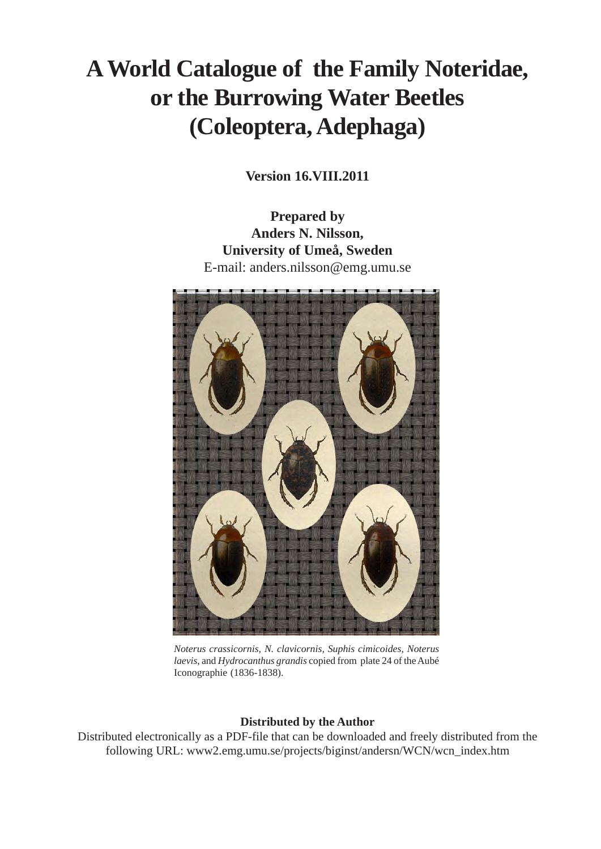# **A World Catalogue of the Family Noteridae, or the Burrowing Water Beetles (Coleoptera, Adephaga)**

**Version 16.VIII.2011**

**Prepared by Anders N. Nilsson, University of Umeå, Sweden** E-mail: anders.nilsson@emg.umu.se



*Noterus crassicornis, N. clavicornis, Suphis cimicoides, Noterus laevis*, and *Hydrocanthus grandis* copied from plate 24 of the Aubé Iconographie (1836-1838).

# **Distributed by the Author**

Distributed electronically as a PDF-file that can be downloaded and freely distributed from the following URL: www2.emg.umu.se/projects/biginst/andersn/WCN/wcn\_index.htm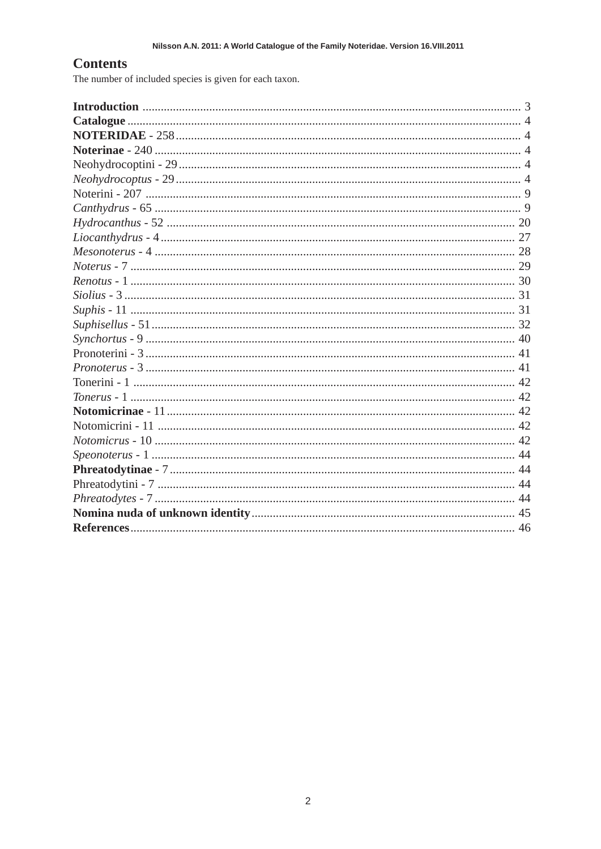# **Contents**

The number of included species is given for each taxon.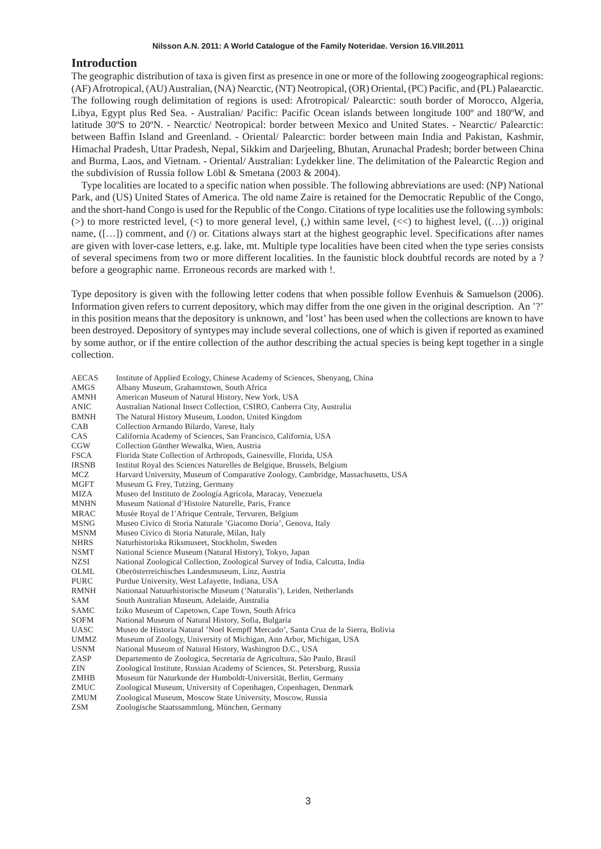# **Introduction**

The geographic distribution of taxa is given first as presence in one or more of the following zoogeographical regions: (AF) Afrotropical, (AU) Australian, (NA) Nearctic, (NT) Neotropical, (OR) Oriental, (PC) Pacific, and (PL) Palaearctic. The following rough delimitation of regions is used: Afrotropical/ Palearctic: south border of Morocco, Algeria, Libya, Egypt plus Red Sea. - Australian/ Pacific: Pacific Ocean islands between longitude 100º and 180ºW, and latitude 30ºS to 20ºN. - Nearctic/ Neotropical: border between Mexico and United States. - Nearctic/ Palearctic: between Baffin Island and Greenland. - Oriental/ Palearctic: border between main India and Pakistan, Kashmir, Himachal Pradesh, Uttar Pradesh, Nepal, Sikkim and Darjeeling, Bhutan, Arunachal Pradesh; border between China and Burma, Laos, and Vietnam. - Oriental/ Australian: Lydekker line. The delimitation of the Palearctic Region and the subdivision of Russia follow Löbl & Smetana (2003 & 2004).

Type localities are located to a specific nation when possible. The following abbreviations are used: (NP) National Park, and (US) United States of America. The old name Zaire is retained for the Democratic Republic of the Congo, and the short-hand Congo is used for the Republic of the Congo. Citations of type localities use the following symbols: ( $>$ ) to more restricted level, ( $<$ ) to more general level, (,) within same level,  $(<$ ) to highest level,  $((...)$  original name, ([...]) comment, and (/) or. Citations always start at the highest geographic level. Specifications after names are given with lover-case letters, e.g. lake, mt. Multiple type localities have been cited when the type series consists of several specimens from two or more different localities. In the faunistic block doubtful records are noted by a ? before a geographic name. Erroneous records are marked with !.

Type depository is given with the following letter codens that when possible follow Evenhuis & Samuelson (2006). Information given refers to current depository, which may differ from the one given in the original description. An '?' in this position means that the depository is unknown, and 'lost' has been used when the collections are known to have been destroyed. Depository of syntypes may include several collections, one of which is given if reported as examined by some author, or if the entire collection of the author describing the actual species is being kept together in a single collection.

| <b>AECAS</b> | Institute of Applied Ecology, Chinese Academy of Sciences, Shenyang, China        |
|--------------|-----------------------------------------------------------------------------------|
| AMGS         | Albany Museum, Grahamstown, South Africa                                          |
| <b>AMNH</b>  | American Museum of Natural History, New York, USA                                 |
| <b>ANIC</b>  | Australian National Insect Collection, CSIRO, Canberra City, Australia            |
| <b>BMNH</b>  | The Natural History Museum, London, United Kingdom                                |
| CAB          | Collection Armando Bilardo, Varese, Italy                                         |
| CAS          | California Academy of Sciences, San Francisco, California, USA                    |
| CGW          | Collection Günther Wewalka, Wien, Austria                                         |
| <b>FSCA</b>  | Florida State Collection of Arthropods, Gainesville, Florida, USA                 |
| <b>IRSNB</b> | Institut Royal des Sciences Naturelles de Belgique, Brussels, Belgium             |
| MCZ          | Harvard University, Museum of Comparative Zoology, Cambridge, Massachusetts, USA  |
| MGFT         | Museum G. Frey, Tutzing, Germany                                                  |
| <b>MIZA</b>  | Museo del Instituto de Zoología Agrícola, Maracay, Venezuela                      |
| <b>MNHN</b>  | Museum National d'Histoire Naturelle, Paris, France                               |
| <b>MRAC</b>  | Musée Royal de l'Afrique Centrale, Tervuren, Belgium                              |
| <b>MSNG</b>  | Museo Civico di Storia Naturale 'Giacomo Doria', Genova, Italy                    |
| <b>MSNM</b>  | Museo Civico di Storia Naturale, Milan, Italy                                     |
| <b>NHRS</b>  | Naturhistoriska Riksmuseet, Stockholm, Sweden                                     |
| <b>NSMT</b>  | National Science Museum (Natural History), Tokyo, Japan                           |
| <b>NZSI</b>  | National Zoological Collection, Zoological Survey of India, Calcutta, India       |
| OLML         | Oberösterreichisches Landesmuseum, Linz, Austria                                  |
| <b>PURC</b>  | Purdue University, West Lafayette, Indiana, USA                                   |
| <b>RMNH</b>  | Nationaal Natuurhistorische Museum ('Naturalis'), Leiden, Netherlands             |
| <b>SAM</b>   | South Australian Museum, Adelaide, Australia                                      |
| <b>SAMC</b>  | Iziko Museum of Capetown, Cape Town, South Africa                                 |
| <b>SOFM</b>  | National Museum of Natural History, Sofia, Bulgaria                               |
| <b>UASC</b>  | Museo de Historia Natural 'Noel Kempff Mercado', Santa Cruz de la Sierra, Bolivia |
| <b>UMMZ</b>  | Museum of Zoology, University of Michigan, Ann Arbor, Michigan, USA               |
| <b>USNM</b>  | National Museum of Natural History, Washington D.C., USA                          |
| ZASP         | Departemento de Zoologica, Secretaria de Agricultura, São Paulo, Brasil           |
| ZIN          | Zoological Institute, Russian Academy of Sciences, St. Petersburg, Russia         |
| <b>ZMHB</b>  | Museum für Naturkunde der Humboldt-Universität, Berlin, Germany                   |
| ZMUC         | Zoological Museum, University of Copenhagen, Copenhagen, Denmark                  |
| <b>ZMUM</b>  | Zoological Museum, Moscow State University, Moscow, Russia                        |
| <b>ZSM</b>   | Zoologische Staatssammlung, München, Germany                                      |
|              |                                                                                   |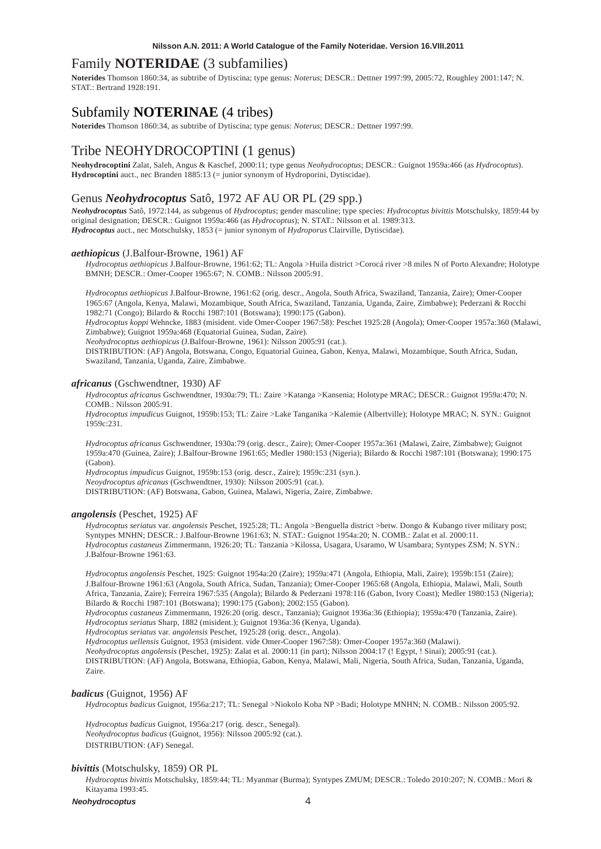# Family **NOTERIDAE** (3 subfamilies)

**Noterides** Thomson 1860:34, as subtribe of Dytiscina; type genus: *Noterus*; DESCR.: Dettner 1997:99, 2005:72, Roughley 2001:147; N. STAT.: Bertrand 1928:191.

# Subfamily **NOTERINAE** (4 tribes)

**Noterides** Thomson 1860:34, as subtribe of Dytiscina; type genus: *Noterus*; DESCR.: Dettner 1997:99.

# Tribe NEOHYDROCOPTINI (1 genus)

**Neohydrocoptini** Zalat, Saleh, Angus & Kaschef, 2000:11; type genus *Neohydrocoptus*; DESCR.: Guignot 1959a:466 (as *Hydrocoptus*). **Hydrocoptini** auct., nec Branden 1885:13 (= junior synonym of Hydroporini, Dytiscidae).

# Genus *Neohydrocoptus* Satô, 1972 AF AU OR PL (29 spp.)

*Neohydrocoptus* Satô, 1972:144, as subgenus of *Hydrocoptus*; gender masculine; type species: *Hydrocoptus bivittis* Motschulsky, 1859:44 by original designation; DESCR.: Guignot 1959a:466 (as *Hydrocoptus*); N. STAT.: Nilsson et al. 1989:313. *Hydrocoptus* auct., nec Motschulsky, 1853 (= junior synonym of *Hydroporus* Clairville, Dytiscidae).

# *aethiopicus* (J.Balfour-Browne, 1961) AF

*Hydrocoptus aethiopicus* J.Balfour-Browne, 1961:62; TL: Angola >Huila district >Corocá river >8 miles N of Porto Alexandre; Holotype BMNH; DESCR.: Omer-Cooper 1965:67; N. COMB.: Nilsson 2005:91.

*Hydrocoptus aethiopicus* J.Balfour-Browne, 1961:62 (orig. descr., Angola, South Africa, Swaziland, Tanzania, Zaire); Omer-Cooper 1965:67 (Angola, Kenya, Malawi, Mozambique, South Africa, Swaziland, Tanzania, Uganda, Zaire, Zimbabwe); Pederzani & Rocchi 1982:71 (Congo); Bilardo & Rocchi 1987:101 (Botswana); 1990:175 (Gabon).

*Hydrocoptus koppi* Wehncke, 1883 (misident. vide Omer-Cooper 1967:58): Peschet 1925:28 (Angola); Omer-Cooper 1957a:360 (Malawi, Zimbabwe); Guignot 1959a:468 (Equatorial Guinea, Sudan, Zaire).

*Neohydrocoptus aethiopicus* (J.Balfour-Browne, 1961): Nilsson 2005:91 (cat.).

DISTRIBUTION: (AF) Angola, Botswana, Congo, Equatorial Guinea, Gabon, Kenya, Malawi, Mozambique, South Africa, Sudan, Swaziland, Tanzania, Uganda, Zaire, Zimbabwe.

#### *africanus* (Gschwendtner, 1930) AF

*Hydrocoptus africanus* Gschwendtner, 1930a:79; TL: Zaire >Katanga >Kansenia; Holotype MRAC; DESCR.: Guignot 1959a:470; N. COMB.: Nilsson 2005:91.

*Hydrocoptus impudicus* Guignot, 1959b:153; TL: Zaire >Lake Tanganika >Kalemie (Albertville); Holotype MRAC; N. SYN.: Guignot 1959c:231.

*Hydrocoptus africanus* Gschwendtner, 1930a:79 (orig. descr., Zaire); Omer-Cooper 1957a:361 (Malawi, Zaire, Zimbabwe); Guignot 1959a:470 (Guinea, Zaire); J.Balfour-Browne 1961:65; Medler 1980:153 (Nigeria); Bilardo & Rocchi 1987:101 (Botswana); 1990:175 (Gabon).

*Hydrocoptus impudicus* Guignot, 1959b:153 (orig. descr., Zaire); 1959c:231 (syn.).

*Neoydrocoptus africanus* (Gschwendtner, 1930): Nilsson 2005:91 (cat.).

DISTRIBUTION: (AF) Botswana, Gabon, Guinea, Malawi, Nigeria, Zaire, Zimbabwe.

# *angolensis* (Peschet, 1925) AF

*Hydrocoptus seriatus* var. *angolensis* Peschet, 1925:28; TL: Angola >Benguella district >betw. Dongo & Kubango river military post; Syntypes MNHN; DESCR.: J.Balfour-Browne 1961:63; N. STAT.: Guignot 1954a:20; N. COMB.: Zalat et al. 2000:11. *Hydrocoptus castaneus* Zimmermann, 1926:20; TL: Tanzania >Kilossa, Usagara, Usaramo, W Usambara; Syntypes ZSM; N. SYN.: J.Balfour-Browne 1961:63.

*Hydrocoptus angolensis* Peschet, 1925: Guignot 1954a:20 (Zaire); 1959a:471 (Angola, Ethiopia, Mali, Zaire); 1959b:151 (Zaire); J.Balfour-Browne 1961:63 (Angola, South Africa, Sudan, Tanzania); Omer-Cooper 1965:68 (Angola, Ethiopia, Malawi, Mali, South Africa, Tanzania, Zaire); Ferreira 1967:535 (Angola); Bilardo & Pederzani 1978:116 (Gabon, Ivory Coast); Medler 1980:153 (Nigeria); Bilardo & Rocchi 1987:101 (Botswana); 1990:175 (Gabon); 2002:155 (Gabon).

*Hydrocoptus castaneus* Zimmermann, 1926:20 (orig. descr., Tanzania); Guignot 1936a:36 (Ethiopia); 1959a:470 (Tanzania, Zaire). *Hydrocoptus seriatus* Sharp, 1882 (misident.); Guignot 1936a:36 (Kenya, Uganda).

*Hydrocoptus seriatus* var. *angolensis* Peschet, 1925:28 (orig. descr., Angola).

*Hydrocoptus uellensis* Guignot, 1953 (misident. vide Omer-Cooper 1967:58): Omer-Cooper 1957a:360 (Malawi).

*Neohydrocoptus angolensis* (Peschet, 1925): Zalat et al. 2000:11 (in part); Nilsson 2004:17 (! Egypt, ! Sinai); 2005:91 (cat.). DISTRIBUTION: (AF) Angola, Botswana, Ethiopia, Gabon, Kenya, Malawi, Mali, Nigeria, South Africa, Sudan, Tanzania, Uganda, Zaire.

# *badicus* (Guignot, 1956) AF

*Hydrocoptus badicus* Guignot, 1956a:217; TL: Senegal >Niokolo Koba NP >Badi; Holotype MNHN; N. COMB.: Nilsson 2005:92.

*Hydrocoptus badicus* Guignot, 1956a:217 (orig. descr., Senegal). *Neohydrocoptus badicus* (Guignot, 1956): Nilsson 2005:92 (cat.). DISTRIBUTION: (AF) Senegal.

# *bivittis* (Motschulsky, 1859) OR PL

*Hydrocoptus bivittis* Motschulsky, 1859:44; TL: Myanmar (Burma); Syntypes ZMUM; DESCR.: Toledo 2010:207; N. COMB.: Mori & Kitayama 1993:45.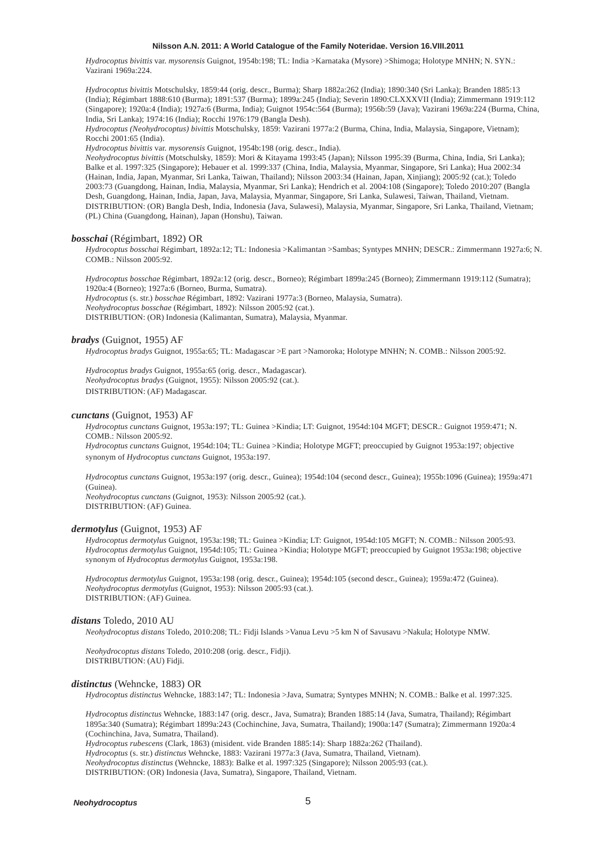*Hydrocoptus bivittis* var. *mysorensis* Guignot, 1954b:198; TL: India >Karnataka (Mysore) >Shimoga; Holotype MNHN; N. SYN.: Vazirani 1969a:224.

*Hydrocoptus bivittis* Motschulsky, 1859:44 (orig. descr., Burma); Sharp 1882a:262 (India); 1890:340 (Sri Lanka); Branden 1885:13 (India); Régimbart 1888:610 (Burma); 1891:537 (Burma); 1899a:245 (India); Severin 1890:CLXXXVII (India); Zimmermann 1919:112 (Singapore); 1920a:4 (India); 1927a:6 (Burma, India); Guignot 1954c:564 (Burma); 1956b:59 (Java); Vazirani 1969a:224 (Burma, China, India, Sri Lanka); 1974:16 (India); Rocchi 1976:179 (Bangla Desh).

*Hydrocoptus (Neohydrocoptus) bivittis* Motschulsky, 1859: Vazirani 1977a:2 (Burma, China, India, Malaysia, Singapore, Vietnam); Rocchi 2001:65 (India).

*Hydrocoptus bivittis* var. *mysorensis* Guignot, 1954b:198 (orig. descr., India).

*Neohydrocoptus bivittis* (Motschulsky, 1859): Mori & Kitayama 1993:45 (Japan); Nilsson 1995:39 (Burma, China, India, Sri Lanka); Balke et al. 1997:325 (Singapore); Hebauer et al. 1999:337 (China, India, Malaysia, Myanmar, Singapore, Sri Lanka); Hua 2002:34 (Hainan, India, Japan, Myanmar, Sri Lanka, Taiwan, Thailand); Nilsson 2003:34 (Hainan, Japan, Xinjiang); 2005:92 (cat.); Toledo 2003:73 (Guangdong, Hainan, India, Malaysia, Myanmar, Sri Lanka); Hendrich et al. 2004:108 (Singapore); Toledo 2010:207 (Bangla Desh, Guangdong, Hainan, India, Japan, Java, Malaysia, Myanmar, Singapore, Sri Lanka, Sulawesi, Taiwan, Thailand, Vietnam. DISTRIBUTION: (OR) Bangla Desh, India, Indonesia (Java, Sulawesi), Malaysia, Myanmar, Singapore, Sri Lanka, Thailand, Vietnam; (PL) China (Guangdong, Hainan), Japan (Honshu), Taiwan.

# *bosschai* (Régimbart, 1892) OR

*Hydrocoptus bosschai* Régimbart, 1892a:12; TL: Indonesia >Kalimantan >Sambas; Syntypes MNHN; DESCR.: Zimmermann 1927a:6; N. COMB.: Nilsson 2005:92.

*Hydrocoptus bosschae* Régimbart, 1892a:12 (orig. descr., Borneo); Régimbart 1899a:245 (Borneo); Zimmermann 1919:112 (Sumatra); 1920a:4 (Borneo); 1927a:6 (Borneo, Burma, Sumatra). *Hydrocoptus* (s. str.) *bosschae* Régimbart, 1892: Vazirani 1977a:3 (Borneo, Malaysia, Sumatra). *Neohydrocoptus bosschae* (Régimbart, 1892): Nilsson 2005:92 (cat.).

DISTRIBUTION: (OR) Indonesia (Kalimantan, Sumatra), Malaysia, Myanmar.

# *bradys* (Guignot, 1955) AF

*Hydrocoptus bradys* Guignot, 1955a:65; TL: Madagascar >E part >Namoroka; Holotype MNHN; N. COMB.: Nilsson 2005:92.

*Hydrocoptus bradys* Guignot, 1955a:65 (orig. descr., Madagascar). *Neohydrocoptus bradys* (Guignot, 1955): Nilsson 2005:92 (cat.). DISTRIBUTION: (AF) Madagascar.

# *cunctans* (Guignot, 1953) AF

*Hydrocoptus cunctans* Guignot, 1953a:197; TL: Guinea >Kindia; LT: Guignot, 1954d:104 MGFT; DESCR.: Guignot 1959:471; N. COMB.: Nilsson 2005:92.

*Hydrocoptus cunctans* Guignot, 1954d:104; TL: Guinea >Kindia; Holotype MGFT; preoccupied by Guignot 1953a:197; objective synonym of *Hydrocoptus cunctans* Guignot, 1953a:197.

*Hydrocoptus cunctans* Guignot, 1953a:197 (orig. descr., Guinea); 1954d:104 (second descr., Guinea); 1955b:1096 (Guinea); 1959a:471 (Guinea). *Neohydrocoptus cunctans* (Guignot, 1953): Nilsson 2005:92 (cat.).

DISTRIBUTION: (AF) Guinea.

# *dermotylus* (Guignot, 1953) AF

*Hydrocoptus dermotylus* Guignot, 1953a:198; TL: Guinea >Kindia; LT: Guignot, 1954d:105 MGFT; N. COMB.: Nilsson 2005:93. *Hydrocoptus dermotylus* Guignot, 1954d:105; TL: Guinea >Kindia; Holotype MGFT; preoccupied by Guignot 1953a:198; objective synonym of *Hydrocoptus dermotylus* Guignot, 1953a:198.

*Hydrocoptus dermotylus* Guignot, 1953a:198 (orig. descr., Guinea); 1954d:105 (second descr., Guinea); 1959a:472 (Guinea). *Neohydrocoptus dermotylus* (Guignot, 1953): Nilsson 2005:93 (cat.). DISTRIBUTION: (AF) Guinea.

### *distans* Toledo, 2010 AU

*Neohydrocoptus distans* Toledo, 2010:208; TL: Fidji Islands >Vanua Levu >5 km N of Savusavu >Nakula; Holotype NMW.

*Neohydrocoptus distans* Toledo, 2010:208 (orig. descr., Fidji). DISTRIBUTION: (AU) Fidji.

#### *distinctus* (Wehncke, 1883) OR

*Hydrocoptus distinctus* Wehncke, 1883:147; TL: Indonesia >Java, Sumatra; Syntypes MNHN; N. COMB.: Balke et al. 1997:325.

*Hydrocoptus distinctus* Wehncke, 1883:147 (orig. descr., Java, Sumatra); Branden 1885:14 (Java, Sumatra, Thailand); Régimbart 1895a:340 (Sumatra); Régimbart 1899a:243 (Cochinchine, Java, Sumatra, Thailand); 1900a:147 (Sumatra); Zimmermann 1920a:4 (Cochinchina, Java, Sumatra, Thailand).

*Hydrocoptus rubescens* (Clark, 1863) (misident. vide Branden 1885:14): Sharp 1882a:262 (Thailand). *Hydrocoptus* (s. str.) *distinctus* Wehncke, 1883: Vazirani 1977a:3 (Java, Sumatra, Thailand, Vietnam). *Neohydrocoptus distinctus* (Wehncke, 1883): Balke et al. 1997:325 (Singapore); Nilsson 2005:93 (cat.).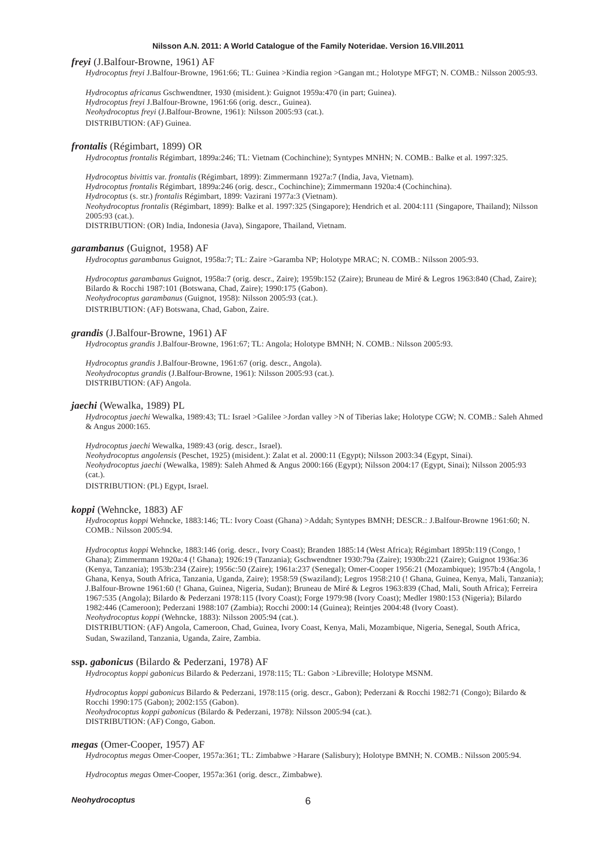#### *freyi* (J.Balfour-Browne, 1961) AF

*Hydrocoptus freyi* J.Balfour-Browne, 1961:66; TL: Guinea >Kindia region >Gangan mt.; Holotype MFGT; N. COMB.: Nilsson 2005:93.

*Hydrocoptus africanus* Gschwendtner, 1930 (misident.): Guignot 1959a:470 (in part; Guinea). *Hydrocoptus freyi* J.Balfour-Browne, 1961:66 (orig. descr., Guinea). *Neohydrocoptus freyi* (J.Balfour-Browne, 1961): Nilsson 2005:93 (cat.). DISTRIBUTION: (AF) Guinea.

#### *frontalis* (Régimbart, 1899) OR

*Hydrocoptus frontalis* Régimbart, 1899a:246; TL: Vietnam (Cochinchine); Syntypes MNHN; N. COMB.: Balke et al. 1997:325.

*Hydrocoptus bivittis* var. *frontalis* (Régimbart, 1899): Zimmermann 1927a:7 (India, Java, Vietnam). *Hydrocoptus frontalis* Régimbart, 1899a:246 (orig. descr., Cochinchine); Zimmermann 1920a:4 (Cochinchina). *Hydrocoptus* (s. str.) *frontalis* Régimbart, 1899: Vazirani 1977a:3 (Vietnam). *Neohydrocoptus frontalis* (Régimbart, 1899): Balke et al. 1997:325 (Singapore); Hendrich et al. 2004:111 (Singapore, Thailand); Nilsson 2005:93 (cat.). DISTRIBUTION: (OR) India, Indonesia (Java), Singapore, Thailand, Vietnam.

# *garambanus* (Guignot, 1958) AF

*Hydrocoptus garambanus* Guignot, 1958a:7; TL: Zaire >Garamba NP; Holotype MRAC; N. COMB.: Nilsson 2005:93.

*Hydrocoptus garambanus* Guignot, 1958a:7 (orig. descr., Zaire); 1959b:152 (Zaire); Bruneau de Miré & Legros 1963:840 (Chad, Zaire); Bilardo & Rocchi 1987:101 (Botswana, Chad, Zaire); 1990:175 (Gabon). *Neohydrocoptus garambanus* (Guignot, 1958): Nilsson 2005:93 (cat.). DISTRIBUTION: (AF) Botswana, Chad, Gabon, Zaire.

#### *grandis* (J.Balfour-Browne, 1961) AF

*Hydrocoptus grandis* J.Balfour-Browne, 1961:67; TL: Angola; Holotype BMNH; N. COMB.: Nilsson 2005:93.

*Hydrocoptus grandis* J.Balfour-Browne, 1961:67 (orig. descr., Angola). *Neohydrocoptus grandis* (J.Balfour-Browne, 1961): Nilsson 2005:93 (cat.). DISTRIBUTION: (AF) Angola.

# *jaechi* (Wewalka, 1989) PL

*Hydrocoptus jaechi* Wewalka, 1989:43; TL: Israel >Galilee >Jordan valley >N of Tiberias lake; Holotype CGW; N. COMB.: Saleh Ahmed & Angus 2000:165.

### *Hydrocoptus jaechi* Wewalka, 1989:43 (orig. descr., Israel).

*Neohydrocoptus angolensis* (Peschet, 1925) (misident.): Zalat et al. 2000:11 (Egypt); Nilsson 2003:34 (Egypt, Sinai). *Neohydrocoptus jaechi* (Wewalka, 1989): Saleh Ahmed & Angus 2000:166 (Egypt); Nilsson 2004:17 (Egypt, Sinai); Nilsson 2005:93 (cat.).

DISTRIBUTION: (PL) Egypt, Israel.

# *koppi* (Wehncke, 1883) AF

*Hydrocoptus koppi* Wehncke, 1883:146; TL: Ivory Coast (Ghana) >Addah; Syntypes BMNH; DESCR.: J.Balfour-Browne 1961:60; N. COMB.: Nilsson 2005:94.

*Hydrocoptus koppi* Wehncke, 1883:146 (orig. descr., Ivory Coast); Branden 1885:14 (West Africa); Régimbart 1895b:119 (Congo, ! Ghana); Zimmermann 1920a:4 (! Ghana); 1926:19 (Tanzania); Gschwendtner 1930:79a (Zaire); 1930b:221 (Zaire); Guignot 1936a:36 (Kenya, Tanzania); 1953b:234 (Zaire); 1956c:50 (Zaire); 1961a:237 (Senegal); Omer-Cooper 1956:21 (Mozambique); 1957b:4 (Angola, ! Ghana, Kenya, South Africa, Tanzania, Uganda, Zaire); 1958:59 (Swaziland); Legros 1958:210 (! Ghana, Guinea, Kenya, Mali, Tanzania); J.Balfour-Browne 1961:60 (! Ghana, Guinea, Nigeria, Sudan); Bruneau de Miré & Legros 1963:839 (Chad, Mali, South Africa); Ferreira 1967:535 (Angola); Bilardo & Pederzani 1978:115 (Ivory Coast); Forge 1979:98 (Ivory Coast); Medler 1980:153 (Nigeria); Bilardo 1982:446 (Cameroon); Pederzani 1988:107 (Zambia); Rocchi 2000:14 (Guinea); Reintjes 2004:48 (Ivory Coast). *Neohydrocoptus koppi* (Wehncke, 1883): Nilsson 2005:94 (cat.).

DISTRIBUTION: (AF) Angola, Cameroon, Chad, Guinea, Ivory Coast, Kenya, Mali, Mozambique, Nigeria, Senegal, South Africa, Sudan, Swaziland, Tanzania, Uganda, Zaire, Zambia.

# **ssp.** *gabonicus* (Bilardo & Pederzani, 1978) AF

*Hydrocoptus koppi gabonicus* Bilardo & Pederzani, 1978:115; TL: Gabon >Libreville; Holotype MSNM.

*Hydrocoptus koppi gabonicus* Bilardo & Pederzani, 1978:115 (orig. descr., Gabon); Pederzani & Rocchi 1982:71 (Congo); Bilardo & Rocchi 1990:175 (Gabon); 2002:155 (Gabon). *Neohydrocoptus koppi gabonicus* (Bilardo & Pederzani, 1978): Nilsson 2005:94 (cat.). DISTRIBUTION: (AF) Congo, Gabon.

# *megas* (Omer-Cooper, 1957) AF

*Hydrocoptus megas* Omer-Cooper, 1957a:361; TL: Zimbabwe >Harare (Salisbury); Holotype BMNH; N. COMB.: Nilsson 2005:94.

*Hydrocoptus megas* Omer-Cooper, 1957a:361 (orig. descr., Zimbabwe).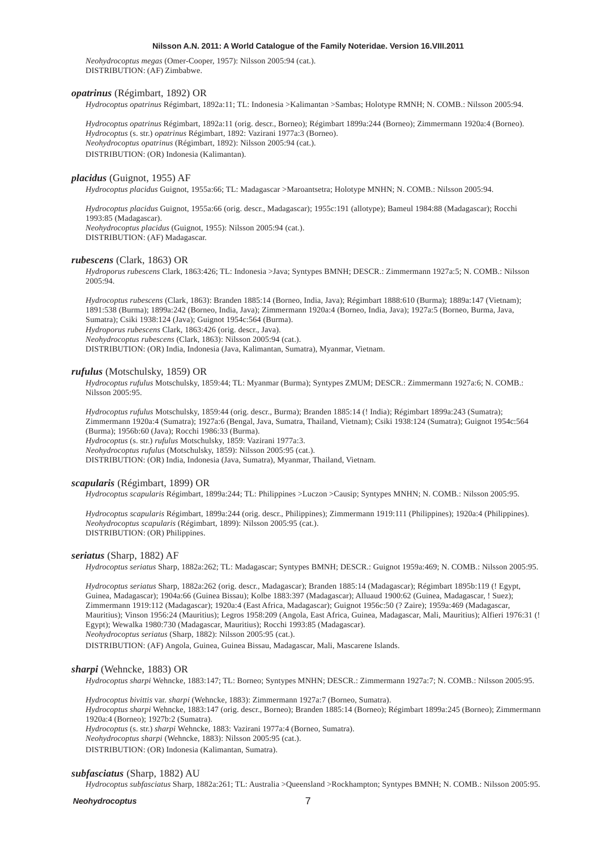*Neohydrocoptus megas* (Omer-Cooper, 1957): Nilsson 2005:94 (cat.). DISTRIBUTION: (AF) Zimbabwe.

# *opatrinus* (Régimbart, 1892) OR

*Hydrocoptus opatrinus* Régimbart, 1892a:11; TL: Indonesia >Kalimantan >Sambas; Holotype RMNH; N. COMB.: Nilsson 2005:94.

*Hydrocoptus opatrinus* Régimbart, 1892a:11 (orig. descr., Borneo); Régimbart 1899a:244 (Borneo); Zimmermann 1920a:4 (Borneo). *Hydrocoptus* (s. str.) *opatrinus* Régimbart, 1892: Vazirani 1977a:3 (Borneo). *Neohydrocoptus opatrinus* (Régimbart, 1892): Nilsson 2005:94 (cat.). DISTRIBUTION: (OR) Indonesia (Kalimantan).

#### *placidus* (Guignot, 1955) AF

*Hydrocoptus placidus* Guignot, 1955a:66; TL: Madagascar >Maroantsetra; Holotype MNHN; N. COMB.: Nilsson 2005:94.

*Hydrocoptus placidus* Guignot, 1955a:66 (orig. descr., Madagascar); 1955c:191 (allotype); Bameul 1984:88 (Madagascar); Rocchi 1993:85 (Madagascar). *Neohydrocoptus placidus* (Guignot, 1955): Nilsson 2005:94 (cat.). DISTRIBUTION: (AF) Madagascar.

# *rubescens* (Clark, 1863) OR

*Hydroporus rubescens* Clark, 1863:426; TL: Indonesia >Java; Syntypes BMNH; DESCR.: Zimmermann 1927a:5; N. COMB.: Nilsson 2005:94.

*Hydrocoptus rubescens* (Clark, 1863): Branden 1885:14 (Borneo, India, Java); Régimbart 1888:610 (Burma); 1889a:147 (Vietnam); 1891:538 (Burma); 1899a:242 (Borneo, India, Java); Zimmermann 1920a:4 (Borneo, India, Java); 1927a:5 (Borneo, Burma, Java, Sumatra); Csiki 1938:124 (Java); Guignot 1954c:564 (Burma). *Hydroporus rubescens* Clark, 1863:426 (orig. descr., Java). *Neohydrocoptus rubescens* (Clark, 1863): Nilsson 2005:94 (cat.).

DISTRIBUTION: (OR) India, Indonesia (Java, Kalimantan, Sumatra), Myanmar, Vietnam.

# *rufulus* (Motschulsky, 1859) OR

*Hydrocoptus rufulus* Motschulsky, 1859:44; TL: Myanmar (Burma); Syntypes ZMUM; DESCR.: Zimmermann 1927a:6; N. COMB.: Nilsson 2005:95.

*Hydrocoptus rufulus* Motschulsky, 1859:44 (orig. descr., Burma); Branden 1885:14 (! India); Régimbart 1899a:243 (Sumatra); Zimmermann 1920a:4 (Sumatra); 1927a:6 (Bengal, Java, Sumatra, Thailand, Vietnam); Csiki 1938:124 (Sumatra); Guignot 1954c:564 (Burma); 1956b:60 (Java); Rocchi 1986:33 (Burma).

*Hydrocoptus* (s. str.) *rufulus* Motschulsky, 1859: Vazirani 1977a:3.

*Neohydrocoptus rufulus* (Motschulsky, 1859): Nilsson 2005:95 (cat.).

DISTRIBUTION: (OR) India, Indonesia (Java, Sumatra), Myanmar, Thailand, Vietnam.

#### *scapularis* (Régimbart, 1899) OR

*Hydrocoptus scapularis* Régimbart, 1899a:244; TL: Philippines >Luczon >Causip; Syntypes MNHN; N. COMB.: Nilsson 2005:95.

*Hydrocoptus scapularis* Régimbart, 1899a:244 (orig. descr., Philippines); Zimmermann 1919:111 (Philippines); 1920a:4 (Philippines). *Neohydrocoptus scapularis* (Régimbart, 1899): Nilsson 2005:95 (cat.). DISTRIBUTION: (OR) Philippines.

### *seriatus* (Sharp, 1882) AF

*Hydrocoptus seriatus* Sharp, 1882a:262; TL: Madagascar; Syntypes BMNH; DESCR.: Guignot 1959a:469; N. COMB.: Nilsson 2005:95.

*Hydrocoptus seriatus* Sharp, 1882a:262 (orig. descr., Madagascar); Branden 1885:14 (Madagascar); Régimbart 1895b:119 (! Egypt, Guinea, Madagascar); 1904a:66 (Guinea Bissau); Kolbe 1883:397 (Madagascar); Alluaud 1900:62 (Guinea, Madagascar, ! Suez); Zimmermann 1919:112 (Madagascar); 1920a:4 (East Africa, Madagascar); Guignot 1956c:50 (? Zaire); 1959a:469 (Madagascar, Mauritius); Vinson 1956:24 (Mauritius); Legros 1958:209 (Angola, East Africa, Guinea, Madagascar, Mali, Mauritius); Alfieri 1976:31 (! Egypt); Wewalka 1980:730 (Madagascar, Mauritius); Rocchi 1993:85 (Madagascar). *Neohydrocoptus seriatus* (Sharp, 1882): Nilsson 2005:95 (cat.).

DISTRIBUTION: (AF) Angola, Guinea, Guinea Bissau, Madagascar, Mali, Mascarene Islands.

#### *sharpi* (Wehncke, 1883) OR

*Hydrocoptus sharpi* Wehncke, 1883:147; TL: Borneo; Syntypes MNHN; DESCR.: Zimmermann 1927a:7; N. COMB.: Nilsson 2005:95.

*Hydrocoptus bivittis* var. *sharpi* (Wehncke, 1883): Zimmermann 1927a:7 (Borneo, Sumatra). *Hydrocoptus sharpi* Wehncke, 1883:147 (orig. descr., Borneo); Branden 1885:14 (Borneo); Régimbart 1899a:245 (Borneo); Zimmermann 1920a:4 (Borneo); 1927b:2 (Sumatra).

*Hydrocoptus* (s. str.) *sharpi* Wehncke, 1883: Vazirani 1977a:4 (Borneo, Sumatra).

*Neohydrocoptus sharpi* (Wehncke, 1883): Nilsson 2005:95 (cat.).

DISTRIBUTION: (OR) Indonesia (Kalimantan, Sumatra).

# *subfasciatus* (Sharp, 1882) AU

*Hydrocoptus subfasciatus* Sharp, 1882a:261; TL: Australia >Queensland >Rockhampton; Syntypes BMNH; N. COMB.: Nilsson 2005:95.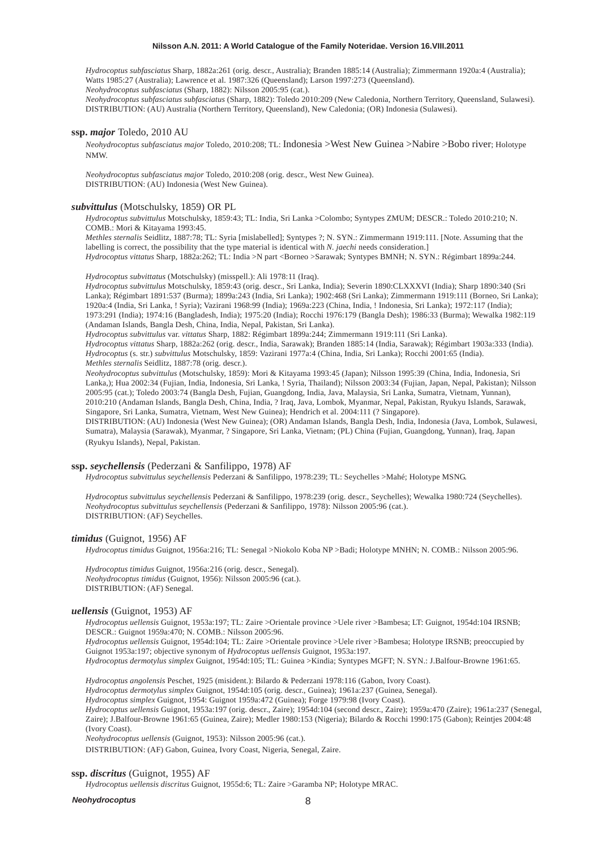*Hydrocoptus subfasciatus* Sharp, 1882a:261 (orig. descr., Australia); Branden 1885:14 (Australia); Zimmermann 1920a:4 (Australia); Watts 1985:27 (Australia); Lawrence et al. 1987:326 (Queensland); Larson 1997:273 (Queensland).

*Neohydrocoptus subfasciatus* (Sharp, 1882): Nilsson 2005:95 (cat.).

*Neohydrocoptus subfasciatus subfasciatus* (Sharp, 1882): Toledo 2010:209 (New Caledonia, Northern Territory, Queensland, Sulawesi). DISTRIBUTION: (AU) Australia (Northern Territory, Queensland), New Caledonia; (OR) Indonesia (Sulawesi).

#### **ssp.** *major* Toledo, 2010 AU

*Neohydrocoptus subfasciatus major* Toledo, 2010:208; TL: Indonesia >West New Guinea >Nabire >Bobo river; Holotype NMW.

*Neohydrocoptus subfasciatus major* Toledo, 2010:208 (orig. descr., West New Guinea). DISTRIBUTION: (AU) Indonesia (West New Guinea).

# *subvittulus* (Motschulsky, 1859) OR PL

*Hydrocoptus subvittulus* Motschulsky, 1859:43; TL: India, Sri Lanka >Colombo; Syntypes ZMUM; DESCR.: Toledo 2010:210; N. COMB.: Mori & Kitayama 1993:45.

*Methles sternalis* Seidlitz, 1887:78; TL: Syria [mislabelled]; Syntypes ?; N. SYN.: Zimmermann 1919:111. [Note. Assuming that the labelling is correct, the possibility that the type material is identical with *N. jaechi* needs consideration.] *Hydrocoptus vittatus* Sharp, 1882a:262; TL: India >N part <Borneo >Sarawak; Syntypes BMNH; N. SYN.: Régimbart 1899a:244.

*Hydrocoptus subvittatus* (Motschulsky) (misspell.): Ali 1978:11 (Iraq).

*Hydrocoptus subvittulus* Motschulsky, 1859:43 (orig. descr., Sri Lanka, India); Severin 1890:CLXXXVI (India); Sharp 1890:340 (Sri Lanka); Régimbart 1891:537 (Burma); 1899a:243 (India, Sri Lanka); 1902:468 (Sri Lanka); Zimmermann 1919:111 (Borneo, Sri Lanka); 1920a:4 (India, Sri Lanka, ! Syria); Vazirani 1968:99 (India); 1969a:223 (China, India, ! Indonesia, Sri Lanka); 1972:117 (India); 1973:291 (India); 1974:16 (Bangladesh, India); 1975:20 (India); Rocchi 1976:179 (Bangla Desh); 1986:33 (Burma); Wewalka 1982:119 (Andaman Islands, Bangla Desh, China, India, Nepal, Pakistan, Sri Lanka).

*Hydrocoptus subvittulus* var. *vittatus* Sharp, 1882: Régimbart 1899a:244; Zimmermann 1919:111 (Sri Lanka). *Hydrocoptus vittatus* Sharp, 1882a:262 (orig. descr., India, Sarawak); Branden 1885:14 (India, Sarawak); Régimbart 1903a:333 (India). *Hydrocoptus* (s. str.) *subvittulus* Motschulsky, 1859: Vazirani 1977a:4 (China, India, Sri Lanka); Rocchi 2001:65 (India). *Methles sternalis* Seidlitz, 1887:78 (orig. descr.).

*Neohydrocoptus subvittulus* (Motschulsky, 1859): Mori & Kitayama 1993:45 (Japan); Nilsson 1995:39 (China, India, Indonesia, Sri Lanka,); Hua 2002:34 (Fujian, India, Indonesia, Sri Lanka, ! Syria, Thailand); Nilsson 2003:34 (Fujian, Japan, Nepal, Pakistan); Nilsson 2005:95 (cat.); Toledo 2003:74 (Bangla Desh, Fujian, Guangdong, India, Java, Malaysia, Sri Lanka, Sumatra, Vietnam, Yunnan), 2010:210 (Andaman Islands, Bangla Desh, China, India, ? Iraq, Java, Lombok, Myanmar, Nepal, Pakistan, Ryukyu Islands, Sarawak, Singapore, Sri Lanka, Sumatra, Vietnam, West New Guinea); Hendrich et al. 2004:111 (? Singapore).

DISTRIBUTION: (AU) Indonesia (West New Guinea); (OR) Andaman Islands, Bangla Desh, India, Indonesia (Java, Lombok, Sulawesi, Sumatra), Malaysia (Sarawak), Myanmar, ? Singapore, Sri Lanka, Vietnam; (PL) China (Fujian, Guangdong, Yunnan), Iraq, Japan (Ryukyu Islands), Nepal, Pakistan.

### **ssp.** *seychellensis* (Pederzani & Sanfilippo, 1978) AF

*Hydrocoptus subvittulus seychellensis* Pederzani & Sanfilippo, 1978:239; TL: Seychelles >Mahé; Holotype MSNG.

*Hydrocoptus subvittulus seychellensis* Pederzani & Sanfilippo, 1978:239 (orig. descr., Seychelles); Wewalka 1980:724 (Seychelles). *Neohydrocoptus subvittulus seychellensis* (Pederzani & Sanfilippo, 1978): Nilsson 2005:96 (cat.). DISTRIBUTION: (AF) Seychelles.

#### *timidus* (Guignot, 1956) AF

*Hydrocoptus timidus* Guignot, 1956a:216; TL: Senegal >Niokolo Koba NP >Badi; Holotype MNHN; N. COMB.: Nilsson 2005:96.

*Hydrocoptus timidus* Guignot, 1956a:216 (orig. descr., Senegal). *Neohydrocoptus timidus* (Guignot, 1956): Nilsson 2005:96 (cat.). DISTRIBUTION: (AF) Senegal.

# *uellensis* (Guignot, 1953) AF

*Hydrocoptus uellensis* Guignot, 1953a:197; TL: Zaire >Orientale province >Uele river >Bambesa; LT: Guignot, 1954d:104 IRSNB; DESCR.: Guignot 1959a:470; N. COMB.: Nilsson 2005:96.

*Hydrocoptus uellensis* Guignot, 1954d:104; TL: Zaire >Orientale province >Uele river >Bambesa; Holotype IRSNB; preoccupied by Guignot 1953a:197; objective synonym of *Hydrocoptus uellensis* Guignot, 1953a:197.

*Hydrocoptus dermotylus simplex* Guignot, 1954d:105; TL: Guinea >Kindia; Syntypes MGFT; N. SYN.: J.Balfour-Browne 1961:65.

*Hydrocoptus angolensis* Peschet, 1925 (misident.): Bilardo & Pederzani 1978:116 (Gabon, Ivory Coast).

*Hydrocoptus dermotylus simplex* Guignot, 1954d:105 (orig. descr., Guinea); 1961a:237 (Guinea, Senegal).

*Hydrocoptus simplex* Guignot, 1954: Guignot 1959a:472 (Guinea); Forge 1979:98 (Ivory Coast).

*Hydrocoptus uellensis* Guignot, 1953a:197 (orig. descr., Zaire); 1954d:104 (second descr., Zaire); 1959a:470 (Zaire); 1961a:237 (Senegal, Zaire); J.Balfour-Browne 1961:65 (Guinea, Zaire); Medler 1980:153 (Nigeria); Bilardo & Rocchi 1990:175 (Gabon); Reintjes 2004:48 (Ivory Coast).

*Neohydrocoptus uellensis* (Guignot, 1953): Nilsson 2005:96 (cat.).

DISTRIBUTION: (AF) Gabon, Guinea, Ivory Coast, Nigeria, Senegal, Zaire.

# **ssp.** *discritus* (Guignot, 1955) AF

*Hydrocoptus uellensis discritus* Guignot, 1955d:6; TL: Zaire >Garamba NP; Holotype MRAC.

#### *Neohydrocoptus*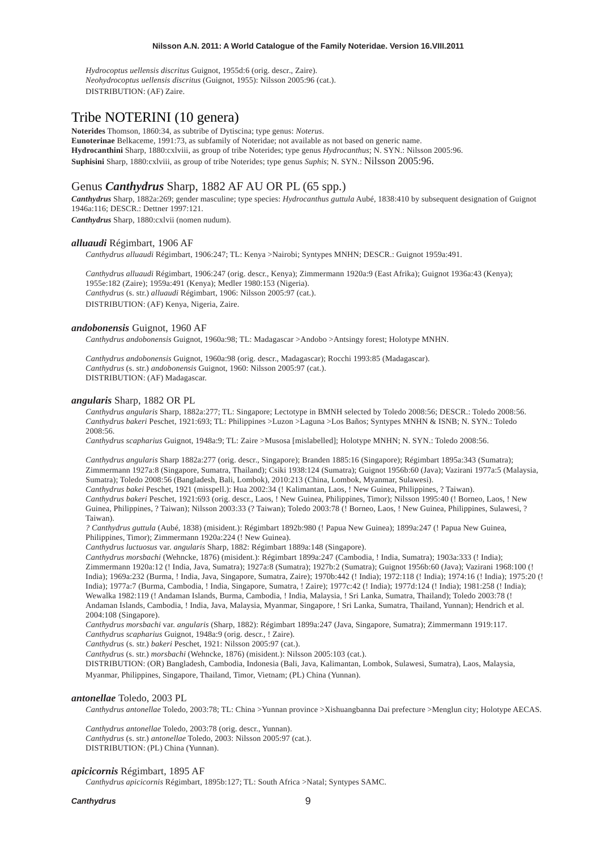*Hydrocoptus uellensis discritus* Guignot, 1955d:6 (orig. descr., Zaire). *Neohydrocoptus uellensis discritus* (Guignot, 1955): Nilsson 2005:96 (cat.). DISTRIBUTION: (AF) Zaire.

# Tribe NOTERINI (10 genera)

**Noterides** Thomson, 1860:34, as subtribe of Dytiscina; type genus: *Noterus*. **Eunoterinae** Belkaceme, 1991:73, as subfamily of Noteridae; not available as not based on generic name. **Hydrocanthini** Sharp, 1880:cxlviii, as group of tribe Noterides; type genus *Hydrocanthus*; N. SYN.: Nilsson 2005:96. **Suphisini** Sharp, 1880:cxlviii, as group of tribe Noterides; type genus *Suphis*; N. SYN.: Nilsson 2005:96.

# Genus *Canthydrus* Sharp, 1882 AF AU OR PL (65 spp.)

*Canthydrus* Sharp, 1882a:269; gender masculine; type species: *Hydrocanthus guttula* Aubé, 1838:410 by subsequent designation of Guignot 1946a:116; DESCR.: Dettner 1997:121.

*Canthydrus* Sharp, 1880:cxlvii (nomen nudum).

# *alluaudi* Régimbart, 1906 AF

*Canthydrus alluaudi* Régimbart, 1906:247; TL: Kenya >Nairobi; Syntypes MNHN; DESCR.: Guignot 1959a:491.

*Canthydrus alluaudi* Régimbart, 1906:247 (orig. descr., Kenya); Zimmermann 1920a:9 (East Afrika); Guignot 1936a:43 (Kenya); 1955e:182 (Zaire); 1959a:491 (Kenya); Medler 1980:153 (Nigeria). *Canthydrus* (s. str.) *alluaudi* Régimbart, 1906: Nilsson 2005:97 (cat.). DISTRIBUTION: (AF) Kenya, Nigeria, Zaire.

# *andobonensis* Guignot, 1960 AF

*Canthydrus andobonensis* Guignot, 1960a:98; TL: Madagascar >Andobo >Antsingy forest; Holotype MNHN.

*Canthydrus andobonensis* Guignot, 1960a:98 (orig. descr., Madagascar); Rocchi 1993:85 (Madagascar). *Canthydrus* (s. str.) *andobonensis* Guignot, 1960: Nilsson 2005:97 (cat.). DISTRIBUTION: (AF) Madagascar.

# *angularis* Sharp, 1882 OR PL

*Canthydrus angularis* Sharp, 1882a:277; TL: Singapore; Lectotype in BMNH selected by Toledo 2008:56; DESCR.: Toledo 2008:56. *Canthydrus bakeri* Peschet, 1921:693; TL: Philippines >Luzon >Laguna >Los Baños; Syntypes MNHN & ISNB; N. SYN.: Toledo 2008:56.

*Canthydrus scapharius* Guignot, 1948a:9; TL: Zaire >Musosa [mislabelled]; Holotype MNHN; N. SYN.: Toledo 2008:56.

*Canthydrus angularis* Sharp 1882a:277 (orig. descr., Singapore); Branden 1885:16 (Singapore); Régimbart 1895a:343 (Sumatra); Zimmermann 1927a:8 (Singapore, Sumatra, Thailand); Csiki 1938:124 (Sumatra); Guignot 1956b:60 (Java); Vazirani 1977a:5 (Malaysia, Sumatra); Toledo 2008:56 (Bangladesh, Bali, Lombok), 2010:213 (China, Lombok, Myanmar, Sulawesi).

*Canthydrus bakei* Peschet, 1921 (misspell.): Hua 2002:34 (! Kalimantan, Laos, ! New Guinea, Philippines, ? Taiwan). *Canthydrus bakeri* Peschet, 1921:693 (orig. descr., Laos, ! New Guinea, Philippines, Timor); Nilsson 1995:40 (! Borneo, Laos, ! New Guinea, Philippines, ? Taiwan); Nilsson 2003:33 (? Taiwan); Toledo 2003:78 (! Borneo, Laos, ! New Guinea, Philippines, Sulawesi, ? Taiwan).

*? Canthydrus guttula* (Aubé, 1838) (misident.): Régimbart 1892b:980 (! Papua New Guinea); 1899a:247 (! Papua New Guinea, Philippines, Timor); Zimmermann 1920a:224 (! New Guinea).

*Canthydrus luctuosus* var. *angularis* Sharp, 1882: Régimbart 1889a:148 (Singapore).

*Canthydrus morsbachi* (Wehncke, 1876) (misident.): Régimbart 1899a:247 (Cambodia, ! India, Sumatra); 1903a:333 (! India); Zimmermann 1920a:12 (! India, Java, Sumatra); 1927a:8 (Sumatra); 1927b:2 (Sumatra); Guignot 1956b:60 (Java); Vazirani 1968:100 (! India); 1969a:232 (Burma, ! India, Java, Singapore, Sumatra, Zaire); 1970b:442 (! India); 1972:118 (! India); 1974:16 (! India); 1975:20 (! India); 1977a:7 (Burma, Cambodia, ! India, Singapore, Sumatra, ! Zaire); 1977c:42 (! India); 1977d:124 (! India); 1981:258 (! India); Wewalka 1982:119 (! Andaman Islands, Burma, Cambodia, ! India, Malaysia, ! Sri Lanka, Sumatra, Thailand); Toledo 2003:78 (! Andaman Islands, Cambodia, ! India, Java, Malaysia, Myanmar, Singapore, ! Sri Lanka, Sumatra, Thailand, Yunnan); Hendrich et al. 2004:108 (Singapore).

*Canthydrus morsbachi* var. *angularis* (Sharp, 1882): Régimbart 1899a:247 (Java, Singapore, Sumatra); Zimmermann 1919:117. *Canthydrus scapharius* Guignot, 1948a:9 (orig. descr., ! Zaire).

*Canthydrus* (s. str.) *bakeri* Peschet, 1921: Nilsson 2005:97 (cat.).

*Canthydrus* (s. str.) *morsbachi* (Wehncke, 1876) (misident.): Nilsson 2005:103 (cat.).

DISTRIBUTION: (OR) Bangladesh, Cambodia, Indonesia (Bali, Java, Kalimantan, Lombok, Sulawesi, Sumatra), Laos, Malaysia,

Myanmar, Philippines, Singapore, Thailand, Timor, Vietnam; (PL) China (Yunnan).

# *antonellae* Toledo, 2003 PL

*Canthydrus antonellae* Toledo, 2003:78; TL: China >Yunnan province >Xishuangbanna Dai prefecture >Menglun city; Holotype AECAS.

*Canthydrus antonellae* Toledo, 2003:78 (orig. descr., Yunnan). *Canthydrus* (s. str.) *antonellae* Toledo, 2003: Nilsson 2005:97 (cat.). DISTRIBUTION: (PL) China (Yunnan).

# *apicicornis* Régimbart, 1895 AF

*Canthydrus apicicornis* Régimbart, 1895b:127; TL: South Africa >Natal; Syntypes SAMC.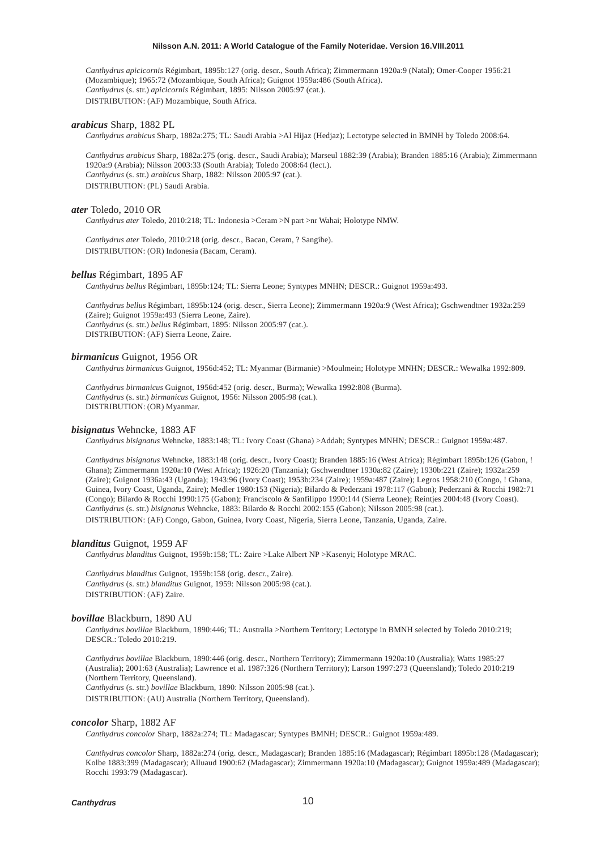*Canthydrus apicicornis* Régimbart, 1895b:127 (orig. descr., South Africa); Zimmermann 1920a:9 (Natal); Omer-Cooper 1956:21 (Mozambique); 1965:72 (Mozambique, South Africa); Guignot 1959a:486 (South Africa). *Canthydrus* (s. str.) *apicicornis* Régimbart, 1895: Nilsson 2005:97 (cat.). DISTRIBUTION: (AF) Mozambique, South Africa.

#### *arabicus* Sharp, 1882 PL

*Canthydrus arabicus* Sharp, 1882a:275; TL: Saudi Arabia >Al Hijaz (Hedjaz); Lectotype selected in BMNH by Toledo 2008:64.

*Canthydrus arabicus* Sharp, 1882a:275 (orig. descr., Saudi Arabia); Marseul 1882:39 (Arabia); Branden 1885:16 (Arabia); Zimmermann 1920a:9 (Arabia); Nilsson 2003:33 (South Arabia); Toledo 2008:64 (lect.). *Canthydrus* (s. str.) *arabicus* Sharp, 1882: Nilsson 2005:97 (cat.). DISTRIBUTION: (PL) Saudi Arabia.

#### *ater* Toledo, 2010 OR

*Canthydrus ater* Toledo, 2010:218; TL: Indonesia >Ceram >N part >nr Wahai; Holotype NMW.

*Canthydrus ater* Toledo, 2010:218 (orig. descr., Bacan, Ceram, ? Sangihe). DISTRIBUTION: (OR) Indonesia (Bacam, Ceram).

# *bellus* Régimbart, 1895 AF

*Canthydrus bellus* Régimbart, 1895b:124; TL: Sierra Leone; Syntypes MNHN; DESCR.: Guignot 1959a:493.

*Canthydrus bellus* Régimbart, 1895b:124 (orig. descr., Sierra Leone); Zimmermann 1920a:9 (West Africa); Gschwendtner 1932a:259 (Zaire); Guignot 1959a:493 (Sierra Leone, Zaire). *Canthydrus* (s. str.) *bellus* Régimbart, 1895: Nilsson 2005:97 (cat.). DISTRIBUTION: (AF) Sierra Leone, Zaire.

# *birmanicus* Guignot, 1956 OR

*Canthydrus birmanicus* Guignot, 1956d:452; TL: Myanmar (Birmanie) >Moulmein; Holotype MNHN; DESCR.: Wewalka 1992:809.

*Canthydrus birmanicus* Guignot, 1956d:452 (orig. descr., Burma); Wewalka 1992:808 (Burma). *Canthydrus* (s. str.) *birmanicus* Guignot, 1956: Nilsson 2005:98 (cat.). DISTRIBUTION: (OR) Myanmar.

#### *bisignatus* Wehncke, 1883 AF

*Canthydrus bisignatus* Wehncke, 1883:148; TL: Ivory Coast (Ghana) >Addah; Syntypes MNHN; DESCR.: Guignot 1959a:487.

*Canthydrus bisignatus* Wehncke, 1883:148 (orig. descr., Ivory Coast); Branden 1885:16 (West Africa); Régimbart 1895b:126 (Gabon, ! Ghana); Zimmermann 1920a:10 (West Africa); 1926:20 (Tanzania); Gschwendtner 1930a:82 (Zaire); 1930b:221 (Zaire); 1932a:259 (Zaire); Guignot 1936a:43 (Uganda); 1943:96 (Ivory Coast); 1953b:234 (Zaire); 1959a:487 (Zaire); Legros 1958:210 (Congo, ! Ghana, Guinea, Ivory Coast, Uganda, Zaire); Medler 1980:153 (Nigeria); Bilardo & Pederzani 1978:117 (Gabon); Pederzani & Rocchi 1982:71 (Congo); Bilardo & Rocchi 1990:175 (Gabon); Franciscolo & Sanfilippo 1990:144 (Sierra Leone); Reintjes 2004:48 (Ivory Coast). *Canthydrus* (s. str.) *bisignatus* Wehncke, 1883: Bilardo & Rocchi 2002:155 (Gabon); Nilsson 2005:98 (cat.). DISTRIBUTION: (AF) Congo, Gabon, Guinea, Ivory Coast, Nigeria, Sierra Leone, Tanzania, Uganda, Zaire.

#### *blanditus* Guignot, 1959 AF

*Canthydrus blanditus* Guignot, 1959b:158; TL: Zaire >Lake Albert NP >Kasenyi; Holotype MRAC.

*Canthydrus blanditus* Guignot, 1959b:158 (orig. descr., Zaire). *Canthydrus* (s. str.) *blanditus* Guignot, 1959: Nilsson 2005:98 (cat.). DISTRIBUTION: (AF) Zaire.

#### *bovillae* Blackburn, 1890 AU

*Canthydrus bovillae* Blackburn, 1890:446; TL: Australia >Northern Territory; Lectotype in BMNH selected by Toledo 2010:219; DESCR.: Toledo 2010:219.

*Canthydrus bovillae* Blackburn, 1890:446 (orig. descr., Northern Territory); Zimmermann 1920a:10 (Australia); Watts 1985:27 (Australia); 2001:63 (Australia); Lawrence et al. 1987:326 (Northern Territory); Larson 1997:273 (Queensland); Toledo 2010:219 (Northern Territory, Queensland). *Canthydrus* (s. str.) *bovillae* Blackburn, 1890: Nilsson 2005:98 (cat.).

DISTRIBUTION: (AU) Australia (Northern Territory, Queensland).

# *concolor* Sharp, 1882 AF

*Canthydrus concolor* Sharp, 1882a:274; TL: Madagascar; Syntypes BMNH; DESCR.: Guignot 1959a:489.

*Canthydrus concolor* Sharp, 1882a:274 (orig. descr., Madagascar); Branden 1885:16 (Madagascar); Régimbart 1895b:128 (Madagascar); Kolbe 1883:399 (Madagascar); Alluaud 1900:62 (Madagascar); Zimmermann 1920a:10 (Madagascar); Guignot 1959a:489 (Madagascar); Rocchi 1993:79 (Madagascar).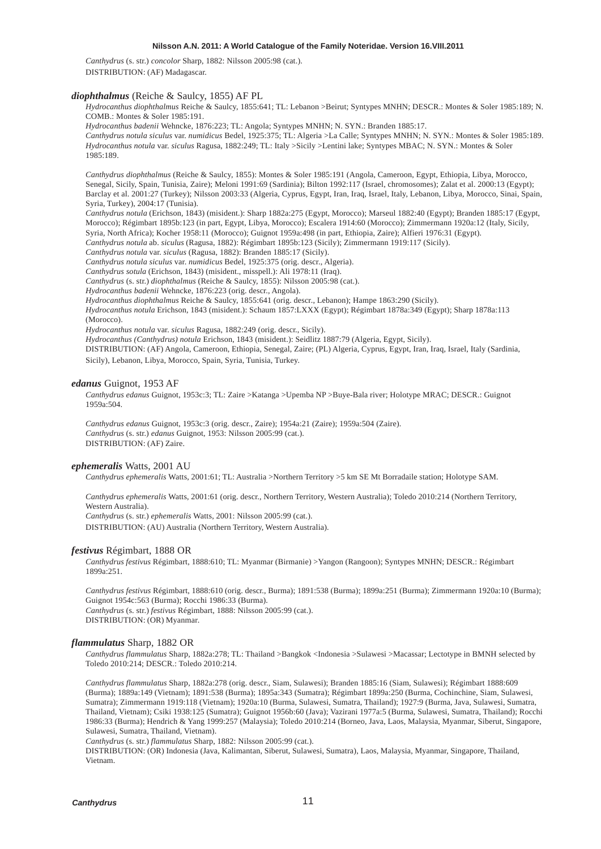*Canthydrus* (s. str.) *concolor* Sharp, 1882: Nilsson 2005:98 (cat.). DISTRIBUTION: (AF) Madagascar.

#### *diophthalmus* (Reiche & Saulcy, 1855) AF PL

*Hydrocanthus diophthalmus* Reiche & Saulcy, 1855:641; TL: Lebanon >Beirut; Syntypes MNHN; DESCR.: Montes & Soler 1985:189; N. COMB.: Montes & Soler 1985:191.

*Hydrocanthus badenii* Wehncke, 1876:223; TL: Angola; Syntypes MNHN; N. SYN.: Branden 1885:17.

*Canthydrus notula siculus* var. *numidicus* Bedel, 1925:375; TL: Algeria >La Calle; Syntypes MNHN; N. SYN.: Montes & Soler 1985:189. *Hydrocanthus notula* var. *siculus* Ragusa, 1882:249; TL: Italy >Sicily >Lentini lake; Syntypes MBAC; N. SYN.: Montes & Soler 1985:189.

*Canthydrus diophthalmus* (Reiche & Saulcy, 1855): Montes & Soler 1985:191 (Angola, Cameroon, Egypt, Ethiopia, Libya, Morocco, Senegal, Sicily, Spain, Tunisia, Zaire); Meloni 1991:69 (Sardinia); Bilton 1992:117 (Israel, chromosomes); Zalat et al. 2000:13 (Egypt); Barclay et al. 2001:27 (Turkey); Nilsson 2003:33 (Algeria, Cyprus, Egypt, Iran, Iraq, Israel, Italy, Lebanon, Libya, Morocco, Sinai, Spain, Syria, Turkey), 2004:17 (Tunisia).

*Canthydrus notula* (Erichson, 1843) (misident.): Sharp 1882a:275 (Egypt, Morocco); Marseul 1882:40 (Egypt); Branden 1885:17 (Egypt, Morocco); Régimbart 1895b:123 (in part, Egypt, Libya, Morocco); Escalera 1914:60 (Morocco); Zimmermann 1920a:12 (Italy, Sicily, Syria, North Africa); Kocher 1958:11 (Morocco); Guignot 1959a:498 (in part, Ethiopia, Zaire); Alfieri 1976:31 (Egypt).

*Canthydrus notula* ab. *siculus* (Ragusa, 1882): Régimbart 1895b:123 (Sicily); Zimmermann 1919:117 (Sicily).

*Canthydrus notula* var. *siculus* (Ragusa, 1882): Branden 1885:17 (Sicily).

*Canthydrus notula siculus* var. *numidicus* Bedel, 1925:375 (orig. descr., Algeria).

*Canthydrus sotula* (Erichson, 1843) (misident., misspell.): Ali 1978:11 (Iraq).

*Canthydrus* (s. str.) *diophthalmus* (Reiche & Saulcy, 1855): Nilsson 2005:98 (cat.).

*Hydrocanthus badenii* Wehncke, 1876:223 (orig. descr., Angola).

*Hydrocanthus diophthalmus* Reiche & Saulcy, 1855:641 (orig. descr., Lebanon); Hampe 1863:290 (Sicily).

*Hydrocanthus notula* Erichson, 1843 (misident.): Schaum 1857:LXXX (Egypt); Régimbart 1878a:349 (Egypt); Sharp 1878a:113 (Morocco).

*Hydrocanthus notula* var. *siculus* Ragusa, 1882:249 (orig. descr., Sicily).

*Hydrocanthus (Canthydrus) notula* Erichson, 1843 (misident.): Seidlitz 1887:79 (Algeria, Egypt, Sicily).

DISTRIBUTION: (AF) Angola, Cameroon, Ethiopia, Senegal, Zaire; (PL) Algeria, Cyprus, Egypt, Iran, Iraq, Israel, Italy (Sardinia, Sicily), Lebanon, Libya, Morocco, Spain, Syria, Tunisia, Turkey.

# *edanus* Guignot, 1953 AF

*Canthydrus edanus* Guignot, 1953c:3; TL: Zaire >Katanga >Upemba NP >Buye-Bala river; Holotype MRAC; DESCR.: Guignot 1959a:504.

*Canthydrus edanus* Guignot, 1953c:3 (orig. descr., Zaire); 1954a:21 (Zaire); 1959a:504 (Zaire). *Canthydrus* (s. str.) *edanus* Guignot, 1953: Nilsson 2005:99 (cat.). DISTRIBUTION: (AF) Zaire.

# *ephemeralis* Watts, 2001 AU

*Canthydrus ephemeralis* Watts, 2001:61; TL: Australia >Northern Territory >5 km SE Mt Borradaile station; Holotype SAM.

*Canthydrus ephemeralis* Watts, 2001:61 (orig. descr., Northern Territory, Western Australia); Toledo 2010:214 (Northern Territory, Western Australia).

*Canthydrus* (s. str.) *ephemeralis* Watts, 2001: Nilsson 2005:99 (cat.). DISTRIBUTION: (AU) Australia (Northern Territory, Western Australia).

# *festivus* Régimbart, 1888 OR

*Canthydrus festivus* Régimbart, 1888:610; TL: Myanmar (Birmanie) >Yangon (Rangoon); Syntypes MNHN; DESCR.: Régimbart 1899a:251.

*Canthydrus festivus* Régimbart, 1888:610 (orig. descr., Burma); 1891:538 (Burma); 1899a:251 (Burma); Zimmermann 1920a:10 (Burma); Guignot 1954c:563 (Burma); Rocchi 1986:33 (Burma). *Canthydrus* (s. str.) *festivus* Régimbart, 1888: Nilsson 2005:99 (cat.). DISTRIBUTION: (OR) Myanmar.

# *flammulatus* Sharp, 1882 OR

*Canthydrus flammulatus* Sharp, 1882a:278; TL: Thailand >Bangkok <Indonesia >Sulawesi >Macassar; Lectotype in BMNH selected by Toledo 2010:214; DESCR.: Toledo 2010:214.

*Canthydrus flammulatus* Sharp, 1882a:278 (orig. descr., Siam, Sulawesi); Branden 1885:16 (Siam, Sulawesi); Régimbart 1888:609 (Burma); 1889a:149 (Vietnam); 1891:538 (Burma); 1895a:343 (Sumatra); Régimbart 1899a:250 (Burma, Cochinchine, Siam, Sulawesi, Sumatra); Zimmermann 1919:118 (Vietnam); 1920a:10 (Burma, Sulawesi, Sumatra, Thailand); 1927:9 (Burma, Java, Sulawesi, Sumatra, Thailand, Vietnam); Csiki 1938:125 (Sumatra); Guignot 1956b:60 (Java); Vazirani 1977a:5 (Burma, Sulawesi, Sumatra, Thailand); Rocchi 1986:33 (Burma); Hendrich & Yang 1999:257 (Malaysia); Toledo 2010:214 (Borneo, Java, Laos, Malaysia, Myanmar, Siberut, Singapore, Sulawesi, Sumatra, Thailand, Vietnam).

*Canthydrus* (s. str.) *flammulatus* Sharp, 1882: Nilsson 2005:99 (cat.).

DISTRIBUTION: (OR) Indonesia (Java, Kalimantan, Siberut, Sulawesi, Sumatra), Laos, Malaysia, Myanmar, Singapore, Thailand, Vietnam.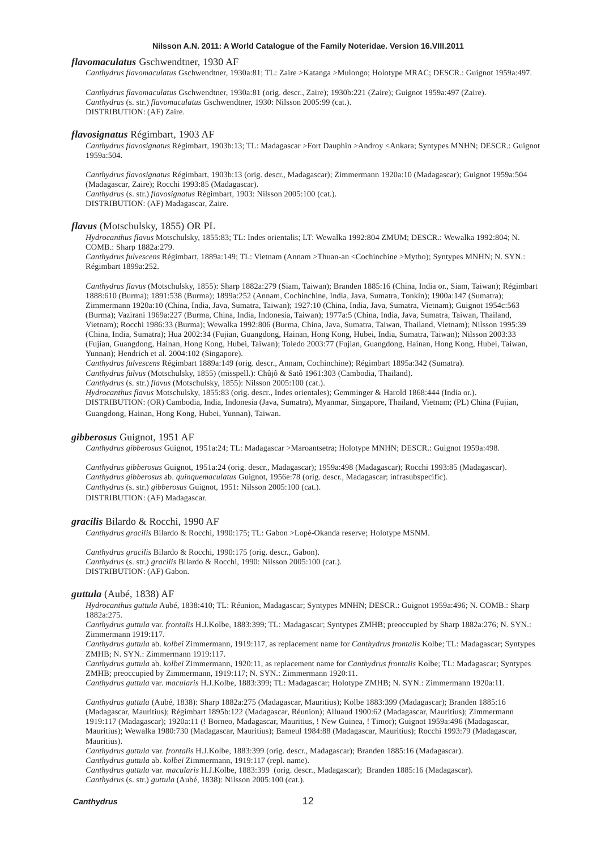#### *flavomaculatus* Gschwendtner, 1930 AF

*Canthydrus flavomaculatus* Gschwendtner, 1930a:81; TL: Zaire >Katanga >Mulongo; Holotype MRAC; DESCR.: Guignot 1959a:497.

*Canthydrus flavomaculatus* Gschwendtner, 1930a:81 (orig. descr., Zaire); 1930b:221 (Zaire); Guignot 1959a:497 (Zaire). *Canthydrus* (s. str.) *flavomaculatus* Gschwendtner, 1930: Nilsson 2005:99 (cat.). DISTRIBUTION: (AF) Zaire.

#### *flavosignatus* Régimbart, 1903 AF

*Canthydrus flavosignatus* Régimbart, 1903b:13; TL: Madagascar >Fort Dauphin >Androy <Ankara; Syntypes MNHN; DESCR.: Guignot 1959a:504.

*Canthydrus flavosignatus* Régimbart, 1903b:13 (orig. descr., Madagascar); Zimmermann 1920a:10 (Madagascar); Guignot 1959a:504 (Madagascar, Zaire); Rocchi 1993:85 (Madagascar). *Canthydrus* (s. str.) *flavosignatus* Régimbart, 1903: Nilsson 2005:100 (cat.).

DISTRIBUTION: (AF) Madagascar, Zaire.

### *flavus* (Motschulsky, 1855) OR PL

*Hydrocanthus flavus* Motschulsky, 1855:83; TL: Indes orientalis; LT: Wewalka 1992:804 ZMUM; DESCR.: Wewalka 1992:804; N. COMB.: Sharp 1882a:279.

*Canthydrus fulvescens* Régimbart, 1889a:149; TL: Vietnam (Annam >Thuan-an <Cochinchine >Mytho); Syntypes MNHN; N. SYN.: Régimbart 1899a:252.

*Canthydrus flavus* (Motschulsky, 1855): Sharp 1882a:279 (Siam, Taiwan); Branden 1885:16 (China, India or., Siam, Taiwan); Régimbart 1888:610 (Burma); 1891:538 (Burma); 1899a:252 (Annam, Cochinchine, India, Java, Sumatra, Tonkin); 1900a:147 (Sumatra); Zimmermann 1920a:10 (China, India, Java, Sumatra, Taiwan); 1927:10 (China, India, Java, Sumatra, Vietnam); Guignot 1954c:563 (Burma); Vazirani 1969a:227 (Burma, China, India, Indonesia, Taiwan); 1977a:5 (China, India, Java, Sumatra, Taiwan, Thailand, Vietnam); Rocchi 1986:33 (Burma); Wewalka 1992:806 (Burma, China, Java, Sumatra, Taiwan, Thailand, Vietnam); Nilsson 1995:39 (China, India, Sumatra); Hua 2002:34 (Fujian, Guangdong, Hainan, Hong Kong, Hubei, India, Sumatra, Taiwan); Nilsson 2003:33 (Fujian, Guangdong, Hainan, Hong Kong, Hubei, Taiwan); Toledo 2003:77 (Fujian, Guangdong, Hainan, Hong Kong, Hubei, Taiwan, Yunnan); Hendrich et al. 2004:102 (Singapore).

*Canthydrus fulvescens* Régimbart 1889a:149 (orig. descr., Annam, Cochinchine); Régimbart 1895a:342 (Sumatra).

*Canthydrus fulvus* (Motschulsky, 1855) (misspell.): Chûjô & Satô 1961:303 (Cambodia, Thailand).

*Canthydrus* (s. str.) *flavus* (Motschulsky, 1855): Nilsson 2005:100 (cat.).

*Hydrocanthus flavus* Motschulsky, 1855:83 (orig. descr., Indes orientales); Gemminger & Harold 1868:444 (India or.). DISTRIBUTION: (OR) Cambodia, India, Indonesia (Java, Sumatra), Myanmar, Singapore, Thailand, Vietnam; (PL) China (Fujian, Guangdong, Hainan, Hong Kong, Hubei, Yunnan), Taiwan.

# *gibberosus* Guignot, 1951 AF

*Canthydrus gibberosus* Guignot, 1951a:24; TL: Madagascar >Maroantsetra; Holotype MNHN; DESCR.: Guignot 1959a:498.

*Canthydrus gibberosus* Guignot, 1951a:24 (orig. descr., Madagascar); 1959a:498 (Madagascar); Rocchi 1993:85 (Madagascar). *Canthydrus gibberosus* ab. *quinquemaculatus* Guignot, 1956e:78 (orig. descr., Madagascar; infrasubspecific). *Canthydrus* (s. str.) *gibberosus* Guignot, 1951: Nilsson 2005:100 (cat.). DISTRIBUTION: (AF) Madagascar.

### *gracilis* Bilardo & Rocchi, 1990 AF

*Canthydrus gracilis* Bilardo & Rocchi, 1990:175; TL: Gabon >Lopé-Okanda reserve; Holotype MSNM.

*Canthydrus gracilis* Bilardo & Rocchi, 1990:175 (orig. descr., Gabon). *Canthydrus* (s. str.) *gracilis* Bilardo & Rocchi, 1990: Nilsson 2005:100 (cat.). DISTRIBUTION: (AF) Gabon.

#### *guttula* (Aubé, 1838) AF

*Hydrocanthus guttula* Aubé, 1838:410; TL: Réunion, Madagascar; Syntypes MNHN; DESCR.: Guignot 1959a:496; N. COMB.: Sharp 1882a:275.

*Canthydrus guttula* var. *frontalis* H.J.Kolbe, 1883:399; TL: Madagascar; Syntypes ZMHB; preoccupied by Sharp 1882a:276; N. SYN.: Zimmermann 1919:117.

*Canthydrus guttula* ab. *kolbei* Zimmermann, 1919:117, as replacement name for *Canthydrus frontalis* Kolbe; TL: Madagascar; Syntypes ZMHB; N. SYN.: Zimmermann 1919:117.

*Canthydrus guttula* ab. *kolbei* Zimmermann, 1920:11, as replacement name for *Canthydrus frontalis* Kolbe; TL: Madagascar; Syntypes ZMHB; preoccupied by Zimmermann, 1919:117; N. SYN.: Zimmermann 1920:11.

*Canthydrus guttula* var. *macularis* H.J.Kolbe, 1883:399; TL: Madagascar; Holotype ZMHB; N. SYN.: Zimmermann 1920a:11.

*Canthydrus guttula* (Aubé, 1838): Sharp 1882a:275 (Madagascar, Mauritius); Kolbe 1883:399 (Madagascar); Branden 1885:16 (Madagascar, Mauritius); Régimbart 1895b:122 (Madagascar, Réunion); Alluaud 1900:62 (Madagascar, Mauritius); Zimmermann 1919:117 (Madagascar); 1920a:11 (! Borneo, Madagascar, Mauritius, ! New Guinea, ! Timor); Guignot 1959a:496 (Madagascar, Mauritius); Wewalka 1980:730 (Madagascar, Mauritius); Bameul 1984:88 (Madagascar, Mauritius); Rocchi 1993:79 (Madagascar, Mauritius).

*Canthydrus guttula* var. *frontalis* H.J.Kolbe, 1883:399 (orig. descr., Madagascar); Branden 1885:16 (Madagascar). *Canthydrus guttula* ab. *kolbei* Zimmermann, 1919:117 (repl. name).

*Canthydrus guttula* var. *macularis* H.J.Kolbe, 1883:399 (orig. descr., Madagascar); Branden 1885:16 (Madagascar). *Canthydrus* (s. str.) *guttula* (Aubé, 1838): Nilsson 2005:100 (cat.).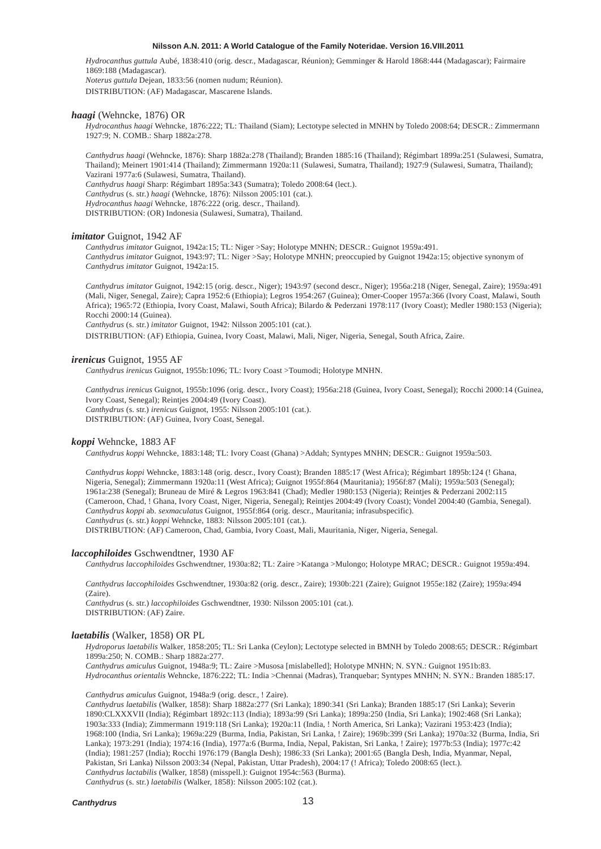*Hydrocanthus guttula* Aubé, 1838:410 (orig. descr., Madagascar, Réunion); Gemminger & Harold 1868:444 (Madagascar); Fairmaire 1869:188 (Madagascar).

*Noterus guttula* Dejean, 1833:56 (nomen nudum; Réunion).

DISTRIBUTION: (AF) Madagascar, Mascarene Islands.

# *haagi* (Wehncke, 1876) OR

*Hydrocanthus haagi* Wehncke, 1876:222; TL: Thailand (Siam); Lectotype selected in MNHN by Toledo 2008:64; DESCR.: Zimmermann 1927:9; N. COMB.: Sharp 1882a:278.

*Canthydrus haagi* (Wehncke, 1876): Sharp 1882a:278 (Thailand); Branden 1885:16 (Thailand); Régimbart 1899a:251 (Sulawesi, Sumatra, Thailand); Meinert 1901:414 (Thailand); Zimmermann 1920a:11 (Sulawesi, Sumatra, Thailand); 1927:9 (Sulawesi, Sumatra, Thailand); Vazirani 1977a:6 (Sulawesi, Sumatra, Thailand). *Canthydrus haagi* Sharp: Régimbart 1895a:343 (Sumatra); Toledo 2008:64 (lect.). *Canthydrus* (s. str.) *haagi* (Wehncke, 1876): Nilsson 2005:101 (cat.). *Hydrocanthus haagi* Wehncke, 1876:222 (orig. descr., Thailand). DISTRIBUTION: (OR) Indonesia (Sulawesi, Sumatra), Thailand.

# *imitator* Guignot, 1942 AF

*Canthydrus imitator* Guignot, 1942a:15; TL: Niger >Say; Holotype MNHN; DESCR.: Guignot 1959a:491. *Canthydrus imitator* Guignot, 1943:97; TL: Niger >Say; Holotype MNHN; preoccupied by Guignot 1942a:15; objective synonym of *Canthydrus imitator* Guignot, 1942a:15.

*Canthydrus imitator* Guignot, 1942:15 (orig. descr., Niger); 1943:97 (second descr., Niger); 1956a:218 (Niger, Senegal, Zaire); 1959a:491 (Mali, Niger, Senegal, Zaire); Capra 1952:6 (Ethiopia); Legros 1954:267 (Guinea); Omer-Cooper 1957a:366 (Ivory Coast, Malawi, South Africa); 1965:72 (Ethiopia, Ivory Coast, Malawi, South Africa); Bilardo & Pederzani 1978:117 (Ivory Coast); Medler 1980:153 (Nigeria); Rocchi 2000:14 (Guinea).

*Canthydrus* (s. str.) *imitator* Guignot, 1942: Nilsson 2005:101 (cat.).

DISTRIBUTION: (AF) Ethiopia, Guinea, Ivory Coast, Malawi, Mali, Niger, Nigeria, Senegal, South Africa, Zaire.

# *irenicus* Guignot, 1955 AF

*Canthydrus irenicus* Guignot, 1955b:1096; TL: Ivory Coast >Toumodi; Holotype MNHN.

*Canthydrus irenicus* Guignot, 1955b:1096 (orig. descr., Ivory Coast); 1956a:218 (Guinea, Ivory Coast, Senegal); Rocchi 2000:14 (Guinea, Ivory Coast, Senegal); Reintjes 2004:49 (Ivory Coast). *Canthydrus* (s. str.) *irenicus* Guignot, 1955: Nilsson 2005:101 (cat.). DISTRIBUTION: (AF) Guinea, Ivory Coast, Senegal.

#### *koppi* Wehncke, 1883 AF

*Canthydrus koppi* Wehncke, 1883:148; TL: Ivory Coast (Ghana) >Addah; Syntypes MNHN; DESCR.: Guignot 1959a:503.

*Canthydrus koppi* Wehncke, 1883:148 (orig. descr., Ivory Coast); Branden 1885:17 (West Africa); Régimbart 1895b:124 (! Ghana, Nigeria, Senegal); Zimmermann 1920a:11 (West Africa); Guignot 1955f:864 (Mauritania); 1956f:87 (Mali); 1959a:503 (Senegal); 1961a:238 (Senegal); Bruneau de Miré & Legros 1963:841 (Chad); Medler 1980:153 (Nigeria); Reintjes & Pederzani 2002:115 (Cameroon, Chad, ! Ghana, Ivory Coast, Niger, Nigeria, Senegal); Reintjes 2004:49 (Ivory Coast); Vondel 2004:40 (Gambia, Senegal). *Canthydrus koppi* ab. *sexmaculatus* Guignot, 1955f:864 (orig. descr., Mauritania; infrasubspecific). *Canthydrus* (s. str.) *koppi* Wehncke, 1883: Nilsson 2005:101 (cat.).

DISTRIBUTION: (AF) Cameroon, Chad, Gambia, Ivory Coast, Mali, Mauritania, Niger, Nigeria, Senegal.

#### *laccophiloides* Gschwendtner, 1930 AF

*Canthydrus laccophiloides* Gschwendtner, 1930a:82; TL: Zaire >Katanga >Mulongo; Holotype MRAC; DESCR.: Guignot 1959a:494.

*Canthydrus laccophiloides* Gschwendtner, 1930a:82 (orig. descr., Zaire); 1930b:221 (Zaire); Guignot 1955e:182 (Zaire); 1959a:494 (Zaire).

*Canthydrus* (s. str.) *laccophiloides* Gschwendtner, 1930: Nilsson 2005:101 (cat.). DISTRIBUTION: (AF) Zaire.

#### *laetabilis* (Walker, 1858) OR PL

*Hydroporus laetabilis* Walker, 1858:205; TL: Sri Lanka (Ceylon); Lectotype selected in BMNH by Toledo 2008:65; DESCR.: Régimbart 1899a:250; N. COMB.: Sharp 1882a:277.

*Canthydrus amiculus* Guignot, 1948a:9; TL: Zaire >Musosa [mislabelled]; Holotype MNHN; N. SYN.: Guignot 1951b:83. *Hydrocanthus orientalis* Wehncke, 1876:222; TL: India >Chennai (Madras), Tranquebar; Syntypes MNHN; N. SYN.: Branden 1885:17.

#### *Canthydrus amiculus* Guignot, 1948a:9 (orig. descr., ! Zaire).

*Canthydrus laetabilis* (Walker, 1858): Sharp 1882a:277 (Sri Lanka); 1890:341 (Sri Lanka); Branden 1885:17 (Sri Lanka); Severin 1890:CLXXXVII (India); Régimbart 1892c:113 (India); 1893a:99 (Sri Lanka); 1899a:250 (India, Sri Lanka); 1902:468 (Sri Lanka); 1903a:333 (India); Zimmermann 1919:118 (Sri Lanka); 1920a:11 (India, ! North America, Sri Lanka); Vazirani 1953:423 (India); 1968:100 (India, Sri Lanka); 1969a:229 (Burma, India, Pakistan, Sri Lanka, ! Zaire); 1969b:399 (Sri Lanka); 1970a:32 (Burma, India, Sri Lanka); 1973:291 (India); 1974:16 (India), 1977a:6 (Burma, India, Nepal, Pakistan, Sri Lanka, ! Zaire); 1977b:53 (India); 1977c:42 (India); 1981:257 (India); Rocchi 1976:179 (Bangla Desh); 1986:33 (Sri Lanka); 2001:65 (Bangla Desh, India, Myanmar, Nepal, Pakistan, Sri Lanka) Nilsson 2003:34 (Nepal, Pakistan, Uttar Pradesh), 2004:17 (! Africa); Toledo 2008:65 (lect.). *Canthydrus lactabilis* (Walker, 1858) (misspell.): Guignot 1954c:563 (Burma).

*Canthydrus* (s. str.) *laetabilis* (Walker, 1858): Nilsson 2005:102 (cat.).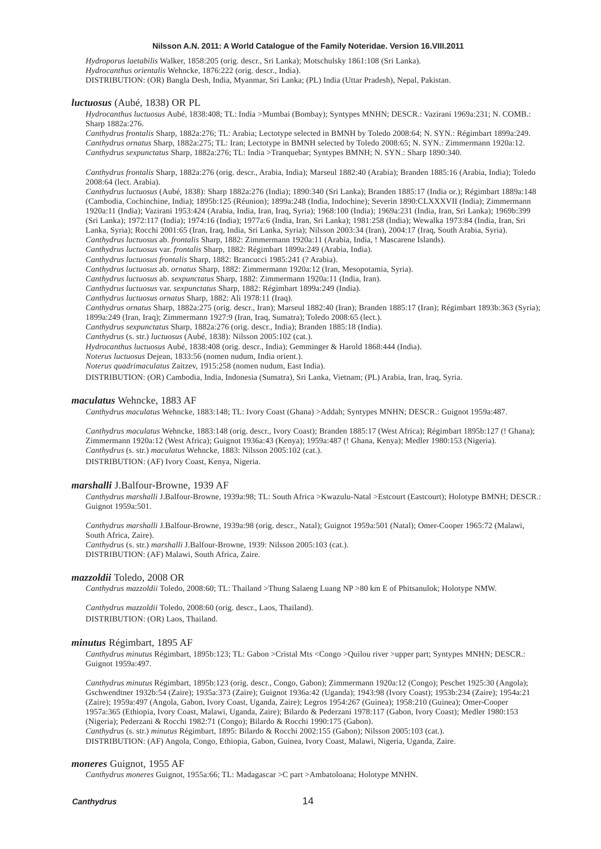*Hydroporus laetabilis* Walker, 1858:205 (orig. descr., Sri Lanka); Motschulsky 1861:108 (Sri Lanka). *Hydrocanthus orientalis* Wehncke, 1876:222 (orig. descr., India). DISTRIBUTION: (OR) Bangla Desh, India, Myanmar, Sri Lanka; (PL) India (Uttar Pradesh), Nepal, Pakistan.

#### *luctuosus* (Aubé, 1838) OR PL

*Hydrocanthus luctuosus* Aubé, 1838:408; TL: India >Mumbai (Bombay); Syntypes MNHN; DESCR.: Vazirani 1969a:231; N. COMB.: Sharp 1882a:276.

*Canthydrus frontalis* Sharp, 1882a:276; TL: Arabia; Lectotype selected in BMNH by Toledo 2008:64; N. SYN.: Régimbart 1899a:249. *Canthydrus ornatus* Sharp, 1882a:275; TL: Iran; Lectotype in BMNH selected by Toledo 2008:65; N. SYN.: Zimmermann 1920a:12. *Canthydrus sexpunctatus* Sharp, 1882a:276; TL: India >Tranquebar; Syntypes BMNH; N. SYN.: Sharp 1890:340.

*Canthydrus frontalis* Sharp, 1882a:276 (orig. descr., Arabia, India); Marseul 1882:40 (Arabia); Branden 1885:16 (Arabia, India); Toledo 2008:64 (lect. Arabia).

*Canthydrus luctuosus* (Aubé, 1838): Sharp 1882a:276 (India); 1890:340 (Sri Lanka); Branden 1885:17 (India or.); Régimbart 1889a:148 (Cambodia, Cochinchine, India); 1895b:125 (Réunion); 1899a:248 (India, Indochine); Severin 1890:CLXXXVII (India); Zimmermann 1920a:11 (India); Vazirani 1953:424 (Arabia, India, Iran, Iraq, Syria); 1968:100 (India); 1969a:231 (India, Iran, Sri Lanka); 1969b:399 (Sri Lanka); 1972:117 (India); 1974:16 (India); 1977a:6 (India, Iran, Sri Lanka); 1981:258 (India); Wewalka 1973:84 (India, Iran, Sri Lanka, Syria); Rocchi 2001:65 (Iran, Iraq, India, Sri Lanka, Syria); Nilsson 2003:34 (Iran), 2004:17 (Iraq, South Arabia, Syria). *Canthydrus luctuosus* ab. *frontalis* Sharp, 1882: Zimmermann 1920a:11 (Arabia, India, ! Mascarene Islands).

*Canthydrus luctuosus* var. *frontalis* Sharp, 1882: Régimbart 1899a:249 (Arabia, India).

*Canthydrus luctuosus frontalis* Sharp, 1882: Brancucci 1985:241 (? Arabia).

*Canthydrus luctuosus* ab. *ornatus* Sharp, 1882: Zimmermann 1920a:12 (Iran, Mesopotamia, Syria).

*Canthydrus luctuosus* ab. *sexpunctatus* Sharp, 1882: Zimmermann 1920a:11 (India, Iran).

*Canthydrus luctuosus* var. *sexpunctatus* Sharp, 1882: Régimbart 1899a:249 (India).

*Canthydrus luctuosus ornatus* Sharp, 1882: Ali 1978:11 (Iraq).

*Canthydrus ornatus* Sharp, 1882a:275 (orig. descr., Iran); Marseul 1882:40 (Iran); Branden 1885:17 (Iran); Régimbart 1893b:363 (Syria); 1899a:249 (Iran, Iraq); Zimmermann 1927:9 (Iran, Iraq, Sumatra); Toledo 2008:65 (lect.).

*Canthydrus sexpunctatus* Sharp, 1882a:276 (orig. descr., India); Branden 1885:18 (India).

*Canthydrus* (s. str.) *luctuosus* (Aubé, 1838): Nilsson 2005:102 (cat.).

*Hydrocanthus luctuosus* Aubé, 1838:408 (orig. descr., India); Gemminger & Harold 1868:444 (India).

*Noterus luctuosus* Dejean, 1833:56 (nomen nudum, India orient.).

*Noterus quadrimaculatus* Zaitzev, 1915:258 (nomen nudum, East India).

DISTRIBUTION: (OR) Cambodia, India, Indonesia (Sumatra), Sri Lanka, Vietnam; (PL) Arabia, Iran, Iraq, Syria.

#### *maculatus* Wehncke, 1883 AF

*Canthydrus maculatus* Wehncke, 1883:148; TL: Ivory Coast (Ghana) >Addah; Syntypes MNHN; DESCR.: Guignot 1959a:487.

*Canthydrus maculatus* Wehncke, 1883:148 (orig. descr., Ivory Coast); Branden 1885:17 (West Africa); Régimbart 1895b:127 (! Ghana); Zimmermann 1920a:12 (West Africa); Guignot 1936a:43 (Kenya); 1959a:487 (! Ghana, Kenya); Medler 1980:153 (Nigeria). *Canthydrus* (s. str.) *maculatus* Wehncke, 1883: Nilsson 2005:102 (cat.). DISTRIBUTION: (AF) Ivory Coast, Kenya, Nigeria.

# *marshalli* J.Balfour-Browne, 1939 AF

*Canthydrus marshalli* J.Balfour-Browne, 1939a:98; TL: South Africa >Kwazulu-Natal >Estcourt (Eastcourt); Holotype BMNH; DESCR.: Guignot 1959a:501.

*Canthydrus marshalli* J.Balfour-Browne, 1939a:98 (orig. descr., Natal); Guignot 1959a:501 (Natal); Omer-Cooper 1965:72 (Malawi, South Africa, Zaire). *Canthydrus* (s. str.) *marshalli* J.Balfour-Browne, 1939: Nilsson 2005:103 (cat.). DISTRIBUTION: (AF) Malawi, South Africa, Zaire.

# *mazzoldii* Toledo, 2008 OR

*Canthydrus mazzoldii* Toledo, 2008:60; TL: Thailand >Thung Salaeng Luang NP >80 km E of Phitsanulok; Holotype NMW.

*Canthydrus mazzoldii* Toledo, 2008:60 (orig. descr., Laos, Thailand). DISTRIBUTION: (OR) Laos, Thailand.

# *minutus* Régimbart, 1895 AF

*Canthydrus minutus* Régimbart, 1895b:123; TL: Gabon >Cristal Mts <Congo >Quilou river >upper part; Syntypes MNHN; DESCR.: Guignot 1959a:497.

*Canthydrus minutus* Régimbart, 1895b:123 (orig. descr., Congo, Gabon); Zimmermann 1920a:12 (Congo); Peschet 1925:30 (Angola); Gschwendtner 1932b:54 (Zaire); 1935a:373 (Zaire); Guignot 1936a:42 (Uganda); 1943:98 (Ivory Coast); 1953b:234 (Zaire); 1954a:21 (Zaire); 1959a:497 (Angola, Gabon, Ivory Coast, Uganda, Zaire); Legros 1954:267 (Guinea); 1958:210 (Guinea); Omer-Cooper 1957a:365 (Ethiopia, Ivory Coast, Malawi, Uganda, Zaire); Bilardo & Pederzani 1978:117 (Gabon, Ivory Coast); Medler 1980:153 (Nigeria); Pederzani & Rocchi 1982:71 (Congo); Bilardo & Rocchi 1990:175 (Gabon). *Canthydrus* (s. str.) *minutus* Régimbart, 1895: Bilardo & Rocchi 2002:155 (Gabon); Nilsson 2005:103 (cat.). DISTRIBUTION: (AF) Angola, Congo, Ethiopia, Gabon, Guinea, Ivory Coast, Malawi, Nigeria, Uganda, Zaire.

#### *moneres* Guignot, 1955 AF

*Canthydrus moneres* Guignot, 1955a:66; TL: Madagascar >C part >Ambatoloana; Holotype MNHN.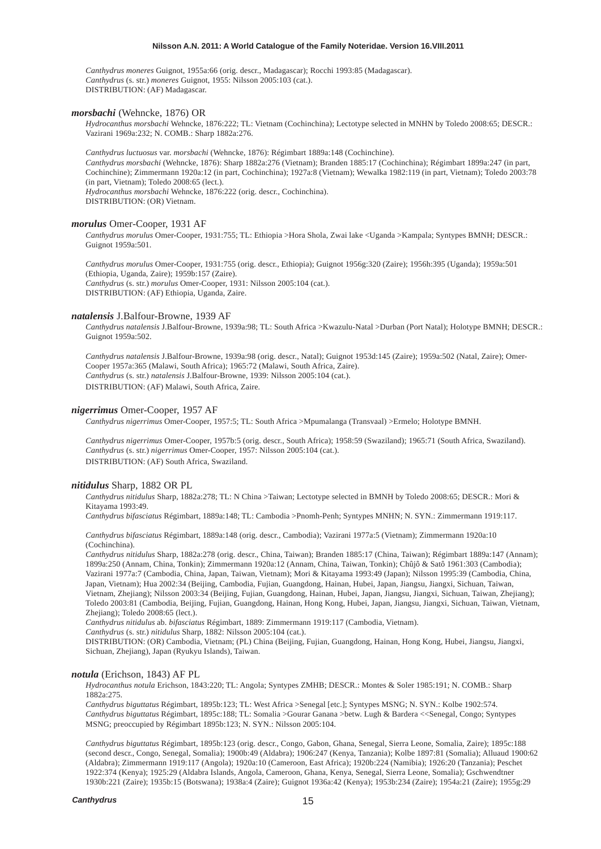*Canthydrus moneres* Guignot, 1955a:66 (orig. descr., Madagascar); Rocchi 1993:85 (Madagascar). *Canthydrus* (s. str.) *moneres* Guignot, 1955: Nilsson 2005:103 (cat.). DISTRIBUTION: (AF) Madagascar.

#### *morsbachi* (Wehncke, 1876) OR

*Hydrocanthus morsbachi* Wehncke, 1876:222; TL: Vietnam (Cochinchina); Lectotype selected in MNHN by Toledo 2008:65; DESCR.: Vazirani 1969a:232; N. COMB.: Sharp 1882a:276.

*Canthydrus luctuosus* var. *morsbachi* (Wehncke, 1876): Régimbart 1889a:148 (Cochinchine).

*Canthydrus morsbachi* (Wehncke, 1876): Sharp 1882a:276 (Vietnam); Branden 1885:17 (Cochinchina); Régimbart 1899a:247 (in part, Cochinchine); Zimmermann 1920a:12 (in part, Cochinchina); 1927a:8 (Vietnam); Wewalka 1982:119 (in part, Vietnam); Toledo 2003:78 (in part, Vietnam); Toledo 2008:65 (lect.). *Hydrocanthus morsbachi* Wehncke, 1876:222 (orig. descr., Cochinchina).

DISTRIBUTION: (OR) Vietnam.

# *morulus* Omer-Cooper, 1931 AF

*Canthydrus morulus* Omer-Cooper, 1931:755; TL: Ethiopia >Hora Shola, Zwai lake <Uganda >Kampala; Syntypes BMNH; DESCR.: Guignot 1959a:501.

*Canthydrus morulus* Omer-Cooper, 1931:755 (orig. descr., Ethiopia); Guignot 1956g:320 (Zaire); 1956h:395 (Uganda); 1959a:501 (Ethiopia, Uganda, Zaire); 1959b:157 (Zaire). *Canthydrus* (s. str.) *morulus* Omer-Cooper, 1931: Nilsson 2005:104 (cat.). DISTRIBUTION: (AF) Ethiopia, Uganda, Zaire.

#### *natalensis* J.Balfour-Browne, 1939 AF

*Canthydrus natalensis* J.Balfour-Browne, 1939a:98; TL: South Africa >Kwazulu-Natal >Durban (Port Natal); Holotype BMNH; DESCR.: Guignot 1959a:502.

*Canthydrus natalensis* J.Balfour-Browne, 1939a:98 (orig. descr., Natal); Guignot 1953d:145 (Zaire); 1959a:502 (Natal, Zaire); Omer-Cooper 1957a:365 (Malawi, South Africa); 1965:72 (Malawi, South Africa, Zaire). *Canthydrus* (s. str.) *natalensis* J.Balfour-Browne, 1939: Nilsson 2005:104 (cat.). DISTRIBUTION: (AF) Malawi, South Africa, Zaire.

# *nigerrimus* Omer-Cooper, 1957 AF

*Canthydrus nigerrimus* Omer-Cooper, 1957:5; TL: South Africa >Mpumalanga (Transvaal) >Ermelo; Holotype BMNH.

*Canthydrus nigerrimus* Omer-Cooper, 1957b:5 (orig. descr., South Africa); 1958:59 (Swaziland); 1965:71 (South Africa, Swaziland). *Canthydrus* (s. str.) *nigerrimus* Omer-Cooper, 1957: Nilsson 2005:104 (cat.). DISTRIBUTION: (AF) South Africa, Swaziland.

# *nitidulus* Sharp, 1882 OR PL

*Canthydrus nitidulus* Sharp, 1882a:278; TL: N China >Taiwan; Lectotype selected in BMNH by Toledo 2008:65; DESCR.: Mori & Kitayama 1993:49.

*Canthydrus bifasciatus* Régimbart, 1889a:148; TL: Cambodia >Pnomh-Penh; Syntypes MNHN; N. SYN.: Zimmermann 1919:117.

*Canthydrus bifasciatus* Régimbart, 1889a:148 (orig. descr., Cambodia); Vazirani 1977a:5 (Vietnam); Zimmermann 1920a:10 (Cochinchina).

*Canthydrus nitidulus* Sharp, 1882a:278 (orig. descr., China, Taiwan); Branden 1885:17 (China, Taiwan); Régimbart 1889a:147 (Annam); 1899a:250 (Annam, China, Tonkin); Zimmermann 1920a:12 (Annam, China, Taiwan, Tonkin); Chûjô & Satô 1961:303 (Cambodia); Vazirani 1977a:7 (Cambodia, China, Japan, Taiwan, Vietnam); Mori & Kitayama 1993:49 (Japan); Nilsson 1995:39 (Cambodia, China, Japan, Vietnam); Hua 2002:34 (Beijing, Cambodia, Fujian, Guangdong, Hainan, Hubei, Japan, Jiangsu, Jiangxi, Sichuan, Taiwan, Vietnam, Zhejiang); Nilsson 2003:34 (Beijing, Fujian, Guangdong, Hainan, Hubei, Japan, Jiangsu, Jiangxi, Sichuan, Taiwan, Zhejiang); Toledo 2003:81 (Cambodia, Beijing, Fujian, Guangdong, Hainan, Hong Kong, Hubei, Japan, Jiangsu, Jiangxi, Sichuan, Taiwan, Vietnam, Zhejiang); Toledo 2008:65 (lect.).

*Canthydrus nitidulus* ab. *bifasciatus* Régimbart, 1889: Zimmermann 1919:117 (Cambodia, Vietnam).

*Canthydrus* (s. str.) *nitidulus* Sharp, 1882: Nilsson 2005:104 (cat.).

DISTRIBUTION: (OR) Cambodia, Vietnam; (PL) China (Beijing, Fujian, Guangdong, Hainan, Hong Kong, Hubei, Jiangsu, Jiangxi, Sichuan, Zhejiang), Japan (Ryukyu Islands), Taiwan.

#### *notula* (Erichson, 1843) AF PL

*Hydrocanthus notula* Erichson, 1843:220; TL: Angola; Syntypes ZMHB; DESCR.: Montes & Soler 1985:191; N. COMB.: Sharp 1882a:275.

*Canthydrus biguttatus* Régimbart, 1895b:123; TL: West Africa >Senegal [etc.]; Syntypes MSNG; N. SYN.: Kolbe 1902:574. *Canthydrus biguttatus* Régimbart, 1895c:188; TL: Somalia >Gourar Ganana >betw. Lugh & Bardera <<Senegal, Congo; Syntypes MSNG; preoccupied by Régimbart 1895b:123; N. SYN.: Nilsson 2005:104.

*Canthydrus biguttatus* Régimbart, 1895b:123 (orig. descr., Congo, Gabon, Ghana, Senegal, Sierra Leone, Somalia, Zaire); 1895c:188 (second descr., Congo, Senegal, Somalia); 1900b:49 (Aldabra); 1906:247 (Kenya, Tanzania); Kolbe 1897:81 (Somalia); Alluaud 1900:62 (Aldabra); Zimmermann 1919:117 (Angola); 1920a:10 (Cameroon, East Africa); 1920b:224 (Namibia); 1926:20 (Tanzania); Peschet 1922:374 (Kenya); 1925:29 (Aldabra Islands, Angola, Cameroon, Ghana, Kenya, Senegal, Sierra Leone, Somalia); Gschwendtner 1930b:221 (Zaire); 1935b:15 (Botswana); 1938a:4 (Zaire); Guignot 1936a:42 (Kenya); 1953b:234 (Zaire); 1954a:21 (Zaire); 1955g:29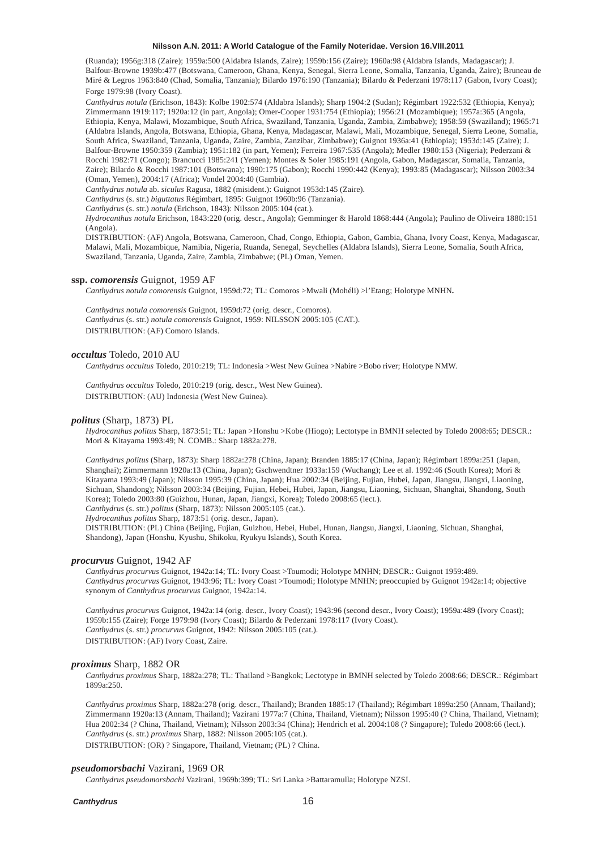(Ruanda); 1956g:318 (Zaire); 1959a:500 (Aldabra Islands, Zaire); 1959b:156 (Zaire); 1960a:98 (Aldabra Islands, Madagascar); J. Balfour-Browne 1939b:477 (Botswana, Cameroon, Ghana, Kenya, Senegal, Sierra Leone, Somalia, Tanzania, Uganda, Zaire); Bruneau de Miré & Legros 1963:840 (Chad, Somalia, Tanzania); Bilardo 1976:190 (Tanzania); Bilardo & Pederzani 1978:117 (Gabon, Ivory Coast); Forge 1979:98 (Ivory Coast).

*Canthydrus notula* (Erichson, 1843): Kolbe 1902:574 (Aldabra Islands); Sharp 1904:2 (Sudan); Régimbart 1922:532 (Ethiopia, Kenya); Zimmermann 1919:117; 1920a:12 (in part, Angola); Omer-Cooper 1931:754 (Ethiopia); 1956:21 (Mozambique); 1957a:365 (Angola, Ethiopia, Kenya, Malawi, Mozambique, South Africa, Swaziland, Tanzania, Uganda, Zambia, Zimbabwe); 1958:59 (Swaziland); 1965:71 (Aldabra Islands, Angola, Botswana, Ethiopia, Ghana, Kenya, Madagascar, Malawi, Mali, Mozambique, Senegal, Sierra Leone, Somalia, South Africa, Swaziland, Tanzania, Uganda, Zaire, Zambia, Zanzibar, Zimbabwe); Guignot 1936a:41 (Ethiopia); 1953d:145 (Zaire); J. Balfour-Browne 1950:359 (Zambia); 1951:182 (in part, Yemen); Ferreira 1967:535 (Angola); Medler 1980:153 (Nigeria); Pederzani & Rocchi 1982:71 (Congo); Brancucci 1985:241 (Yemen); Montes & Soler 1985:191 (Angola, Gabon, Madagascar, Somalia, Tanzania, Zaire); Bilardo & Rocchi 1987:101 (Botswana); 1990:175 (Gabon); Rocchi 1990:442 (Kenya); 1993:85 (Madagascar); Nilsson 2003:34 (Oman, Yemen), 2004:17 (Africa); Vondel 2004:40 (Gambia).

*Canthydrus notula* ab. *siculus* Ragusa, 1882 (misident.): Guignot 1953d:145 (Zaire).

*Canthydrus* (s. str.) *biguttatus* Régimbart, 1895: Guignot 1960b:96 (Tanzania).

*Canthydrus* (s. str.) *notula* (Erichson, 1843): Nilsson 2005:104 (cat.).

*Hydrocanthus notula* Erichson, 1843:220 (orig. descr., Angola); Gemminger & Harold 1868:444 (Angola); Paulino de Oliveira 1880:151 (Angola).

DISTRIBUTION: (AF) Angola, Botswana, Cameroon, Chad, Congo, Ethiopia, Gabon, Gambia, Ghana, Ivory Coast, Kenya, Madagascar, Malawi, Mali, Mozambique, Namibia, Nigeria, Ruanda, Senegal, Seychelles (Aldabra Islands), Sierra Leone, Somalia, South Africa, Swaziland, Tanzania, Uganda, Zaire, Zambia, Zimbabwe; (PL) Oman, Yemen.

### **ssp.** *comorensis* Guignot, 1959 AF

*Canthydrus notula comorensis* Guignot, 1959d:72; TL: Comoros >Mwali (Mohéli) >l'Etang; Holotype MNHN**.**

*Canthydrus notula comorensis* Guignot, 1959d:72 (orig. descr., Comoros). *Canthydrus* (s. str.) *notula comorensis* Guignot, 1959: NILSSON 2005:105 (CAT.). DISTRIBUTION: (AF) Comoro Islands.

#### *occultus* Toledo, 2010 AU

*Canthydrus occultus* Toledo, 2010:219; TL: Indonesia >West New Guinea >Nabire >Bobo river; Holotype NMW.

*Canthydrus occultus* Toledo, 2010:219 (orig. descr., West New Guinea). DISTRIBUTION: (AU) Indonesia (West New Guinea).

# *politus* (Sharp, 1873) PL

*Hydrocanthus politus* Sharp, 1873:51; TL: Japan >Honshu >Kobe (Hiogo); Lectotype in BMNH selected by Toledo 2008:65; DESCR.: Mori & Kitayama 1993:49; N. COMB.: Sharp 1882a:278.

*Canthydrus politus* (Sharp, 1873): Sharp 1882a:278 (China, Japan); Branden 1885:17 (China, Japan); Régimbart 1899a:251 (Japan, Shanghai); Zimmermann 1920a:13 (China, Japan); Gschwendtner 1933a:159 (Wuchang); Lee et al. 1992:46 (South Korea); Mori & Kitayama 1993:49 (Japan); Nilsson 1995:39 (China, Japan); Hua 2002:34 (Beijing, Fujian, Hubei, Japan, Jiangsu, Jiangxi, Liaoning, Sichuan, Shandong); Nilsson 2003:34 (Beijing, Fujian, Hebei, Hubei, Japan, Jiangsu, Liaoning, Sichuan, Shanghai, Shandong, South Korea); Toledo 2003:80 (Guizhou, Hunan, Japan, Jiangxi, Korea); Toledo 2008:65 (lect.).

*Canthydrus* (s. str.) *politus* (Sharp, 1873): Nilsson 2005:105 (cat.).

*Hydrocanthus politus* Sharp, 1873:51 (orig. descr., Japan).

DISTRIBUTION: (PL) China (Beijing, Fujian, Guizhou, Hebei, Hubei, Hunan, Jiangsu, Jiangxi, Liaoning, Sichuan, Shanghai, Shandong), Japan (Honshu, Kyushu, Shikoku, Ryukyu Islands), South Korea.

#### *procurvus* Guignot, 1942 AF

*Canthydrus procurvus* Guignot, 1942a:14; TL: Ivory Coast >Toumodi; Holotype MNHN; DESCR.: Guignot 1959:489. *Canthydrus procurvus* Guignot, 1943:96; TL: Ivory Coast >Toumodi; Holotype MNHN; preoccupied by Guignot 1942a:14; objective synonym of *Canthydrus procurvus* Guignot, 1942a:14.

*Canthydrus procurvus* Guignot, 1942a:14 (orig. descr., Ivory Coast); 1943:96 (second descr., Ivory Coast); 1959a:489 (Ivory Coast); 1959b:155 (Zaire); Forge 1979:98 (Ivory Coast); Bilardo & Pederzani 1978:117 (Ivory Coast). *Canthydrus* (s. str.) *procurvus* Guignot, 1942: Nilsson 2005:105 (cat.). DISTRIBUTION: (AF) Ivory Coast, Zaire.

# *proximus* Sharp, 1882 OR

*Canthydrus proximus* Sharp, 1882a:278; TL: Thailand >Bangkok; Lectotype in BMNH selected by Toledo 2008:66; DESCR.: Régimbart 1899a:250.

*Canthydrus proximus* Sharp, 1882a:278 (orig. descr., Thailand); Branden 1885:17 (Thailand); Régimbart 1899a:250 (Annam, Thailand); Zimmermann 1920a:13 (Annam, Thailand); Vazirani 1977a:7 (China, Thailand, Vietnam); Nilsson 1995:40 (? China, Thailand, Vietnam); Hua 2002:34 (? China, Thailand, Vietnam); Nilsson 2003:34 (China); Hendrich et al. 2004:108 (? Singapore); Toledo 2008:66 (lect.). *Canthydrus* (s. str.) *proximus* Sharp, 1882: Nilsson 2005:105 (cat.).

DISTRIBUTION: (OR) ? Singapore, Thailand, Vietnam; (PL) ? China.

#### *pseudomorsbachi* Vazirani, 1969 OR

*Canthydrus pseudomorsbachi* Vazirani, 1969b:399; TL: Sri Lanka >Battaramulla; Holotype NZSI.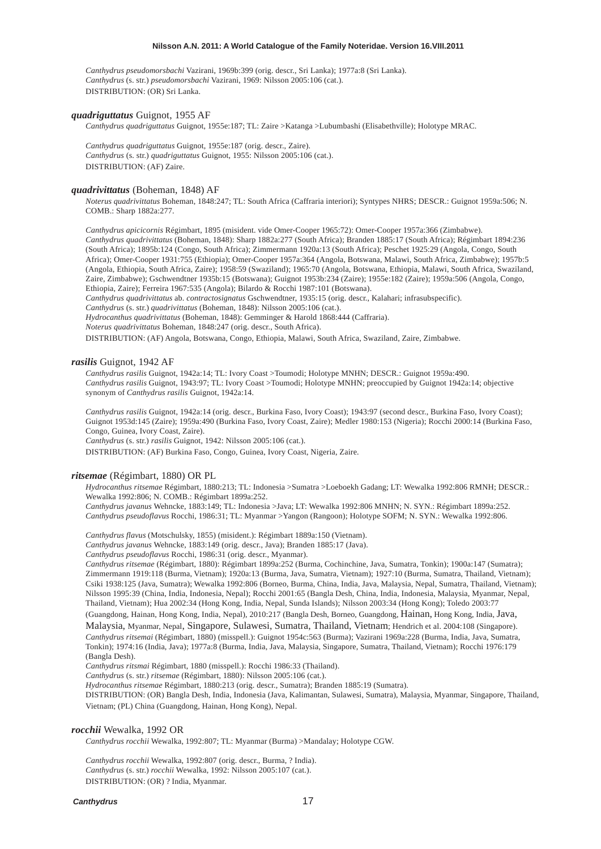*Canthydrus pseudomorsbachi* Vazirani, 1969b:399 (orig. descr., Sri Lanka); 1977a:8 (Sri Lanka). *Canthydrus* (s. str.) *pseudomorsbachi* Vazirani, 1969: Nilsson 2005:106 (cat.). DISTRIBUTION: (OR) Sri Lanka.

# *quadriguttatus* Guignot, 1955 AF

*Canthydrus quadriguttatus* Guignot, 1955e:187; TL: Zaire >Katanga >Lubumbashi (Elisabethville); Holotype MRAC.

*Canthydrus quadriguttatus* Guignot, 1955e:187 (orig. descr., Zaire). *Canthydrus* (s. str.) *quadriguttatus* Guignot, 1955: Nilsson 2005:106 (cat.). DISTRIBUTION: (AF) Zaire.

# *quadrivittatus* (Boheman, 1848) AF

*Noterus quadrivittatus* Boheman, 1848:247; TL: South Africa (Caffraria interiori); Syntypes NHRS; DESCR.: Guignot 1959a:506; N. COMB.: Sharp 1882a:277.

*Canthydrus apicicornis* Régimbart, 1895 (misident. vide Omer-Cooper 1965:72): Omer-Cooper 1957a:366 (Zimbabwe). *Canthydrus quadrivittatus* (Boheman, 1848): Sharp 1882a:277 (South Africa); Branden 1885:17 (South Africa); Régimbart 1894:236 (South Africa); 1895b:124 (Congo, South Africa); Zimmermann 1920a:13 (South Africa); Peschet 1925:29 (Angola, Congo, South Africa); Omer-Cooper 1931:755 (Ethiopia); Omer-Cooper 1957a:364 (Angola, Botswana, Malawi, South Africa, Zimbabwe); 1957b:5 (Angola, Ethiopia, South Africa, Zaire); 1958:59 (Swaziland); 1965:70 (Angola, Botswana, Ethiopia, Malawi, South Africa, Swaziland, Zaire, Zimbabwe); Gschwendtner 1935b:15 (Botswana); Guignot 1953b:234 (Zaire); 1955e:182 (Zaire); 1959a:506 (Angola, Congo, Ethiopia, Zaire); Ferreira 1967:535 (Angola); Bilardo & Rocchi 1987:101 (Botswana).

*Canthydrus quadrivittatus* ab. *contractosignatus* Gschwendtner, 1935:15 (orig. descr., Kalahari; infrasubspecific).

*Canthydrus* (s. str.) *quadrivittatus* (Boheman, 1848): Nilsson 2005:106 (cat.).

*Hydrocanthus quadrivittatus* (Boheman, 1848): Gemminger & Harold 1868:444 (Caffraria).

*Noterus quadrivittatus* Boheman, 1848:247 (orig. descr., South Africa).

DISTRIBUTION: (AF) Angola, Botswana, Congo, Ethiopia, Malawi, South Africa, Swaziland, Zaire, Zimbabwe.

# *rasilis* Guignot, 1942 AF

*Canthydrus rasilis* Guignot, 1942a:14; TL: Ivory Coast >Toumodi; Holotype MNHN; DESCR.: Guignot 1959a:490. *Canthydrus rasilis* Guignot, 1943:97; TL: Ivory Coast >Toumodi; Holotype MNHN; preoccupied by Guignot 1942a:14; objective synonym of *Canthydrus rasilis* Guignot, 1942a:14.

*Canthydrus rasilis* Guignot, 1942a:14 (orig. descr., Burkina Faso, Ivory Coast); 1943:97 (second descr., Burkina Faso, Ivory Coast); Guignot 1953d:145 (Zaire); 1959a:490 (Burkina Faso, Ivory Coast, Zaire); Medler 1980:153 (Nigeria); Rocchi 2000:14 (Burkina Faso, Congo, Guinea, Ivory Coast, Zaire).

*Canthydrus* (s. str.) *rasilis* Guignot, 1942: Nilsson 2005:106 (cat.).

DISTRIBUTION: (AF) Burkina Faso, Congo, Guinea, Ivory Coast, Nigeria, Zaire.

### *ritsemae* (Régimbart, 1880) OR PL

*Hydrocanthus ritsemae* Régimbart, 1880:213; TL: Indonesia >Sumatra >Loeboekh Gadang; LT: Wewalka 1992:806 RMNH; DESCR.: Wewalka 1992:806; N. COMB.: Régimbart 1899a:252.

*Canthydrus javanus* Wehncke, 1883:149; TL: Indonesia >Java; LT: Wewalka 1992:806 MNHN; N. SYN.: Régimbart 1899a:252. *Canthydrus pseudoflavus* Rocchi, 1986:31; TL: Myanmar >Yangon (Rangoon); Holotype SOFM; N. SYN.: Wewalka 1992:806.

*Canthydrus flavus* (Motschulsky, 1855) (misident.): Régimbart 1889a:150 (Vietnam).

*Canthydrus javanus* Wehncke, 1883:149 (orig. descr., Java); Branden 1885:17 (Java).

*Canthydrus pseudoflavus* Rocchi, 1986:31 (orig. descr., Myanmar).

*Canthydrus ritsemae* (Régimbart, 1880): Régimbart 1899a:252 (Burma, Cochinchine, Java, Sumatra, Tonkin); 1900a:147 (Sumatra); Zimmermann 1919:118 (Burma, Vietnam); 1920a:13 (Burma, Java, Sumatra, Vietnam); 1927:10 (Burma, Sumatra, Thailand, Vietnam); Csiki 1938:125 (Java, Sumatra); Wewalka 1992:806 (Borneo, Burma, China, India, Java, Malaysia, Nepal, Sumatra, Thailand, Vietnam); Nilsson 1995:39 (China, India, Indonesia, Nepal); Rocchi 2001:65 (Bangla Desh, China, India, Indonesia, Malaysia, Myanmar, Nepal, Thailand, Vietnam); Hua 2002:34 (Hong Kong, India, Nepal, Sunda Islands); Nilsson 2003:34 (Hong Kong); Toledo 2003:77

(Guangdong, Hainan, Hong Kong, India, Nepal), 2010:217 (Bangla Desh, Borneo, Guangdong, Hainan, Hong Kong, India, Java, Malaysia, Myanmar, Nepal, Singapore, Sulawesi, Sumatra, Thailand, Vietnam; Hendrich et al. 2004:108 (Singapore). *Canthydrus ritsemai* (Régimbart, 1880) (misspell.): Guignot 1954c:563 (Burma); Vazirani 1969a:228 (Burma, India, Java, Sumatra, Tonkin); 1974:16 (India, Java); 1977a:8 (Burma, India, Java, Malaysia, Singapore, Sumatra, Thailand, Vietnam); Rocchi 1976:179 (Bangla Desh).

*Canthydrus ritsmai* Régimbart, 1880 (misspell.): Rocchi 1986:33 (Thailand).

*Canthydrus* (s. str.) *ritsemae* (Régimbart, 1880): Nilsson 2005:106 (cat.).

*Hydrocanthus ritsemae* Régimbart, 1880:213 (orig. descr., Sumatra); Branden 1885:19 (Sumatra).

DISTRIBUTION: (OR) Bangla Desh, India, Indonesia (Java, Kalimantan, Sulawesi, Sumatra), Malaysia, Myanmar, Singapore, Thailand, Vietnam; (PL) China (Guangdong, Hainan, Hong Kong), Nepal.

#### *rocchii* Wewalka, 1992 OR

*Canthydrus rocchii* Wewalka, 1992:807; TL: Myanmar (Burma) >Mandalay; Holotype CGW.

*Canthydrus rocchii* Wewalka, 1992:807 (orig. descr., Burma, ? India). *Canthydrus* (s. str.) *rocchii* Wewalka, 1992: Nilsson 2005:107 (cat.). DISTRIBUTION: (OR) ? India, Myanmar.

# *Canthydrus*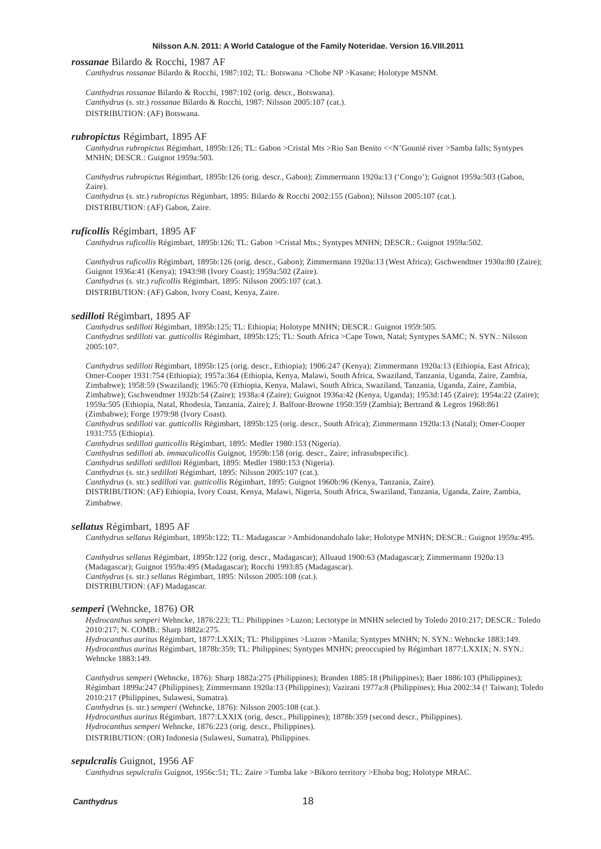#### *rossanae* Bilardo & Rocchi, 1987 AF

*Canthydrus rossanae* Bilardo & Rocchi, 1987:102; TL: Botswana >Chobe NP >Kasane; Holotype MSNM.

*Canthydrus rossanae* Bilardo & Rocchi, 1987:102 (orig. descr., Botswana). *Canthydrus* (s. str.) *rossanae* Bilardo & Rocchi, 1987: Nilsson 2005:107 (cat.). DISTRIBUTION: (AF) Botswana.

### *rubropictus* Régimbart, 1895 AF

*Canthydrus rubropictus* Régimbart, 1895b:126; TL: Gabon >Cristal Mts >Rio San Benito <<N'Gounié river >Samba falls; Syntypes MNHN; DESCR.: Guignot 1959a:503.

*Canthydrus rubropictus* Régimbart, 1895b:126 (orig. descr., Gabon); Zimmermann 1920a:13 ('Congo'); Guignot 1959a:503 (Gabon, Zaire).

*Canthydrus* (s. str.) *rubropictus* Régimbart, 1895: Bilardo & Rocchi 2002:155 (Gabon); Nilsson 2005:107 (cat.). DISTRIBUTION: (AF) Gabon, Zaire.

#### *ruficollis* Régimbart, 1895 AF

*Canthydrus ruficollis* Régimbart, 1895b:126; TL: Gabon >Cristal Mts.; Syntypes MNHN; DESCR.: Guignot 1959a:502.

*Canthydrus ruficollis* Régimbart, 1895b:126 (orig. descr., Gabon); Zimmermann 1920a:13 (West Africa); Gschwendtner 1930a:80 (Zaire); Guignot 1936a:41 (Kenya); 1943:98 (Ivory Coast); 1959a:502 (Zaire). *Canthydrus* (s. str.) *ruficollis* Régimbart, 1895: Nilsson 2005:107 (cat.). DISTRIBUTION: (AF) Gabon, Ivory Coast, Kenya, Zaire.

#### *sedilloti* Régimbart, 1895 AF

*Canthydrus sedilloti* Régimbart, 1895b:125; TL: Ethiopia; Holotype MNHN; DESCR.: Guignot 1959:505. *Canthydrus sedilloti* var. *gutticollis* Régimbart, 1895b:125; TL: South Africa >Cape Town, Natal; Syntypes SAMC; N. SYN.: Nilsson 2005:107.

*Canthydrus sedilloti* Régimbart, 1895b:125 (orig. descr., Ethiopia); 1906:247 (Kenya); Zimmermann 1920a:13 (Ethiopia, East Africa); Omer-Cooper 1931:754 (Ethiopia); 1957a:364 (Ethiopia, Kenya, Malawi, South Africa, Swaziland, Tanzania, Uganda, Zaire, Zambia, Zimbabwe); 1958:59 (Swaziland); 1965:70 (Ethiopia, Kenya, Malawi, South Africa, Swaziland, Tanzania, Uganda, Zaire, Zambia, Zimbabwe); Gschwendtner 1932b:54 (Zaire); 1938a:4 (Zaire); Guignot 1936a:42 (Kenya, Uganda); 1953d:145 (Zaire); 1954a:22 (Zaire); 1959a:505 (Ethiopia, Natal, Rhodesia, Tanzania, Zaire); J. Balfour-Browne 1950:359 (Zambia); Bertrand & Legros 1968:861 (Zimbabwe); Forge 1979:98 (Ivory Coast).

*Canthydrus sedilloti* var. *gutticollis* Régimbart, 1895b:125 (orig. descr., South Africa); Zimmermann 1920a:13 (Natal); Omer-Cooper 1931:755 (Ethiopia).

*Canthydrus sedilloti gutticollis* Régimbart, 1895: Medler 1980:153 (Nigeria).

*Canthydrus sedilloti* ab. *immaculicollis* Guignot, 1959b:158 (orig. descr., Zaire; infrasubspecific).

*Canthydrus sedilloti sedilloti* Régimbart, 1895: Medler 1980:153 (Nigeria).

*Canthydrus* (s. str.) *sedilloti* Régimbart, 1895: Nilsson 2005:107 (cat.).

*Canthydrus* (s. str.) *sedilloti* var. *gutticollis* Régimbart, 1895: Guignot 1960b:96 (Kenya, Tanzania, Zaire).

DISTRIBUTION: (AF) Ethiopia, Ivory Coast, Kenya, Malawi, Nigeria, South Africa, Swaziland, Tanzania, Uganda, Zaire, Zambia, Zimbabwe.

#### *sellatus* Régimbart, 1895 AF

*Canthydrus sellatus* Régimbart, 1895b:122; TL: Madagascar >Ambidonandohalo lake; Holotype MNHN; DESCR.: Guignot 1959a:495.

*Canthydrus sellatus* Régimbart, 1895b:122 (orig. descr., Madagascar); Alluaud 1900:63 (Madagascar); Zimmermann 1920a:13 (Madagascar); Guignot 1959a:495 (Madagascar); Rocchi 1993:85 (Madagascar). *Canthydrus* (s. str.) *sellatus* Régimbart, 1895: Nilsson 2005:108 (cat.). DISTRIBUTION: (AF) Madagascar.

# *semperi* (Wehncke, 1876) OR

*Hydrocanthus semperi* Wehncke, 1876:223; TL: Philippines >Luzon; Lectotype in MNHN selected by Toledo 2010:217; DESCR.: Toledo 2010:217; N. COMB.: Sharp 1882a:275.

*Hydrocanthus auritus* Régimbart, 1877:LXXIX; TL: Philippines >Luzon >Manila; Syntypes MNHN; N. SYN.: Wehncke 1883:149. *Hydrocanthus auritus* Régimbart, 1878b:359; TL: Philippines; Syntypes MNHN; preoccupied by Régimbart 1877:LXXIX; N. SYN.: Wehncke 1883:149.

*Canthydrus semperi* (Wehncke, 1876): Sharp 1882a:275 (Philippines); Branden 1885:18 (Philippines); Baer 1886:103 (Philippines); Régimbart 1899a:247 (Philippines); Zimmermann 1920a:13 (Philippines); Vazirani 1977a:8 (Philippines); Hua 2002:34 (! Taiwan); Toledo 2010:217 (Philippines, Sulawesi, Sumatra).

*Canthydrus* (s. str.) *semperi* (Wehncke, 1876): Nilsson 2005:108 (cat.).

*Hydrocanthus auritus* Régimbart, 1877:LXXIX (orig. descr., Philippines); 1878b:359 (second descr., Philippines).

*Hydrocanthus semperi* Wehncke, 1876:223 (orig. descr., Philippines).

DISTRIBUTION: (OR) Indonesia (Sulawesi, Sumatra), Philippines.

#### *sepulcralis* Guignot, 1956 AF

*Canthydrus sepulcralis* Guignot, 1956c:51; TL: Zaire >Tumba lake >Bikoro territory >Ehoba bog; Holotype MRAC.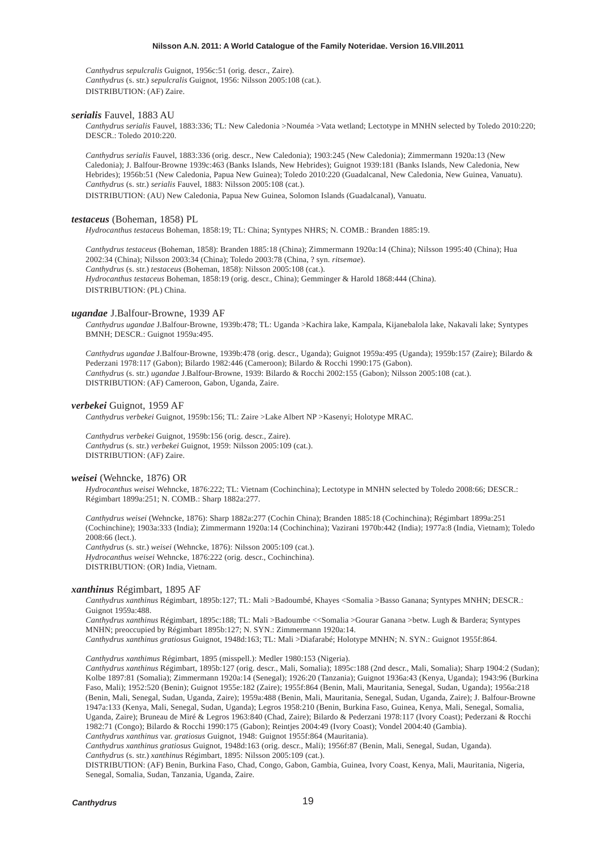*Canthydrus sepulcralis* Guignot, 1956c:51 (orig. descr., Zaire). *Canthydrus* (s. str.) *sepulcralis* Guignot, 1956: Nilsson 2005:108 (cat.). DISTRIBUTION: (AF) Zaire.

#### *serialis* Fauvel, 1883 AU

*Canthydrus serialis* Fauvel, 1883:336; TL: New Caledonia >Nouméa >Vata wetland; Lectotype in MNHN selected by Toledo 2010:220; DESCR.: Toledo 2010:220.

*Canthydrus serialis* Fauvel, 1883:336 (orig. descr., New Caledonia); 1903:245 (New Caledonia); Zimmermann 1920a:13 (New Caledonia); J. Balfour-Browne 1939c:463 (Banks Islands, New Hebrides); Guignot 1939:181 (Banks Islands, New Caledonia, New Hebrides); 1956b:51 (New Caledonia, Papua New Guinea); Toledo 2010:220 (Guadalcanal, New Caledonia, New Guinea, Vanuatu). *Canthydrus* (s. str.) *serialis* Fauvel, 1883: Nilsson 2005:108 (cat.).

DISTRIBUTION: (AU) New Caledonia, Papua New Guinea, Solomon Islands (Guadalcanal), Vanuatu.

#### *testaceus* (Boheman, 1858) PL

*Hydrocanthus testaceus* Boheman, 1858:19; TL: China; Syntypes NHRS; N. COMB.: Branden 1885:19.

*Canthydrus testaceus* (Boheman, 1858): Branden 1885:18 (China); Zimmermann 1920a:14 (China); Nilsson 1995:40 (China); Hua 2002:34 (China); Nilsson 2003:34 (China); Toledo 2003:78 (China, ? syn. *ritsemae*). *Canthydrus* (s. str.) *testaceus* (Boheman, 1858): Nilsson 2005:108 (cat.). *Hydrocanthus testaceus* Boheman, 1858:19 (orig. descr., China); Gemminger & Harold 1868:444 (China). DISTRIBUTION: (PL) China.

### *ugandae* J.Balfour-Browne, 1939 AF

*Canthydrus ugandae* J.Balfour-Browne, 1939b:478; TL: Uganda >Kachira lake, Kampala, Kijanebalola lake, Nakavali lake; Syntypes BMNH; DESCR.: Guignot 1959a:495.

*Canthydrus ugandae* J.Balfour-Browne, 1939b:478 (orig. descr., Uganda); Guignot 1959a:495 (Uganda); 1959b:157 (Zaire); Bilardo & Pederzani 1978:117 (Gabon); Bilardo 1982:446 (Cameroon); Bilardo & Rocchi 1990:175 (Gabon). *Canthydrus* (s. str.) *ugandae* J.Balfour-Browne, 1939: Bilardo & Rocchi 2002:155 (Gabon); Nilsson 2005:108 (cat.). DISTRIBUTION: (AF) Cameroon, Gabon, Uganda, Zaire.

### *verbekei* Guignot, 1959 AF

*Canthydrus verbekei* Guignot, 1959b:156; TL: Zaire >Lake Albert NP >Kasenyi; Holotype MRAC.

*Canthydrus verbekei* Guignot, 1959b:156 (orig. descr., Zaire). *Canthydrus* (s. str.) *verbekei* Guignot, 1959: Nilsson 2005:109 (cat.). DISTRIBUTION: (AF) Zaire.

#### *weisei* (Wehncke, 1876) OR

*Hydrocanthus weisei* Wehncke, 1876:222; TL: Vietnam (Cochinchina); Lectotype in MNHN selected by Toledo 2008:66; DESCR.: Régimbart 1899a:251; N. COMB.: Sharp 1882a:277.

*Canthydrus weisei* (Wehncke, 1876): Sharp 1882a:277 (Cochin China); Branden 1885:18 (Cochinchina); Régimbart 1899a:251 (Cochinchine); 1903a:333 (India); Zimmermann 1920a:14 (Cochinchina); Vazirani 1970b:442 (India); 1977a:8 (India, Vietnam); Toledo 2008:66 (lect.). *Canthydrus* (s. str.) *weisei* (Wehncke, 1876): Nilsson 2005:109 (cat.).

*Hydrocanthus weisei* Wehncke, 1876:222 (orig. descr., Cochinchina). DISTRIBUTION: (OR) India, Vietnam.

# *xanthinus* Régimbart, 1895 AF

*Canthydrus xanthinus* Régimbart, 1895b:127; TL: Mali >Badoumbé, Khayes <Somalia >Basso Ganana; Syntypes MNHN; DESCR.: Guignot 1959a:488.

*Canthydrus xanthinus* Régimbart, 1895c:188; TL: Mali >Badoumbe <<Somalia >Gourar Ganana >betw. Lugh & Bardera; Syntypes MNHN; preoccupied by Régimbart 1895b:127; N. SYN.: Zimmermann 1920a:14.

*Canthydrus xanthinus gratiosus* Guignot, 1948d:163; TL: Mali >Diafarabé; Holotype MNHN; N. SYN.: Guignot 1955f:864.

*Canthydrus xanthimus* Régimbart, 1895 (misspell.): Medler 1980:153 (Nigeria).

*Canthydrus xanthinus* Régimbart, 1895b:127 (orig. descr., Mali, Somalia); 1895c:188 (2nd descr., Mali, Somalia); Sharp 1904:2 (Sudan); Kolbe 1897:81 (Somalia); Zimmermann 1920a:14 (Senegal); 1926:20 (Tanzania); Guignot 1936a:43 (Kenya, Uganda); 1943:96 (Burkina Faso, Mali); 1952:520 (Benin); Guignot 1955e:182 (Zaire); 1955f:864 (Benin, Mali, Mauritania, Senegal, Sudan, Uganda); 1956a:218 (Benin, Mali, Senegal, Sudan, Uganda, Zaire); 1959a:488 (Benin, Mali, Mauritania, Senegal, Sudan, Uganda, Zaire); J. Balfour-Browne 1947a:133 (Kenya, Mali, Senegal, Sudan, Uganda); Legros 1958:210 (Benin, Burkina Faso, Guinea, Kenya, Mali, Senegal, Somalia, Uganda, Zaire); Bruneau de Miré & Legros 1963:840 (Chad, Zaire); Bilardo & Pederzani 1978:117 (Ivory Coast); Pederzani & Rocchi 1982:71 (Congo); Bilardo & Rocchi 1990:175 (Gabon); Reintjes 2004:49 (Ivory Coast); Vondel 2004:40 (Gambia). *Canthydrus xanthinus* var. *gratiosus* Guignot, 1948: Guignot 1955f:864 (Mauritania).

*Canthydrus xanthinus gratiosus* Guignot, 1948d:163 (orig. descr., Mali); 1956f:87 (Benin, Mali, Senegal, Sudan, Uganda). *Canthydrus* (s. str.) *xanthinus* Régimbart, 1895: Nilsson 2005:109 (cat.).

DISTRIBUTION: (AF) Benin, Burkina Faso, Chad, Congo, Gabon, Gambia, Guinea, Ivory Coast, Kenya, Mali, Mauritania, Nigeria, Senegal, Somalia, Sudan, Tanzania, Uganda, Zaire.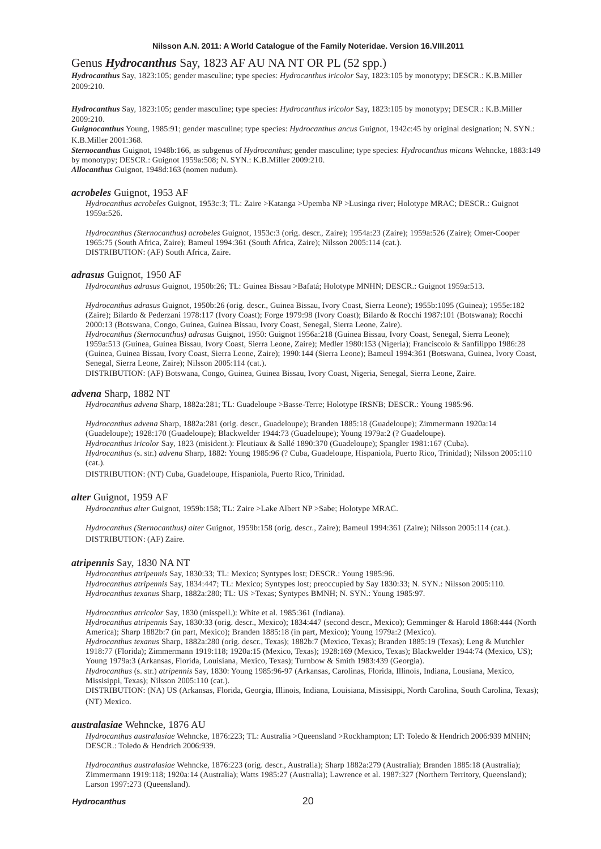# Genus *Hydrocanthus* Say, 1823 AF AU NA NT OR PL (52 spp.)

*Hydrocanthus* Say, 1823:105; gender masculine; type species: *Hydrocanthus iricolor* Say, 1823:105 by monotypy; DESCR.: K.B.Miller 2009:210.

*Hydrocanthus* Say, 1823:105; gender masculine; type species: *Hydrocanthus iricolor* Say, 1823:105 by monotypy; DESCR.: K.B.Miller 2009:210.

*Guignocanthus* Young, 1985:91; gender masculine; type species: *Hydrocanthus ancus* Guignot, 1942c:45 by original designation; N. SYN.: K.B.Miller 2001:368.

*Sternocanthus* Guignot, 1948b:166, as subgenus of *Hydrocanthus*; gender masculine; type species: *Hydrocanthus micans* Wehncke, 1883:149 by monotypy; DESCR.: Guignot 1959a:508; N. SYN.: K.B.Miller 2009:210. *Allocanthus* Guignot, 1948d:163 (nomen nudum).

#### *acrobeles* Guignot, 1953 AF

*Hydrocanthus acrobeles* Guignot, 1953c:3; TL: Zaire >Katanga >Upemba NP >Lusinga river; Holotype MRAC; DESCR.: Guignot 1959a:526.

*Hydrocanthus (Sternocanthus) acrobeles* Guignot, 1953c:3 (orig. descr., Zaire); 1954a:23 (Zaire); 1959a:526 (Zaire); Omer-Cooper 1965:75 (South Africa, Zaire); Bameul 1994:361 (South Africa, Zaire); Nilsson 2005:114 (cat.). DISTRIBUTION: (AF) South Africa, Zaire.

# *adrasus* Guignot, 1950 AF

*Hydrocanthus adrasus* Guignot, 1950b:26; TL: Guinea Bissau >Bafatá; Holotype MNHN; DESCR.: Guignot 1959a:513.

*Hydrocanthus adrasus* Guignot, 1950b:26 (orig. descr., Guinea Bissau, Ivory Coast, Sierra Leone); 1955b:1095 (Guinea); 1955e:182 (Zaire); Bilardo & Pederzani 1978:117 (Ivory Coast); Forge 1979:98 (Ivory Coast); Bilardo & Rocchi 1987:101 (Botswana); Rocchi 2000:13 (Botswana, Congo, Guinea, Guinea Bissau, Ivory Coast, Senegal, Sierra Leone, Zaire).

*Hydrocanthus (Sternocanthus) adrasus* Guignot, 1950: Guignot 1956a:218 (Guinea Bissau, Ivory Coast, Senegal, Sierra Leone); 1959a:513 (Guinea, Guinea Bissau, Ivory Coast, Sierra Leone, Zaire); Medler 1980:153 (Nigeria); Franciscolo & Sanfilippo 1986:28 (Guinea, Guinea Bissau, Ivory Coast, Sierra Leone, Zaire); 1990:144 (Sierra Leone); Bameul 1994:361 (Botswana, Guinea, Ivory Coast, Senegal, Sierra Leone, Zaire); Nilsson 2005:114 (cat.).

DISTRIBUTION: (AF) Botswana, Congo, Guinea, Guinea Bissau, Ivory Coast, Nigeria, Senegal, Sierra Leone, Zaire.

# *advena* Sharp, 1882 NT

*Hydrocanthus advena* Sharp, 1882a:281; TL: Guadeloupe >Basse-Terre; Holotype IRSNB; DESCR.: Young 1985:96.

*Hydrocanthus advena* Sharp, 1882a:281 (orig. descr., Guadeloupe); Branden 1885:18 (Guadeloupe); Zimmermann 1920a:14 (Guadeloupe); 1928:170 (Guadeloupe); Blackwelder 1944:73 (Guadeloupe); Young 1979a:2 (? Guadeloupe). *Hydrocanthus iricolor* Say, 1823 (misident.): Fleutiaux & Sallé 1890:370 (Guadeloupe); Spangler 1981:167 (Cuba). *Hydrocanthus* (s. str.) *advena* Sharp, 1882: Young 1985:96 (? Cuba, Guadeloupe, Hispaniola, Puerto Rico, Trinidad); Nilsson 2005:110 (cat.).

DISTRIBUTION: (NT) Cuba, Guadeloupe, Hispaniola, Puerto Rico, Trinidad.

#### *alter* Guignot, 1959 AF

*Hydrocanthus alter* Guignot, 1959b:158; TL: Zaire >Lake Albert NP >Sabe; Holotype MRAC.

*Hydrocanthus (Sternocanthus) alter* Guignot, 1959b:158 (orig. descr., Zaire); Bameul 1994:361 (Zaire); Nilsson 2005:114 (cat.). DISTRIBUTION: (AF) Zaire.

# *atripennis* Say, 1830 NA NT

*Hydrocanthus atripennis* Say, 1830:33; TL: Mexico; Syntypes lost; DESCR.: Young 1985:96. *Hydrocanthus atripennis* Say, 1834:447; TL: Mexico; Syntypes lost; preoccupied by Say 1830:33; N. SYN.: Nilsson 2005:110. *Hydrocanthus texanus* Sharp, 1882a:280; TL: US >Texas; Syntypes BMNH; N. SYN.: Young 1985:97.

*Hydrocanthus atricolor* Say, 1830 (misspell.): White et al. 1985:361 (Indiana).

*Hydrocanthus atripennis* Say, 1830:33 (orig. descr., Mexico); 1834:447 (second descr., Mexico); Gemminger & Harold 1868:444 (North America); Sharp 1882b:7 (in part, Mexico); Branden 1885:18 (in part, Mexico); Young 1979a:2 (Mexico).

*Hydrocanthus texanus* Sharp, 1882a:280 (orig. descr., Texas); 1882b:7 (Mexico, Texas); Branden 1885:19 (Texas); Leng & Mutchler 1918:77 (Florida); Zimmermann 1919:118; 1920a:15 (Mexico, Texas); 1928:169 (Mexico, Texas); Blackwelder 1944:74 (Mexico, US); Young 1979a:3 (Arkansas, Florida, Louisiana, Mexico, Texas); Turnbow & Smith 1983:439 (Georgia).

*Hydrocanthus* (s. str.) *atripennis* Say, 1830: Young 1985:96-97 (Arkansas, Carolinas, Florida, Illinois, Indiana, Lousiana, Mexico, Missisippi, Texas); Nilsson 2005:110 (cat.).

DISTRIBUTION: (NA) US (Arkansas, Florida, Georgia, Illinois, Indiana, Louisiana, Missisippi, North Carolina, South Carolina, Texas); (NT) Mexico.

#### *australasiae* Wehncke, 1876 AU

*Hydrocanthus australasiae* Wehncke, 1876:223; TL: Australia >Queensland >Rockhampton; LT: Toledo & Hendrich 2006:939 MNHN; DESCR.: Toledo & Hendrich 2006:939.

*Hydrocanthus australasiae* Wehncke, 1876:223 (orig. descr., Australia); Sharp 1882a:279 (Australia); Branden 1885:18 (Australia); Zimmermann 1919:118; 1920a:14 (Australia); Watts 1985:27 (Australia); Lawrence et al. 1987:327 (Northern Territory, Queensland); Larson 1997:273 (Queensland).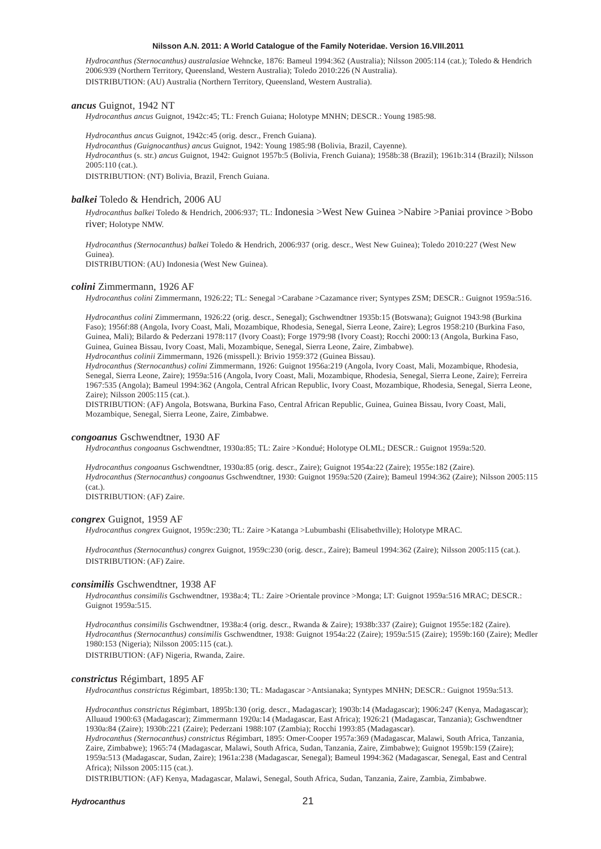*Hydrocanthus (Sternocanthus) australasiae* Wehncke, 1876: Bameul 1994:362 (Australia); Nilsson 2005:114 (cat.); Toledo & Hendrich 2006:939 (Northern Territory, Queensland, Western Australia); Toledo 2010:226 (N Australia). DISTRIBUTION: (AU) Australia (Northern Territory, Queensland, Western Australia).

#### *ancus* Guignot, 1942 NT

*Hydrocanthus ancus* Guignot, 1942c:45; TL: French Guiana; Holotype MNHN; DESCR.: Young 1985:98.

*Hydrocanthus ancus* Guignot, 1942c:45 (orig. descr., French Guiana).

*Hydrocanthus (Guignocanthus) ancus* Guignot, 1942: Young 1985:98 (Bolivia, Brazil, Cayenne).

*Hydrocanthus* (s. str.) *ancus* Guignot, 1942: Guignot 1957b:5 (Bolivia, French Guiana); 1958b:38 (Brazil); 1961b:314 (Brazil); Nilsson 2005:110 (cat.).

DISTRIBUTION: (NT) Bolivia, Brazil, French Guiana.

#### *balkei* Toledo & Hendrich, 2006 AU

*Hydrocanthus balkei* Toledo & Hendrich, 2006:937; TL: Indonesia >West New Guinea >Nabire >Paniai province >Bobo river; Holotype NMW.

*Hydrocanthus (Sternocanthus) balkei* Toledo & Hendrich, 2006:937 (orig. descr., West New Guinea); Toledo 2010:227 (West New Guinea).

DISTRIBUTION: (AU) Indonesia (West New Guinea).

#### *colini* Zimmermann, 1926 AF

*Hydrocanthus colini* Zimmermann, 1926:22; TL: Senegal >Carabane >Cazamance river; Syntypes ZSM; DESCR.: Guignot 1959a:516.

*Hydrocanthus colini* Zimmermann, 1926:22 (orig. descr., Senegal); Gschwendtner 1935b:15 (Botswana); Guignot 1943:98 (Burkina Faso); 1956f:88 (Angola, Ivory Coast, Mali, Mozambique, Rhodesia, Senegal, Sierra Leone, Zaire); Legros 1958:210 (Burkina Faso, Guinea, Mali); Bilardo & Pederzani 1978:117 (Ivory Coast); Forge 1979:98 (Ivory Coast); Rocchi 2000:13 (Angola, Burkina Faso, Guinea, Guinea Bissau, Ivory Coast, Mali, Mozambique, Senegal, Sierra Leone, Zaire, Zimbabwe).

*Hydrocanthus colinii* Zimmermann, 1926 (misspell.): Brivio 1959:372 (Guinea Bissau).

*Hydrocanthus (Sternocanthus) colini* Zimmermann, 1926: Guignot 1956a:219 (Angola, Ivory Coast, Mali, Mozambique, Rhodesia, Senegal, Sierra Leone, Zaire); 1959a:516 (Angola, Ivory Coast, Mali, Mozambique, Rhodesia, Senegal, Sierra Leone, Zaire); Ferreira 1967:535 (Angola); Bameul 1994:362 (Angola, Central African Republic, Ivory Coast, Mozambique, Rhodesia, Senegal, Sierra Leone, Zaire); Nilsson 2005:115 (cat.).

DISTRIBUTION: (AF) Angola, Botswana, Burkina Faso, Central African Republic, Guinea, Guinea Bissau, Ivory Coast, Mali, Mozambique, Senegal, Sierra Leone, Zaire, Zimbabwe.

#### *congoanus* Gschwendtner, 1930 AF

*Hydrocanthus congoanus* Gschwendtner, 1930a:85; TL: Zaire >Kondué; Holotype OLML; DESCR.: Guignot 1959a:520.

*Hydrocanthus congoanus* Gschwendtner, 1930a:85 (orig. descr., Zaire); Guignot 1954a:22 (Zaire); 1955e:182 (Zaire). *Hydrocanthus (Sternocanthus) congoanus* Gschwendtner, 1930: Guignot 1959a:520 (Zaire); Bameul 1994:362 (Zaire); Nilsson 2005:115 (cat.).

DISTRIBUTION: (AF) Zaire.

#### *congrex* Guignot, 1959 AF

*Hydrocanthus congrex* Guignot, 1959c:230; TL: Zaire >Katanga >Lubumbashi (Elisabethville); Holotype MRAC.

*Hydrocanthus (Sternocanthus) congrex* Guignot, 1959c:230 (orig. descr., Zaire); Bameul 1994:362 (Zaire); Nilsson 2005:115 (cat.). DISTRIBUTION: (AF) Zaire.

#### *consimilis* Gschwendtner, 1938 AF

*Hydrocanthus consimilis* Gschwendtner, 1938a:4; TL: Zaire >Orientale province >Monga; LT: Guignot 1959a:516 MRAC; DESCR.: Guignot 1959a:515.

*Hydrocanthus consimilis* Gschwendtner, 1938a:4 (orig. descr., Rwanda & Zaire); 1938b:337 (Zaire); Guignot 1955e:182 (Zaire). *Hydrocanthus (Sternocanthus) consimilis* Gschwendtner, 1938: Guignot 1954a:22 (Zaire); 1959a:515 (Zaire); 1959b:160 (Zaire); Medler 1980:153 (Nigeria); Nilsson 2005:115 (cat.).

DISTRIBUTION: (AF) Nigeria, Rwanda, Zaire.

# *constrictus* Régimbart, 1895 AF

*Hydrocanthus constrictus* Régimbart, 1895b:130; TL: Madagascar >Antsianaka; Syntypes MNHN; DESCR.: Guignot 1959a:513.

*Hydrocanthus constrictus* Régimbart, 1895b:130 (orig. descr., Madagascar); 1903b:14 (Madagascar); 1906:247 (Kenya, Madagascar); Alluaud 1900:63 (Madagascar); Zimmermann 1920a:14 (Madagascar, East Africa); 1926:21 (Madagascar, Tanzania); Gschwendtner 1930a:84 (Zaire); 1930b:221 (Zaire); Pederzani 1988:107 (Zambia); Rocchi 1993:85 (Madagascar).

*Hydrocanthus (Sternocanthus) constrictus* Régimbart, 1895: Omer-Cooper 1957a:369 (Madagascar, Malawi, South Africa, Tanzania, Zaire, Zimbabwe); 1965:74 (Madagascar, Malawi, South Africa, Sudan, Tanzania, Zaire, Zimbabwe); Guignot 1959b:159 (Zaire); 1959a:513 (Madagascar, Sudan, Zaire); 1961a:238 (Madagascar, Senegal); Bameul 1994:362 (Madagascar, Senegal, East and Central Africa); Nilsson 2005:115 (cat.).

DISTRIBUTION: (AF) Kenya, Madagascar, Malawi, Senegal, South Africa, Sudan, Tanzania, Zaire, Zambia, Zimbabwe.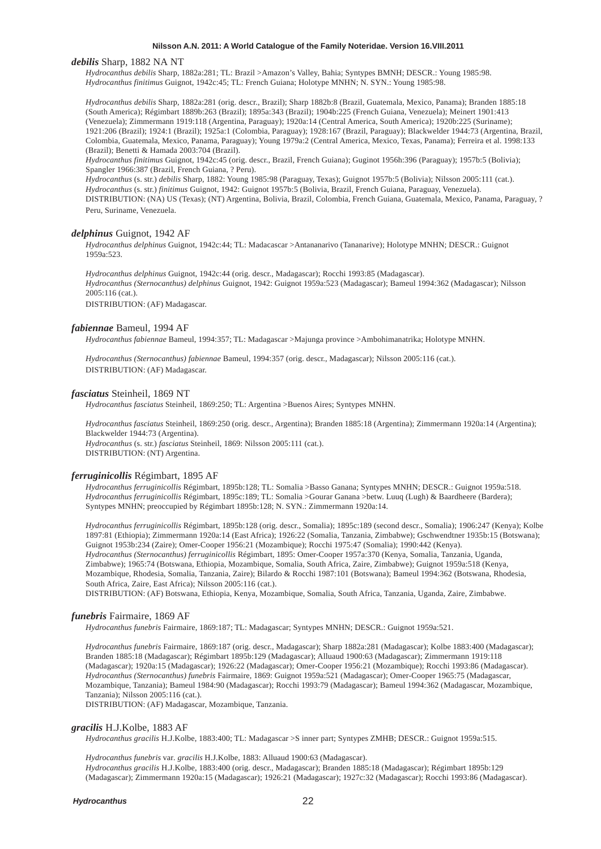### *debilis* Sharp, 1882 NA NT

*Hydrocanthus debilis* Sharp, 1882a:281; TL: Brazil >Amazon's Valley, Bahia; Syntypes BMNH; DESCR.: Young 1985:98. *Hydrocanthus finitimus* Guignot, 1942c:45; TL: French Guiana; Holotype MNHN; N. SYN.: Young 1985:98.

*Hydrocanthus debilis* Sharp, 1882a:281 (orig. descr., Brazil); Sharp 1882b:8 (Brazil, Guatemala, Mexico, Panama); Branden 1885:18 (South America); Régimbart 1889b:263 (Brazil); 1895a:343 (Brazil); 1904b:225 (French Guiana, Venezuela); Meinert 1901:413 (Venezuela); Zimmermann 1919:118 (Argentina, Paraguay); 1920a:14 (Central America, South America); 1920b:225 (Suriname); 1921:206 (Brazil); 1924:1 (Brazil); 1925a:1 (Colombia, Paraguay); 1928:167 (Brazil, Paraguay); Blackwelder 1944:73 (Argentina, Brazil, Colombia, Guatemala, Mexico, Panama, Paraguay); Young 1979a:2 (Central America, Mexico, Texas, Panama); Ferreira et al. 1998:133 (Brazil); Benetti & Hamada 2003:704 (Brazil).

*Hydrocanthus finitimus* Guignot, 1942c:45 (orig. descr., Brazil, French Guiana); Guginot 1956h:396 (Paraguay); 1957b:5 (Bolivia); Spangler 1966:387 (Brazil, French Guiana, ? Peru).

*Hydrocanthus* (s. str.) *debilis* Sharp, 1882: Young 1985:98 (Paraguay, Texas); Guignot 1957b:5 (Bolivia); Nilsson 2005:111 (cat.). *Hydrocanthus* (s. str.) *finitimus* Guignot, 1942: Guignot 1957b:5 (Bolivia, Brazil, French Guiana, Paraguay, Venezuela). DISTRIBUTION: (NA) US (Texas); (NT) Argentina, Bolivia, Brazil, Colombia, French Guiana, Guatemala, Mexico, Panama, Paraguay, ? Peru, Suriname, Venezuela.

#### *delphinus* Guignot, 1942 AF

*Hydrocanthus delphinus* Guignot, 1942c:44; TL: Madacascar >Antananarivo (Tananarive); Holotype MNHN; DESCR.: Guignot 1959a:523.

*Hydrocanthus delphinus* Guignot, 1942c:44 (orig. descr., Madagascar); Rocchi 1993:85 (Madagascar). *Hydrocanthus (Sternocanthus) delphinus* Guignot, 1942: Guignot 1959a:523 (Madagascar); Bameul 1994:362 (Madagascar); Nilsson 2005:116 (cat.).

DISTRIBUTION: (AF) Madagascar.

# *fabiennae* Bameul, 1994 AF

*Hydrocanthus fabiennae* Bameul, 1994:357; TL: Madagascar >Majunga province >Ambohimanatrika; Holotype MNHN.

*Hydrocanthus (Sternocanthus) fabiennae* Bameul, 1994:357 (orig. descr., Madagascar); Nilsson 2005:116 (cat.). DISTRIBUTION: (AF) Madagascar.

# *fasciatus* Steinheil, 1869 NT

*Hydrocanthus fasciatus* Steinheil, 1869:250; TL: Argentina >Buenos Aires; Syntypes MNHN.

*Hydrocanthus fasciatus* Steinheil, 1869:250 (orig. descr., Argentina); Branden 1885:18 (Argentina); Zimmermann 1920a:14 (Argentina); Blackwelder 1944:73 (Argentina).

*Hydrocanthus* (s. str.) *fasciatus* Steinheil, 1869: Nilsson 2005:111 (cat.). DISTRIBUTION: (NT) Argentina.

#### *ferruginicollis* Régimbart, 1895 AF

*Hydrocanthus ferruginicollis* Régimbart, 1895b:128; TL: Somalia >Basso Ganana; Syntypes MNHN; DESCR.: Guignot 1959a:518. *Hydrocanthus ferruginicollis* Régimbart, 1895c:189; TL: Somalia >Gourar Ganana >betw. Luuq (Lugh) & Baardheere (Bardera); Syntypes MNHN; preoccupied by Régimbart 1895b:128; N. SYN.: Zimmermann 1920a:14.

*Hydrocanthus ferruginicollis* Régimbart, 1895b:128 (orig. descr., Somalia); 1895c:189 (second descr., Somalia); 1906:247 (Kenya); Kolbe 1897:81 (Ethiopia); Zimmermann 1920a:14 (East Africa); 1926:22 (Somalia, Tanzania, Zimbabwe); Gschwendtner 1935b:15 (Botswana); Guignot 1953b:234 (Zaire); Omer-Cooper 1956:21 (Mozambique); Rocchi 1975:47 (Somalia); 1990:442 (Kenya). *Hydrocanthus (Sternocanthus) ferruginicollis* Régimbart, 1895: Omer-Cooper 1957a:370 (Kenya, Somalia, Tanzania, Uganda, Zimbabwe); 1965:74 (Botswana, Ethiopia, Mozambique, Somalia, South Africa, Zaire, Zimbabwe); Guignot 1959a:518 (Kenya, Mozambique, Rhodesia, Somalia, Tanzania, Zaire); Bilardo & Rocchi 1987:101 (Botswana); Bameul 1994:362 (Botswana, Rhodesia, South Africa, Zaire, East Africa); Nilsson 2005:116 (cat.).

DISTRIBUTION: (AF) Botswana, Ethiopia, Kenya, Mozambique, Somalia, South Africa, Tanzania, Uganda, Zaire, Zimbabwe.

#### *funebris* Fairmaire, 1869 AF

*Hydrocanthus funebris* Fairmaire, 1869:187; TL: Madagascar; Syntypes MNHN; DESCR.: Guignot 1959a:521.

*Hydrocanthus funebris* Fairmaire, 1869:187 (orig. descr., Madagascar); Sharp 1882a:281 (Madagascar); Kolbe 1883:400 (Madagascar); Branden 1885:18 (Madagascar); Régimbart 1895b:129 (Madagascar); Alluaud 1900:63 (Madagascar); Zimmermann 1919:118 (Madagascar); 1920a:15 (Madagascar); 1926:22 (Madagascar); Omer-Cooper 1956:21 (Mozambique); Rocchi 1993:86 (Madagascar). *Hydrocanthus (Sternocanthus) funebris* Fairmaire, 1869: Guignot 1959a:521 (Madagascar); Omer-Cooper 1965:75 (Madagascar, Mozambique, Tanzania); Bameul 1984:90 (Madagascar); Rocchi 1993:79 (Madagascar); Bameul 1994:362 (Madagascar, Mozambique, Tanzania); Nilsson 2005:116 (cat.).

DISTRIBUTION: (AF) Madagascar, Mozambique, Tanzania.

#### *gracilis* H.J.Kolbe, 1883 AF

*Hydrocanthus gracilis* H.J.Kolbe, 1883:400; TL: Madagascar >S inner part; Syntypes ZMHB; DESCR.: Guignot 1959a:515.

*Hydrocanthus funebris* var*. gracilis* H.J.Kolbe, 1883: Alluaud 1900:63 (Madagascar).

*Hydrocanthus gracilis* H.J.Kolbe, 1883:400 (orig. descr., Madagascar); Branden 1885:18 (Madagascar); Régimbart 1895b:129 (Madagascar); Zimmermann 1920a:15 (Madagascar); 1926:21 (Madagascar); 1927c:32 (Madagascar); Rocchi 1993:86 (Madagascar).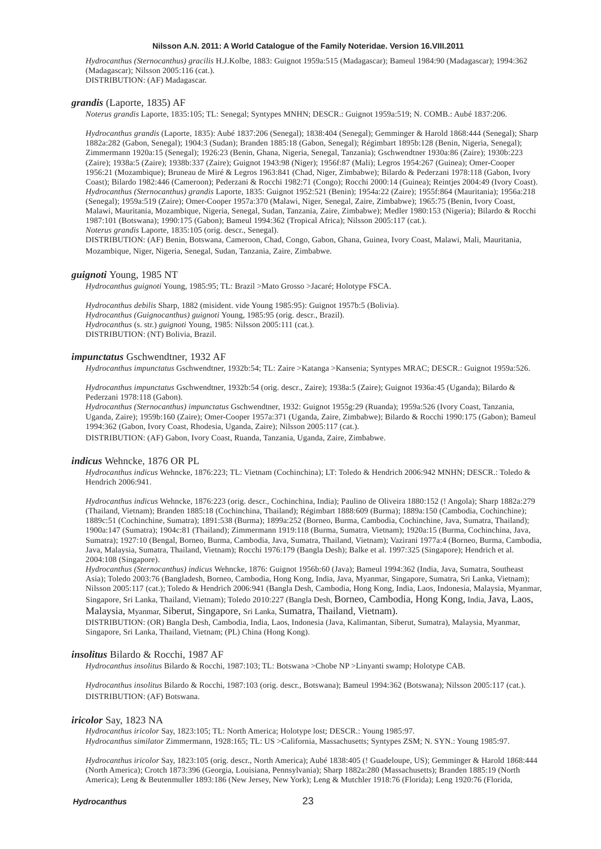*Hydrocanthus (Sternocanthus) gracilis* H.J.Kolbe, 1883: Guignot 1959a:515 (Madagascar); Bameul 1984:90 (Madagascar); 1994:362 (Madagascar); Nilsson 2005:116 (cat.). DISTRIBUTION: (AF) Madagascar.

# *grandis* (Laporte, 1835) AF

*Noterus grandis* Laporte, 1835:105; TL: Senegal; Syntypes MNHN; DESCR.: Guignot 1959a:519; N. COMB.: Aubé 1837:206.

*Hydrocanthus grandis* (Laporte, 1835): Aubé 1837:206 (Senegal); 1838:404 (Senegal); Gemminger & Harold 1868:444 (Senegal); Sharp 1882a:282 (Gabon, Senegal); 1904:3 (Sudan); Branden 1885:18 (Gabon, Senegal); Régimbart 1895b:128 (Benin, Nigeria, Senegal); Zimmermann 1920a:15 (Senegal); 1926:23 (Benin, Ghana, Nigeria, Senegal, Tanzania); Gschwendtner 1930a:86 (Zaire); 1930b:223 (Zaire); 1938a:5 (Zaire); 1938b:337 (Zaire); Guignot 1943:98 (Niger); 1956f:87 (Mali); Legros 1954:267 (Guinea); Omer-Cooper 1956:21 (Mozambique); Bruneau de Miré & Legros 1963:841 (Chad, Niger, Zimbabwe); Bilardo & Pederzani 1978:118 (Gabon, Ivory Coast); Bilardo 1982:446 (Cameroon); Pederzani & Rocchi 1982:71 (Congo); Rocchi 2000:14 (Guinea); Reintjes 2004:49 (Ivory Coast). *Hydrocanthus (Sternocanthus) grandis* Laporte, 1835: Guignot 1952:521 (Benin); 1954a:22 (Zaire); 1955f:864 (Mauritania); 1956a:218 (Senegal); 1959a:519 (Zaire); Omer-Cooper 1957a:370 (Malawi, Niger, Senegal, Zaire, Zimbabwe); 1965:75 (Benin, Ivory Coast, Malawi, Mauritania, Mozambique, Nigeria, Senegal, Sudan, Tanzania, Zaire, Zimbabwe); Medler 1980:153 (Nigeria); Bilardo & Rocchi 1987:101 (Botswana); 1990:175 (Gabon); Bameul 1994:362 (Tropical Africa); Nilsson 2005:117 (cat.). *Noterus grandis* Laporte, 1835:105 (orig. descr., Senegal).

DISTRIBUTION: (AF) Benin, Botswana, Cameroon, Chad, Congo, Gabon, Ghana, Guinea, Ivory Coast, Malawi, Mali, Mauritania, Mozambique, Niger, Nigeria, Senegal, Sudan, Tanzania, Zaire, Zimbabwe.

#### *guignoti* Young, 1985 NT

*Hydrocanthus guignoti* Young, 1985:95; TL: Brazil >Mato Grosso >Jacaré; Holotype FSCA.

*Hydrocanthus debilis* Sharp, 1882 (misident. vide Young 1985:95): Guignot 1957b:5 (Bolivia). *Hydrocanthus (Guignocanthus) guignoti* Young, 1985:95 (orig. descr., Brazil). *Hydrocanthus* (s. str.) *guignoti* Young, 1985: Nilsson 2005:111 (cat.). DISTRIBUTION: (NT) Bolivia, Brazil.

# *impunctatus* Gschwendtner, 1932 AF

*Hydrocanthus impunctatus* Gschwendtner, 1932b:54; TL: Zaire >Katanga >Kansenia; Syntypes MRAC; DESCR.: Guignot 1959a:526.

*Hydrocanthus impunctatus* Gschwendtner, 1932b:54 (orig. descr., Zaire); 1938a:5 (Zaire); Guignot 1936a:45 (Uganda); Bilardo & Pederzani 1978:118 (Gabon).

*Hydrocanthus (Sternocanthus) impunctatus* Gschwendtner, 1932: Guignot 1955g:29 (Ruanda); 1959a:526 (Ivory Coast, Tanzania, Uganda, Zaire); 1959b:160 (Zaire); Omer-Cooper 1957a:371 (Uganda, Zaire, Zimbabwe); Bilardo & Rocchi 1990:175 (Gabon); Bameul 1994:362 (Gabon, Ivory Coast, Rhodesia, Uganda, Zaire); Nilsson 2005:117 (cat.). DISTRIBUTION: (AF) Gabon, Ivory Coast, Ruanda, Tanzania, Uganda, Zaire, Zimbabwe.

#### *indicus* Wehncke, 1876 OR PL

*Hydrocanthus indicus* Wehncke, 1876:223; TL: Vietnam (Cochinchina); LT: Toledo & Hendrich 2006:942 MNHN; DESCR.: Toledo & Hendrich 2006:941.

*Hydrocanthus indicus* Wehncke, 1876:223 (orig. descr., Cochinchina, India); Paulino de Oliveira 1880:152 (! Angola); Sharp 1882a:279 (Thailand, Vietnam); Branden 1885:18 (Cochinchina, Thailand); Régimbart 1888:609 (Burma); 1889a:150 (Cambodia, Cochinchine); 1889c:51 (Cochinchine, Sumatra); 1891:538 (Burma); 1899a:252 (Borneo, Burma, Cambodia, Cochinchine, Java, Sumatra, Thailand); 1900a:147 (Sumatra); 1904c:81 (Thailand); Zimmermann 1919:118 (Burma, Sumatra, Vietnam); 1920a:15 (Burma, Cochinchina, Java, Sumatra); 1927:10 (Bengal, Borneo, Burma, Cambodia, Java, Sumatra, Thailand, Vietnam); Vazirani 1977a:4 (Borneo, Burma, Cambodia, Java, Malaysia, Sumatra, Thailand, Vietnam); Rocchi 1976:179 (Bangla Desh); Balke et al. 1997:325 (Singapore); Hendrich et al. 2004:108 (Singapore).

*Hydrocanthus (Sternocanthus) indicus* Wehncke, 1876: Guignot 1956b:60 (Java); Bameul 1994:362 (India, Java, Sumatra, Southeast Asia); Toledo 2003:76 (Bangladesh, Borneo, Cambodia, Hong Kong, India, Java, Myanmar, Singapore, Sumatra, Sri Lanka, Vietnam); Nilsson 2005:117 (cat.); Toledo & Hendrich 2006:941 (Bangla Desh, Cambodia, Hong Kong, India, Laos, Indonesia, Malaysia, Myanmar, Singapore, Sri Lanka, Thailand, Vietnam); Toledo 2010:227 (Bangla Desh, Borneo, Cambodia, Hong Kong, India, Java, Laos, Malaysia, Myanmar, Siberut, Singapore, Sri Lanka, Sumatra, Thailand, Vietnam).

DISTRIBUTION: (OR) Bangla Desh, Cambodia, India, Laos, Indonesia (Java, Kalimantan, Siberut, Sumatra), Malaysia, Myanmar, Singapore, Sri Lanka, Thailand, Vietnam; (PL) China (Hong Kong).

### *insolitus* Bilardo & Rocchi, 1987 AF

*Hydrocanthus insolitus* Bilardo & Rocchi, 1987:103; TL: Botswana >Chobe NP >Linyanti swamp; Holotype CAB.

*Hydrocanthus insolitus* Bilardo & Rocchi, 1987:103 (orig. descr., Botswana); Bameul 1994:362 (Botswana); Nilsson 2005:117 (cat.). DISTRIBUTION: (AF) Botswana.

#### *iricolor* Say, 1823 NA

*Hydrocanthus iricolor* Say, 1823:105; TL: North America; Holotype lost; DESCR.: Young 1985:97. *Hydrocanthus similator* Zimmermann, 1928:165; TL: US >California, Massachusetts; Syntypes ZSM; N. SYN.: Young 1985:97.

*Hydrocanthus iricolor* Say, 1823:105 (orig. descr., North America); Aubé 1838:405 (! Guadeloupe, US); Gemminger & Harold 1868:444 (North America); Crotch 1873:396 (Georgia, Louisiana, Pennsylvania); Sharp 1882a:280 (Massachusetts); Branden 1885:19 (North America); Leng & Beutenmuller 1893:186 (New Jersey, New York); Leng & Mutchler 1918:76 (Florida); Leng 1920:76 (Florida,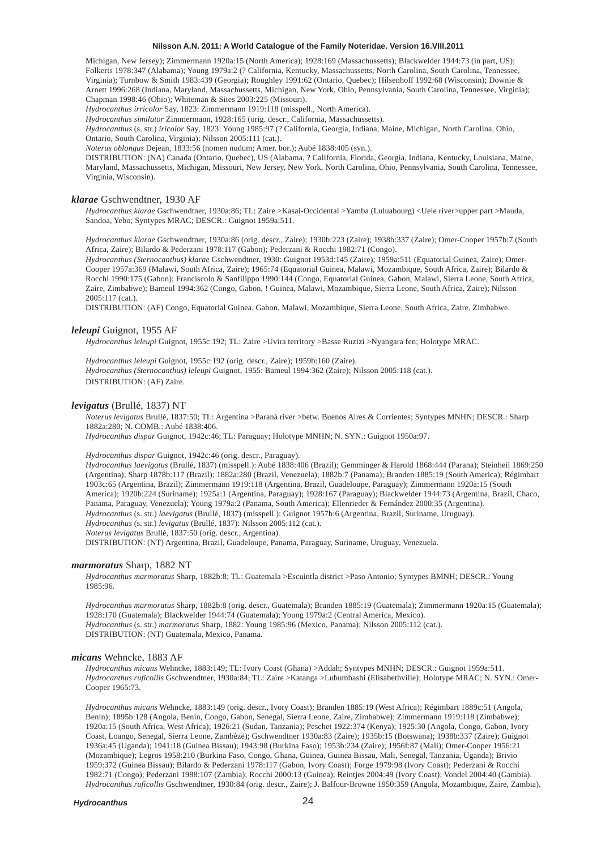Michigan, New Jersey); Zimmermann 1920a:15 (North America); 1928:169 (Massachussetts); Blackwelder 1944:73 (in part, US); Folkerts 1978:347 (Alabama); Young 1979a:2 (? California, Kentucky, Massachussetts, North Carolina, South Carolina, Tennessee, Virginia); Turnbow & Smith 1983:439 (Georgia); Roughley 1991:62 (Ontario, Quebec); Hilsenhoff 1992:68 (Wisconsin); Downie & Arnett 1996:268 (Indiana, Maryland, Massachussetts, Michigan, New York, Ohio, Pennsylvania, South Carolina, Tennessee, Virginia); Chapman 1998:46 (Ohio); Whiteman & Sites 2003:225 (Missouri).

*Hydrocanthus irricolor* Say, 1823: Zimmermann 1919:118 (misspell., North America).

*Hydrocanthus similator* Zimmermann, 1928:165 (orig. descr., California, Massachussetts).

*Hydrocanthus* (s. str.) *iricolor* Say, 1823: Young 1985:97 (? California, Georgia, Indiana, Maine, Michigan, North Carolina, Ohio, Ontario, South Carolina, Virginia); Nilsson 2005:111 (cat.).

*Noterus oblongus* Dejean, 1833:56 (nomen nudum; Amer. bor.); Aubé 1838:405 (syn.).

DISTRIBUTION: (NA) Canada (Ontario, Quebec), US (Alabama, ? California, Florida, Georgia, Indiana, Kentucky, Louisiana, Maine, Maryland, Massachussetts, Michigan, Missouri, New Jersey, New York, North Carolina, Ohio, Pennsylvania, South Carolina, Tennessee, Virginia, Wisconsin).

#### *klarae* Gschwendtner, 1930 AF

*Hydrocanthus klarae* Gschwendtner, 1930a:86; TL: Zaire >Kasai-Occidental >Yamba (Luluabourg) <Uele river>upper part >Mauda, Sandoa, Yebo; Syntypes MRAC; DESCR.: Guignot 1959a:511.

*Hydrocanthus klarae* Gschwendtner, 1930a:86 (orig. descr., Zaire); 1930b:223 (Zaire); 1938b:337 (Zaire); Omer-Cooper 1957b:7 (South Africa, Zaire); Bilardo & Pederzani 1978:117 (Gabon); Pederzani & Rocchi 1982:71 (Congo).

*Hydrocanthus (Sternocanthus) klarae* Gschwendtner, 1930: Guignot 1953d:145 (Zaire); 1959a:511 (Equatorial Guinea, Zaire); Omer-Cooper 1957a:369 (Malawi, South Africa, Zaire); 1965:74 (Equatorial Guinea, Malawi, Mozambique, South Africa, Zaire); Bilardo & Rocchi 1990:175 (Gabon); Franciscolo & Sanfilippo 1990:144 (Congo, Equatorial Guinea, Gabon, Malawi, Sierra Leone, South Africa, Zaire, Zimbabwe); Bameul 1994:362 (Congo, Gabon, ! Guinea, Malawi, Mozambique, Sierra Leone, South Africa, Zaire); Nilsson  $2005:117$  (cat.).

DISTRIBUTION: (AF) Congo, Equatorial Guinea, Gabon, Malawi, Mozambique, Sierra Leone, South Africa, Zaire, Zimbabwe.

#### *leleupi* Guignot, 1955 AF

*Hydrocanthus leleupi* Guignot, 1955c:192; TL: Zaire >Uvira territory >Basse Ruzizi >Nyangara fen; Holotype MRAC.

*Hydrocanthus leleupi* Guignot, 1955c:192 (orig. descr., Zaire); 1959b:160 (Zaire). *Hydrocanthus (Sternocanthus) leleupi* Guignot, 1955: Bameul 1994:362 (Zaire); Nilsson 2005:118 (cat.). DISTRIBUTION: (AF) Zaire.

# *levigatus* (Brullé, 1837) NT

*Noterus levigatus* Brullé, 1837:50; TL: Argentina >Paranà river >betw. Buenos Aires & Corrientes; Syntypes MNHN; DESCR.: Sharp 1882a:280; N. COMB.: Aubé 1838:406. *Hydrocanthus dispar* Guignot, 1942c:46; TL: Paraguay; Holotype MNHN; N. SYN.: Guignot 1950a:97.

# *Hydrocanthus dispar* Guignot, 1942c:46 (orig. descr., Paraguay).

*Hydrocanthus laevigatus* (Brullé, 1837) (misspell.): Aubé 1838:406 (Brazil); Gemminger & Harold 1868:444 (Parana); Steinheil 1869:250 (Argentina); Sharp 1878b:117 (Brazil); 1882a:280 (Brazil, Venezuela); 1882b:7 (Panama); Branden 1885:19 (South America); Régimbart 1903c:65 (Argentina, Brazil); Zimmermann 1919:118 (Argentina, Brazil, Guadeloupe, Paraguay); Zimmermann 1920a:15 (South America); 1920b:224 (Suriname); 1925a:1 (Argentina, Paraguay); 1928:167 (Paraguay); Blackwelder 1944:73 (Argentina, Brazil, Chaco, Panama, Paraguay, Venezuela); Young 1979a:2 (Panama, South America); Ellenrieder & Fernández 2000:35 (Argentina). *Hydrocanthus* (s. str.) *laevigatus* (Brullé, 1837) (misspell.): Guignot 1957b:6 (Argentina, Brazil, Suriname, Uruguay). *Hydrocanthus* (s. str.) *levigatus* (Brullé, 1837): Nilsson 2005:112 (cat.). *Noterus levigatus* Brullé, 1837:50 (orig. descr., Argentina).

DISTRIBUTION: (NT) Argentina, Brazil, Guadeloupe, Panama, Paraguay, Suriname, Uruguay, Venezuela.

#### *marmoratus* Sharp, 1882 NT

*Hydrocanthus marmoratus* Sharp, 1882b:8; TL: Guatemala >Escuintla district >Paso Antonio; Syntypes BMNH; DESCR.: Young 1985:96.

*Hydrocanthus marmoratus* Sharp, 1882b:8 (orig. descr., Guatemala); Branden 1885:19 (Guatemala); Zimmermann 1920a:15 (Guatemala); 1928:170 (Guatemala); Blackwelder 1944:74 (Guatemala); Young 1979a:2 (Central America, Mexico). *Hydrocanthus* (s. str.) *marmoratus* Sharp, 1882: Young 1985:96 (Mexico, Panama); Nilsson 2005:112 (cat.). DISTRIBUTION: (NT) Guatemala, Mexico, Panama.

# *micans* Wehncke, 1883 AF

*Hydrocanthus micans* Wehncke, 1883:149; TL: Ivory Coast (Ghana) >Addah; Syntypes MNHN; DESCR.: Guignot 1959a:511. *Hydrocanthus ruficollis* Gschwendtner, 1930a:84; TL: Zaire >Katanga >Lubumbashi (Elisabethville); Holotype MRAC; N. SYN.: Omer-Cooper 1965:73.

*Hydrocanthus micans* Wehncke, 1883:149 (orig. descr., Ivory Coast); Branden 1885:19 (West Africa); Régimbart 1889c:51 (Angola, Benin); 1895b:128 (Angola, Benin, Congo, Gabon, Senegal, Sierra Leone, Zaire, Zimbabwe); Zimmermann 1919:118 (Zimbabwe); 1920a:15 (South Africa, West Africa); 1926:21 (Sudan, Tanzania); Peschet 1922:374 (Kenya); 1925:30 (Angola, Congo, Gabon, Ivory Coast, Loango, Senegal, Sierra Leone, Zambèze); Gschwendtner 1930a:83 (Zaire); 1935b:15 (Botswana); 1938b:337 (Zaire); Guignot 1936a:45 (Uganda); 1941:18 (Guinea Bissau); 1943:98 (Burkina Faso); 1953b:234 (Zaire); 1956f:87 (Mali); Omer-Cooper 1956:21 (Mozambique); Legros 1958:210 (Burkina Faso, Congo, Ghana, Guinea, Guinea Bissau, Mali, Senegal, Tanzania, Uganda); Brivio 1959:372 (Guinea Bissau); Bilardo & Pederzani 1978:117 (Gabon, Ivory Coast); Forge 1979:98 (Ivory Coast); Pederzani & Rocchi 1982:71 (Congo); Pederzani 1988:107 (Zambia); Rocchi 2000:13 (Guinea); Reintjes 2004:49 (Ivory Coast); Vondel 2004:40 (Gambia). *Hydrocanthus ruficollis* Gschwendtner, 1930:84 (orig. descr., Zaire); J. Balfour-Browne 1950:359 (Angola, Mozambique, Zaire, Zambia).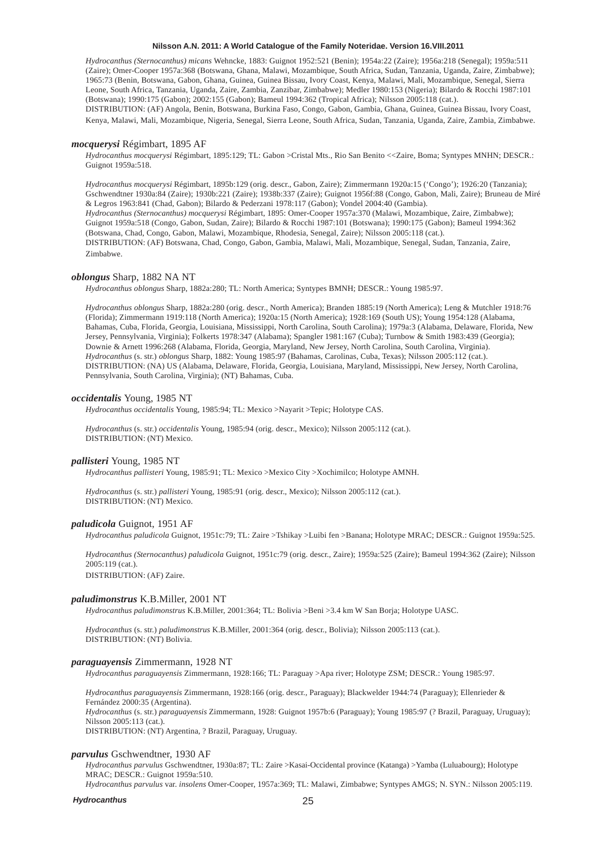*Hydrocanthus (Sternocanthus) micans* Wehncke, 1883: Guignot 1952:521 (Benin); 1954a:22 (Zaire); 1956a:218 (Senegal); 1959a:511 (Zaire); Omer-Cooper 1957a:368 (Botswana, Ghana, Malawi, Mozambique, South Africa, Sudan, Tanzania, Uganda, Zaire, Zimbabwe); 1965:73 (Benin, Botswana, Gabon, Ghana, Guinea, Guinea Bissau, Ivory Coast, Kenya, Malawi, Mali, Mozambique, Senegal, Sierra Leone, South Africa, Tanzania, Uganda, Zaire, Zambia, Zanzibar, Zimbabwe); Medler 1980:153 (Nigeria); Bilardo & Rocchi 1987:101 (Botswana); 1990:175 (Gabon); 2002:155 (Gabon); Bameul 1994:362 (Tropical Africa); Nilsson 2005:118 (cat.). DISTRIBUTION: (AF) Angola, Benin, Botswana, Burkina Faso, Congo, Gabon, Gambia, Ghana, Guinea, Guinea Bissau, Ivory Coast, Kenya, Malawi, Mali, Mozambique, Nigeria, Senegal, Sierra Leone, South Africa, Sudan, Tanzania, Uganda, Zaire, Zambia, Zimbabwe.

#### *mocquerysi* Régimbart, 1895 AF

*Hydrocanthus mocquerysi* Régimbart, 1895:129; TL: Gabon >Cristal Mts., Rio San Benito <<Zaire, Boma; Syntypes MNHN; DESCR.: Guignot 1959a:518.

*Hydrocanthus mocquerysi* Régimbart, 1895b:129 (orig. descr., Gabon, Zaire); Zimmermann 1920a:15 ('Congo'); 1926:20 (Tanzania); Gschwendtner 1930a:84 (Zaire); 1930b:221 (Zaire); 1938b:337 (Zaire); Guignot 1956f:88 (Congo, Gabon, Mali, Zaire); Bruneau de Miré & Legros 1963:841 (Chad, Gabon); Bilardo & Pederzani 1978:117 (Gabon); Vondel 2004:40 (Gambia). *Hydrocanthus (Sternocanthus) mocquerysi* Régimbart, 1895: Omer-Cooper 1957a:370 (Malawi, Mozambique, Zaire, Zimbabwe); Guignot 1959a:518 (Congo, Gabon, Sudan, Zaire); Bilardo & Rocchi 1987:101 (Botswana); 1990:175 (Gabon); Bameul 1994:362 (Botswana, Chad, Congo, Gabon, Malawi, Mozambique, Rhodesia, Senegal, Zaire); Nilsson 2005:118 (cat.). DISTRIBUTION: (AF) Botswana, Chad, Congo, Gabon, Gambia, Malawi, Mali, Mozambique, Senegal, Sudan, Tanzania, Zaire, Zimbabwe.

#### *oblongus* Sharp, 1882 NA NT

*Hydrocanthus oblongus* Sharp, 1882a:280; TL: North America; Syntypes BMNH; DESCR.: Young 1985:97.

*Hydrocanthus oblongus* Sharp, 1882a:280 (orig. descr., North America); Branden 1885:19 (North America); Leng & Mutchler 1918:76 (Florida); Zimmermann 1919:118 (North America); 1920a:15 (North America); 1928:169 (South US); Young 1954:128 (Alabama, Bahamas, Cuba, Florida, Georgia, Louisiana, Mississippi, North Carolina, South Carolina); 1979a:3 (Alabama, Delaware, Florida, New Jersey, Pennsylvania, Virginia); Folkerts 1978:347 (Alabama); Spangler 1981:167 (Cuba); Turnbow & Smith 1983:439 (Georgia); Downie & Arnett 1996:268 (Alabama, Florida, Georgia, Maryland, New Jersey, North Carolina, South Carolina, Virginia). *Hydrocanthus* (s. str.) *oblongus* Sharp, 1882: Young 1985:97 (Bahamas, Carolinas, Cuba, Texas); Nilsson 2005:112 (cat.). DISTRIBUTION: (NA) US (Alabama, Delaware, Florida, Georgia, Louisiana, Maryland, Mississippi, New Jersey, North Carolina, Pennsylvania, South Carolina, Virginia); (NT) Bahamas, Cuba.

#### *occidentalis* Young, 1985 NT

*Hydrocanthus occidentalis* Young, 1985:94; TL: Mexico >Nayarit >Tepic; Holotype CAS.

*Hydrocanthus* (s. str.) *occidentalis* Young, 1985:94 (orig. descr., Mexico); Nilsson 2005:112 (cat.). DISTRIBUTION: (NT) Mexico.

#### *pallisteri* Young, 1985 NT

*Hydrocanthus pallisteri* Young, 1985:91; TL: Mexico >Mexico City >Xochimilco; Holotype AMNH.

*Hydrocanthus* (s. str.) *pallisteri* Young, 1985:91 (orig. descr., Mexico); Nilsson 2005:112 (cat.). DISTRIBUTION: (NT) Mexico.

### *paludicola* Guignot, 1951 AF

*Hydrocanthus paludicola* Guignot, 1951c:79; TL: Zaire >Tshikay >Luibi fen >Banana; Holotype MRAC; DESCR.: Guignot 1959a:525.

*Hydrocanthus (Sternocanthus) paludicola* Guignot, 1951c:79 (orig. descr., Zaire); 1959a:525 (Zaire); Bameul 1994:362 (Zaire); Nilsson 2005:119 (cat.). DISTRIBUTION: (AF) Zaire.

# *paludimonstrus* K.B.Miller, 2001 NT

*Hydrocanthus paludimonstrus* K.B.Miller, 2001:364; TL: Bolivia >Beni >3.4 km W San Borja; Holotype UASC.

*Hydrocanthus* (s. str.) *paludimonstrus* K.B.Miller, 2001:364 (orig. descr., Bolivia); Nilsson 2005:113 (cat.). DISTRIBUTION: (NT) Bolivia.

#### *paraguayensis* Zimmermann, 1928 NT

*Hydrocanthus paraguayensis* Zimmermann, 1928:166; TL: Paraguay >Apa river; Holotype ZSM; DESCR.: Young 1985:97.

*Hydrocanthus paraguayensis* Zimmermann, 1928:166 (orig. descr., Paraguay); Blackwelder 1944:74 (Paraguay); Ellenrieder & Fernández 2000:35 (Argentina). *Hydrocanthus* (s. str.) *paraguayensis* Zimmermann, 1928: Guignot 1957b:6 (Paraguay); Young 1985:97 (? Brazil, Paraguay, Uruguay); Nilsson 2005:113 (cat.).

DISTRIBUTION: (NT) Argentina, ? Brazil, Paraguay, Uruguay.

#### *parvulus* Gschwendtner, 1930 AF

*Hydrocanthus parvulus* Gschwendtner, 1930a:87; TL: Zaire >Kasai-Occidental province (Katanga) >Yamba (Luluabourg); Holotype MRAC; DESCR.: Guignot 1959a:510.

*Hydrocanthus parvulus* var. *insolens* Omer-Cooper, 1957a:369; TL: Malawi, Zimbabwe; Syntypes AMGS; N. SYN.: Nilsson 2005:119.

#### *Hydrocanthus*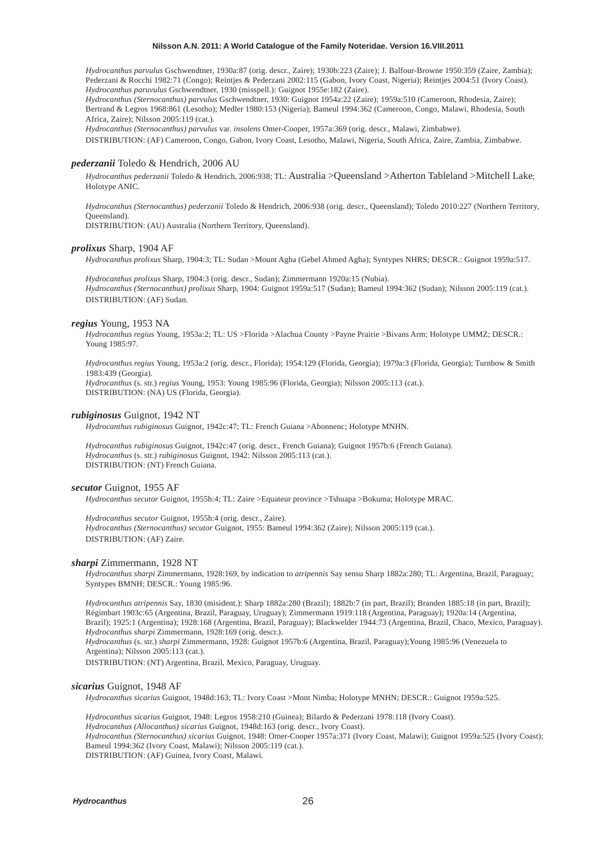*Hydrocanthus parvulus* Gschwendtner, 1930a:87 (orig. descr., Zaire); 1930b:223 (Zaire); J. Balfour-Browne 1950:359 (Zaire, Zambia); Pederzani & Rocchi 1982:71 (Congo); Reintjes & Pederzani 2002:115 (Gabon, Ivory Coast, Nigeria); Reintjes 2004:51 (Ivory Coast). *Hydrocanthus paruvulus* Gschwendtner, 1930 (misspell.): Guignot 1955e:182 (Zaire).

*Hydrocanthus (Sternocanthus) parvulus* Gschwendtner, 1930: Guignot 1954a:22 (Zaire); 1959a:510 (Cameroon, Rhodesia, Zaire); Bertrand & Legros 1968:861 (Lesotho); Medler 1980:153 (Nigeria); Bameul 1994:362 (Cameroon, Congo, Malawi, Rhodesia, South Africa, Zaire); Nilsson 2005:119 (cat.).

*Hydrocanthus (Sternocanthus) parvulus* var. *insolens* Omer-Cooper, 1957a:369 (orig. descr., Malawi, Zimbabwe).

DISTRIBUTION: (AF) Cameroon, Congo, Gabon, Ivory Coast, Lesotho, Malawi, Nigeria, South Africa, Zaire, Zambia, Zimbabwe.

# *pederzanii* Toledo & Hendrich, 2006 AU

*Hydrocanthus pederzanii* Toledo & Hendrich, 2006:938; TL: Australia >Queensland >Atherton Tableland >Mitchell Lake; Holotype ANIC.

*Hydrocanthus (Sternocanthus) pederzanii* Toledo & Hendrich, 2006:938 (orig. descr., Queensland); Toledo 2010:227 (Northern Territory, Queensland).

DISTRIBUTION: (AU) Australia (Northern Territory, Queensland).

# *prolixus* Sharp, 1904 AF

*Hydrocanthus prolixus* Sharp, 1904:3; TL: Sudan >Mount Agha (Gebel Ahmed Agha); Syntypes NHRS; DESCR.: Guignot 1959a:517.

*Hydrocanthus prolixus* Sharp, 1904:3 (orig. descr., Sudan); Zimmermann 1920a:15 (Nubia). *Hydrocanthus (Sternocanthus) prolixus* Sharp, 1904: Guignot 1959a:517 (Sudan); Bameul 1994:362 (Sudan); Nilsson 2005:119 (cat.). DISTRIBUTION: (AF) Sudan.

# *regius* Young, 1953 NA

*Hydrocanthus regius* Young, 1953a:2; TL: US >Florida >Alachua County >Payne Prairie >Bivans Arm; Holotype UMMZ; DESCR.: Young 1985:97.

*Hydrocanthus regius* Young, 1953a:2 (orig. descr., Florida); 1954:129 (Florida, Georgia); 1979a:3 (Florida, Georgia); Turnbow & Smith 1983:439 (Georgia).

*Hydrocanthus* (s. str.) *regius* Young, 1953: Young 1985:96 (Florida, Georgia); Nilsson 2005:113 (cat.). DISTRIBUTION: (NA) US (Florida, Georgia).

# *rubiginosus* Guignot, 1942 NT

*Hydrocanthus rubiginosus* Guignot, 1942c:47; TL: French Guiana >Abonnenc; Holotype MNHN.

*Hydrocanthus rubiginosus* Guignot, 1942c:47 (orig. descr., French Guiana); Guignot 1957b:6 (French Guiana). *Hydrocanthus* (s. str.) *rubiginosus* Guignot, 1942: Nilsson 2005:113 (cat.). DISTRIBUTION: (NT) French Guiana.

#### *secutor* Guignot, 1955 AF

*Hydrocanthus secutor* Guignot, 1955h:4; TL: Zaire >Equateur province >Tshuapa >Bokuma; Holotype MRAC.

*Hydrocanthus secutor* Guignot, 1955h:4 (orig. descr., Zaire). *Hydrocanthus (Sternocanthus) secutor* Guignot, 1955: Bameul 1994:362 (Zaire); Nilsson 2005:119 (cat.). DISTRIBUTION: (AF) Zaire.

#### *sharpi* Zimmermann, 1928 NT

*Hydrocanthus sharpi* Zimmermann, 1928:169, by indication to *atripennis* Say sensu Sharp 1882a:280; TL: Argentina, Brazil, Paraguay; Syntypes BMNH; DESCR.: Young 1985:96.

*Hydrocanthus atripennis* Say, 1830 (misident.): Sharp 1882a:280 (Brazil); 1882b:7 (in part, Brazil); Branden 1885:18 (in part, Brazil); Régimbart 1903c:65 (Argentina, Brazil, Paraguay, Uruguay); Zimmermann 1919:118 (Argentina, Paraguay); 1920a:14 (Argentina, Brazil); 1925:1 (Argentina); 1928:168 (Argentina, Brazil, Paraguay); Blackwelder 1944:73 (Argentina, Brazil, Chaco, Mexico, Paraguay). *Hydrocanthus sharpi* Zimmermann, 1928:169 (orig. descr.).

*Hydrocanthus* (s. str.) *sharpi* Zimmermann, 1928: Guignot 1957b:6 (Argentina, Brazil, Paraguay);Young 1985:96 (Venezuela to Argentina); Nilsson 2005:113 (cat.).

DISTRIBUTION: (NT) Argentina, Brazil, Mexico, Paraguay, Uruguay.

#### *sicarius* Guignot, 1948 AF

*Hydrocanthus sicarius* Guignot, 1948d:163; TL: Ivory Coast >Mont Nimba; Holotype MNHN; DESCR.: Guignot 1959a:525.

*Hydrocanthus sicarius* Guignot, 1948: Legros 1958:210 (Guinea); Bilardo & Pederzani 1978:118 (Ivory Coast).

*Hydrocanthus (Allocanthus) sicarius* Guignot, 1948d:163 (orig. descr., Ivory Coast).

*Hydrocanthus (Sternocanthus) sicarius* Guignot, 1948: Omer-Cooper 1957a:371 (Ivory Coast, Malawi); Guignot 1959a:525 (Ivory Coast); Bameul 1994:362 (Ivory Coast, Malawi); Nilsson 2005:119 (cat.).

DISTRIBUTION: (AF) Guinea, Ivory Coast, Malawi.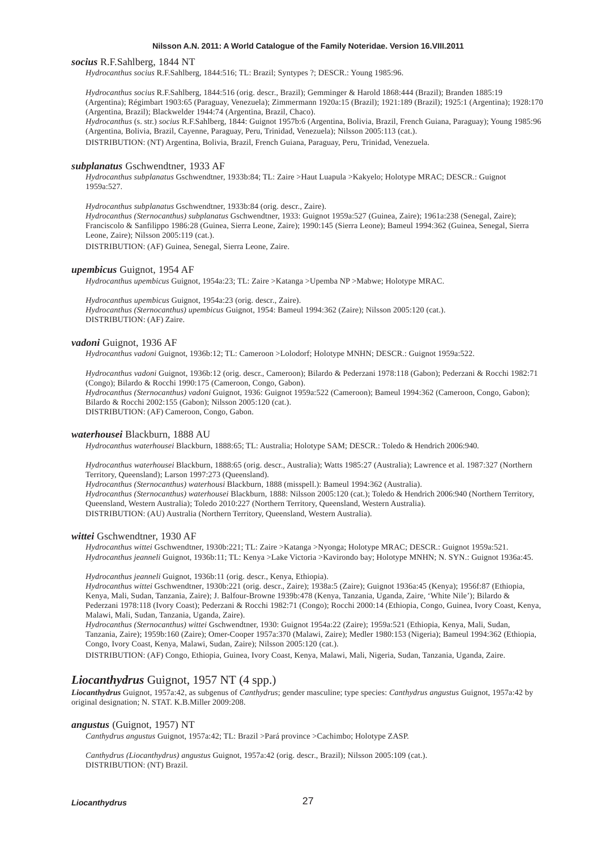#### *socius* R.F.Sahlberg, 1844 NT

*Hydrocanthus socius* R.F.Sahlberg, 1844:516; TL: Brazil; Syntypes ?; DESCR.: Young 1985:96.

*Hydrocanthus socius* R.F.Sahlberg, 1844:516 (orig. descr., Brazil); Gemminger & Harold 1868:444 (Brazil); Branden 1885:19 (Argentina); Régimbart 1903:65 (Paraguay, Venezuela); Zimmermann 1920a:15 (Brazil); 1921:189 (Brazil); 1925:1 (Argentina); 1928:170 (Argentina, Brazil); Blackwelder 1944:74 (Argentina, Brazil, Chaco). *Hydrocanthus* (s. str.) *socius* R.F.Sahlberg, 1844: Guignot 1957b:6 (Argentina, Bolivia, Brazil, French Guiana, Paraguay); Young 1985:96

(Argentina, Bolivia, Brazil, Cayenne, Paraguay, Peru, Trinidad, Venezuela); Nilsson 2005:113 (cat.).

DISTRIBUTION: (NT) Argentina, Bolivia, Brazil, French Guiana, Paraguay, Peru, Trinidad, Venezuela.

#### *subplanatus* Gschwendtner, 1933 AF

*Hydrocanthus subplanatus* Gschwendtner, 1933b:84; TL: Zaire >Haut Luapula >Kakyelo; Holotype MRAC; DESCR.: Guignot 1959a:527.

*Hydrocanthus subplanatus* Gschwendtner, 1933b:84 (orig. descr., Zaire).

*Hydrocanthus (Sternocanthus) subplanatus* Gschwendtner, 1933: Guignot 1959a:527 (Guinea, Zaire); 1961a:238 (Senegal, Zaire); Franciscolo & Sanfilippo 1986:28 (Guinea, Sierra Leone, Zaire); 1990:145 (Sierra Leone); Bameul 1994:362 (Guinea, Senegal, Sierra Leone, Zaire); Nilsson 2005:119 (cat.).

DISTRIBUTION: (AF) Guinea, Senegal, Sierra Leone, Zaire.

# *upembicus* Guignot, 1954 AF

*Hydrocanthus upembicus* Guignot, 1954a:23; TL: Zaire >Katanga >Upemba NP >Mabwe; Holotype MRAC.

*Hydrocanthus upembicus* Guignot, 1954a:23 (orig. descr., Zaire). *Hydrocanthus (Sternocanthus) upembicus* Guignot, 1954: Bameul 1994:362 (Zaire); Nilsson 2005:120 (cat.).

DISTRIBUTION: (AF) Zaire.

### *vadoni* Guignot, 1936 AF

*Hydrocanthus vadoni* Guignot, 1936b:12; TL: Cameroon >Lolodorf; Holotype MNHN; DESCR.: Guignot 1959a:522.

*Hydrocanthus vadoni* Guignot, 1936b:12 (orig. descr., Cameroon); Bilardo & Pederzani 1978:118 (Gabon); Pederzani & Rocchi 1982:71 (Congo); Bilardo & Rocchi 1990:175 (Cameroon, Congo, Gabon). *Hydrocanthus (Sternocanthus) vadoni* Guignot, 1936: Guignot 1959a:522 (Cameroon); Bameul 1994:362 (Cameroon, Congo, Gabon);

Bilardo & Rocchi 2002:155 (Gabon); Nilsson 2005:120 (cat.). DISTRIBUTION: (AF) Cameroon, Congo, Gabon.

### *waterhousei* Blackburn, 1888 AU

*Hydrocanthus waterhousei* Blackburn, 1888:65; TL: Australia; Holotype SAM; DESCR.: Toledo & Hendrich 2006:940.

*Hydrocanthus waterhousei* Blackburn, 1888:65 (orig. descr., Australia); Watts 1985:27 (Australia); Lawrence et al. 1987:327 (Northern Territory, Queensland); Larson 1997:273 (Queensland).

*Hydrocanthus (Sternocanthus) waterhousi* Blackburn, 1888 (misspell.): Bameul 1994:362 (Australia).

*Hydrocanthus (Sternocanthus) waterhousei* Blackburn, 1888: Nilsson 2005:120 (cat.); Toledo & Hendrich 2006:940 (Northern Territory, Queensland, Western Australia); Toledo 2010:227 (Northern Territory, Queensland, Western Australia).

DISTRIBUTION: (AU) Australia (Northern Territory, Queensland, Western Australia).

#### *wittei* Gschwendtner, 1930 AF

*Hydrocanthus wittei* Gschwendtner, 1930b:221; TL: Zaire >Katanga >Nyonga; Holotype MRAC; DESCR.: Guignot 1959a:521. *Hydrocanthus jeanneli* Guignot, 1936b:11; TL: Kenya >Lake Victoria >Kavirondo bay; Holotype MNHN; N. SYN.: Guignot 1936a:45.

*Hydrocanthus jeanneli* Guignot, 1936b:11 (orig. descr., Kenya, Ethiopia).

*Hydrocanthus wittei* Gschwendtner, 1930b:221 (orig. descr., Zaire); 1938a:5 (Zaire); Guignot 1936a:45 (Kenya); 1956f:87 (Ethiopia, Kenya, Mali, Sudan, Tanzania, Zaire); J. Balfour-Browne 1939b:478 (Kenya, Tanzania, Uganda, Zaire, 'White Nile'); Bilardo & Pederzani 1978:118 (Ivory Coast); Pederzani & Rocchi 1982:71 (Congo); Rocchi 2000:14 (Ethiopia, Congo, Guinea, Ivory Coast, Kenya, Malawi, Mali, Sudan, Tanzania, Uganda, Zaire).

*Hydrocanthus (Sternocanthus) wittei* Gschwendtner, 1930: Guignot 1954a:22 (Zaire); 1959a:521 (Ethiopia, Kenya, Mali, Sudan, Tanzania, Zaire); 1959b:160 (Zaire); Omer-Cooper 1957a:370 (Malawi, Zaire); Medler 1980:153 (Nigeria); Bameul 1994:362 (Ethiopia, Congo, Ivory Coast, Kenya, Malawi, Sudan, Zaire); Nilsson 2005:120 (cat.).

DISTRIBUTION: (AF) Congo, Ethiopia, Guinea, Ivory Coast, Kenya, Malawi, Mali, Nigeria, Sudan, Tanzania, Uganda, Zaire.

# *Liocanthydrus* Guignot, 1957 NT (4 spp.)

*Liocanthydrus* Guignot, 1957a:42, as subgenus of *Canthydrus*; gender masculine; type species: *Canthydrus angustus* Guignot, 1957a:42 by original designation; N. STAT. K.B.Miller 2009:208.

#### *angustus* (Guignot, 1957) NT

*Canthydrus angustus* Guignot, 1957a:42; TL: Brazil >Pará province >Cachimbo; Holotype ZASP.

*Canthydrus (Liocanthydrus) angustus* Guignot, 1957a:42 (orig. descr., Brazil); Nilsson 2005:109 (cat.). DISTRIBUTION: (NT) Brazil.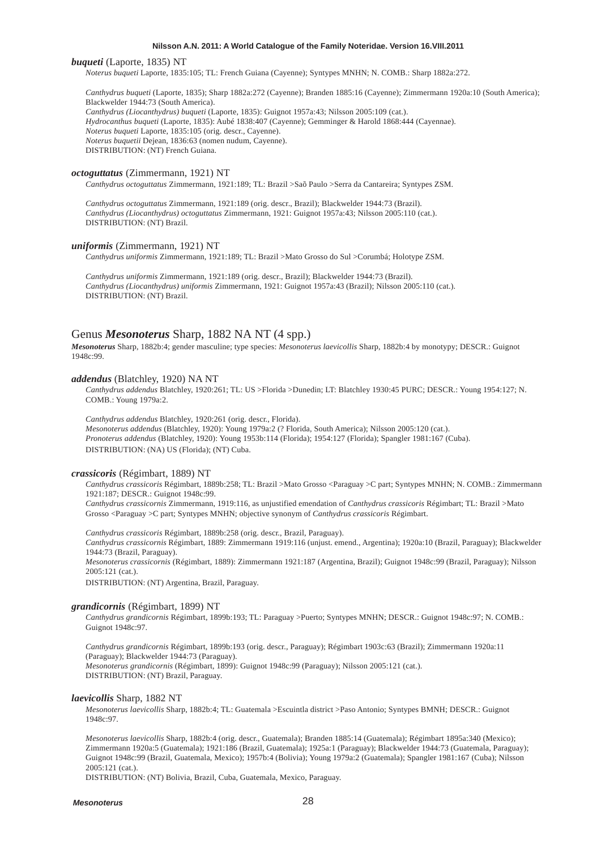# *buqueti* (Laporte, 1835) NT

*Noterus buqueti* Laporte, 1835:105; TL: French Guiana (Cayenne); Syntypes MNHN; N. COMB.: Sharp 1882a:272.

*Canthydrus buqueti* (Laporte, 1835); Sharp 1882a:272 (Cayenne); Branden 1885:16 (Cayenne); Zimmermann 1920a:10 (South America); Blackwelder 1944:73 (South America). *Canthydrus (Liocanthydrus) buqueti* (Laporte, 1835): Guignot 1957a:43; Nilsson 2005:109 (cat.). *Hydrocanthus buqueti* (Laporte, 1835): Aubé 1838:407 (Cayenne); Gemminger & Harold 1868:444 (Cayennae). *Noterus buqueti* Laporte, 1835:105 (orig. descr., Cayenne). *Noterus buquetii* Dejean, 1836:63 (nomen nudum, Cayenne). DISTRIBUTION: (NT) French Guiana.

#### *octoguttatus* (Zimmermann, 1921) NT

*Canthydrus octoguttatus* Zimmermann, 1921:189; TL: Brazil >Saõ Paulo >Serra da Cantareira; Syntypes ZSM.

*Canthydrus octoguttatus* Zimmermann, 1921:189 (orig. descr., Brazil); Blackwelder 1944:73 (Brazil). *Canthydrus (Liocanthydrus) octoguttatus* Zimmermann, 1921: Guignot 1957a:43; Nilsson 2005:110 (cat.). DISTRIBUTION: (NT) Brazil.

#### *uniformis* (Zimmermann, 1921) NT

*Canthydrus uniformis* Zimmermann, 1921:189; TL: Brazil >Mato Grosso do Sul >Corumbá; Holotype ZSM.

*Canthydrus uniformis* Zimmermann, 1921:189 (orig. descr., Brazil); Blackwelder 1944:73 (Brazil). *Canthydrus (Liocanthydrus) uniformis* Zimmermann, 1921: Guignot 1957a:43 (Brazil); Nilsson 2005:110 (cat.). DISTRIBUTION: (NT) Brazil.

# Genus *Mesonoterus* Sharp, 1882 NA NT (4 spp.)

*Mesonoterus* Sharp, 1882b:4; gender masculine; type species: *Mesonoterus laevicollis* Sharp, 1882b:4 by monotypy; DESCR.: Guignot 1948c:99.

# *addendus* (Blatchley, 1920) NA NT

*Canthydrus addendus* Blatchley, 1920:261; TL: US >Florida >Dunedin; LT: Blatchley 1930:45 PURC; DESCR.: Young 1954:127; N. COMB.: Young 1979a:2.

*Canthydrus addendus* Blatchley, 1920:261 (orig. descr., Florida). *Mesonoterus addendus* (Blatchley, 1920): Young 1979a:2 (? Florida, South America); Nilsson 2005:120 (cat.). *Pronoterus addendus* (Blatchley, 1920): Young 1953b:114 (Florida); 1954:127 (Florida); Spangler 1981:167 (Cuba). DISTRIBUTION: (NA) US (Florida); (NT) Cuba.

# *crassicoris* (Régimbart, 1889) NT

*Canthydrus crassicoris* Régimbart, 1889b:258; TL: Brazil >Mato Grosso <Paraguay >C part; Syntypes MNHN; N. COMB.: Zimmermann 1921:187; DESCR.: Guignot 1948c:99.

*Canthydrus crassicornis* Zimmermann, 1919:116, as unjustified emendation of *Canthydrus crassicoris* Régimbart; TL: Brazil >Mato Grosso <Paraguay >C part; Syntypes MNHN; objective synonym of *Canthydrus crassicoris* Régimbart.

*Canthydrus crassicoris* Régimbart, 1889b:258 (orig. descr., Brazil, Paraguay).

*Canthydrus crassicornis* Régimbart, 1889: Zimmermann 1919:116 (unjust. emend., Argentina); 1920a:10 (Brazil, Paraguay); Blackwelder 1944:73 (Brazil, Paraguay).

*Mesonoterus crassicornis* (Régimbart, 1889): Zimmermann 1921:187 (Argentina, Brazil); Guignot 1948c:99 (Brazil, Paraguay); Nilsson 2005:121 (cat.).

DISTRIBUTION: (NT) Argentina, Brazil, Paraguay.

#### *grandicornis* (Régimbart, 1899) NT

*Canthydrus grandicornis* Régimbart, 1899b:193; TL: Paraguay >Puerto; Syntypes MNHN; DESCR.: Guignot 1948c:97; N. COMB.: Guignot 1948c:97.

*Canthydrus grandicornis* Régimbart, 1899b:193 (orig. descr., Paraguay); Régimbart 1903c:63 (Brazil); Zimmermann 1920a:11 (Paraguay); Blackwelder 1944:73 (Paraguay). *Mesonoterus grandicornis* (Régimbart, 1899): Guignot 1948c:99 (Paraguay); Nilsson 2005:121 (cat.). DISTRIBUTION: (NT) Brazil, Paraguay.

### *laevicollis* Sharp, 1882 NT

*Mesonoterus laevicollis* Sharp, 1882b:4; TL: Guatemala >Escuintla district >Paso Antonio; Syntypes BMNH; DESCR.: Guignot 1948c:97.

*Mesonoterus laevicollis* Sharp, 1882b:4 (orig. descr., Guatemala); Branden 1885:14 (Guatemala); Régimbart 1895a:340 (Mexico); Zimmermann 1920a:5 (Guatemala); 1921:186 (Brazil, Guatemala); 1925a:1 (Paraguay); Blackwelder 1944:73 (Guatemala, Paraguay); Guignot 1948c:99 (Brazil, Guatemala, Mexico); 1957b:4 (Bolivia); Young 1979a:2 (Guatemala); Spangler 1981:167 (Cuba); Nilsson 2005:121 (cat.).

DISTRIBUTION: (NT) Bolivia, Brazil, Cuba, Guatemala, Mexico, Paraguay.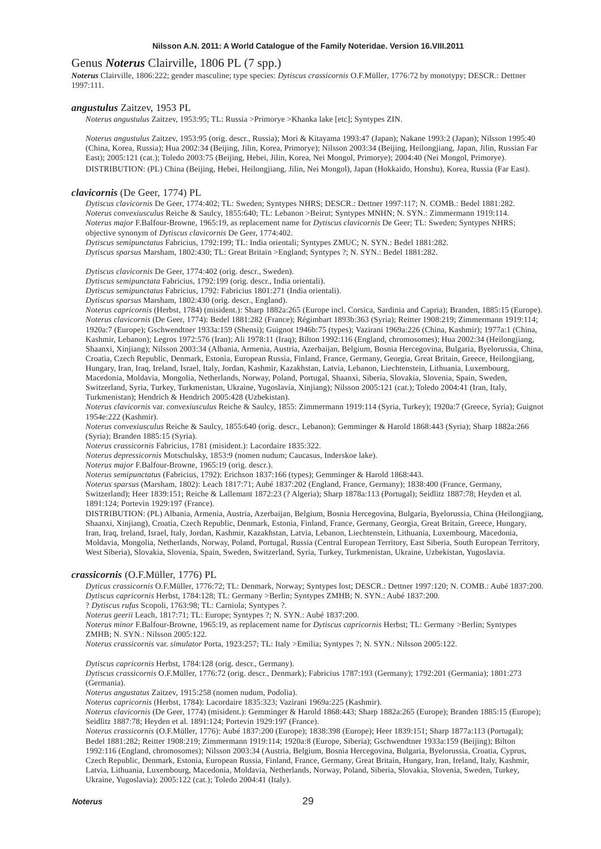# Genus *Noterus* Clairville, 1806 PL (7 spp.)

*Noterus* Clairville, 1806:222; gender masculine; type species: *Dytiscus crassicornis* O.F.Müller, 1776:72 by monotypy; DESCR.: Dettner 1997:111.

#### *angustulus* Zaitzev, 1953 PL

*Noterus angustulus* Zaitzev, 1953:95; TL: Russia >Primorye >Khanka lake [etc]; Syntypes ZIN.

*Noterus angustulus* Zaitzev, 1953:95 (orig. descr., Russia); Mori & Kitayama 1993:47 (Japan); Nakane 1993:2 (Japan); Nilsson 1995:40 (China, Korea, Russia); Hua 2002:34 (Beijing, Jilin, Korea, Primorye); Nilsson 2003:34 (Beijing, Heilongjiang, Japan, Jilin, Russian Far East); 2005:121 (cat.); Toledo 2003:75 (Beijing, Hebei, Jilin, Korea, Nei Mongol, Primorye); 2004:40 (Nei Mongol, Primorye). DISTRIBUTION: (PL) China (Beijing, Hebei, Heilongjiang, Jilin, Nei Mongol), Japan (Hokkaido, Honshu), Korea, Russia (Far East).

#### *clavicornis* (De Geer, 1774) PL

*Dytiscus clavicornis* De Geer, 1774:402; TL: Sweden; Syntypes NHRS; DESCR.: Dettner 1997:117; N. COMB.: Bedel 1881:282. *Noterus convexiusculus* Reiche & Saulcy, 1855:640; TL: Lebanon >Beirut; Syntypes MNHN; N. SYN.: Zimmermann 1919:114. *Noterus major* F.Balfour-Browne, 1965:19, as replacement name for *Dytiscus clavicornis* De Geer; TL: Sweden; Syntypes NHRS; objective synonym of *Dytiscus clavicornis* De Geer, 1774:402.

*Dytiscus semipunctatus* Fabricius, 1792:199; TL: India orientali; Syntypes ZMUC; N. SYN.: Bedel 1881:282.

*Dytiscus sparsus* Marsham, 1802:430; TL: Great Britain >England; Syntypes ?; N. SYN.: Bedel 1881:282.

*Dytiscus clavicornis* De Geer, 1774:402 (orig. descr., Sweden).

*Dytiscus semipunctata* Fabricius, 1792:199 (orig. descr., India orientali).

*Dytiscus semipunctatus* Fabricius, 1792: Fabricius 1801:271 (India orientali).

*Dytiscus sparsus* Marsham, 1802:430 (orig. descr., England).

*Noterus capricornis* (Herbst, 1784) (misident.): Sharp 1882a:265 (Europe incl. Corsica, Sardinia and Capria); Branden, 1885:15 (Europe). *Noterus clavicornis* (De Geer, 1774): Bedel 1881:282 (France); Régimbart 1893b:363 (Syria); Reitter 1908:219; Zimmermann 1919:114; 1920a:7 (Europe); Gschwendtner 1933a:159 (Shensi); Guignot 1946b:75 (types); Vazirani 1969a:226 (China, Kashmir); 1977a:1 (China, Kashmir, Lebanon); Legros 1972:576 (Iran); Ali 1978:11 (Iraq); Bilton 1992:116 (England, chromosomes); Hua 2002:34 (Heilongjiang, Shaanxi, Xinjiang); Nilsson 2003:34 (Albania, Armenia, Austria, Azerbaijan, Belgium, Bosnia Hercegovina, Bulgaria, Byelorussia, China, Croatia, Czech Republic, Denmark, Estonia, European Russia, Finland, France, Germany, Georgia, Great Britain, Greece, Heilongjiang, Hungary, Iran, Iraq, Ireland, Israel, Italy, Jordan, Kashmir, Kazakhstan, Latvia, Lebanon, Liechtenstein, Lithuania, Luxembourg, Macedonia, Moldavia, Mongolia, Netherlands, Norway, Poland, Portugal, Shaanxi, Siberia, Slovakia, Slovenia, Spain, Sweden, Switzerland, Syria, Turkey, Turkmenistan, Ukraine, Yugoslavia, Xinjiang); Nilsson 2005:121 (cat.); Toledo 2004:41 (Iran, Italy, Turkmenistan); Hendrich & Hendrich 2005:428 (Uzbekistan).

*Noterus clavicornis* var. *convexiusculus* Reiche & Saulcy, 1855: Zimmermann 1919:114 (Syria, Turkey); 1920a:7 (Greece, Syria); Guignot 1954e:222 (Kashmir).

*Noterus convexiusculus* Reiche & Saulcy, 1855:640 (orig. descr., Lebanon); Gemminger & Harold 1868:443 (Syria); Sharp 1882a:266 (Syria); Branden 1885:15 (Syria).

*Noterus crassicornis* Fabricius, 1781 (misident.): Lacordaire 1835:322.

*Noterus depressicornis* Motschulsky, 1853:9 (nomen nudum; Caucasus, Inderskoe lake).

*Noterus major* F.Balfour-Browne, 1965:19 (orig. descr.).

*Noterus semipunctatus* (Fabricius, 1792): Erichson 1837:166 (types); Gemminger & Harold 1868:443.

*Noterus sparsus* (Marsham, 1802): Leach 1817:71; Aubé 1837:202 (England, France, Germany); 1838:400 (France, Germany, Switzerland); Heer 1839:151; Reiche & Lallemant 1872:23 (? Algeria); Sharp 1878a:113 (Portugal); Seidlitz 1887:78; Heyden et al.

1891:124; Portevin 1929:197 (France).

DISTRIBUTION: (PL) Albania, Armenia, Austria, Azerbaijan, Belgium, Bosnia Hercegovina, Bulgaria, Byelorussia, China (Heilongjiang, Shaanxi, Xinjiang), Croatia, Czech Republic, Denmark, Estonia, Finland, France, Germany, Georgia, Great Britain, Greece, Hungary, Iran, Iraq, Ireland, Israel, Italy, Jordan, Kashmir, Kazakhstan, Latvia, Lebanon, Liechtenstein, Lithuania, Luxembourg, Macedonia, Moldavia, Mongolia, Netherlands, Norway, Poland, Portugal, Russia (Central European Territory, East Siberia, South European Territory, West Siberia), Slovakia, Slovenia, Spain, Sweden, Switzerland, Syria, Turkey, Turkmenistan, Ukraine, Uzbekistan, Yugoslavia.

#### *crassicornis* (O.F.Müller, 1776) PL

*Dyticus crassicornis* O.F.Müller, 1776:72; TL: Denmark, Norway; Syntypes lost; DESCR.: Dettner 1997:120; N. COMB.: Aubé 1837:200. *Dytiscus capricornis* Herbst, 1784:128; TL: Germany >Berlin; Syntypes ZMHB; N. SYN.: Aubé 1837:200. ? *Dytiscus rufus* Scopoli, 1763:98; TL: Carniola; Syntypes ?.

*Noterus geerii* Leach, 1817:71; TL: Europe; Syntypes ?; N. SYN.: Aubé 1837:200.

*Noterus minor* F.Balfour-Browne, 1965:19, as replacement name for *Dytiscus capricornis* Herbst; TL: Germany >Berlin; Syntypes ZMHB; N. SYN.: Nilsson 2005:122.

*Noterus crassicornis* var. *simulator* Porta, 1923:257; TL: Italy >Emilia; Syntypes ?; N. SYN.: Nilsson 2005:122.

*Dytiscus capricornis* Herbst, 1784:128 (orig. descr., Germany).

*Dytiscus crassicornis* O.F.Müller, 1776:72 (orig. descr., Denmark); Fabricius 1787:193 (Germany); 1792:201 (Germania); 1801:273 (Germania).

*Noterus angustatus* Zaitzev, 1915:258 (nomen nudum, Podolia).

*Noterus capricornis* (Herbst, 1784): Lacordaire 1835:323; Vazirani 1969a:225 (Kashmir).

*Noterus clavicornis* (De Geer, 1774) (misident.): Gemminger & Harold 1868:443; Sharp 1882a:265 (Europe); Branden 1885:15 (Europe); Seidlitz 1887:78; Heyden et al. 1891:124; Portevin 1929:197 (France).

*Noterus crassicornis* (O.F.Müller, 1776): Aubé 1837:200 (Europe); 1838:398 (Europe); Heer 1839:151; Sharp 1877a:113 (Portugal); Bedel 1881:282; Reitter 1908:219; Zimmermann 1919:114; 1920a:8 (Europe, Siberia); Gschwendtner 1933a:159 (Beijing); Bilton 1992:116 (England, chromosomes); Nilsson 2003:34 (Austria, Belgium, Bosnia Hercegovina, Bulgaria, Byelorussia, Croatia, Cyprus, Czech Republic, Denmark, Estonia, European Russia, Finland, France, Germany, Great Britain, Hungary, Iran, Ireland, Italy, Kashmir, Latvia, Lithuania, Luxembourg, Macedonia, Moldavia, Netherlands, Norway, Poland, Siberia, Slovakia, Slovenia, Sweden, Turkey, Ukraine, Yugoslavia); 2005:122 (cat.); Toledo 2004:41 (Italy).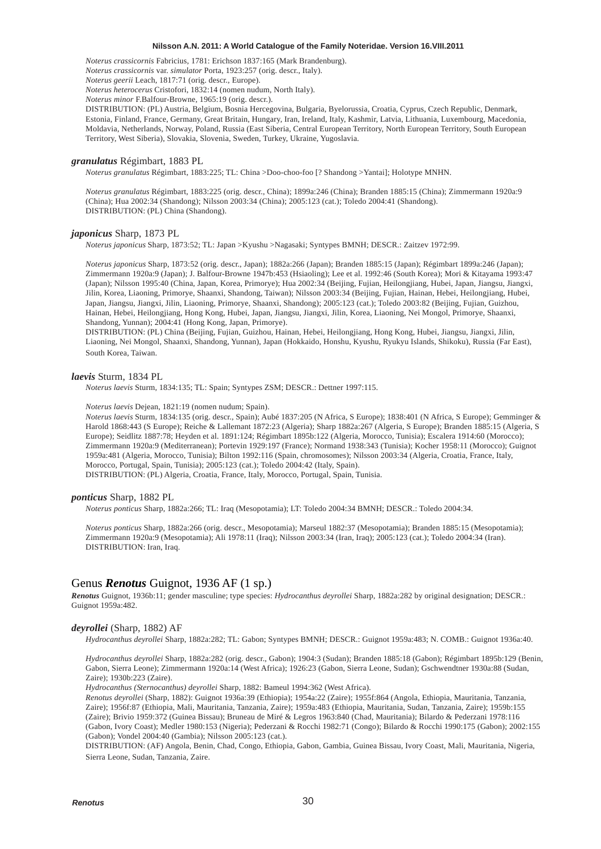*Noterus crassicornis* Fabricius, 1781: Erichson 1837:165 (Mark Brandenburg).

*Noterus crassicornis* var. *simulator* Porta, 1923:257 (orig. descr., Italy).

*Noterus geerii* Leach, 1817:71 (orig. descr., Europe).

*Noterus heterocerus* Cristofori, 1832:14 (nomen nudum, North Italy).

*Noterus minor* F.Balfour-Browne, 1965:19 (orig. descr.).

DISTRIBUTION: (PL) Austria, Belgium, Bosnia Hercegovina, Bulgaria, Byelorussia, Croatia, Cyprus, Czech Republic, Denmark, Estonia, Finland, France, Germany, Great Britain, Hungary, Iran, Ireland, Italy, Kashmir, Latvia, Lithuania, Luxembourg, Macedonia, Moldavia, Netherlands, Norway, Poland, Russia (East Siberia, Central European Territory, North European Territory, South European Territory, West Siberia), Slovakia, Slovenia, Sweden, Turkey, Ukraine, Yugoslavia.

#### *granulatus* Régimbart, 1883 PL

*Noterus granulatus* Régimbart, 1883:225; TL: China >Doo-choo-foo [? Shandong >Yantai]; Holotype MNHN.

*Noterus granulatus* Régimbart, 1883:225 (orig. descr., China); 1899a:246 (China); Branden 1885:15 (China); Zimmermann 1920a:9 (China); Hua 2002:34 (Shandong); Nilsson 2003:34 (China); 2005:123 (cat.); Toledo 2004:41 (Shandong). DISTRIBUTION: (PL) China (Shandong).

#### *japonicus* Sharp, 1873 PL

*Noterus japonicus* Sharp, 1873:52; TL: Japan >Kyushu >Nagasaki; Syntypes BMNH; DESCR.: Zaitzev 1972:99.

*Noterus japonicus* Sharp, 1873:52 (orig. descr., Japan); 1882a:266 (Japan); Branden 1885:15 (Japan); Régimbart 1899a:246 (Japan); Zimmermann 1920a:9 (Japan); J. Balfour-Browne 1947b:453 (Hsiaoling); Lee et al. 1992:46 (South Korea); Mori & Kitayama 1993:47 (Japan); Nilsson 1995:40 (China, Japan, Korea, Primorye); Hua 2002:34 (Beijing, Fujian, Heilongjiang, Hubei, Japan, Jiangsu, Jiangxi, Jilin, Korea, Liaoning, Primorye, Shaanxi, Shandong, Taiwan); Nilsson 2003:34 (Beijing, Fujian, Hainan, Hebei, Heilongjiang, Hubei, Japan, Jiangsu, Jiangxi, Jilin, Liaoning, Primorye, Shaanxi, Shandong); 2005:123 (cat.); Toledo 2003:82 (Beijing, Fujian, Guizhou, Hainan, Hebei, Heilongjiang, Hong Kong, Hubei, Japan, Jiangsu, Jiangxi, Jilin, Korea, Liaoning, Nei Mongol, Primorye, Shaanxi, Shandong, Yunnan); 2004:41 (Hong Kong, Japan, Primorye).

DISTRIBUTION: (PL) China (Beijing, Fujian, Guizhou, Hainan, Hebei, Heilongjiang, Hong Kong, Hubei, Jiangsu, Jiangxi, Jilin, Liaoning, Nei Mongol, Shaanxi, Shandong, Yunnan), Japan (Hokkaido, Honshu, Kyushu, Ryukyu Islands, Shikoku), Russia (Far East), South Korea, Taiwan.

#### *laevis* Sturm, 1834 PL

*Noterus laevis* Sturm, 1834:135; TL: Spain; Syntypes ZSM; DESCR.: Dettner 1997:115.

#### *Noterus laevis* Dejean, 1821:19 (nomen nudum; Spain).

*Noterus laevis* Sturm, 1834:135 (orig. descr., Spain); Aubé 1837:205 (N Africa, S Europe); 1838:401 (N Africa, S Europe); Gemminger & Harold 1868:443 (S Europe); Reiche & Lallemant 1872:23 (Algeria); Sharp 1882a:267 (Algeria, S Europe); Branden 1885:15 (Algeria, S Europe); Seidlitz 1887:78; Heyden et al. 1891:124; Régimbart 1895b:122 (Algeria, Morocco, Tunisia); Escalera 1914:60 (Morocco); Zimmermann 1920a:9 (Mediterranean); Portevin 1929:197 (France); Normand 1938:343 (Tunisia); Kocher 1958:11 (Morocco); Guignot 1959a:481 (Algeria, Morocco, Tunisia); Bilton 1992:116 (Spain, chromosomes); Nilsson 2003:34 (Algeria, Croatia, France, Italy, Morocco, Portugal, Spain, Tunisia); 2005:123 (cat.); Toledo 2004:42 (Italy, Spain). DISTRIBUTION: (PL) Algeria, Croatia, France, Italy, Morocco, Portugal, Spain, Tunisia.

#### *ponticus* Sharp, 1882 PL

*Noterus ponticus* Sharp, 1882a:266; TL: Iraq (Mesopotamia); LT: Toledo 2004:34 BMNH; DESCR.: Toledo 2004:34.

*Noterus ponticus* Sharp, 1882a:266 (orig. descr., Mesopotamia); Marseul 1882:37 (Mesopotamia); Branden 1885:15 (Mesopotamia); Zimmermann 1920a:9 (Mesopotamia); Ali 1978:11 (Iraq); Nilsson 2003:34 (Iran, Iraq); 2005:123 (cat.); Toledo 2004:34 (Iran). DISTRIBUTION: Iran, Iraq.

# Genus *Renotus* Guignot, 1936 AF (1 sp.)

*Renotus* Guignot, 1936b:11; gender masculine; type species: *Hydrocanthus deyrollei* Sharp, 1882a:282 by original designation; DESCR.: Guignot 1959a:482.

#### *deyrollei* (Sharp, 1882) AF

*Hydrocanthus deyrollei* Sharp, 1882a:282; TL: Gabon; Syntypes BMNH; DESCR.: Guignot 1959a:483; N. COMB.: Guignot 1936a:40.

*Hydrocanthus deyrollei* Sharp, 1882a:282 (orig. descr., Gabon); 1904:3 (Sudan); Branden 1885:18 (Gabon); Régimbart 1895b:129 (Benin, Gabon, Sierra Leone); Zimmermann 1920a:14 (West Africa); 1926:23 (Gabon, Sierra Leone, Sudan); Gschwendtner 1930a:88 (Sudan, Zaire); 1930b:223 (Zaire).

*Hydrocanthus (Sternocanthus) deyrollei* Sharp, 1882: Bameul 1994:362 (West Africa).

*Renotus deyrollei* (Sharp, 1882): Guignot 1936a:39 (Ethiopia); 1954a:22 (Zaire); 1955f:864 (Angola, Ethiopia, Mauritania, Tanzania, Zaire); 1956f:87 (Ethiopia, Mali, Mauritania, Tanzania, Zaire); 1959a:483 (Ethiopia, Mauritania, Sudan, Tanzania, Zaire); 1959b:155 (Zaire); Brivio 1959:372 (Guinea Bissau); Bruneau de Miré & Legros 1963:840 (Chad, Mauritania); Bilardo & Pederzani 1978:116 (Gabon, Ivory Coast); Medler 1980:153 (Nigeria); Pederzani & Rocchi 1982:71 (Congo); Bilardo & Rocchi 1990:175 (Gabon); 2002:155 (Gabon); Vondel 2004:40 (Gambia); Nilsson 2005:123 (cat.).

DISTRIBUTION: (AF) Angola, Benin, Chad, Congo, Ethiopia, Gabon, Gambia, Guinea Bissau, Ivory Coast, Mali, Mauritania, Nigeria, Sierra Leone, Sudan, Tanzania, Zaire.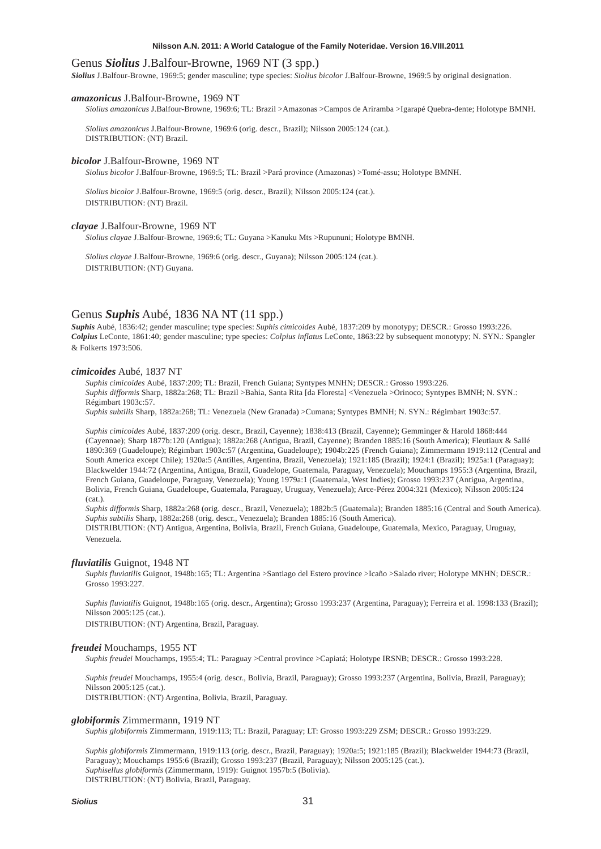# Genus *Siolius* J.Balfour-Browne, 1969 NT (3 spp.)

*Siolius* J.Balfour-Browne, 1969:5; gender masculine; type species: *Siolius bicolor* J.Balfour-Browne, 1969:5 by original designation.

#### *amazonicus* J.Balfour-Browne, 1969 NT

*Siolius amazonicus* J.Balfour-Browne, 1969:6; TL: Brazil >Amazonas >Campos de Ariramba >Igarapé Quebra-dente; Holotype BMNH.

*Siolius amazonicus* J.Balfour-Browne, 1969:6 (orig. descr., Brazil); Nilsson 2005:124 (cat.). DISTRIBUTION: (NT) Brazil.

#### *bicolor* J.Balfour-Browne, 1969 NT

*Siolius bicolor* J.Balfour-Browne, 1969:5; TL: Brazil >Pará province (Amazonas) >Tomé-assu; Holotype BMNH.

*Siolius bicolor* J.Balfour-Browne, 1969:5 (orig. descr., Brazil); Nilsson 2005:124 (cat.). DISTRIBUTION: (NT) Brazil.

#### *clayae* J.Balfour-Browne, 1969 NT

*Siolius clayae* J.Balfour-Browne, 1969:6; TL: Guyana >Kanuku Mts >Rupununi; Holotype BMNH.

*Siolius clayae* J.Balfour-Browne, 1969:6 (orig. descr., Guyana); Nilsson 2005:124 (cat.). DISTRIBUTION: (NT) Guyana.

# Genus *Suphis* Aubé, 1836 NA NT (11 spp.)

*Suphis* Aubé, 1836:42; gender masculine; type species: *Suphis cimicoides* Aubé, 1837:209 by monotypy; DESCR.: Grosso 1993:226. *Colpius* LeConte, 1861:40; gender masculine; type species: *Colpius inflatus* LeConte, 1863:22 by subsequent monotypy; N. SYN.: Spangler & Folkerts 1973:506.

# *cimicoides* Aubé, 1837 NT

*Suphis cimicoides* Aubé, 1837:209; TL: Brazil, French Guiana; Syntypes MNHN; DESCR.: Grosso 1993:226. *Suphis difformis* Sharp, 1882a:268; TL: Brazil >Bahia, Santa Rita [da Floresta] <Venezuela >Orinoco; Syntypes BMNH; N. SYN.: Régimbart 1903c:57.

*Suphis subtilis* Sharp, 1882a:268; TL: Venezuela (New Granada) >Cumana; Syntypes BMNH; N. SYN.: Régimbart 1903c:57.

*Suphis cimicoides* Aubé, 1837:209 (orig. descr., Brazil, Cayenne); 1838:413 (Brazil, Cayenne); Gemminger & Harold 1868:444 (Cayennae); Sharp 1877b:120 (Antigua); 1882a:268 (Antigua, Brazil, Cayenne); Branden 1885:16 (South America); Fleutiaux & Sallé 1890:369 (Guadeloupe); Régimbart 1903c:57 (Argentina, Guadeloupe); 1904b:225 (French Guiana); Zimmermann 1919:112 (Central and South America except Chile); 1920a:5 (Antilles, Argentina, Brazil, Venezuela); 1921:185 (Brazil); 1924:1 (Brazil); 1925a:1 (Paraguay); Blackwelder 1944:72 (Argentina, Antigua, Brazil, Guadelope, Guatemala, Paraguay, Venezuela); Mouchamps 1955:3 (Argentina, Brazil, French Guiana, Guadeloupe, Paraguay, Venezuela); Young 1979a:1 (Guatemala, West Indies); Grosso 1993:237 (Antigua, Argentina, Bolivia, French Guiana, Guadeloupe, Guatemala, Paraguay, Uruguay, Venezuela); Arce-Pérez 2004:321 (Mexico); Nilsson 2005:124 (cat.).

*Suphis difformis* Sharp, 1882a:268 (orig. descr., Brazil, Venezuela); 1882b:5 (Guatemala); Branden 1885:16 (Central and South America). *Suphis subtilis* Sharp, 1882a:268 (orig. descr., Venezuela); Branden 1885:16 (South America).

DISTRIBUTION: (NT) Antigua, Argentina, Bolivia, Brazil, French Guiana, Guadeloupe, Guatemala, Mexico, Paraguay, Uruguay, Venezuela.

#### *fluviatilis* Guignot, 1948 NT

*Suphis fluviatilis* Guignot, 1948b:165; TL: Argentina >Santiago del Estero province >Icaño >Salado river; Holotype MNHN; DESCR.: Grosso 1993:227.

*Suphis fluviatilis* Guignot, 1948b:165 (orig. descr., Argentina); Grosso 1993:237 (Argentina, Paraguay); Ferreira et al. 1998:133 (Brazil); Nilsson 2005:125 (cat.).

DISTRIBUTION: (NT) Argentina, Brazil, Paraguay.

#### *freudei* Mouchamps, 1955 NT

*Suphis freudei* Mouchamps, 1955:4; TL: Paraguay >Central province >Capiatá; Holotype IRSNB; DESCR.: Grosso 1993:228.

*Suphis freudei* Mouchamps, 1955:4 (orig. descr., Bolivia, Brazil, Paraguay); Grosso 1993:237 (Argentina, Bolivia, Brazil, Paraguay); Nilsson 2005:125 (cat.). DISTRIBUTION: (NT) Argentina, Bolivia, Brazil, Paraguay.

#### *globiformis* Zimmermann, 1919 NT

*Suphis globiformis* Zimmermann, 1919:113; TL: Brazil, Paraguay; LT: Grosso 1993:229 ZSM; DESCR.: Grosso 1993:229.

*Suphis globiformis* Zimmermann, 1919:113 (orig. descr., Brazil, Paraguay); 1920a:5; 1921:185 (Brazil); Blackwelder 1944:73 (Brazil, Paraguay); Mouchamps 1955:6 (Brazil); Grosso 1993:237 (Brazil, Paraguay); Nilsson 2005:125 (cat.). *Suphisellus globiformis* (Zimmermann, 1919): Guignot 1957b:5 (Bolivia). DISTRIBUTION: (NT) Bolivia, Brazil, Paraguay.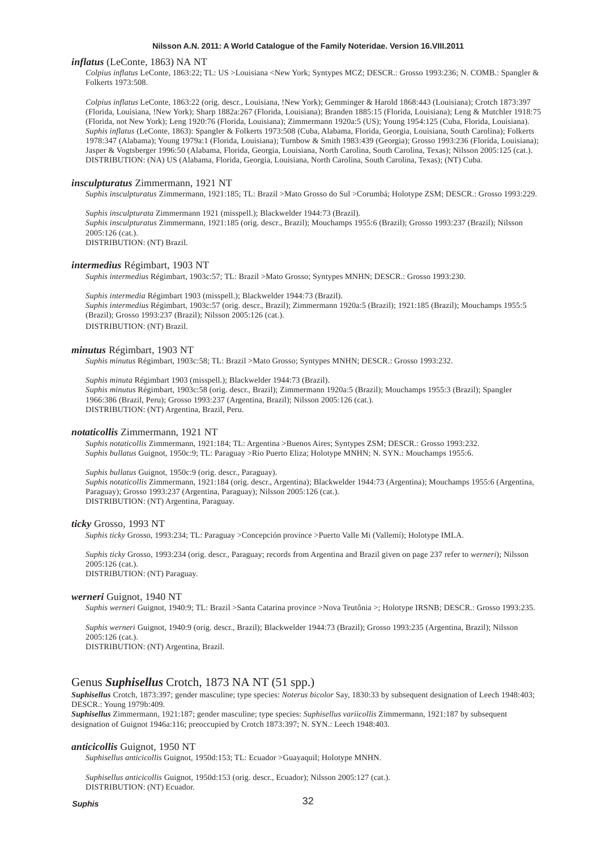#### *inflatus* (LeConte, 1863) NA NT

*Colpius inflatus* LeConte, 1863:22; TL: US >Louisiana <New York; Syntypes MCZ; DESCR.: Grosso 1993:236; N. COMB.: Spangler & Folkerts 1973:508.

*Colpius inflatus* LeConte, 1863:22 (orig. descr., Louisiana, !New York); Gemminger & Harold 1868:443 (Louisiana); Crotch 1873:397 (Florida, Louisiana, !New York); Sharp 1882a:267 (Florida, Louisiana); Branden 1885:15 (Florida, Louisiana); Leng & Mutchler 1918:75 (Florida, not New York); Leng 1920:76 (Florida, Louisiana); Zimmermann 1920a:5 (US); Young 1954:125 (Cuba, Florida, Louisiana). *Suphis inflatus* (LeConte, 1863): Spangler & Folkerts 1973:508 (Cuba, Alabama, Florida, Georgia, Louisiana, South Carolina); Folkerts 1978:347 (Alabama); Young 1979a:1 (Florida, Louisiana); Turnbow & Smith 1983:439 (Georgia); Grosso 1993:236 (Florida, Louisiana); Jasper & Vogtsberger 1996:50 (Alabama, Florida, Georgia, Louisiana, North Carolina, South Carolina, Texas); Nilsson 2005:125 (cat.). DISTRIBUTION: (NA) US (Alabama, Florida, Georgia, Louisiana, North Carolina, South Carolina, Texas); (NT) Cuba.

#### *insculpturatus* Zimmermann, 1921 NT

*Suphis insculpturatus* Zimmermann, 1921:185; TL: Brazil >Mato Grosso do Sul >Corumbá; Holotype ZSM; DESCR.: Grosso 1993:229.

*Suphis insculpturata* Zimmermann 1921 (misspell.); Blackwelder 1944:73 (Brazil). *Suphis insculpturatus* Zimmermann, 1921:185 (orig. descr., Brazil); Mouchamps 1955:6 (Brazil); Grosso 1993:237 (Brazil); Nilsson 2005:126 (cat.). DISTRIBUTION: (NT) Brazil.

#### *intermedius* Régimbart, 1903 NT

*Suphis intermedius* Régimbart, 1903c:57; TL: Brazil >Mato Grosso; Syntypes MNHN; DESCR.: Grosso 1993:230.

*Suphis intermedia* Régimbart 1903 (misspell.); Blackwelder 1944:73 (Brazil). *Suphis intermedius* Régimbart, 1903c:57 (orig. descr., Brazil); Zimmermann 1920a:5 (Brazil); 1921:185 (Brazil); Mouchamps 1955:5 (Brazil); Grosso 1993:237 (Brazil); Nilsson 2005:126 (cat.). DISTRIBUTION: (NT) Brazil.

#### *minutus* Régimbart, 1903 NT

*Suphis minutus* Régimbart, 1903c:58; TL: Brazil >Mato Grosso; Syntypes MNHN; DESCR.: Grosso 1993:232.

*Suphis minuta* Régimbart 1903 (misspell.); Blackwelder 1944:73 (Brazil). *Suphis minutus* Régimbart, 1903c:58 (orig. descr., Brazil); Zimmermann 1920a:5 (Brazil); Mouchamps 1955:3 (Brazil); Spangler 1966:386 (Brazil, Peru); Grosso 1993:237 (Argentina, Brazil); Nilsson 2005:126 (cat.). DISTRIBUTION: (NT) Argentina, Brazil, Peru.

#### *notaticollis* Zimmermann, 1921 NT

*Suphis notaticollis* Zimmermann, 1921:184; TL: Argentina >Buenos Aires; Syntypes ZSM; DESCR.: Grosso 1993:232. *Suphis bullatus* Guignot, 1950c:9; TL: Paraguay >Rio Puerto Eliza; Holotype MNHN; N. SYN.: Mouchamps 1955:6.

*Suphis bullatus* Guignot, 1950c:9 (orig. descr., Paraguay).

*Suphis notaticollis* Zimmermann, 1921:184 (orig. descr., Argentina); Blackwelder 1944:73 (Argentina); Mouchamps 1955:6 (Argentina, Paraguay); Grosso 1993:237 (Argentina, Paraguay); Nilsson 2005:126 (cat.). DISTRIBUTION: (NT) Argentina, Paraguay.

### *ticky* Grosso, 1993 NT

*Suphis ticky* Grosso, 1993:234; TL: Paraguay >Concepción province >Puerto Valle Mi (Vallemí); Holotype IMLA.

*Suphis ticky* Grosso, 1993:234 (orig. descr., Paraguay; records from Argentina and Brazil given on page 237 refer to *werneri*); Nilsson  $2005:126$  (cat.). DISTRIBUTION: (NT) Paraguay.

#### *werneri* Guignot, 1940 NT

*Suphis werneri* Guignot, 1940:9; TL: Brazil >Santa Catarina province >Nova Teutônia >; Holotype IRSNB; DESCR.: Grosso 1993:235.

*Suphis werneri* Guignot, 1940:9 (orig. descr., Brazil); Blackwelder 1944:73 (Brazil); Grosso 1993:235 (Argentina, Brazil); Nilsson 2005:126 (cat.).

DISTRIBUTION: (NT) Argentina, Brazil.

# Genus *Suphisellus* Crotch, 1873 NA NT (51 spp.)

*Suphisellus* Crotch, 1873:397; gender masculine; type species: *Noterus bicolor* Say, 1830:33 by subsequent designation of Leech 1948:403; DESCR.: Young 1979b:409.

*Suphisellus* Zimmermann, 1921:187; gender masculine; type species: *Suphisellus variicollis* Zimmermann, 1921:187 by subsequent designation of Guignot 1946a:116; preoccupied by Crotch 1873:397; N. SYN.: Leech 1948:403.

# *anticicollis* Guignot, 1950 NT

*Suphisellus anticicollis* Guignot, 1950d:153; TL: Ecuador >Guayaquil; Holotype MNHN.

*Suphisellus anticicollis* Guignot, 1950d:153 (orig. descr., Ecuador); Nilsson 2005:127 (cat.). DISTRIBUTION: (NT) Ecuador.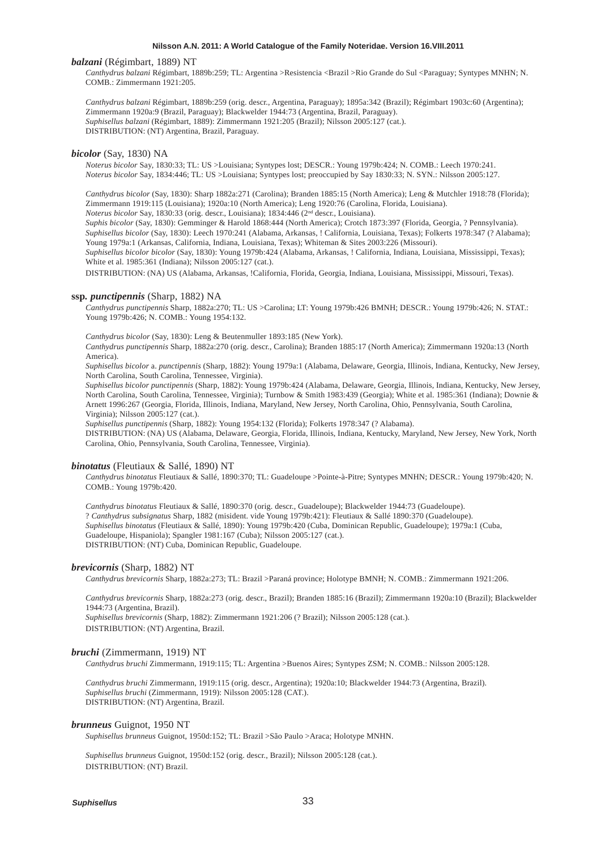#### *balzani* (Régimbart, 1889) NT

*Canthydrus balzani* Régimbart, 1889b:259; TL: Argentina >Resistencia <Brazil >Rio Grande do Sul <Paraguay; Syntypes MNHN; N. COMB.: Zimmermann 1921:205.

*Canthydrus balzani* Régimbart, 1889b:259 (orig. descr., Argentina, Paraguay); 1895a:342 (Brazil); Régimbart 1903c:60 (Argentina); Zimmermann 1920a:9 (Brazil, Paraguay); Blackwelder 1944:73 (Argentina, Brazil, Paraguay). *Suphisellus balzani* (Régimbart, 1889): Zimmermann 1921:205 (Brazil); Nilsson 2005:127 (cat.). DISTRIBUTION: (NT) Argentina, Brazil, Paraguay.

#### *bicolor* (Say, 1830) NA

*Noterus bicolor* Say, 1830:33; TL: US >Louisiana; Syntypes lost; DESCR.: Young 1979b:424; N. COMB.: Leech 1970:241. *Noterus bicolor* Say, 1834:446; TL: US >Louisiana; Syntypes lost; preoccupied by Say 1830:33; N. SYN.: Nilsson 2005:127.

*Canthydrus bicolor* (Say, 1830): Sharp 1882a:271 (Carolina); Branden 1885:15 (North America); Leng & Mutchler 1918:78 (Florida); Zimmermann 1919:115 (Louisiana); 1920a:10 (North America); Leng 1920:76 (Carolina, Florida, Louisiana).

*Noterus bicolor* Say, 1830:33 (orig. descr., Louisiana); 1834:446 (2nd descr., Louisiana).

*Suphis bicolor* (Say, 1830): Gemminger & Harold 1868:444 (North America); Crotch 1873:397 (Florida, Georgia, ? Pennsylvania). *Suphisellus bicolor* (Say, 1830): Leech 1970:241 (Alabama, Arkansas, ! California, Louisiana, Texas); Folkerts 1978:347 (? Alabama); Young 1979a:1 (Arkansas, California, Indiana, Louisiana, Texas); Whiteman & Sites 2003:226 (Missouri).

*Suphisellus bicolor bicolor* (Say, 1830): Young 1979b:424 (Alabama, Arkansas, ! California, Indiana, Louisiana, Mississippi, Texas); White et al. 1985:361 (Indiana); Nilsson 2005:127 (cat.).

DISTRIBUTION: (NA) US (Alabama, Arkansas, !California, Florida, Georgia, Indiana, Louisiana, Mississippi, Missouri, Texas).

# **ssp***. punctipennis* (Sharp, 1882) NA

*Canthydrus punctipennis* Sharp, 1882a:270; TL: US >Carolina; LT: Young 1979b:426 BMNH; DESCR.: Young 1979b:426; N. STAT.: Young 1979b:426; N. COMB.: Young 1954:132.

*Canthydrus bicolor* (Say, 1830): Leng & Beutenmuller 1893:185 (New York).

*Canthydrus punctipennis* Sharp, 1882a:270 (orig. descr., Carolina); Branden 1885:17 (North America); Zimmermann 1920a:13 (North America).

*Suphisellus bicolor* a. *punctipennis* (Sharp, 1882): Young 1979a:1 (Alabama, Delaware, Georgia, Illinois, Indiana, Kentucky, New Jersey, North Carolina, South Carolina, Tennessee, Virginia).

*Suphisellus bicolor punctipennis* (Sharp, 1882): Young 1979b:424 (Alabama, Delaware, Georgia, Illinois, Indiana, Kentucky, New Jersey, North Carolina, South Carolina, Tennessee, Virginia); Turnbow & Smith 1983:439 (Georgia); White et al. 1985:361 (Indiana); Downie & Arnett 1996:267 (Georgia, Florida, Illinois, Indiana, Maryland, New Jersey, North Carolina, Ohio, Pennsylvania, South Carolina, Virginia); Nilsson 2005:127 (cat.).

*Suphisellus punctipennis* (Sharp, 1882): Young 1954:132 (Florida); Folkerts 1978:347 (? Alabama).

DISTRIBUTION: (NA) US (Alabama, Delaware, Georgia, Florida, Illinois, Indiana, Kentucky, Maryland, New Jersey, New York, North Carolina, Ohio, Pennsylvania, South Carolina, Tennessee, Virginia).

### *binotatus* (Fleutiaux & Sallé, 1890) NT

*Canthydrus binotatus* Fleutiaux & Sallé, 1890:370; TL: Guadeloupe >Pointe-à-Pitre; Syntypes MNHN; DESCR.: Young 1979b:420; N. COMB.: Young 1979b:420.

*Canthydrus binotatus* Fleutiaux & Sallé, 1890:370 (orig. descr., Guadeloupe); Blackwelder 1944:73 (Guadeloupe). ? *Canthydrus subsignatus* Sharp, 1882 (misident. vide Young 1979b:421): Fleutiaux & Sallé 1890:370 (Guadeloupe). *Suphisellus binotatus* (Fleutiaux & Sallé, 1890): Young 1979b:420 (Cuba, Dominican Republic, Guadeloupe); 1979a:1 (Cuba, Guadeloupe, Hispaniola); Spangler 1981:167 (Cuba); Nilsson 2005:127 (cat.). DISTRIBUTION: (NT) Cuba, Dominican Republic, Guadeloupe.

### *brevicornis* (Sharp, 1882) NT

*Canthydrus brevicornis* Sharp, 1882a:273; TL: Brazil >Paraná province; Holotype BMNH; N. COMB.: Zimmermann 1921:206.

*Canthydrus brevicornis* Sharp, 1882a:273 (orig. descr., Brazil); Branden 1885:16 (Brazil); Zimmermann 1920a:10 (Brazil); Blackwelder 1944:73 (Argentina, Brazil). *Suphisellus brevicornis* (Sharp, 1882): Zimmermann 1921:206 (? Brazil); Nilsson 2005:128 (cat.). DISTRIBUTION: (NT) Argentina, Brazil.

#### *bruchi* (Zimmermann, 1919) NT

*Canthydrus bruchi* Zimmermann, 1919:115; TL: Argentina >Buenos Aires; Syntypes ZSM; N. COMB.: Nilsson 2005:128.

*Canthydrus bruchi* Zimmermann, 1919:115 (orig. descr., Argentina); 1920a:10; Blackwelder 1944:73 (Argentina, Brazil). *Suphisellus bruchi* (Zimmermann, 1919): Nilsson 2005:128 (CAT.). DISTRIBUTION: (NT) Argentina, Brazil.

#### *brunneus* Guignot, 1950 NT

*Suphisellus brunneus* Guignot, 1950d:152; TL: Brazil >São Paulo >Araca; Holotype MNHN.

*Suphisellus brunneus* Guignot, 1950d:152 (orig. descr., Brazil); Nilsson 2005:128 (cat.). DISTRIBUTION: (NT) Brazil.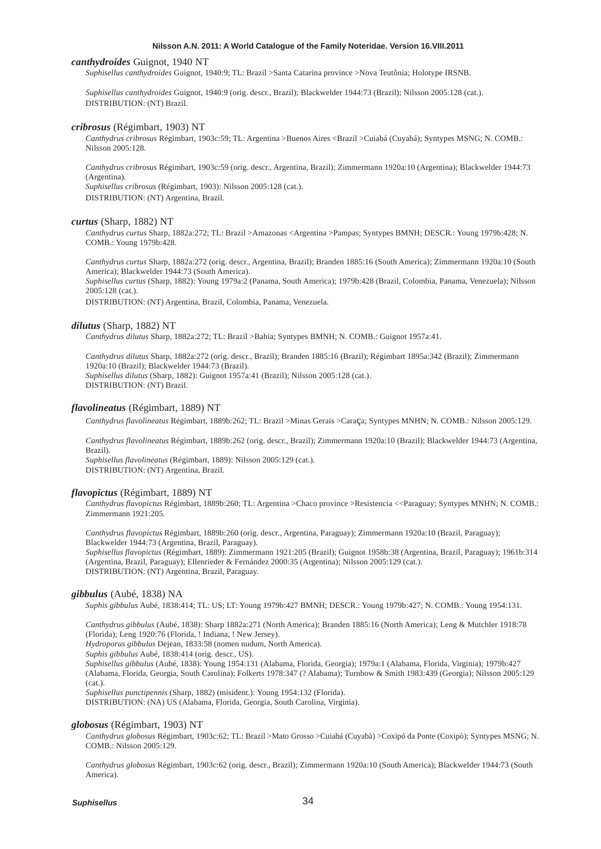#### *canthydroides* Guignot, 1940 NT

*Suphisellus canthydroides* Guignot, 1940:9; TL: Brazil >Santa Catarina province >Nova Teutônia; Holotype IRSNB.

*Suphisellus canthydroides* Guignot, 1940:9 (orig. descr., Brazil); Blackwelder 1944:73 (Brazil); Nilsson 2005:128 (cat.). DISTRIBUTION: (NT) Brazil.

### *cribrosus* (Régimbart, 1903) NT

*Canthydrus cribrosus* Régimbart, 1903c:59; TL: Argentina >Buenos Aires <Brazil >Cuiabá (Cuyabá); Syntypes MSNG; N. COMB.: Nilsson 2005:128.

*Canthydrus cribrosus* Régimbart, 1903c:59 (orig. descr., Argentina, Brazil); Zimmermann 1920a:10 (Argentina); Blackwelder 1944:73 (Argentina).

*Suphisellus cribrosus* (Régimbart, 1903): Nilsson 2005:128 (cat.). DISTRIBUTION: (NT) Argentina, Brazil.

#### *curtus* (Sharp, 1882) NT

*Canthydrus curtus* Sharp, 1882a:272; TL: Brazil >Amazonas <Argentina >Pampas; Syntypes BMNH; DESCR.: Young 1979b:428; N. COMB.: Young 1979b:428.

*Canthydrus curtus* Sharp, 1882a:272 (orig. descr., Argentina, Brazil); Branden 1885:16 (South America); Zimmermann 1920a:10 (South America); Blackwelder 1944:73 (South America).

*Suphisellus curtus* (Sharp, 1882): Young 1979a:2 (Panama, South America); 1979b:428 (Brazil, Colombia, Panama, Venezuela); Nilsson 2005:128 (cat.).

DISTRIBUTION: (NT) Argentina, Brazil, Colombia, Panama, Venezuela.

### *dilutus* (Sharp, 1882) NT

*Canthydrus dilutus* Sharp, 1882a:272; TL: Brazil >Bahia; Syntypes BMNH; N. COMB.: Guignot 1957a:41.

*Canthydrus dilutus* Sharp, 1882a:272 (orig. descr., Brazil); Branden 1885:16 (Brazil); Régimbart 1895a:342 (Brazil); Zimmermann 1920a:10 (Brazil); Blackwelder 1944:73 (Brazil). *Suphisellus dilutus* (Sharp, 1882): Guignot 1957a:41 (Brazil); Nilsson 2005:128 (cat.). DISTRIBUTION: (NT) Brazil.

# *flavolineatus* (Régimbart, 1889) NT

*Canthydrus flavolineatus* Régimbart, 1889b:262; TL: Brazil >Minas Gerais >Caraça; Syntypes MNHN; N. COMB.: Nilsson 2005:129.

*Canthydrus flavolineatus* Régimbart, 1889b:262 (orig. descr., Brazil); Zimmermann 1920a:10 (Brazil); Blackwelder 1944:73 (Argentina, Brazil). *Suphisellus flavolineatus* (Régimbart, 1889): Nilsson 2005:129 (cat.).

DISTRIBUTION: (NT) Argentina, Brazil.

### *flavopictus* (Régimbart, 1889) NT

*Canthydrus flavopictus* Régimbart, 1889b:260; TL: Argentina >Chaco province >Resistencia <<Paraguay; Syntypes MNHN; N. COMB.: Zimmermann 1921:205.

*Canthydrus flavopictus* Régimbart, 1889b:260 (orig. descr., Argentina, Paraguay); Zimmermann 1920a:10 (Brazil, Paraguay); Blackwelder 1944:73 (Argentina, Brazil, Paraguay).

*Suphisellus flavopictus* (Régimbart, 1889): Zimmermann 1921:205 (Brazil); Guignot 1958b:38 (Argentina, Brazil, Paraguay); 1961b:314 (Argentina, Brazil, Paraguay); Ellenrieder & Fernández 2000:35 (Argentina); Nilsson 2005:129 (cat.). DISTRIBUTION: (NT) Argentina, Brazil, Paraguay.

#### *gibbulus* (Aubé, 1838) NA

*Suphis gibbulus* Aubé, 1838:414; TL: US; LT: Young 1979b:427 BMNH; DESCR.: Young 1979b:427; N. COMB.: Young 1954:131.

*Canthydrus gibbulus* (Aubé, 1838): Sharp 1882a:271 (North America); Branden 1885:16 (North America); Leng & Mutchler 1918:78 (Florida); Leng 1920:76 (Florida, ! Indiana, ! New Jersey).

*Hydroporus gibbulus* Dejean, 1833:58 (nomen nudum, North America).

*Suphis gibbulus* Aubé, 1838:414 (orig. descr., US).

*Suphisellus gibbulus* (Aubé, 1838): Young 1954:131 (Alabama, Florida, Georgia); 1979a:1 (Alabama, Florida, Virginia); 1979b:427 (Alabama, Florida, Georgia, South Carolina); Folkerts 1978:347 (? Alabama); Turnbow & Smith 1983:439 (Georgia); Nilsson 2005:129 (cat.).

*Suphisellus punctipennis* (Sharp, 1882) (misident.): Young 1954:132 (Florida).

DISTRIBUTION: (NA) US (Alabama, Florida, Georgia, South Carolina, Virginia).

#### *globosus* (Régimbart, 1903) NT

*Canthydrus globosus* Régimbart, 1903c:62; TL: Brazil >Mato Grosso >Cuiabá (Cuyabà) >Coxipó da Ponte (Coxipò); Syntypes MSNG; N. COMB.: Nilsson 2005:129.

*Canthydrus globosus* Régimbart, 1903c:62 (orig. descr., Brazil); Zimmermann 1920a:10 (South America); Blackwelder 1944:73 (South America).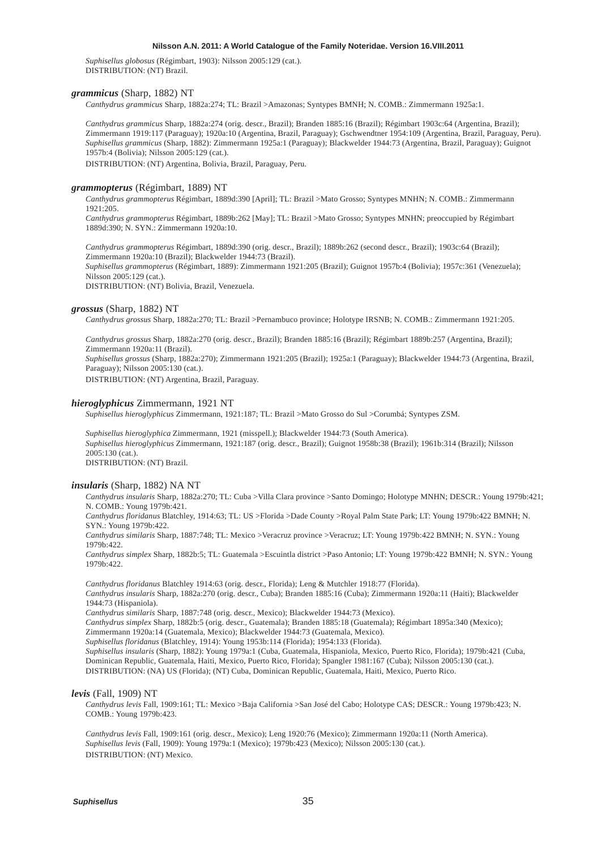*Suphisellus globosus* (Régimbart, 1903): Nilsson 2005:129 (cat.). DISTRIBUTION: (NT) Brazil.

# *grammicus* (Sharp, 1882) NT

*Canthydrus grammicus* Sharp, 1882a:274; TL: Brazil >Amazonas; Syntypes BMNH; N. COMB.: Zimmermann 1925a:1.

*Canthydrus grammicus* Sharp, 1882a:274 (orig. descr., Brazil); Branden 1885:16 (Brazil); Régimbart 1903c:64 (Argentina, Brazil); Zimmermann 1919:117 (Paraguay); 1920a:10 (Argentina, Brazil, Paraguay); Gschwendtner 1954:109 (Argentina, Brazil, Paraguay, Peru). *Suphisellus grammicus* (Sharp, 1882): Zimmermann 1925a:1 (Paraguay); Blackwelder 1944:73 (Argentina, Brazil, Paraguay); Guignot 1957b:4 (Bolivia); Nilsson 2005:129 (cat.).

DISTRIBUTION: (NT) Argentina, Bolivia, Brazil, Paraguay, Peru.

#### *grammopterus* (Régimbart, 1889) NT

*Canthydrus grammopterus* Régimbart, 1889d:390 [April]; TL: Brazil >Mato Grosso; Syntypes MNHN; N. COMB.: Zimmermann 1921:205.

*Canthydrus grammopterus* Régimbart, 1889b:262 [May]; TL: Brazil >Mato Grosso; Syntypes MNHN; preoccupied by Régimbart 1889d:390; N. SYN.: Zimmermann 1920a:10.

*Canthydrus grammopterus* Régimbart, 1889d:390 (orig. descr., Brazil); 1889b:262 (second descr., Brazil); 1903c:64 (Brazil); Zimmermann 1920a:10 (Brazil); Blackwelder 1944:73 (Brazil).

*Suphisellus grammopterus* (Régimbart, 1889): Zimmermann 1921:205 (Brazil); Guignot 1957b:4 (Bolivia); 1957c:361 (Venezuela); Nilsson 2005:129 (cat.).

DISTRIBUTION: (NT) Bolivia, Brazil, Venezuela.

#### *grossus* (Sharp, 1882) NT

*Canthydrus grossus* Sharp, 1882a:270; TL: Brazil >Pernambuco province; Holotype IRSNB; N. COMB.: Zimmermann 1921:205.

*Canthydrus grossus* Sharp, 1882a:270 (orig. descr., Brazil); Branden 1885:16 (Brazil); Régimbart 1889b:257 (Argentina, Brazil); Zimmermann 1920a:11 (Brazil).

*Suphisellus grossus* (Sharp, 1882a:270); Zimmermann 1921:205 (Brazil); 1925a:1 (Paraguay); Blackwelder 1944:73 (Argentina, Brazil, Paraguay); Nilsson 2005:130 (cat.).

DISTRIBUTION: (NT) Argentina, Brazil, Paraguay.

#### *hieroglyphicus* Zimmermann, 1921 NT

*Suphisellus hieroglyphicus* Zimmermann, 1921:187; TL: Brazil >Mato Grosso do Sul >Corumbá; Syntypes ZSM.

*Suphisellus hieroglyphica* Zimmermann, 1921 (misspell.); Blackwelder 1944:73 (South America). *Suphisellus hieroglyphicus* Zimmermann, 1921:187 (orig. descr., Brazil); Guignot 1958b:38 (Brazil); 1961b:314 (Brazil); Nilsson 2005:130 (cat.). DISTRIBUTION: (NT) Brazil.

#### *insularis* (Sharp, 1882) NA NT

*Canthydrus insularis* Sharp, 1882a:270; TL: Cuba >Villa Clara province >Santo Domingo; Holotype MNHN; DESCR.: Young 1979b:421; N. COMB.: Young 1979b:421.

*Canthydrus floridanus* Blatchley, 1914:63; TL: US >Florida >Dade County >Royal Palm State Park; LT: Young 1979b:422 BMNH; N. SYN.: Young 1979b:422.

*Canthydrus similaris* Sharp, 1887:748; TL: Mexico >Veracruz province >Veracruz; LT: Young 1979b:422 BMNH; N. SYN.: Young 1979b:422.

*Canthydrus simplex* Sharp, 1882b:5; TL: Guatemala >Escuintla district >Paso Antonio; LT: Young 1979b:422 BMNH; N. SYN.: Young 1979b:422.

*Canthydrus floridanus* Blatchley 1914:63 (orig. descr., Florida); Leng & Mutchler 1918:77 (Florida). *Canthydrus insularis* Sharp, 1882a:270 (orig. descr., Cuba); Branden 1885:16 (Cuba); Zimmermann 1920a:11 (Haiti); Blackwelder 1944:73 (Hispaniola).

*Canthydrus similaris* Sharp, 1887:748 (orig. descr., Mexico); Blackwelder 1944:73 (Mexico).

*Canthydrus simplex* Sharp, 1882b:5 (orig. descr., Guatemala); Branden 1885:18 (Guatemala); Régimbart 1895a:340 (Mexico);

Zimmermann 1920a:14 (Guatemala, Mexico); Blackwelder 1944:73 (Guatemala, Mexico). *Suphisellus floridanus* (Blatchley, 1914): Young 1953b:114 (Florida); 1954:133 (Florida).

*Suphisellus insularis* (Sharp, 1882): Young 1979a:1 (Cuba, Guatemala, Hispaniola, Mexico, Puerto Rico, Florida); 1979b:421 (Cuba,

Dominican Republic, Guatemala, Haiti, Mexico, Puerto Rico, Florida); Spangler 1981:167 (Cuba); Nilsson 2005:130 (cat.).

DISTRIBUTION: (NA) US (Florida); (NT) Cuba, Dominican Republic, Guatemala, Haiti, Mexico, Puerto Rico.

# *levis* (Fall, 1909) NT

*Canthydrus levis* Fall, 1909:161; TL: Mexico >Baja California >San José del Cabo; Holotype CAS; DESCR.: Young 1979b:423; N. COMB.: Young 1979b:423.

*Canthydrus levis* Fall, 1909:161 (orig. descr., Mexico); Leng 1920:76 (Mexico); Zimmermann 1920a:11 (North America). *Suphisellus levis* (Fall, 1909): Young 1979a:1 (Mexico); 1979b:423 (Mexico); Nilsson 2005:130 (cat.). DISTRIBUTION: (NT) Mexico.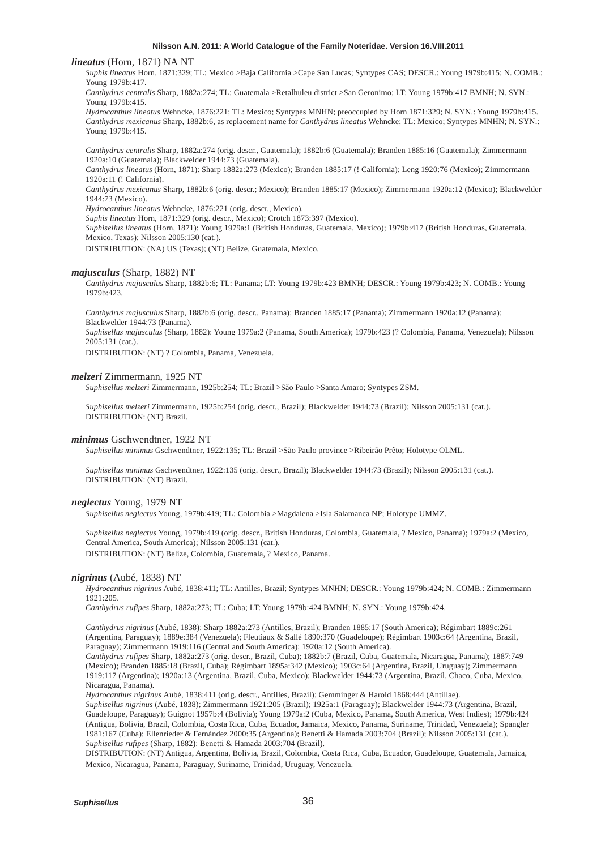### *lineatus* (Horn, 1871) NA NT

*Suphis lineatus* Horn, 1871:329; TL: Mexico >Baja California >Cape San Lucas; Syntypes CAS; DESCR.: Young 1979b:415; N. COMB.: Young 1979b:417.

*Canthydrus centralis* Sharp, 1882a:274; TL: Guatemala >Retalhuleu district >San Geronimo; LT: Young 1979b:417 BMNH; N. SYN.: Young 1979b:415.

*Hydrocanthus lineatus* Wehncke, 1876:221; TL: Mexico; Syntypes MNHN; preoccupied by Horn 1871:329; N. SYN.: Young 1979b:415. *Canthydrus mexicanus* Sharp, 1882b:6, as replacement name for *Canthydrus lineatus* Wehncke; TL: Mexico; Syntypes MNHN; N. SYN.: Young 1979b:415.

*Canthydrus centralis* Sharp, 1882a:274 (orig. descr., Guatemala); 1882b:6 (Guatemala); Branden 1885:16 (Guatemala); Zimmermann 1920a:10 (Guatemala); Blackwelder 1944:73 (Guatemala).

*Canthydrus lineatus* (Horn, 1871): Sharp 1882a:273 (Mexico); Branden 1885:17 (! California); Leng 1920:76 (Mexico); Zimmermann 1920a:11 (! California).

*Canthydrus mexicanus* Sharp, 1882b:6 (orig. descr.; Mexico); Branden 1885:17 (Mexico); Zimmermann 1920a:12 (Mexico); Blackwelder 1944:73 (Mexico).

*Hydrocanthus lineatus* Wehncke, 1876:221 (orig. descr., Mexico).

*Suphis lineatus* Horn, 1871:329 (orig. descr., Mexico); Crotch 1873:397 (Mexico).

*Suphisellus lineatus* (Horn, 1871): Young 1979a:1 (British Honduras, Guatemala, Mexico); 1979b:417 (British Honduras, Guatemala, Mexico, Texas); Nilsson 2005:130 (cat.).

DISTRIBUTION: (NA) US (Texas); (NT) Belize, Guatemala, Mexico.

# *majusculus* (Sharp, 1882) NT

*Canthydrus majusculus* Sharp, 1882b:6; TL: Panama; LT: Young 1979b:423 BMNH; DESCR.: Young 1979b:423; N. COMB.: Young 1979b:423.

*Canthydrus majusculus* Sharp, 1882b:6 (orig. descr., Panama); Branden 1885:17 (Panama); Zimmermann 1920a:12 (Panama); Blackwelder 1944:73 (Panama).

*Suphisellus majusculus* (Sharp, 1882): Young 1979a:2 (Panama, South America); 1979b:423 (? Colombia, Panama, Venezuela); Nilsson 2005:131 (cat.).

DISTRIBUTION: (NT) ? Colombia, Panama, Venezuela.

#### *melzeri* Zimmermann, 1925 NT

*Suphisellus melzeri* Zimmermann, 1925b:254; TL: Brazil >São Paulo >Santa Amaro; Syntypes ZSM.

*Suphisellus melzeri* Zimmermann, 1925b:254 (orig. descr., Brazil); Blackwelder 1944:73 (Brazil); Nilsson 2005:131 (cat.). DISTRIBUTION: (NT) Brazil.

#### *minimus* Gschwendtner, 1922 NT

*Suphisellus minimus* Gschwendtner, 1922:135; TL: Brazil >São Paulo province >Ribeirão Prêto; Holotype OLML.

*Suphisellus minimus* Gschwendtner, 1922:135 (orig. descr., Brazil); Blackwelder 1944:73 (Brazil); Nilsson 2005:131 (cat.). DISTRIBUTION: (NT) Brazil.

# *neglectus* Young, 1979 NT

*Suphisellus neglectus* Young, 1979b:419; TL: Colombia >Magdalena >Isla Salamanca NP; Holotype UMMZ.

*Suphisellus neglectus* Young, 1979b:419 (orig. descr., British Honduras, Colombia, Guatemala, ? Mexico, Panama); 1979a:2 (Mexico, Central America, South America); Nilsson 2005:131 (cat.).

DISTRIBUTION: (NT) Belize, Colombia, Guatemala, ? Mexico, Panama.

# *nigrinus* (Aubé, 1838) NT

*Hydrocanthus nigrinus* Aubé, 1838:411; TL: Antilles, Brazil; Syntypes MNHN; DESCR.: Young 1979b:424; N. COMB.: Zimmermann 1921:205.

*Canthydrus rufipes* Sharp, 1882a:273; TL: Cuba; LT: Young 1979b:424 BMNH; N. SYN.: Young 1979b:424.

*Canthydrus nigrinus* (Aubé, 1838): Sharp 1882a:273 (Antilles, Brazil); Branden 1885:17 (South America); Régimbart 1889c:261 (Argentina, Paraguay); 1889e:384 (Venezuela); Fleutiaux & Sallé 1890:370 (Guadeloupe); Régimbart 1903c:64 (Argentina, Brazil, Paraguay); Zimmermann 1919:116 (Central and South America); 1920a:12 (South America).

*Canthydrus rufipes* Sharp, 1882a:273 (orig. descr., Brazil, Cuba); 1882b:7 (Brazil, Cuba, Guatemala, Nicaragua, Panama); 1887:749 (Mexico); Branden 1885:18 (Brazil, Cuba); Régimbart 1895a:342 (Mexico); 1903c:64 (Argentina, Brazil, Uruguay); Zimmermann 1919:117 (Argentina); 1920a:13 (Argentina, Brazil, Cuba, Mexico); Blackwelder 1944:73 (Argentina, Brazil, Chaco, Cuba, Mexico, Nicaragua, Panama).

*Hydrocanthus nigrinus* Aubé, 1838:411 (orig. descr., Antilles, Brazil); Gemminger & Harold 1868:444 (Antillae).

*Suphisellus nigrinus* (Aubé, 1838); Zimmermann 1921:205 (Brazil); 1925a:1 (Paraguay); Blackwelder 1944:73 (Argentina, Brazil, Guadeloupe, Paraguay); Guignot 1957b:4 (Bolivia); Young 1979a:2 (Cuba, Mexico, Panama, South America, West Indies); 1979b:424 (Antigua, Bolivia, Brazil, Colombia, Costa Rica, Cuba, Ecuador, Jamaica, Mexico, Panama, Suriname, Trinidad, Venezuela); Spangler 1981:167 (Cuba); Ellenrieder & Fernández 2000:35 (Argentina); Benetti & Hamada 2003:704 (Brazil); Nilsson 2005:131 (cat.). *Suphisellus rufipes* (Sharp, 1882): Benetti & Hamada 2003:704 (Brazil).

DISTRIBUTION: (NT) Antigua, Argentina, Bolivia, Brazil, Colombia, Costa Rica, Cuba, Ecuador, Guadeloupe, Guatemala, Jamaica, Mexico, Nicaragua, Panama, Paraguay, Suriname, Trinidad, Uruguay, Venezuela.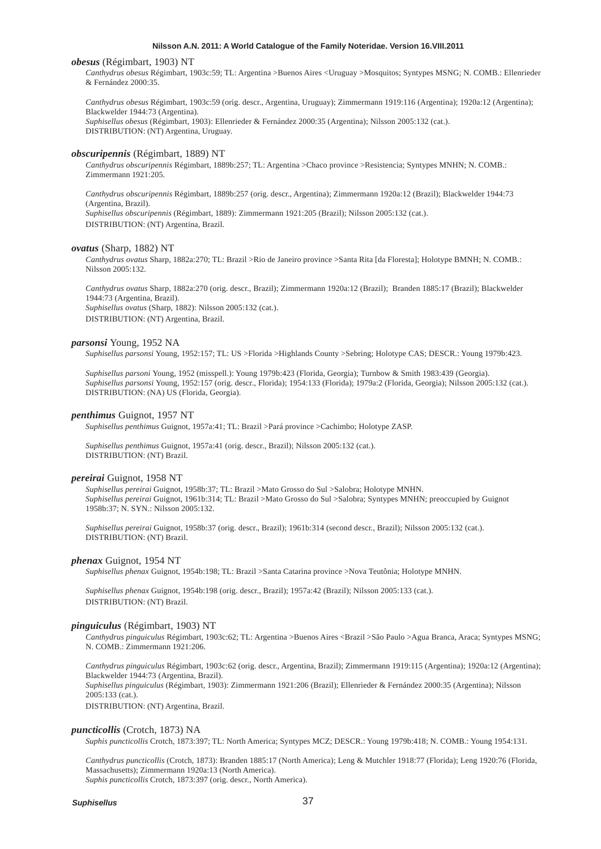#### *obesus* (Régimbart, 1903) NT

*Canthydrus obesus* Régimbart, 1903c:59; TL: Argentina >Buenos Aires <Uruguay >Mosquitos; Syntypes MSNG; N. COMB.: Ellenrieder & Fernández 2000:35.

*Canthydrus obesus* Régimbart, 1903c:59 (orig. descr., Argentina, Uruguay); Zimmermann 1919:116 (Argentina); 1920a:12 (Argentina); Blackwelder 1944:73 (Argentina). *Suphisellus obesus* (Régimbart, 1903): Ellenrieder & Fernández 2000:35 (Argentina); Nilsson 2005:132 (cat.). DISTRIBUTION: (NT) Argentina, Uruguay.

#### *obscuripennis* (Régimbart, 1889) NT

*Canthydrus obscuripennis* Régimbart, 1889b:257; TL: Argentina >Chaco province >Resistencia; Syntypes MNHN; N. COMB.: Zimmermann 1921:205.

*Canthydrus obscuripennis* Régimbart, 1889b:257 (orig. descr., Argentina); Zimmermann 1920a:12 (Brazil); Blackwelder 1944:73 (Argentina, Brazil). *Suphisellus obscuripennis* (Régimbart, 1889): Zimmermann 1921:205 (Brazil); Nilsson 2005:132 (cat.). DISTRIBUTION: (NT) Argentina, Brazil.

### *ovatus* (Sharp, 1882) NT

*Canthydrus ovatus* Sharp, 1882a:270; TL: Brazil >Rio de Janeiro province >Santa Rita [da Floresta]; Holotype BMNH; N. COMB.: Nilsson 2005:132.

*Canthydrus ovatus* Sharp, 1882a:270 (orig. descr., Brazil); Zimmermann 1920a:12 (Brazil); Branden 1885:17 (Brazil); Blackwelder 1944:73 (Argentina, Brazil). *Suphisellus ovatus* (Sharp, 1882): Nilsson 2005:132 (cat.). DISTRIBUTION: (NT) Argentina, Brazil.

#### *parsonsi* Young, 1952 NA

*Suphisellus parsonsi* Young, 1952:157; TL: US >Florida >Highlands County >Sebring; Holotype CAS; DESCR.: Young 1979b:423.

*Suphisellus parsoni* Young, 1952 (misspell.): Young 1979b:423 (Florida, Georgia); Turnbow & Smith 1983:439 (Georgia). *Suphisellus parsonsi* Young, 1952:157 (orig. descr., Florida); 1954:133 (Florida); 1979a:2 (Florida, Georgia); Nilsson 2005:132 (cat.). DISTRIBUTION: (NA) US (Florida, Georgia).

# *penthimus* Guignot, 1957 NT

*Suphisellus penthimus* Guignot, 1957a:41; TL: Brazil >Pará province >Cachimbo; Holotype ZASP.

*Suphisellus penthimus* Guignot, 1957a:41 (orig. descr., Brazil); Nilsson 2005:132 (cat.). DISTRIBUTION: (NT) Brazil.

#### *pereirai* Guignot, 1958 NT

*Suphisellus pereirai* Guignot, 1958b:37; TL: Brazil >Mato Grosso do Sul >Salobra; Holotype MNHN. *Suphisellus pereirai* Guignot, 1961b:314; TL: Brazil >Mato Grosso do Sul >Salobra; Syntypes MNHN; preoccupied by Guignot 1958b:37; N. SYN.: Nilsson 2005:132.

*Suphisellus pereirai* Guignot, 1958b:37 (orig. descr., Brazil); 1961b:314 (second descr., Brazil); Nilsson 2005:132 (cat.). DISTRIBUTION: (NT) Brazil.

#### *phenax* Guignot, 1954 NT

*Suphisellus phenax* Guignot, 1954b:198; TL: Brazil >Santa Catarina province >Nova Teutônia; Holotype MNHN.

*Suphisellus phenax* Guignot, 1954b:198 (orig. descr., Brazil); 1957a:42 (Brazil); Nilsson 2005:133 (cat.). DISTRIBUTION: (NT) Brazil.

### *pinguiculus* (Régimbart, 1903) NT

*Canthydrus pinguiculus* Régimbart, 1903c:62; TL: Argentina >Buenos Aires <Brazil >São Paulo >Agua Branca, Araca; Syntypes MSNG; N. COMB.: Zimmermann 1921:206.

*Canthydrus pinguiculus* Régimbart, 1903c:62 (orig. descr., Argentina, Brazil); Zimmermann 1919:115 (Argentina); 1920a:12 (Argentina); Blackwelder 1944:73 (Argentina, Brazil). *Suphisellus pinguiculus* (Régimbart, 1903): Zimmermann 1921:206 (Brazil); Ellenrieder & Fernández 2000:35 (Argentina); Nilsson 2005:133 (cat.).

DISTRIBUTION: (NT) Argentina, Brazil.

#### *puncticollis* (Crotch, 1873) NA

*Suphis puncticollis* Crotch, 1873:397; TL: North America; Syntypes MCZ; DESCR.: Young 1979b:418; N. COMB.: Young 1954:131.

*Canthydrus puncticollis* (Crotch, 1873): Branden 1885:17 (North America); Leng & Mutchler 1918:77 (Florida); Leng 1920:76 (Florida, Massachusetts); Zimmermann 1920a:13 (North America). *Suphis puncticollis* Crotch, 1873:397 (orig. descr., North America).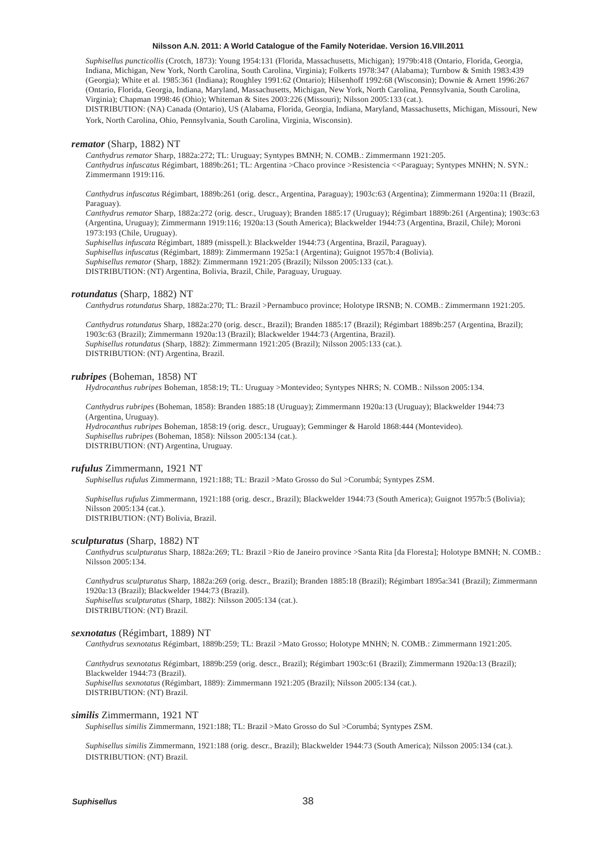*Suphisellus puncticollis* (Crotch, 1873): Young 1954:131 (Florida, Massachusetts, Michigan); 1979b:418 (Ontario, Florida, Georgia, Indiana, Michigan, New York, North Carolina, South Carolina, Virginia); Folkerts 1978:347 (Alabama); Turnbow & Smith 1983:439 (Georgia); White et al. 1985:361 (Indiana); Roughley 1991:62 (Ontario); Hilsenhoff 1992:68 (Wisconsin); Downie & Arnett 1996:267 (Ontario, Florida, Georgia, Indiana, Maryland, Massachusetts, Michigan, New York, North Carolina, Pennsylvania, South Carolina, Virginia); Chapman 1998:46 (Ohio); Whiteman & Sites 2003:226 (Missouri); Nilsson 2005:133 (cat.).

DISTRIBUTION: (NA) Canada (Ontario), US (Alabama, Florida, Georgia, Indiana, Maryland, Massachusetts, Michigan, Missouri, New York, North Carolina, Ohio, Pennsylvania, South Carolina, Virginia, Wisconsin).

#### *remator* (Sharp, 1882) NT

*Canthydrus remator* Sharp, 1882a:272; TL: Uruguay; Syntypes BMNH; N. COMB.: Zimmermann 1921:205. *Canthydrus infuscatus* Régimbart, 1889b:261; TL: Argentina >Chaco province >Resistencia <<Paraguay; Syntypes MNHN; N. SYN.: Zimmermann 1919:116.

*Canthydrus infuscatus* Régimbart, 1889b:261 (orig. descr., Argentina, Paraguay); 1903c:63 (Argentina); Zimmermann 1920a:11 (Brazil, Paraguay).

*Canthydrus remator* Sharp, 1882a:272 (orig. descr., Uruguay); Branden 1885:17 (Uruguay); Régimbart 1889b:261 (Argentina); 1903c:63 (Argentina, Uruguay); Zimmermann 1919:116; 1920a:13 (South America); Blackwelder 1944:73 (Argentina, Brazil, Chile); Moroni 1973:193 (Chile, Uruguay).

*Suphisellus infuscata* Régimbart, 1889 (misspell.): Blackwelder 1944:73 (Argentina, Brazil, Paraguay). *Suphisellus infuscatus* (Régimbart, 1889): Zimmermann 1925a:1 (Argentina); Guignot 1957b:4 (Bolivia). *Suphisellus remator* (Sharp, 1882): Zimmermann 1921:205 (Brazil); Nilsson 2005:133 (cat.). DISTRIBUTION: (NT) Argentina, Bolivia, Brazil, Chile, Paraguay, Uruguay.

# *rotundatus* (Sharp, 1882) NT

*Canthydrus rotundatus* Sharp, 1882a:270; TL: Brazil >Pernambuco province; Holotype IRSNB; N. COMB.: Zimmermann 1921:205.

*Canthydrus rotundatus* Sharp, 1882a:270 (orig. descr., Brazil); Branden 1885:17 (Brazil); Régimbart 1889b:257 (Argentina, Brazil); 1903c:63 (Brazil); Zimmermann 1920a:13 (Brazil); Blackwelder 1944:73 (Argentina, Brazil). *Suphisellus rotundatus* (Sharp, 1882): Zimmermann 1921:205 (Brazil); Nilsson 2005:133 (cat.). DISTRIBUTION: (NT) Argentina, Brazil.

#### *rubripes* (Boheman, 1858) NT

*Hydrocanthus rubripes* Boheman, 1858:19; TL: Uruguay >Montevideo; Syntypes NHRS; N. COMB.: Nilsson 2005:134.

*Canthydrus rubripes* (Boheman, 1858): Branden 1885:18 (Uruguay); Zimmermann 1920a:13 (Uruguay); Blackwelder 1944:73 (Argentina, Uruguay).

*Hydrocanthus rubripes* Boheman, 1858:19 (orig. descr., Uruguay); Gemminger & Harold 1868:444 (Montevideo). *Suphisellus rubripes* (Boheman, 1858): Nilsson 2005:134 (cat.). DISTRIBUTION: (NT) Argentina, Uruguay.

#### *rufulus* Zimmermann, 1921 NT

*Suphisellus rufulus* Zimmermann, 1921:188; TL: Brazil >Mato Grosso do Sul >Corumbá; Syntypes ZSM.

*Suphisellus rufulus* Zimmermann, 1921:188 (orig. descr., Brazil); Blackwelder 1944:73 (South America); Guignot 1957b:5 (Bolivia); Nilsson 2005:134 (cat.). DISTRIBUTION: (NT) Bolivia, Brazil.

# *sculpturatus* (Sharp, 1882) NT

*Canthydrus sculpturatus* Sharp, 1882a:269; TL: Brazil >Rio de Janeiro province >Santa Rita [da Floresta]; Holotype BMNH; N. COMB.: Nilsson 2005:134.

*Canthydrus sculpturatus* Sharp, 1882a:269 (orig. descr., Brazil); Branden 1885:18 (Brazil); Régimbart 1895a:341 (Brazil); Zimmermann 1920a:13 (Brazil); Blackwelder 1944:73 (Brazil). *Suphisellus sculpturatus* (Sharp, 1882): Nilsson 2005:134 (cat.). DISTRIBUTION: (NT) Brazil.

# *sexnotatus* (Régimbart, 1889) NT

*Canthydrus sexnotatus* Régimbart, 1889b:259; TL: Brazil >Mato Grosso; Holotype MNHN; N. COMB.: Zimmermann 1921:205.

*Canthydrus sexnotatus* Régimbart, 1889b:259 (orig. descr., Brazil); Régimbart 1903c:61 (Brazil); Zimmermann 1920a:13 (Brazil); Blackwelder 1944:73 (Brazil). *Suphisellus sexnotatus* (Régimbart, 1889): Zimmermann 1921:205 (Brazil); Nilsson 2005:134 (cat.). DISTRIBUTION: (NT) Brazil.

#### *similis* Zimmermann, 1921 NT

*Suphisellus similis* Zimmermann, 1921:188; TL: Brazil >Mato Grosso do Sul >Corumbá; Syntypes ZSM.

*Suphisellus similis* Zimmermann, 1921:188 (orig. descr., Brazil); Blackwelder 1944:73 (South America); Nilsson 2005:134 (cat.). DISTRIBUTION: (NT) Brazil.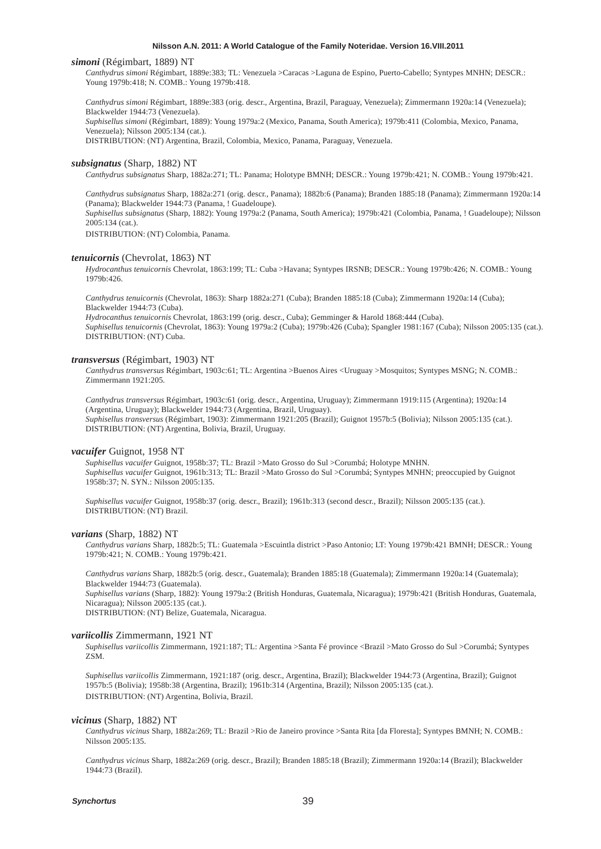#### *simoni* (Régimbart, 1889) NT

*Canthydrus simoni* Régimbart, 1889e:383; TL: Venezuela >Caracas >Laguna de Espino, Puerto-Cabello; Syntypes MNHN; DESCR.: Young 1979b:418; N. COMB.: Young 1979b:418.

*Canthydrus simoni* Régimbart, 1889e:383 (orig. descr., Argentina, Brazil, Paraguay, Venezuela); Zimmermann 1920a:14 (Venezuela); Blackwelder 1944:73 (Venezuela). *Suphisellus simoni* (Régimbart, 1889): Young 1979a:2 (Mexico, Panama, South America); 1979b:411 (Colombia, Mexico, Panama,

Venezuela); Nilsson 2005:134 (cat.).

DISTRIBUTION: (NT) Argentina, Brazil, Colombia, Mexico, Panama, Paraguay, Venezuela.

#### *subsignatus* (Sharp, 1882) NT

*Canthydrus subsignatus* Sharp, 1882a:271; TL: Panama; Holotype BMNH; DESCR.: Young 1979b:421; N. COMB.: Young 1979b:421.

*Canthydrus subsignatus* Sharp, 1882a:271 (orig. descr., Panama); 1882b:6 (Panama); Branden 1885:18 (Panama); Zimmermann 1920a:14 (Panama); Blackwelder 1944:73 (Panama, ! Guadeloupe).

*Suphisellus subsignatus* (Sharp, 1882): Young 1979a:2 (Panama, South America); 1979b:421 (Colombia, Panama, ! Guadeloupe); Nilsson 2005:134 (cat.).

DISTRIBUTION: (NT) Colombia, Panama.

# *tenuicornis* (Chevrolat, 1863) NT

*Hydrocanthus tenuicornis* Chevrolat, 1863:199; TL: Cuba >Havana; Syntypes IRSNB; DESCR.: Young 1979b:426; N. COMB.: Young 1979b:426.

*Canthydrus tenuicornis* (Chevrolat, 1863): Sharp 1882a:271 (Cuba); Branden 1885:18 (Cuba); Zimmermann 1920a:14 (Cuba); Blackwelder 1944:73 (Cuba).

*Hydrocanthus tenuicornis* Chevrolat, 1863:199 (orig. descr., Cuba); Gemminger & Harold 1868:444 (Cuba). *Suphisellus tenuicornis* (Chevrolat, 1863): Young 1979a:2 (Cuba); 1979b:426 (Cuba); Spangler 1981:167 (Cuba); Nilsson 2005:135 (cat.). DISTRIBUTION: (NT) Cuba.

# *transversus* (Régimbart, 1903) NT

*Canthydrus transversus* Régimbart, 1903c:61; TL: Argentina >Buenos Aires <Uruguay >Mosquitos; Syntypes MSNG; N. COMB.: Zimmermann 1921:205.

*Canthydrus transversus* Régimbart, 1903c:61 (orig. descr., Argentina, Uruguay); Zimmermann 1919:115 (Argentina); 1920a:14 (Argentina, Uruguay); Blackwelder 1944:73 (Argentina, Brazil, Uruguay). *Suphisellus transversus* (Régimbart, 1903): Zimmermann 1921:205 (Brazil); Guignot 1957b:5 (Bolivia); Nilsson 2005:135 (cat.). DISTRIBUTION: (NT) Argentina, Bolivia, Brazil, Uruguay.

#### *vacuifer* Guignot, 1958 NT

*Suphisellus vacuifer* Guignot, 1958b:37; TL: Brazil >Mato Grosso do Sul >Corumbá; Holotype MNHN. *Suphisellus vacuifer* Guignot, 1961b:313; TL: Brazil >Mato Grosso do Sul >Corumbá; Syntypes MNHN; preoccupied by Guignot 1958b:37; N. SYN.: Nilsson 2005:135.

*Suphisellus vacuifer* Guignot, 1958b:37 (orig. descr., Brazil); 1961b:313 (second descr., Brazil); Nilsson 2005:135 (cat.). DISTRIBUTION: (NT) Brazil.

### *varians* (Sharp, 1882) NT

*Canthydrus varians* Sharp, 1882b:5; TL: Guatemala >Escuintla district >Paso Antonio; LT: Young 1979b:421 BMNH; DESCR.: Young 1979b:421; N. COMB.: Young 1979b:421.

*Canthydrus varians* Sharp, 1882b:5 (orig. descr., Guatemala); Branden 1885:18 (Guatemala); Zimmermann 1920a:14 (Guatemala); Blackwelder 1944:73 (Guatemala).

*Suphisellus varians* (Sharp, 1882): Young 1979a:2 (British Honduras, Guatemala, Nicaragua); 1979b:421 (British Honduras, Guatemala, Nicaragua); Nilsson 2005:135 (cat.).

DISTRIBUTION: (NT) Belize, Guatemala, Nicaragua.

#### *variicollis* Zimmermann, 1921 NT

*Suphisellus variicollis* Zimmermann, 1921:187; TL: Argentina >Santa Fé province <Brazil >Mato Grosso do Sul >Corumbá; Syntypes ZSM.

*Suphisellus variicollis* Zimmermann, 1921:187 (orig. descr., Argentina, Brazil); Blackwelder 1944:73 (Argentina, Brazil); Guignot 1957b:5 (Bolivia); 1958b:38 (Argentina, Brazil); 1961b:314 (Argentina, Brazil); Nilsson 2005:135 (cat.). DISTRIBUTION: (NT) Argentina, Bolivia, Brazil.

#### *vicinus* (Sharp, 1882) NT

*Canthydrus vicinus* Sharp, 1882a:269; TL: Brazil >Rio de Janeiro province >Santa Rita [da Floresta]; Syntypes BMNH; N. COMB.: Nilsson 2005:135.

*Canthydrus vicinus* Sharp, 1882a:269 (orig. descr., Brazil); Branden 1885:18 (Brazil); Zimmermann 1920a:14 (Brazil); Blackwelder 1944:73 (Brazil).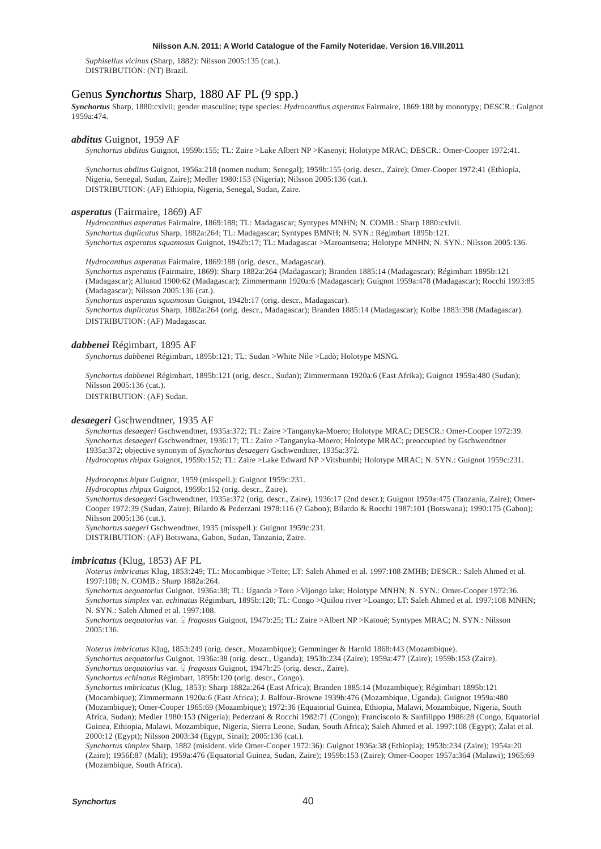*Suphisellus vicinus* (Sharp, 1882): Nilsson 2005:135 (cat.). DISTRIBUTION: (NT) Brazil.

# Genus *Synchortus* Sharp, 1880 AF PL (9 spp.)

*Synchortus* Sharp, 1880:cxlvii; gender masculine; type species: *Hydrocanthus asperatus* Fairmaire, 1869:188 by monotypy; DESCR.: Guignot 1959a:474.

#### *abditus* Guignot, 1959 AF

*Synchortus abditus* Guignot, 1959b:155; TL: Zaire >Lake Albert NP >Kasenyi; Holotype MRAC; DESCR.: Omer-Cooper 1972:41.

*Synchortus abditus* Guignot, 1956a:218 (nomen nudum; Senegal); 1959b:155 (orig. descr., Zaire); Omer-Cooper 1972:41 (Ethiopia, Nigeria, Senegal, Sudan, Zaire); Medler 1980:153 (Nigeria); Nilsson 2005:136 (cat.). DISTRIBUTION: (AF) Ethiopia, Nigeria, Senegal, Sudan, Zaire.

### *asperatus* (Fairmaire, 1869) AF

*Hydrocanthus asperatus* Fairmaire, 1869:188; TL: Madagascar; Syntypes MNHN; N. COMB.: Sharp 1880:cxlvii. *Synchortus duplicatus* Sharp, 1882a:264; TL: Madagascar; Syntypes BMNH; N. SYN.: Régimbart 1895b:121. *Synchortus asperatus squamosus* Guignot, 1942b:17; TL: Madagascar >Maroantsetra; Holotype MNHN; N. SYN.: Nilsson 2005:136.

*Hydrocanthus asperatus* Fairmaire, 1869:188 (orig. descr., Madagascar).

*Synchortus asperatus* (Fairmaire, 1869): Sharp 1882a:264 (Madagascar); Branden 1885:14 (Madagascar); Régimbart 1895b:121 (Madagascar); Alluaud 1900:62 (Madagascar); Zimmermann 1920a:6 (Madagascar); Guignot 1959a:478 (Madagascar); Rocchi 1993:85 (Madagascar); Nilsson 2005:136 (cat.).

*Synchortus asperatus squamosus* Guignot, 1942b:17 (orig. descr., Madagascar).

*Synchortus duplicatus* Sharp, 1882a:264 (orig. descr., Madagascar); Branden 1885:14 (Madagascar); Kolbe 1883:398 (Madagascar). DISTRIBUTION: (AF) Madagascar.

#### *dabbenei* Régimbart, 1895 AF

*Synchortus dabbenei* Régimbart, 1895b:121; TL: Sudan >White Nile >Ladò; Holotype MSNG.

*Synchortus dabbenei* Régimbart, 1895b:121 (orig. descr., Sudan); Zimmermann 1920a:6 (East Afrika); Guignot 1959a:480 (Sudan); Nilsson 2005:136 (cat.).

DISTRIBUTION: (AF) Sudan.

#### *desaegeri* Gschwendtner, 1935 AF

*Synchortus desaegeri* Gschwendtner, 1935a:372; TL: Zaire >Tanganyka-Moero; Holotype MRAC; DESCR.: Omer-Cooper 1972:39. *Synchortus desaegeri* Gschwendtner, 1936:17; TL: Zaire >Tanganyka-Moero; Holotype MRAC; preoccupied by Gschwendtner 1935a:372; objective synonym of *Synchortus desaegeri* Gschwendtner, 1935a:372. *Hydrocoptus rhipax* Guignot, 1959b:152; TL: Zaire >Lake Edward NP >Vitshumbi; Holotype MRAC; N. SYN.: Guignot 1959c:231.

*Hydrocoptus hipax* Guignot, 1959 (misspell.): Guignot 1959c:231.

*Hydrocoptus rhipax* Guignot, 1959b:152 (orig. descr., Zaire).

*Synchortus desaegeri* Gschwendtner, 1935a:372 (orig. descr., Zaire), 1936:17 (2nd descr.); Guignot 1959a:475 (Tanzania, Zaire); Omer-Cooper 1972:39 (Sudan, Zaire); Bilardo & Pederzani 1978:116 (? Gabon); Bilardo & Rocchi 1987:101 (Botswana); 1990:175 (Gabon); Nilsson 2005:136 (cat.).

*Synchortus saegeri* Gschwendtner, 1935 (misspell.): Guignot 1959c:231.

DISTRIBUTION: (AF) Botswana, Gabon, Sudan, Tanzania, Zaire.

# *imbricatus* (Klug, 1853) AF PL

*Noterus imbricatus* Klug, 1853:249; TL: Mocambique >Tette; LT: Saleh Ahmed et al. 1997:108 ZMHB; DESCR.: Saleh Ahmed et al. 1997:108; N. COMB.: Sharp 1882a:264.

*Synchortus aequatorius* Guignot, 1936a:38; TL: Uganda >Toro >Vijongo lake; Holotype MNHN; N. SYN.: Omer-Cooper 1972:36. *Synchortus simplex* var. *echinatus* Régimbart, 1895b:120; TL: Congo >Quilou river >Loango; LT: Saleh Ahmed et al. 1997:108 MNHN; N. SYN.: Saleh Ahmed et al. 1997:108.

*Synchortus aequatorius* var. ♀ *fragosus* Guignot, 1947b:25; TL: Zaire >Albert NP >Katoué; Syntypes MRAC; N. SYN.: Nilsson 2005:136.

*Noterus imbricatus* Klug, 1853:249 (orig. descr., Mozambique); Gemminger & Harold 1868:443 (Mozambique). *Synchortus aequatorius* Guignot, 1936a:38 (orig. descr., Uganda); 1953b:234 (Zaire); 1959a:477 (Zaire); 1959b:153 (Zaire). *Synchortus aequatorius* var. ♀ *fragosus* Guignot, 1947b:25 (orig. descr., Zaire).

*Synchortus echinatus* Régimbart, 1895b:120 (orig. descr., Congo).

*Synchortus imbricatus* (Klug, 1853): Sharp 1882a:264 (East Africa); Branden 1885:14 (Mozambique); Régimbart 1895b:121 (Mocambique); Zimmermann 1920a:6 (East Africa); J. Balfour-Browne 1939b:476 (Mozambique, Uganda); Guignot 1959a:480 (Mozambique); Omer-Cooper 1965:69 (Mozambique); 1972:36 (Equatorial Guinea, Ethiopia, Malawi, Mozambique, Nigeria, South Africa, Sudan); Medler 1980:153 (Nigeria); Pederzani & Rocchi 1982:71 (Congo); Franciscolo & Sanfilippo 1986:28 (Congo, Equatorial Guinea, Ethiopia, Malawi, Mozambique, Nigeria, Sierra Leone, Sudan, South Africa); Saleh Ahmed et al. 1997:108 (Egypt); Zalat et al. 2000:12 (Egypt); Nilsson 2003:34 (Egypt, Sinai); 2005:136 (cat.).

*Synchortus simplex* Sharp, 1882 (misident. vide Omer-Cooper 1972:36): Guignot 1936a:38 (Ethiopia); 1953b:234 (Zaire); 1954a:20 (Zaire); 1956f:87 (Mali); 1959a:476 (Equatorial Guinea, Sudan, Zaire); 1959b:153 (Zaire); Omer-Cooper 1957a:364 (Malawi); 1965:69 (Mozambique, South Africa).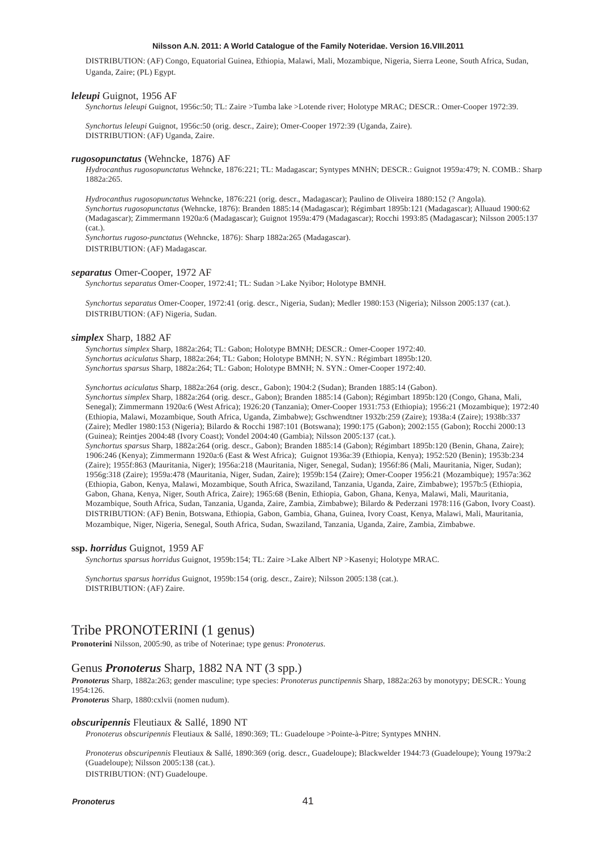DISTRIBUTION: (AF) Congo, Equatorial Guinea, Ethiopia, Malawi, Mali, Mozambique, Nigeria, Sierra Leone, South Africa, Sudan, Uganda, Zaire; (PL) Egypt.

#### *leleupi* Guignot, 1956 AF

*Synchortus leleupi* Guignot, 1956c:50; TL: Zaire >Tumba lake >Lotende river; Holotype MRAC; DESCR.: Omer-Cooper 1972:39.

*Synchortus leleupi* Guignot, 1956c:50 (orig. descr., Zaire); Omer-Cooper 1972:39 (Uganda, Zaire). DISTRIBUTION: (AF) Uganda, Zaire.

#### *rugosopunctatus* (Wehncke, 1876) AF

*Hydrocanthus rugosopunctatus* Wehncke, 1876:221; TL: Madagascar; Syntypes MNHN; DESCR.: Guignot 1959a:479; N. COMB.: Sharp 1882a:265.

*Hydrocanthus rugosopunctatus* Wehncke, 1876:221 (orig. descr., Madagascar); Paulino de Oliveira 1880:152 (? Angola). *Synchortus rugosopunctatus* (Wehncke, 1876): Branden 1885:14 (Madagascar); Régimbart 1895b:121 (Madagascar); Alluaud 1900:62 (Madagascar); Zimmermann 1920a:6 (Madagascar); Guignot 1959a:479 (Madagascar); Rocchi 1993:85 (Madagascar); Nilsson 2005:137 (cat.).

*Synchortus rugoso-punctatus* (Wehncke, 1876): Sharp 1882a:265 (Madagascar). DISTRIBUTION: (AF) Madagascar.

# *separatus* Omer-Cooper, 1972 AF

*Synchortus separatus* Omer-Cooper, 1972:41; TL: Sudan >Lake Nyibor; Holotype BMNH.

*Synchortus separatus* Omer-Cooper, 1972:41 (orig. descr., Nigeria, Sudan); Medler 1980:153 (Nigeria); Nilsson 2005:137 (cat.). DISTRIBUTION: (AF) Nigeria, Sudan.

# *simplex* Sharp, 1882 AF

*Synchortus simplex* Sharp, 1882a:264; TL: Gabon; Holotype BMNH; DESCR.: Omer-Cooper 1972:40. *Synchortus aciculatus* Sharp, 1882a:264; TL: Gabon; Holotype BMNH; N. SYN.: Régimbart 1895b:120. *Synchortus sparsus* Sharp, 1882a:264; TL: Gabon; Holotype BMNH; N. SYN.: Omer-Cooper 1972:40.

*Synchortus aciculatus* Sharp, 1882a:264 (orig. descr., Gabon); 1904:2 (Sudan); Branden 1885:14 (Gabon). *Synchortus simplex* Sharp, 1882a:264 (orig. descr., Gabon); Branden 1885:14 (Gabon); Régimbart 1895b:120 (Congo, Ghana, Mali, Senegal); Zimmermann 1920a:6 (West Africa); 1926:20 (Tanzania); Omer-Cooper 1931:753 (Ethiopia); 1956:21 (Mozambique); 1972:40 (Ethiopia, Malawi, Mozambique, South Africa, Uganda, Zimbabwe); Gschwendtner 1932b:259 (Zaire); 1938a:4 (Zaire); 1938b:337 (Zaire); Medler 1980:153 (Nigeria); Bilardo & Rocchi 1987:101 (Botswana); 1990:175 (Gabon); 2002:155 (Gabon); Rocchi 2000:13 (Guinea); Reintjes 2004:48 (Ivory Coast); Vondel 2004:40 (Gambia); Nilsson 2005:137 (cat.).

*Synchortus sparsus* Sharp, 1882a:264 (orig. descr., Gabon); Branden 1885:14 (Gabon); Régimbart 1895b:120 (Benin, Ghana, Zaire); 1906:246 (Kenya); Zimmermann 1920a:6 (East & West Africa); Guignot 1936a:39 (Ethiopia, Kenya); 1952:520 (Benin); 1953b:234 (Zaire); 1955f:863 (Mauritania, Niger); 1956a:218 (Mauritania, Niger, Senegal, Sudan); 1956f:86 (Mali, Mauritania, Niger, Sudan); 1956g:318 (Zaire); 1959a:478 (Mauritania, Niger, Sudan, Zaire); 1959b:154 (Zaire); Omer-Cooper 1956:21 (Mozambique); 1957a:362 (Ethiopia, Gabon, Kenya, Malawi, Mozambique, South Africa, Swaziland, Tanzania, Uganda, Zaire, Zimbabwe); 1957b:5 (Ethiopia, Gabon, Ghana, Kenya, Niger, South Africa, Zaire); 1965:68 (Benin, Ethiopia, Gabon, Ghana, Kenya, Malawi, Mali, Mauritania, Mozambique, South Africa, Sudan, Tanzania, Uganda, Zaire, Zambia, Zimbabwe); Bilardo & Pederzani 1978:116 (Gabon, Ivory Coast). DISTRIBUTION: (AF) Benin, Botswana, Ethiopia, Gabon, Gambia, Ghana, Guinea, Ivory Coast, Kenya, Malawi, Mali, Mauritania, Mozambique, Niger, Nigeria, Senegal, South Africa, Sudan, Swaziland, Tanzania, Uganda, Zaire, Zambia, Zimbabwe.

#### **ssp.** *horridus* Guignot, 1959 AF

*Synchortus sparsus horridus* Guignot, 1959b:154; TL: Zaire >Lake Albert NP >Kasenyi; Holotype MRAC.

*Synchortus sparsus horridus* Guignot, 1959b:154 (orig. descr., Zaire); Nilsson 2005:138 (cat.). DISTRIBUTION: (AF) Zaire.

# Tribe PRONOTERINI (1 genus)

**Pronoterini** Nilsson, 2005:90, as tribe of Noterinae; type genus: *Pronoterus*.

# Genus *Pronoterus* Sharp, 1882 NA NT (3 spp.)

*Pronoterus* Sharp, 1882a:263; gender masculine; type species: *Pronoterus punctipennis* Sharp, 1882a:263 by monotypy; DESCR.: Young 1954:126.

*Pronoterus* Sharp, 1880:cxlvii (nomen nudum).

### *obscuripennis* Fleutiaux & Sallé, 1890 NT

*Pronoterus obscuripennis* Fleutiaux & Sallé, 1890:369; TL: Guadeloupe >Pointe-à-Pitre; Syntypes MNHN.

*Pronoterus obscuripennis* Fleutiaux & Sallé, 1890:369 (orig. descr., Guadeloupe); Blackwelder 1944:73 (Guadeloupe); Young 1979a:2 (Guadeloupe); Nilsson 2005:138 (cat.). DISTRIBUTION: (NT) Guadeloupe.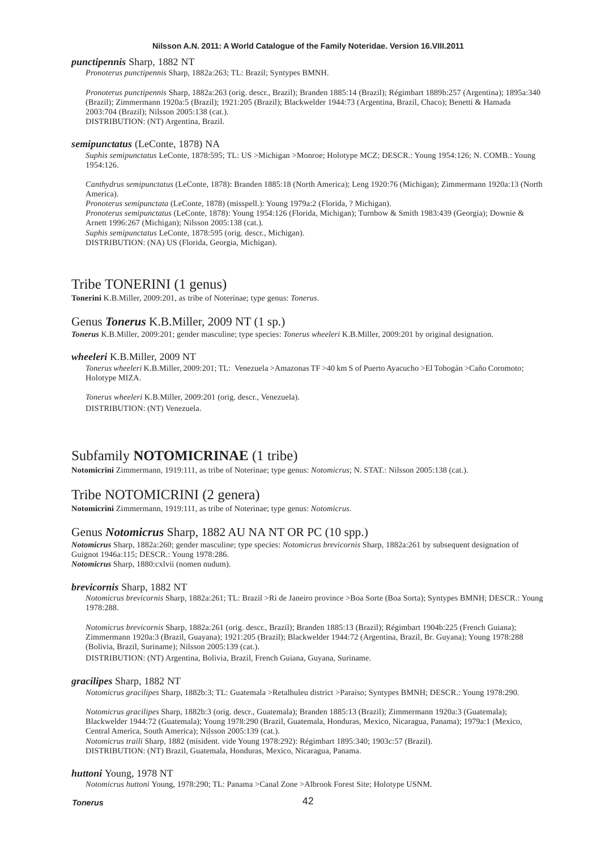#### *punctipennis* Sharp, 1882 NT

*Pronoterus punctipennis* Sharp, 1882a:263; TL: Brazil; Syntypes BMNH.

*Pronoterus punctipennis* Sharp, 1882a:263 (orig. descr., Brazil); Branden 1885:14 (Brazil); Régimbart 1889b:257 (Argentina); 1895a:340 (Brazil); Zimmermann 1920a:5 (Brazil); 1921:205 (Brazil); Blackwelder 1944:73 (Argentina, Brazil, Chaco); Benetti & Hamada 2003:704 (Brazil); Nilsson 2005:138 (cat.). DISTRIBUTION: (NT) Argentina, Brazil.

#### *semipunctatus* (LeConte, 1878) NA

*Suphis semipunctatus* LeConte, 1878:595; TL: US >Michigan >Monroe; Holotype MCZ; DESCR.: Young 1954:126; N. COMB.: Young 1954:126.

*Canthydrus semipunctatus* (LeConte, 1878): Branden 1885:18 (North America); Leng 1920:76 (Michigan); Zimmermann 1920a:13 (North America).

*Pronoterus semipunctata* (LeConte, 1878) (misspell.): Young 1979a:2 (Florida, ? Michigan).

*Pronoterus semipunctatus* (LeConte, 1878): Young 1954:126 (Florida, Michigan); Turnbow & Smith 1983:439 (Georgia); Downie & Arnett 1996:267 (Michigan); Nilsson 2005:138 (cat.).

*Suphis semipunctatus* LeConte, 1878:595 (orig. descr., Michigan).

DISTRIBUTION: (NA) US (Florida, Georgia, Michigan).

# Tribe TONERINI (1 genus)

**Tonerini** K.B.Miller, 2009:201, as tribe of Noterinae; type genus: *Tonerus*.

# Genus *Tonerus* K.B.Miller, 2009 NT (1 sp.)

*Tonerus* K.B.Miller, 2009:201; gender masculine; type species: *Tonerus wheeleri* K.B.Miller, 2009:201 by original designation.

# *wheeleri* K.B.Miller, 2009 NT

*Tonerus wheeleri* K.B.Miller, 2009:201; TL: Venezuela >Amazonas TF >40 km S of Puerto Ayacucho >El Tobogán >Caño Coromoto; Holotype MIZA.

*Tonerus wheeleri* K.B.Miller, 2009:201 (orig. descr., Venezuela). DISTRIBUTION: (NT) Venezuela.

# Subfamily **NOTOMICRINAE** (1 tribe)

**Notomicrini** Zimmermann, 1919:111, as tribe of Noterinae; type genus: *Notomicrus*; N. STAT.: Nilsson 2005:138 (cat.).

# Tribe NOTOMICRINI (2 genera)

**Notomicrini** Zimmermann, 1919:111, as tribe of Noterinae; type genus: *Notomicrus*.

# Genus *Notomicrus* Sharp, 1882 AU NA NT OR PC (10 spp.)

*Notomicrus* Sharp, 1882a:260; gender masculine; type species: *Notomicrus brevicornis* Sharp, 1882a:261 by subsequent designation of Guignot 1946a:115; DESCR.: Young 1978:286.

*Notomicrus* Sharp, 1880:cxlvii (nomen nudum).

#### *brevicornis* Sharp, 1882 NT

*Notomicrus brevicornis* Sharp, 1882a:261; TL: Brazil >Ri de Janeiro province >Boa Sorte (Boa Sorta); Syntypes BMNH; DESCR.: Young 1978:288.

*Notomicrus brevicornis* Sharp, 1882a:261 (orig. descr., Brazil); Branden 1885:13 (Brazil); Régimbart 1904b:225 (French Guiana); Zimmermann 1920a:3 (Brazil, Guayana); 1921:205 (Brazil); Blackwelder 1944:72 (Argentina, Brazil, Br. Guyana); Young 1978:288 (Bolivia, Brazil, Suriname); Nilsson 2005:139 (cat.).

DISTRIBUTION: (NT) Argentina, Bolivia, Brazil, French Guiana, Guyana, Suriname.

# *gracilipes* Sharp, 1882 NT

*Notomicrus gracilipes* Sharp, 1882b:3; TL: Guatemala >Retalhuleu district >Paraiso; Syntypes BMNH; DESCR.: Young 1978:290.

*Notomicrus gracilipes* Sharp, 1882b:3 (orig. descr., Guatemala); Branden 1885:13 (Brazil); Zimmermann 1920a:3 (Guatemala); Blackwelder 1944:72 (Guatemala); Young 1978:290 (Brazil, Guatemala, Honduras, Mexico, Nicaragua, Panama); 1979a:1 (Mexico, Central America, South America); Nilsson 2005:139 (cat.).

*Notomicrus traili* Sharp, 1882 (misident. vide Young 1978:292): Régimbart 1895:340; 1903c:57 (Brazil).

DISTRIBUTION: (NT) Brazil, Guatemala, Honduras, Mexico, Nicaragua, Panama.

#### *huttoni* Young, 1978 NT

*Notomicrus huttoni* Young, 1978:290; TL: Panama >Canal Zone >Albrook Forest Site; Holotype USNM.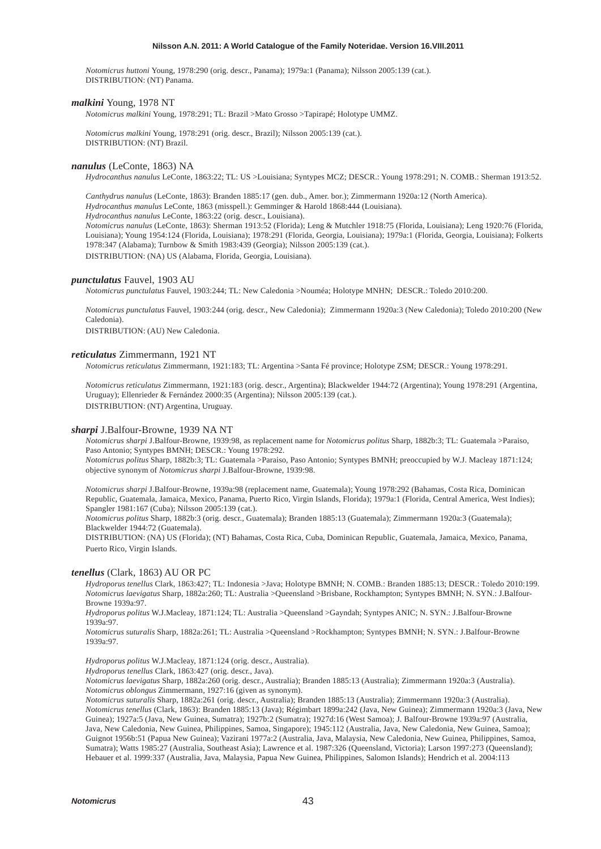*Notomicrus huttoni* Young, 1978:290 (orig. descr., Panama); 1979a:1 (Panama); Nilsson 2005:139 (cat.). DISTRIBUTION: (NT) Panama.

### *malkini* Young, 1978 NT

*Notomicrus malkini* Young, 1978:291; TL: Brazil >Mato Grosso >Tapirapé; Holotype UMMZ.

*Notomicrus malkini* Young, 1978:291 (orig. descr., Brazil); Nilsson 2005:139 (cat.). DISTRIBUTION: (NT) Brazil.

#### *nanulus* (LeConte, 1863) NA

*Hydrocanthus nanulus* LeConte, 1863:22; TL: US >Louisiana; Syntypes MCZ; DESCR.: Young 1978:291; N. COMB.: Sherman 1913:52.

*Canthydrus nanulus* (LeConte, 1863): Branden 1885:17 (gen. dub., Amer. bor.); Zimmermann 1920a:12 (North America).

*Hydrocanthus manulus* LeConte, 1863 (misspell.): Gemminger & Harold 1868:444 (Louisiana).

*Hydrocanthus nanulus* LeConte, 1863:22 (orig. descr., Louisiana).

*Notomicrus nanulus* (LeConte, 1863): Sherman 1913:52 (Florida); Leng & Mutchler 1918:75 (Florida, Louisiana); Leng 1920:76 (Florida, Louisiana); Young 1954:124 (Florida, Louisiana); 1978:291 (Florida, Georgia, Louisiana); 1979a:1 (Florida, Georgia, Louisiana); Folkerts 1978:347 (Alabama); Turnbow & Smith 1983:439 (Georgia); Nilsson 2005:139 (cat.). DISTRIBUTION: (NA) US (Alabama, Florida, Georgia, Louisiana).

### *punctulatus* Fauvel, 1903 AU

*Notomicrus punctulatus* Fauvel, 1903:244; TL: New Caledonia >Nouméa; Holotype MNHN; DESCR.: Toledo 2010:200.

*Notomicrus punctulatus* Fauvel, 1903:244 (orig. descr., New Caledonia); Zimmermann 1920a:3 (New Caledonia); Toledo 2010:200 (New Caledonia).

DISTRIBUTION: (AU) New Caledonia.

#### *reticulatus* Zimmermann, 1921 NT

*Notomicrus reticulatus* Zimmermann, 1921:183; TL: Argentina >Santa Fé province; Holotype ZSM; DESCR.: Young 1978:291.

*Notomicrus reticulatus* Zimmermann, 1921:183 (orig. descr., Argentina); Blackwelder 1944:72 (Argentina); Young 1978:291 (Argentina, Uruguay); Ellenrieder & Fernández 2000:35 (Argentina); Nilsson 2005:139 (cat.). DISTRIBUTION: (NT) Argentina, Uruguay.

# *sharpi* J.Balfour-Browne, 1939 NA NT

*Notomicrus sharpi* J.Balfour-Browne, 1939:98, as replacement name for *Notomicrus politus* Sharp, 1882b:3; TL: Guatemala >Paraiso, Paso Antonio; Syntypes BMNH; DESCR.: Young 1978:292.

*Notomicrus politus* Sharp, 1882b:3; TL: Guatemala >Paraiso, Paso Antonio; Syntypes BMNH; preoccupied by W.J. Macleay 1871:124; objective synonym of *Notomicrus sharpi* J.Balfour-Browne, 1939:98.

*Notomicrus sharpi* J.Balfour-Browne, 1939a:98 (replacement name, Guatemala); Young 1978:292 (Bahamas, Costa Rica, Dominican Republic, Guatemala, Jamaica, Mexico, Panama, Puerto Rico, Virgin Islands, Florida); 1979a:1 (Florida, Central America, West Indies); Spangler 1981:167 (Cuba); Nilsson 2005:139 (cat.).

*Notomicrus politus* Sharp, 1882b:3 (orig. descr., Guatemala); Branden 1885:13 (Guatemala); Zimmermann 1920a:3 (Guatemala); Blackwelder 1944:72 (Guatemala).

DISTRIBUTION: (NA) US (Florida); (NT) Bahamas, Costa Rica, Cuba, Dominican Republic, Guatemala, Jamaica, Mexico, Panama, Puerto Rico, Virgin Islands.

# *tenellus* (Clark, 1863) AU OR PC

*Hydroporus tenellus* Clark, 1863:427; TL: Indonesia >Java; Holotype BMNH; N. COMB.: Branden 1885:13; DESCR.: Toledo 2010:199. *Notomicrus laevigatus* Sharp, 1882a:260; TL: Australia >Queensland >Brisbane, Rockhampton; Syntypes BMNH; N. SYN.: J.Balfour-Browne 1939a:97.

*Hydroporus politus* W.J.Macleay, 1871:124; TL: Australia >Queensland >Gayndah; Syntypes ANIC; N. SYN.: J.Balfour-Browne 1939a:97.

*Notomicrus suturalis* Sharp, 1882a:261; TL: Australia >Queensland >Rockhampton; Syntypes BMNH; N. SYN.: J.Balfour-Browne 1939a:97.

*Hydroporus politus* W.J.Macleay, 1871:124 (orig. descr., Australia).

*Hydroporus tenellus* Clark, 1863:427 (orig. descr., Java).

*Notomicrus laevigatus* Sharp, 1882a:260 (orig. descr., Australia); Branden 1885:13 (Australia); Zimmermann 1920a:3 (Australia). *Notomicrus oblongus* Zimmermann, 1927:16 (given as synonym).

*Notomicrus suturalis* Sharp, 1882a:261 (orig. descr., Australia); Branden 1885:13 (Australia); Zimmermann 1920a:3 (Australia). *Notomicrus tenellus* (Clark, 1863): Branden 1885:13 (Java); Régimbart 1899a:242 (Java, New Guinea); Zimmermann 1920a:3 (Java, New Guinea); 1927a:5 (Java, New Guinea, Sumatra); 1927b:2 (Sumatra); 1927d:16 (West Samoa); J. Balfour-Browne 1939a:97 (Australia, Java, New Caledonia, New Guinea, Philippines, Samoa, Singapore); 1945:112 (Australia, Java, New Caledonia, New Guinea, Samoa); Guignot 1956b:51 (Papua New Guinea); Vazirani 1977a:2 (Australia, Java, Malaysia, New Caledonia, New Guinea, Philippines, Samoa, Sumatra); Watts 1985:27 (Australia, Southeast Asia); Lawrence et al. 1987:326 (Queensland, Victoria); Larson 1997:273 (Queensland); Hebauer et al. 1999:337 (Australia, Java, Malaysia, Papua New Guinea, Philippines, Salomon Islands); Hendrich et al. 2004:113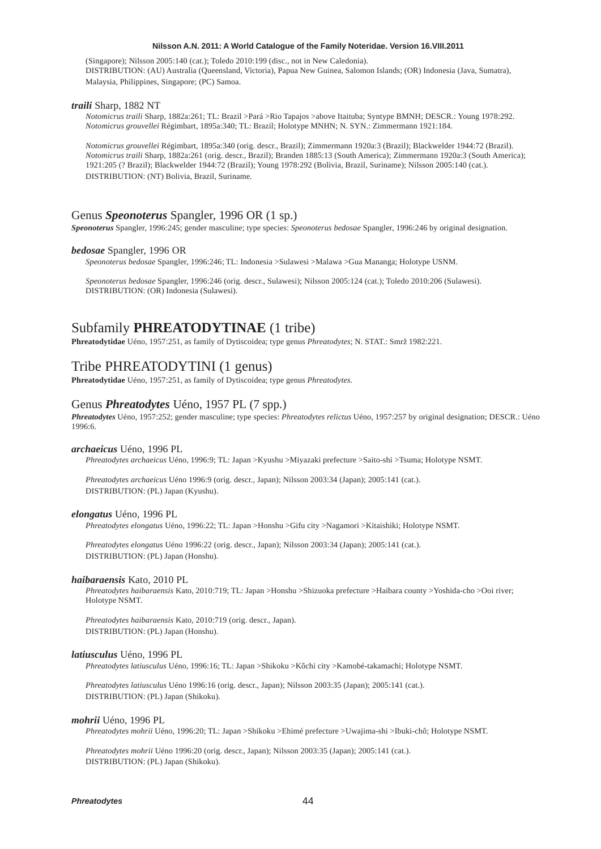(Singapore); Nilsson 2005:140 (cat.); Toledo 2010:199 (disc., not in New Caledonia). DISTRIBUTION: (AU) Australia (Queensland, Victoria), Papua New Guinea, Salomon Islands; (OR) Indonesia (Java, Sumatra), Malaysia, Philippines, Singapore; (PC) Samoa.

#### *traili* Sharp, 1882 NT

*Notomicrus traili* Sharp, 1882a:261; TL: Brazil >Pará >Rio Tapajos >above Itaituba; Syntype BMNH; DESCR.: Young 1978:292. *Notomicrus grouvellei* Régimbart, 1895a:340; TL: Brazil; Holotype MNHN; N. SYN.: Zimmermann 1921:184.

*Notomicrus grouvellei* Régimbart, 1895a:340 (orig. descr., Brazil); Zimmermann 1920a:3 (Brazil); Blackwelder 1944:72 (Brazil). *Notomicrus traili* Sharp, 1882a:261 (orig. descr., Brazil); Branden 1885:13 (South America); Zimmermann 1920a:3 (South America); 1921:205 (? Brazil); Blackwelder 1944:72 (Brazil); Young 1978:292 (Bolivia, Brazil, Suriname); Nilsson 2005:140 (cat.). DISTRIBUTION: (NT) Bolivia, Brazil, Suriname.

# Genus *Speonoterus* Spangler, 1996 OR (1 sp.)

*Speonoterus* Spangler, 1996:245; gender masculine; type species: *Speonoterus bedosae* Spangler, 1996:246 by original designation.

#### *bedosae* Spangler, 1996 OR

*Speonoterus bedosae* Spangler, 1996:246; TL: Indonesia >Sulawesi >Malawa >Gua Mananga; Holotype USNM.

*Speonoterus bedosae* Spangler, 1996:246 (orig. descr., Sulawesi); Nilsson 2005:124 (cat.); Toledo 2010:206 (Sulawesi). DISTRIBUTION: (OR) Indonesia (Sulawesi).

# Subfamily **PHREATODYTINAE** (1 tribe)

Phreatodytidae Uéno, 1957:251, as family of Dytiscoidea; type genus *Phreatodytes*; N. STAT.: Smrž 1982:221.

# Tribe PHREATODYTINI (1 genus)

**Phreatodytidae** Uéno, 1957:251, as family of Dytiscoidea; type genus *Phreatodytes*.

# Genus *Phreatodytes* Uéno, 1957 PL (7 spp.)

*Phreatodytes* Uéno, 1957:252; gender masculine; type species: *Phreatodytes relictus* Uéno, 1957:257 by original designation; DESCR.: Uéno 1996:6.

#### *archaeicus* Uéno, 1996 PL

*Phreatodytes archaeicus* Uéno, 1996:9; TL: Japan >Kyushu >Miyazaki prefecture >Saito-shi >Tsuma; Holotype NSMT.

*Phreatodytes archaeicus* Uéno 1996:9 (orig. descr., Japan); Nilsson 2003:34 (Japan); 2005:141 (cat.). DISTRIBUTION: (PL) Japan (Kyushu).

#### *elongatus* Uéno, 1996 PL

*Phreatodytes elongatus* Uéno, 1996:22; TL: Japan >Honshu >Gifu city >Nagamori >Kitaishiki; Holotype NSMT.

*Phreatodytes elongatus* Uéno 1996:22 (orig. descr., Japan); Nilsson 2003:34 (Japan); 2005:141 (cat.). DISTRIBUTION: (PL) Japan (Honshu).

# *haibaraensis* Kato, 2010 PL

*Phreatodytes haibaraensis* Kato, 2010:719; TL: Japan >Honshu >Shizuoka prefecture >Haibara county >Yoshida-cho >Ooi river; Holotype NSMT.

*Phreatodytes haibaraensis* Kato, 2010:719 (orig. descr., Japan). DISTRIBUTION: (PL) Japan (Honshu).

#### *latiusculus* Uéno, 1996 PL

*Phreatodytes latiusculus* Uéno, 1996:16; TL: Japan >Shikoku >Kôchi city >Kamobé-takamachi; Holotype NSMT.

*Phreatodytes latiusculus* Uéno 1996:16 (orig. descr., Japan); Nilsson 2003:35 (Japan); 2005:141 (cat.). DISTRIBUTION: (PL) Japan (Shikoku).

#### *mohrii* Uéno, 1996 PL

*Phreatodytes mohrii* Uéno, 1996:20; TL: Japan >Shikoku >Ehimé prefecture >Uwajima-shi >Ibuki-chô; Holotype NSMT.

*Phreatodytes mohrii* Uéno 1996:20 (orig. descr., Japan); Nilsson 2003:35 (Japan); 2005:141 (cat.). DISTRIBUTION: (PL) Japan (Shikoku).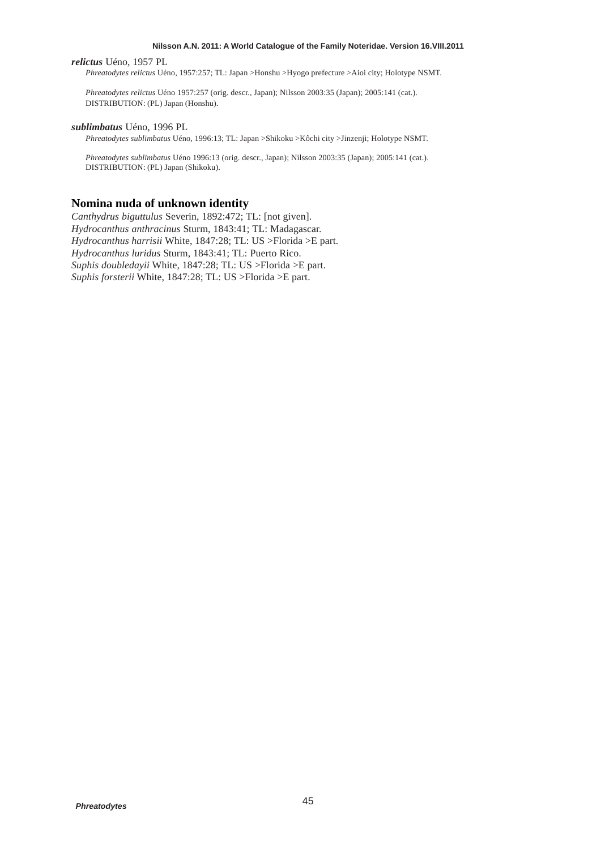# *relictus* Uéno, 1957 PL

*Phreatodytes relictus* Uéno, 1957:257; TL: Japan >Honshu >Hyogo prefecture >Aioi city; Holotype NSMT.

*Phreatodytes relictus* Uéno 1957:257 (orig. descr., Japan); Nilsson 2003:35 (Japan); 2005:141 (cat.). DISTRIBUTION: (PL) Japan (Honshu).

# *sublimbatus* Uéno, 1996 PL

*Phreatodytes sublimbatus* Uéno, 1996:13; TL: Japan >Shikoku >Kôchi city >Jinzenji; Holotype NSMT.

*Phreatodytes sublimbatus* Uéno 1996:13 (orig. descr., Japan); Nilsson 2003:35 (Japan); 2005:141 (cat.). DISTRIBUTION: (PL) Japan (Shikoku).

# **Nomina nuda of unknown identity**

*Canthydrus biguttulus* Severin, 1892:472; TL: [not given]. *Hydrocanthus anthracinus* Sturm, 1843:41; TL: Madagascar. *Hydrocanthus harrisii* White, 1847:28; TL: US >Florida >E part. *Hydrocanthus luridus* Sturm, 1843:41; TL: Puerto Rico. *Suphis doubledayii* White, 1847:28; TL: US >Florida >E part. *Suphis forsterii* White, 1847:28; TL: US >Florida >E part.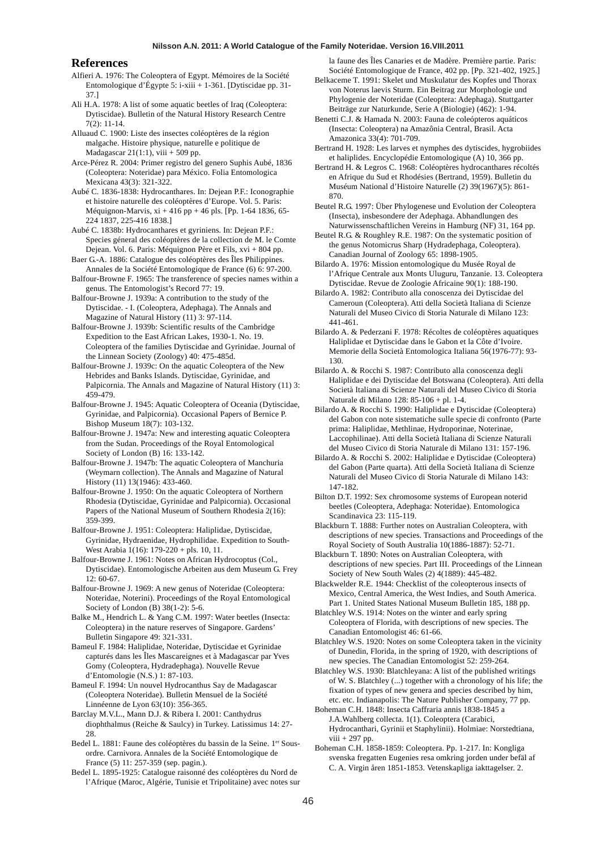# **References**

- Alfieri A. 1976: The Coleoptera of Egypt. Mémoires de la Société Entomologique d'Égypte 5: i-xiii + 1-361. [Dytiscidae pp. 31- 37.]
- Ali H.A. 1978: A list of some aquatic beetles of Iraq (Coleoptera: Dytiscidae). Bulletin of the Natural History Research Centre 7(2): 11-14.
- Alluaud C. 1900: Liste des insectes coléoptères de la région malgache. Histoire physique, naturelle e politique de Madagascar  $21(1:1)$ , viii + 509 pp.
- Arce-Pérez R. 2004: Primer registro del genero Suphis Aubé, 1836 (Coleoptera: Noteridae) para México. Folia Entomologica Mexicana 43(3): 321-322.
- Aubé C. 1836-1838: Hydrocanthares. In: Dejean P.F.: Iconographie et histoire naturelle des coléoptères d'Europe. Vol. 5. Paris: Méquignon-Marvis, xi + 416 pp + 46 pls. [Pp. 1-64 1836, 65- 224 1837, 225-416 1838.]
- Aubé C. 1838b: Hydrocanthares et gyriniens. In: Dejean P.F.: Species géneral des coléoptères de la collection de M. le Comte Dejean. Vol. 6. Paris: Méquignon Père et Fils, xvi + 804 pp. Baer G.-A. 1886: Catalogue des coléoptères des Îles Philippines.
- Annales de la Société Entomologique de France (6) 6: 97-200. Balfour-Browne F. 1965: The transference of species names within a
- genus. The Entomologist's Record 77: 19.
- Balfour-Browne J. 1939a: A contribution to the study of the Dytiscidae. - I. (Coleoptera, Adephaga). The Annals and Magazine of Natural History (11) 3: 97-114.
- Balfour-Browne J. 1939b: Scientific results of the Cambridge Expedition to the East African Lakes, 1930-1. No. 19. Coleoptera of the families Dytiscidae and Gyrinidae. Journal of the Linnean Society (Zoology) 40: 475-485d.
- Balfour-Browne J. 1939c: On the aquatic Coleoptera of the New Hebrides and Banks Islands. Dytiscidae, Gyrinidae, and Palpicornia. The Annals and Magazine of Natural History (11) 3: 459-479.
- Balfour-Browne J. 1945: Aquatic Coleoptera of Oceania (Dytiscidae, Gyrinidae, and Palpicornia). Occasional Papers of Bernice P. Bishop Museum 18(7): 103-132.
- Balfour-Browne J. 1947a: New and interesting aquatic Coleoptera from the Sudan. Proceedings of the Royal Entomological Society of London (B) 16: 133-142.
- Balfour-Browne J. 1947b: The aquatic Coleoptera of Manchuria (Weymarn collection). The Annals and Magazine of Natural History (11) 13(1946): 433-460.
- Balfour-Browne J. 1950: On the aquatic Coleoptera of Northern Rhodesia (Dytiscidae, Gyrinidae and Palpicornia). Occasional Papers of the National Museum of Southern Rhodesia 2(16): 359-399.
- Balfour-Browne J. 1951: Coleoptera: Haliplidae, Dytiscidae, Gyrinidae, Hydraenidae, Hydrophilidae. Expedition to South-West Arabia 1(16): 179-220 + pls. 10, 11.
- Balfour-Browne J. 1961: Notes on African Hydrocoptus (Col., Dytiscidae). Entomologische Arbeiten aus dem Museum G. Frey  $12: 60-67.$
- Balfour-Browne J. 1969: A new genus of Noteridae (Coleoptera: Noteridae, Noterini). Proceedings of the Royal Entomological Society of London (B) 38(1-2): 5-6.
- Balke M., Hendrich L. & Yang C.M. 1997: Water beetles (Insecta: Coleoptera) in the nature reserves of Singapore. Gardens' Bulletin Singapore 49: 321-331.
- Bameul F. 1984: Haliplidae, Noteridae, Dytiscidae et Gyrinidae capturés dans les Îles Mascareignes et à Madagascar par Yves Gomy (Coleoptera, Hydradephaga). Nouvelle Revue d'Entomologie (N.S.) 1: 87-103.
- Bameul F. 1994: Un nouvel Hydrocanthus Say de Madagascar (Coleoptera Noteridae). Bulletin Mensuel de la Société Linnéenne de Lyon 63(10): 356-365.
- Barclay M.V.L., Mann D.J. & Ribera I. 2001: Canthydrus diophthalmus (Reiche & Saulcy) in Turkey. Latissimus 14: 27- 28
- Bedel L. 1881: Faune des coléoptères du bassin de la Seine. 1er Sousordre. Carnivora. Annales de la Société Entomologique de France (5) 11: 257-359 (sep. pagin.).
- Bedel L. 1895-1925: Catalogue raisonné des coléoptères du Nord de l'Afrique (Maroc, Algérie, Tunisie et Tripolitaine) avec notes sur

la faune des Îles Canaries et de Madère. Première partie. Paris: Société Entomologique de France, 402 pp. [Pp. 321-402, 1925.]

- Belkaceme T. 1991: Skelet und Muskulatur des Kopfes und Thorax von Noterus laevis Sturm. Ein Beitrag zur Morphologie und Phylogenie der Noteridae (Coleoptera: Adephaga). Stuttgarter Beiträge zur Naturkunde, Serie A (Biologie) (462): 1-94.
- Benetti C.J. & Hamada N. 2003: Fauna de coleópteros aquáticos (Insecta: Coleoptera) na Amazônia Central, Brasil. Acta Amazonica 33(4): 701-709.
- Bertrand H. 1928: Les larves et nymphes des dytiscides, hygrobiides et haliplides. Encyclopédie Entomologique (A) 10, 366 pp.
- Bertrand H. & Legros C. 1968: Coléoptères hydrocanthares récoltés en Afrique du Sud et Rhodésies (Bertrand, 1959). Bulletin du Muséum National d'Histoire Naturelle (2) 39(1967)(5): 861- 870.
- Beutel R.G. 1997: Über Phylogenese und Evolution der Coleoptera (Insecta), insbesondere der Adephaga. Abhandlungen des Naturwissenschaftlichen Vereins in Hamburg (NF) 31, 164 pp.
- Beutel R.G. & Roughley R.E. 1987: On the systematic position of the genus Notomicrus Sharp (Hydradephaga, Coleoptera). Canadian Journal of Zoology 65: 1898-1905.
- Bilardo A. 1976: Mission entomologique du Musée Royal de l'Afrique Centrale aux Monts Uluguru, Tanzanie. 13. Coleoptera Dytiscidae. Revue de Zoologie Africaine 90(1): 188-190.
- Bilardo A. 1982: Contributo alla conoscenza dei Dytiscidae del Cameroun (Coleoptera). Atti della Società Italiana di Scienze Naturali del Museo Civico di Storia Naturale di Milano 123: 441-461.
- Bilardo A. & Pederzani F. 1978: Récoltes de coléoptères aquatiques Haliplidae et Dytiscidae dans le Gabon et la Côte d'Ivoire. Memorie della Società Entomologica Italiana 56(1976-77): 93- 130.
- Bilardo A. & Rocchi S. 1987: Contributo alla conoscenza degli Haliplidae e dei Dytiscidae del Botswana (Coleoptera). Atti della Società Italiana di Scienze Naturali del Museo Civico di Storia Naturale di Milano 128: 85-106 + pl. 1-4.
- Bilardo A. & Rocchi S. 1990: Haliplidae e Dytiscidae (Coleoptera) del Gabon con note sistematiche sulle specie di confronto (Parte prima: Haliplidae, Methlinae, Hydroporinae, Noterinae, Laccophilinae). Atti della Società Italiana di Scienze Naturali del Museo Civico di Storia Naturale di Milano 131: 157-196.
- Bilardo A. & Rocchi S. 2002: Haliplidae e Dytiscidae (Coleoptera) del Gabon (Parte quarta). Atti della Società Italiana di Scienze Naturali del Museo Civico di Storia Naturale di Milano 143: 147-182.
- Bilton D.T. 1992: Sex chromosome systems of European noterid beetles (Coleoptera, Adephaga: Noteridae). Entomologica Scandinavica 23: 115-119.
- Blackburn T. 1888: Further notes on Australian Coleoptera, with descriptions of new species. Transactions and Proceedings of the Royal Society of South Australia 10(1886-1887): 52-71.
- Blackburn T. 1890: Notes on Australian Coleoptera, with descriptions of new species. Part III. Proceedings of the Linnean Society of New South Wales (2) 4(1889): 445-482.
- Blackwelder R.E. 1944: Checklist of the coleopterous insects of Mexico, Central America, the West Indies, and South America. Part 1. United States National Museum Bulletin 185, 188 pp.
- Blatchley W.S. 1914: Notes on the winter and early spring Coleoptera of Florida, with descriptions of new species. The Canadian Entomologist 46: 61-66.
- Blatchley W.S. 1920: Notes on some Coleoptera taken in the vicinity of Dunedin, Florida, in the spring of 1920, with descriptions of new species. The Canadian Entomologist 52: 259-264.
- Blatchley W.S. 1930: Blatchleyana: A list of the published writings of W. S. Blatchley (...) together with a chronology of his life; the fixation of types of new genera and species described by him, etc. etc. Indianapolis: The Nature Publisher Company, 77 pp.
- Boheman C.H. 1848: Insecta Caffraria annis 1838-1845 a J.A.Wahlberg collecta. 1(1). Coleoptera (Carabici, Hydrocanthari, Gyrinii et Staphylinii). Holmiae: Norstedtiana, viii + 297 pp.
- Boheman C.H. 1858-1859: Coleoptera. Pp. 1-217. In: Kongliga svenska fregatten Eugenies resa omkring jorden under befäl af C. A. Virgin åren 1851-1853. Vetenskapliga iakttagelser. 2.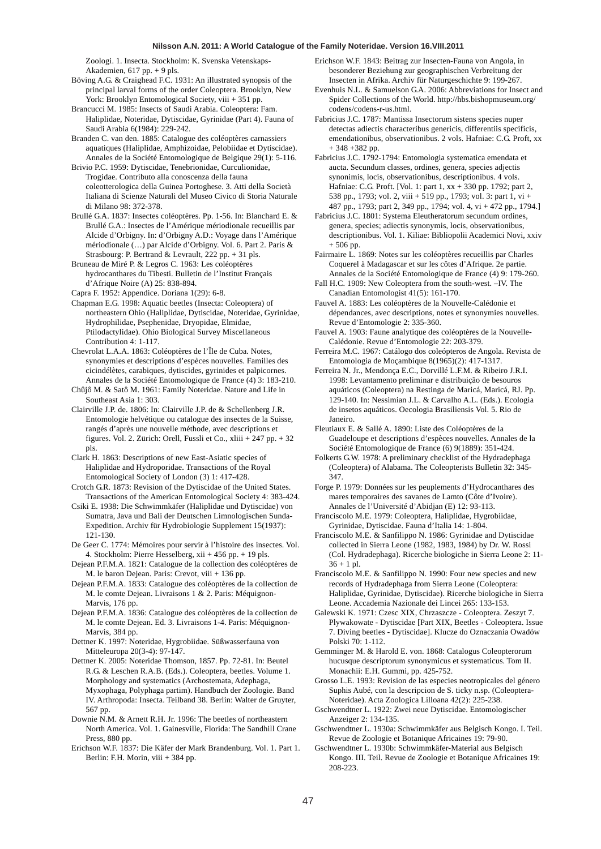Zoologi. 1. Insecta. Stockholm: K. Svenska Vetenskaps-Akademien, 617 pp. + 9 pls.

Böving A.G. & Craighead F.C. 1931: An illustrated synopsis of the principal larval forms of the order Coleoptera. Brooklyn, New York: Brooklyn Entomological Society, viii + 351 pp.

Brancucci M. 1985: Insects of Saudi Arabia. Coleoptera: Fam. Haliplidae, Noteridae, Dytiscidae, Gyrinidae (Part 4). Fauna of Saudi Arabia 6(1984): 229-242.

Branden C. van den. 1885: Catalogue des coléoptères carnassiers aquatiques (Haliplidae, Amphizoidae, Pelobiidae et Dytiscidae). Annales de la Société Entomologique de Belgique 29(1): 5-116.

Brivio P.C. 1959: Dytiscidae, Tenebrionidae, Curculionidae, Trogidae. Contributo alla conoscenza della fauna coleotterologica della Guinea Portoghese. 3. Atti della Società Italiana di Scienze Naturali del Museo Civico di Storia Naturale di Milano 98: 372-378.

Brullé G.A. 1837: Insectes coléoptères. Pp. 1-56. In: Blanchard E. & Brullé G.A.: Insectes de l'Amérique mériodionale recueillis par Alcide d'Orbigny. In: d'Orbigny A.D.: Voyage dans l'Amérique mériodionale (…) par Alcide d'Orbigny. Vol. 6. Part 2. Paris & Strasbourg: P. Bertrand & Levrault, 222 pp. + 31 pls.

Bruneau de Miré P. & Legros C. 1963: Les coléoptères hydrocanthares du Tibesti. Bulletin de l'Institut Français d'Afrique Noire (A) 25: 838-894.

Capra F. 1952: Appendice. Doriana 1(29): 6-8.

Chapman E.G. 1998: Aquatic beetles (Insecta: Coleoptera) of northeastern Ohio (Haliplidae, Dytiscidae, Noteridae, Gyrinidae, Hydrophilidae, Psephenidae, Dryopidae, Elmidae, Ptilodactylidae). Ohio Biological Survey Miscellaneous Contribution 4: 1-117.

Chevrolat L.A.A. 1863: Coléoptères de l'Île de Cuba. Notes, synonymies et descriptions d'espèces nouvelles. Familles des cicindélètes, carabiques, dytiscides, gyrinides et palpicornes. Annales de la Société Entomologique de France (4) 3: 183-210.

Chûjô M. & Satô M. 1961: Family Noteridae. Nature and Life in Southeast Asia 1: 303.

Clairville J.P. de. 1806: In: Clairville J.P. de & Schellenberg J.R. Entomologie helvétique ou catalogue des insectes de la Suisse, rangés d'après une nouvelle méthode, avec descriptions et figures. Vol. 2. Zürich: Orell, Fussli et Co., xliii + 247 pp. + 32 pls.

Clark H. 1863: Descriptions of new East-Asiatic species of Haliplidae and Hydroporidae. Transactions of the Royal Entomological Society of London (3) 1: 417-428.

Crotch G.R. 1873: Revision of the Dytiscidae of the United States. Transactions of the American Entomological Society 4: 383-424.

Csiki E. 1938: Die Schwimmkäfer (Haliplidae und Dytiscidae) von Sumatra, Java und Bali der Deutschen Limnologischen Sunda-Expedition. Archiv für Hydrobiologie Supplement 15(1937): 121-130.

De Geer C. 1774: Mémoires pour servir à l'histoire des insectes. Vol. 4. Stockholm: Pierre Hesselberg, xii + 456 pp. + 19 pls.

Dejean P.F.M.A. 1821: Catalogue de la collection des coléoptères de M. le baron Dejean. Paris: Crevot, viii + 136 pp.

Dejean P.F.M.A. 1833: Catalogue des coléoptères de la collection de M. le comte Dejean. Livraisons 1 & 2. Paris: Méquignon-Marvis, 176 pp.

Dejean P.F.M.A. 1836: Catalogue des coléoptères de la collection de M. le comte Dejean. Ed. 3. Livraisons 1-4. Paris: Méquignon-Marvis, 384 pp.

Dettner K. 1997: Noteridae, Hygrobiidae. Süßwasserfauna von Mitteleuropa 20(3-4): 97-147.

Dettner K. 2005: Noteridae Thomson, 1857. Pp. 72-81. In: Beutel R.G. & Leschen R.A.B. (Eds.). Coleoptera, beetles. Volume 1. Morphology and systematics (Archostemata, Adephaga, Myxophaga, Polyphaga partim). Handbuch der Zoologie. Band IV. Arthropoda: Insecta. Teilband 38. Berlin: Walter de Gruyter, 567 pp.

Downie N.M. & Arnett R.H. Jr. 1996: The beetles of northeastern North America. Vol. 1. Gainesville, Florida: The Sandhill Crane Press, 880 pp.

Erichson W.F. 1837: Die Käfer der Mark Brandenburg. Vol. 1. Part 1. Berlin: F.H. Morin, viii + 384 pp.

- Erichson W.F. 1843: Beitrag zur Insecten-Fauna von Angola, in besonderer Beziehung zur geographischen Verbreitung der Insecten in Afrika. Archiv für Naturgeschichte 9: 199-267.
- Evenhuis N.L. & Samuelson G.A. 2006: Abbreviations for Insect and Spider Collections of the World. http://hbs.bishopmuseum.org/ codens/codens-r-us.html.

Fabricius J.C. 1787: Mantissa Insectorum sistens species nuper detectas adiectis characteribus genericis, differentiis specificis, emendationibus, observationibus. 2 vols. Hafniae: C.G. Proft, xx  $+ 348 + 382$  pp.

Fabricius J.C. 1792-1794: Entomologia systematica emendata et aucta. Secundum classes, ordines, genera, species adjectis synonimis, locis, observationibus, descriptionibus. 4 vols. Hafniae: C.G. Proft. [Vol. 1: part 1, xx + 330 pp. 1792; part 2, 538 pp., 1793; vol. 2, viii + 519 pp., 1793; vol. 3: part 1, vi + 487 pp., 1793; part 2, 349 pp., 1794; vol. 4, vi + 472 pp., 1794.]

Fabricius J.C. 1801: Systema Eleutheratorum secundum ordines, genera, species; adiectis synonymis, locis, observationibus, descriptionibus. Vol. 1. Kiliae: Bibliopolii Academici Novi, xxiv + 506 pp.

Fairmaire L. 1869: Notes sur les coléoptères recueillis par Charles Coquerel à Madagascar et sur les côtes d'Afrique. 2e partie. Annales de la Société Entomologique de France (4) 9: 179-260.

Fall H.C. 1909: New Coleoptera from the south-west. –IV. The Canadian Entomologist 41(5): 161-170.

Fauvel A. 1883: Les coléoptères de la Nouvelle-Calédonie et dépendances, avec descriptions, notes et synonymies nouvelles. Revue d'Entomologie 2: 335-360.

Fauvel A. 1903: Faune analytique des coléoptères de la Nouvelle-Calédonie. Revue d'Entomologie 22: 203-379.

Ferreira M.C. 1967: Catálogo dos coleópteros de Angola. Revista de Entomologia de Moçambique 8(1965)(2): 417-1317.

Ferreira N. Jr., Mendonça E.C., Dorvillé L.F.M. & Ribeiro J.R.I. 1998: Levantamento preliminar e distribuição de besouros aquáticos (Coleoptera) na Restinga de Maricá, Maricá, RJ. Pp. 129-140. In: Nessimian J.L. & Carvalho A.L. (Eds.). Ecologia de insetos aquáticos. Oecologia Brasiliensis Vol. 5. Rio de Janeiro.

Fleutiaux E. & Sallé A. 1890: Liste des Coléoptères de la Guadeloupe et descriptions d'espèces nouvelles. Annales de la Société Entomologique de France (6) 9(1889): 351-424.

Folkerts G.W. 1978: A preliminary checklist of the Hydradephaga (Coleoptera) of Alabama. The Coleopterists Bulletin 32: 345- 347.

Forge P. 1979: Données sur les peuplements d'Hydrocanthares des mares temporaires des savanes de Lamto (Côte d'Ivoire). Annales de l'Université d'Abidjan (E) 12: 93-113.

Franciscolo M.E. 1979: Coleoptera, Haliplidae, Hygrobiidae, Gyrinidae, Dytiscidae. Fauna d'Italia 14: 1-804.

Franciscolo M.E. & Sanfilippo N. 1986: Gyrinidae and Dytiscidae collected in Sierra Leone (1982, 1983, 1984) by Dr. W. Rossi (Col. Hydradephaga). Ricerche biologiche in Sierra Leone 2: 11-  $36 + 1$  pl.

Franciscolo M.E. & Sanfilippo N. 1990: Four new species and new records of Hydradephaga from Sierra Leone (Coleoptera: Haliplidae, Gyrinidae, Dytiscidae). Ricerche biologiche in Sierra Leone. Accademia Nazionale dei Lincei 265: 133-153.

Galewski K. 1971: Czesc XIX, Chrzaszcze - Coleoptera. Zeszyt 7. Plywakowate - Dytiscidae [Part XIX, Beetles - Coleoptera. Issue 7. Diving beetles - Dytiscidae]. Klucze do Oznaczania Owadów Polski 70: 1-112.

Gemminger M. & Harold E. von. 1868: Catalogus Coleopterorum hucusque descriptorum synonymicus et systematicus. Tom II. Monachii: E.H. Gummi, pp. 425-752.

Grosso L.E. 1993: Revision de las especies neotropicales del género Suphis Aubé, con la descripcion de S. ticky n.sp. (Coleoptera-Noteridae). Acta Zoologica Lilloana 42(2): 225-238.

Gschwendtner L. 1922: Zwei neue Dytiscidae. Entomologischer Anzeiger 2: 134-135.

Gschwendtner L. 1930a: Schwimmkäfer aus Belgisch Kongo. I. Teil. Revue de Zoologie et Botanique Africaines 19: 79-90.

Gschwendtner L. 1930b: Schwimmkäfer-Material aus Belgisch Kongo. III. Teil. Revue de Zoologie et Botanique Africaines 19: 208-223.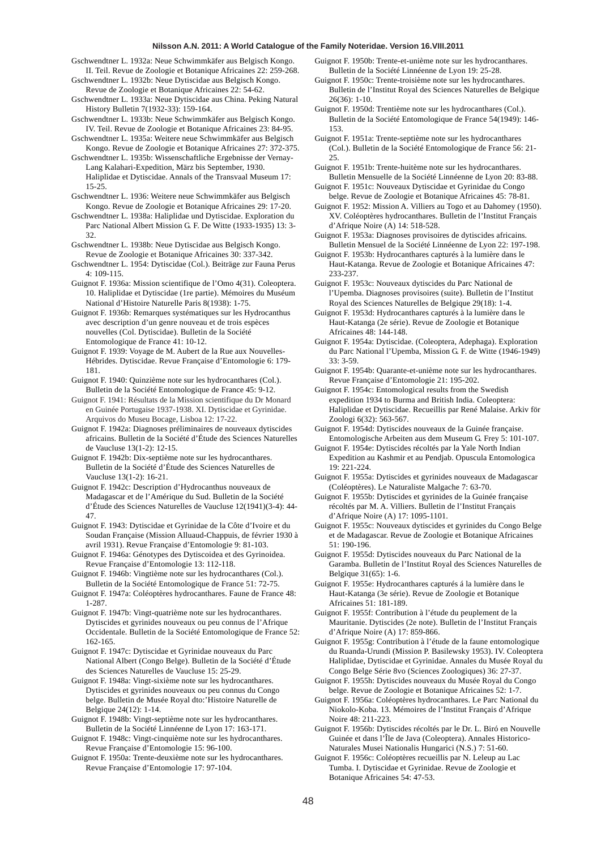- Gschwendtner L. 1932a: Neue Schwimmkäfer aus Belgisch Kongo. II. Teil. Revue de Zoologie et Botanique Africaines 22: 259-268.
- Gschwendtner L. 1932b: Neue Dytiscidae aus Belgisch Kongo. Revue de Zoologie et Botanique Africaines 22: 54-62.
- Gschwendtner L. 1933a: Neue Dytiscidae aus China. Peking Natural History Bulletin 7(1932-33): 159-164.
- Gschwendtner L. 1933b: Neue Schwimmkäfer aus Belgisch Kongo. IV. Teil. Revue de Zoologie et Botanique Africaines 23: 84-95.
- Gschwendtner L. 1935a: Weitere neue Schwimmkäfer aus Belgisch Kongo. Revue de Zoologie et Botanique Africaines 27: 372-375.
- Gschwendtner L. 1935b: Wissenschaftliche Ergebnisse der Vernay-Lang Kalahari-Expedition, März bis September, 1930. Haliplidae et Dytiscidae. Annals of the Transvaal Museum 17: 15-25.
- Gschwendtner L. 1936: Weitere neue Schwimmkäfer aus Belgisch Kongo. Revue de Zoologie et Botanique Africaines 29: 17-20.
- Gschwendtner L. 1938a: Haliplidae und Dytiscidae. Exploration du Parc National Albert Mission G. F. De Witte (1933-1935) 13: 3- 32.
- Gschwendtner L. 1938b: Neue Dytiscidae aus Belgisch Kongo. Revue de Zoologie et Botanique Africaines 30: 337-342.
- Gschwendtner L. 1954: Dytiscidae (Col.). Beiträge zur Fauna Perus 4: 109-115.
- Guignot F. 1936a: Mission scientifique de l'Omo 4(31). Coleoptera. 10. Haliplidae et Dytiscidae (1re partie). Mémoires du Muséum National d'Histoire Naturelle Paris 8(1938): 1-75.
- Guignot F. 1936b: Remarques systématiques sur les Hydrocanthus avec description d'un genre nouveau et de trois espèces nouvelles (Col. Dytiscidae). Bulletin de la Société Entomologique de France 41: 10-12.
- Guignot F. 1939: Voyage de M. Aubert de la Rue aux Nouvelles-Hébrides. Dytiscidae. Revue Française d'Entomologie 6: 179- 181.
- Guignot F. 1940: Quinzième note sur les hydrocanthares (Col.). Bulletin de la Société Entomologique de France 45: 9-12.
- Guignot F. 1941: Résultats de la Mission scientifique du Dr Monard en Guinée Portugaise 1937-1938. XI. Dytiscidae et Gyrinidae. Arquivos do Museu Bocage, Lisboa 12: 17-22.
- Guignot F. 1942a: Diagnoses préliminaires de nouveaux dytiscides africains. Bulletin de la Société d'Étude des Sciences Naturelles de Vaucluse 13(1-2): 12-15.
- Guignot F. 1942b: Dix-septième note sur les hydrocanthares. Bulletin de la Société d'Étude des Sciences Naturelles de Vaucluse 13(1-2): 16-21.
- Guignot F. 1942c: Description d'Hydrocanthus nouveaux de Madagascar et de l'Amérique du Sud. Bulletin de la Société d'Étude des Sciences Naturelles de Vaucluse 12(1941)(3-4): 44- 47.
- Guignot F. 1943: Dytiscidae et Gyrinidae de la Côte d'Ivoire et du Soudan Française (Mission Alluaud-Chappuis, de février 1930 à avril 1931). Revue Française d'Entomologie 9: 81-103.
- Guignot F. 1946a: Génotypes des Dytiscoidea et des Gyrinoidea. Revue Française d'Entomologie 13: 112-118.
- Guignot F. 1946b: Vingtième note sur les hydrocanthares (Col.). Bulletin de la Société Entomologique de France 51: 72-75.
- Guignot F. 1947a: Coléoptères hydrocanthares. Faune de France 48: 1-287.
- Guignot F. 1947b: Vingt-quatrième note sur les hydrocanthares. Dytiscides et gyrinides nouveaux ou peu connus de l'Afrique Occidentale. Bulletin de la Société Entomologique de France 52: 162-165.
- Guignot F. 1947c: Dytiscidae et Gyrinidae nouveaux du Parc National Albert (Congo Belge). Bulletin de la Société d'Étude des Sciences Naturelles de Vaucluse 15: 25-29.
- Guignot F. 1948a: Vingt-sixième note sur les hydrocanthares. Dytiscides et gyrinides nouveaux ou peu connus du Congo belge. Bulletin de Musée Royal dto:'Histoire Naturelle de Belgique 24(12): 1-14.
- Guignot F. 1948b: Vingt-septième note sur les hydrocanthares. Bulletin de la Société Linnéenne de Lyon 17: 163-171.
- Guignot F. 1948c: Vingt-cinquième note sur les hydrocanthares. Revue Française d'Entomologie 15: 96-100.
- Guignot F. 1950a: Trente-deuxième note sur les hydrocanthares. Revue Française d'Entomologie 17: 97-104.
- Guignot F. 1950b: Trente-et-unième note sur les hydrocanthares. Bulletin de la Société Linnéenne de Lyon 19: 25-28.
- Guignot F. 1950c: Trente-troisième note sur les hydrocanthares. Bulletin de l'Institut Royal des Sciences Naturelles de Belgique  $26(36)$ : 1-10.
- Guignot F. 1950d: Trentième note sur les hydrocanthares (Col.). Bulletin de la Société Entomologique de France 54(1949): 146- 153.
- Guignot F. 1951a: Trente-septième note sur les hydrocanthares (Col.). Bulletin de la Société Entomologique de France 56: 21- 25.
- Guignot F. 1951b: Trente-huitème note sur les hydrocanthares. Bulletin Mensuelle de la Société Linnéenne de Lyon 20: 83-88. Guignot F. 1951c: Nouveaux Dytiscidae et Gyrinidae du Congo
- belge. Revue de Zoologie et Botanique Africaines 45: 78-81.
- Guignot F. 1952: Mission A. Villiers au Togo et au Dahomey (1950). XV. Coléoptères hydrocanthares. Bulletin de l'Institut Français d'Afrique Noire (A) 14: 518-528.
- Guignot F. 1953a: Diagnoses provisoires de dytiscides africains. Bulletin Mensuel de la Société Linnéenne de Lyon 22: 197-198.
- Guignot F. 1953b: Hydrocanthares capturés à la lumière dans le Haut-Katanga. Revue de Zoologie et Botanique Africaines 47: 233-237.
- Guignot F. 1953c: Nouveaux dytiscides du Parc National de l'Upemba. Diagnoses provisoires (suite). Bulletin de l'Institut Royal des Sciences Naturelles de Belgique 29(18): 1-4.
- Guignot F. 1953d: Hydrocanthares capturés à la lumière dans le Haut-Katanga (2e série). Revue de Zoologie et Botanique Africaines 48: 144-148.
- Guignot F. 1954a: Dytiscidae. (Coleoptera, Adephaga). Exploration du Parc National l'Upemba, Mission G. F. de Witte (1946-1949) 33: 3-59.
- Guignot F. 1954b: Quarante-et-unième note sur les hydrocanthares. Revue Française d'Entomologie 21: 195-202.
- Guignot F. 1954c: Entomological results from the Swedish expedition 1934 to Burma and British India. Coleoptera: Haliplidae et Dytiscidae. Recueillis par René Malaise. Arkiv för Zoologi 6(32): 563-567.
- Guignot F. 1954d: Dytiscides nouveaux de la Guinée française. Entomologische Arbeiten aus dem Museum G. Frey 5: 101-107.
- Guignot F. 1954e: Dytiscides récoltés par la Yale North Indian Expedition au Kashmir et au Pendjab. Opuscula Entomologica 19: 221-224.
- Guignot F. 1955a: Dytiscides et gyrinides nouveaux de Madagascar (Coléoptères). Le Naturaliste Malgache 7: 63-70.
- Guignot F. 1955b: Dytiscides et gyrinides de la Guinée française récoltés par M. A. Villiers. Bulletin de l'Institut Français d'Afrique Noire (A) 17: 1095-1101.
- Guignot F. 1955c: Nouveaux dytiscides et gyrinides du Congo Belge et de Madagascar. Revue de Zoologie et Botanique Africaines 51: 190-196.
- Guignot F. 1955d: Dytiscides nouveaux du Parc National de la Garamba. Bulletin de l'Institut Royal des Sciences Naturelles de Belgique 31(65): 1-6.
- Guignot F. 1955e: Hydrocanthares capturés á la lumière dans le Haut-Katanga (3e série). Revue de Zoologie et Botanique Africaines 51: 181-189.
- Guignot F. 1955f: Contribution à l'étude du peuplement de la Mauritanie. Dytiscides (2e note). Bulletin de l'Institut Français d'Afrique Noire (A) 17: 859-866.
- Guignot F. 1955g: Contribution à l'étude de la faune entomologique du Ruanda-Urundi (Mission P. Basilewsky 1953). IV. Coleoptera Haliplidae, Dytiscidae et Gyrinidae. Annales du Musée Royal du Congo Belge Série 8vo (Sciences Zoologiques) 36: 27-37.
- Guignot F. 1955h: Dytiscides nouveaux du Musée Royal du Congo belge. Revue de Zoologie et Botanique Africaines 52: 1-7.
- Guignot F. 1956a: Coléoptères hydrocanthares. Le Parc National du Niokolo-Koba. 13. Mémoires de l'Institut Français d'Afrique Noire 48: 211-223.
- Guignot F. 1956b: Dytiscides récoltés par le Dr. L. Biró en Nouvelle Guinée et dans l'Île de Java (Coleoptera). Annales Historico-Naturales Musei Nationalis Hungarici (N.S.) 7: 51-60.
- Guignot F. 1956c: Coléoptères recueillis par N. Leleup au Lac Tumba. I. Dytiscidae et Gyrinidae. Revue de Zoologie et Botanique Africaines 54: 47-53.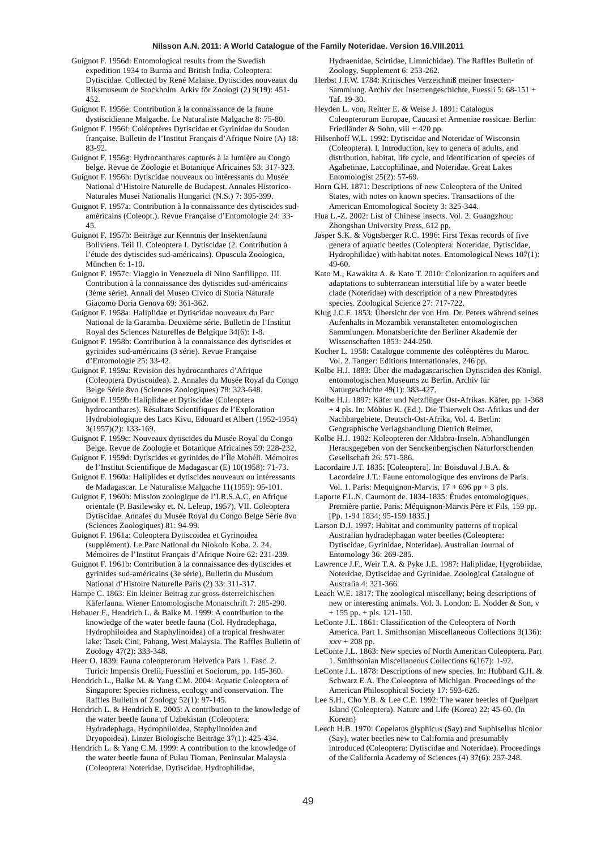Guignot F. 1956d: Entomological results from the Swedish expedition 1934 to Burma and British India. Coleoptera: Dytiscidae. Collected by René Malaise. Dytiscides nouveaux du Riksmuseum de Stockholm. Arkiv för Zoologi (2) 9(19): 451- 452.

Guignot F. 1956e: Contribution à la connaissance de la faune dystiscidienne Malgache. Le Naturaliste Malgache 8: 75-80.

Guignot F. 1956f: Coléoptères Dytiscidae et Gyrinidae du Soudan française. Bulletin de l'Institut Français d'Afrique Noire (A) 18: 83-92.

Guignot F. 1956g: Hydrocanthares capturés à la lumière au Congo belge. Revue de Zoologie et Botanique Africaines 53: 317-323.

Guignot F. 1956h: Dytiscidae nouveaux ou intéressants du Musée National d'Histoire Naturelle de Budapest. Annales Historico-Naturales Musei Nationalis Hungarici (N.S.) 7: 395-399.

Guignot F. 1957a: Contribution à la connaissance des dytiscides sudaméricains (Coleopt.). Revue Française d'Entomologie 24: 33- 45.

Guignot F. 1957b: Beiträge zur Kenntnis der Insektenfauna Boliviens. Teil II. Coleoptera I. Dytiscidae (2. Contribution à l'étude des dytiscides sud-américains). Opuscula Zoologica, München 6: 1-10.

Guignot F. 1957c: Viaggio in Venezuela di Nino Sanfilippo. III. Contribution à la connaissance des dytiscides sud-américains (3ème série). Annali del Museo Civico di Storia Naturale Giacomo Doria Genova 69: 361-362.

Guignot F. 1958a: Haliplidae et Dytiscidae nouveaux du Parc National de la Garamba. Deuxième série. Bulletin de l'Institut Royal des Sciences Naturelles de Belgique 34(6): 1-8.

Guignot F. 1958b: Contribution à la connaissance des dytiscides et gyrinides sud-américains (3 série). Revue Française d'Entomologie 25: 33-42.

Guignot F. 1959a: Revision des hydrocanthares d'Afrique (Coleoptera Dytiscoidea). 2. Annales du Musée Royal du Congo Belge Série 8vo (Sciences Zoologiques) 78: 323-648.

Guignot F. 1959b: Haliplidae et Dytiscidae (Coleoptera hydrocanthares). Résultats Scientifiques de l'Exploration Hydrobiologique des Lacs Kivu, Edouard et Albert (1952-1954) 3(1957)(2): 133-169.

Guignot F. 1959c: Nouveaux dytiscides du Musée Royal du Congo Belge. Revue de Zoologie et Botanique Africaines 59: 228-232.

Guignot F. 1959d: Dytiscides et gyrinides de l'Île Mohéli. Mémoires de l'Institut Scientifique de Madagascar (E) 10(1958): 71-73.

Guignot F. 1960a: Haliplides et dytiscides nouveaux ou intéressants de Madagascar. Le Naturaliste Malgache 11(1959): 95-101.

Guignot F. 1960b: Mission zoologique de l'I.R.S.A.C. en Afrique orientale (P. Basilewsky et. N. Leleup, 1957). VII. Coleoptera Dytiscidae. Annales du Musée Royal du Congo Belge Série 8vo (Sciences Zoologiques) 81: 94-99.

Guignot F. 1961a: Coleoptera Dytiscoidea et Gyrinoidea (supplément). Le Parc National du Niokolo Koba. 2. 24. Mémoires de l'Institut Français d'Afrique Noire 62: 231-239.

Guignot F. 1961b: Contribution à la connaissance des dytiscides et gyrinides sud-américains (3e série). Bulletin du Muséum National d'Histoire Naturelle Paris (2) 33: 311-317.

Hampe C. 1863: Ein kleiner Beitrag zur gross-österreichischen Käferfauna. Wiener Entomologische Monatschrift 7: 285-290.

Hebauer F., Hendrich L. & Balke M. 1999: A contribution to the knowledge of the water beetle fauna (Col. Hydradephaga, Hydrophiloidea and Staphylinoidea) of a tropical freshwater lake: Tasek Cini, Pahang, West Malaysia. The Raffles Bulletin of Zoology 47(2): 333-348.

Heer O. 1839: Fauna coleopterorum Helvetica Pars 1. Fasc. 2. Turici: Impensis Orelii, Fuesslini et Sociorum, pp. 145-360.

Hendrich L., Balke M. & Yang C.M. 2004: Aquatic Coleoptera of Singapore: Species richness, ecology and conservation. The Raffles Bulletin of Zoology 52(1): 97-145.

Hendrich L. & Hendrich E. 2005: A contribution to the knowledge of the water beetle fauna of Uzbekistan (Coleoptera: Hydradephaga, Hydrophiloidea, Staphylinoidea and Dryopoidea). Linzer Biologische Beiträge 37(1): 425-434.

Hendrich L. & Yang C.M. 1999: A contribution to the knowledge of the water beetle fauna of Pulau Tioman, Peninsular Malaysia (Coleoptera: Noteridae, Dytiscidae, Hydrophilidae,

Hydraenidae, Scirtidae, Limnichidae). The Raffles Bulletin of Zoology, Supplement 6: 253-262.

Herbst J.F.W. 1784: Kritisches Verzeichniß meiner Insecten-Sammlung. Archiv der Insectengeschichte, Fuessli 5: 68-151 + Taf. 19-30.

Heyden L. von, Reitter E. & Weise J. 1891: Catalogus Coleopterorum Europae, Caucasi et Armeniae rossicae. Berlin: Friedländer & Sohn, viii + 420 pp.

Hilsenhoff W.L. 1992: Dytiscidae and Noteridae of Wisconsin (Coleoptera). I. Introduction, key to genera of adults, and distribution, habitat, life cycle, and identification of species of Agabetinae, Laccophilinae, and Noteridae. Great Lakes Entomologist 25(2): 57-69.

Horn G.H. 1871: Descriptions of new Coleoptera of the United States, with notes on known species. Transactions of the American Entomological Society 3: 325-344.

Hua L.-Z. 2002: List of Chinese insects. Vol. 2. Guangzhou: Zhongshan University Press, 612 pp.

Jasper S.K. & Vogtsberger R.C. 1996: First Texas records of five genera of aquatic beetles (Coleoptera: Noteridae, Dytiscidae, Hydrophilidae) with habitat notes. Entomological News 107(1): 49-60.

Kato M., Kawakita A. & Kato T. 2010: Colonization to aquifers and adaptations to subterranean interstitial life by a water beetle clade (Noteridae) with description of a new Phreatodytes species. Zoological Science 27: 717-722.

Klug J.C.F. 1853: Übersicht der von Hrn. Dr. Peters während seines Aufenhalts in Mozambik veranstalteten entomologischen Sammlungen. Monatsberichte der Berliner Akademie der Wissenschaften 1853: 244-250.

Kocher L. 1958: Catalogue commente des coléoptères du Maroc. Vol. 2. Tanger: Editions Internationales, 246 pp.

Kolbe H.J. 1883: Über die madagascarischen Dytisciden des Königl. entomologischen Museums zu Berlin. Archiv für Naturgeschichte 49(1): 383-427.

Kolbe H.J. 1897: Käfer und Netzflüger Ost-Afrikas. Käfer, pp. 1-368 + 4 pls. In: Möbius K. (Ed.). Die Thierwelt Ost-Afrikas und der Nachbargebiete. Deutsch-Ost-Afrika, Vol. 4. Berlin: Geographische Verlagshandlung Dietrich Reimer.

Kolbe H.J. 1902: Koleopteren der Aldabra-Inseln. Abhandlungen Herausgegeben von der Senckenbergischen Naturforschenden Gesellschaft 26: 571-586.

Lacordaire J.T. 1835: [Coleoptera]. In: Boisduval J.B.A. & Lacordaire J.T.: Faune entomologique des environs de Paris. Vol. 1. Paris: Mequignon-Marvis,  $17 + 696$  pp  $+ 3$  pls.

Laporte F.L.N. Caumont de. 1834-1835: Études entomologiques. Première partie. Paris: Méquignon-Marvis Père et Fils, 159 pp. [Pp. 1-94 1834; 95-159 1835.]

Larson D.J. 1997: Habitat and community patterns of tropical Australian hydradephagan water beetles (Coleoptera: Dytiscidae, Gyrinidae, Noteridae). Australian Journal of Entomology 36: 269-285.

Lawrence J.F., Weir T.A. & Pyke J.E. 1987: Haliplidae, Hygrobiidae, Noteridae, Dytiscidae and Gyrinidae. Zoological Catalogue of Australia 4: 321-366.

Leach W.E. 1817: The zoological miscellany; being descriptions of new or interesting animals. Vol. 3. London: E. Nodder & Son, v + 155 pp. + pls. 121-150.

LeConte J.L. 1861: Classification of the Coleoptera of North America. Part 1. Smithsonian Miscellaneous Collections 3(136): xxv + 208 pp.

LeConte J.L. 1863: New species of North American Coleoptera. Part 1. Smithsonian Miscellaneous Collections 6(167): 1-92.

LeConte J.L. 1878: Descriptions of new species. In: Hubbard G.H. & Schwarz E.A. The Coleoptera of Michigan. Proceedings of the American Philosophical Society 17: 593-626.

Lee S.H., Cho Y.B. & Lee C.E. 1992: The water beetles of Quelpart Island (Coleoptera). Nature and Life (Korea) 22: 45-60. (In Korean)

Leech H.B. 1970: Copelatus glyphicus (Say) and Suphisellus bicolor (Say), water beetles new to California and presumably introduced (Coleoptera: Dytiscidae and Noteridae). Proceedings of the California Academy of Sciences (4) 37(6): 237-248.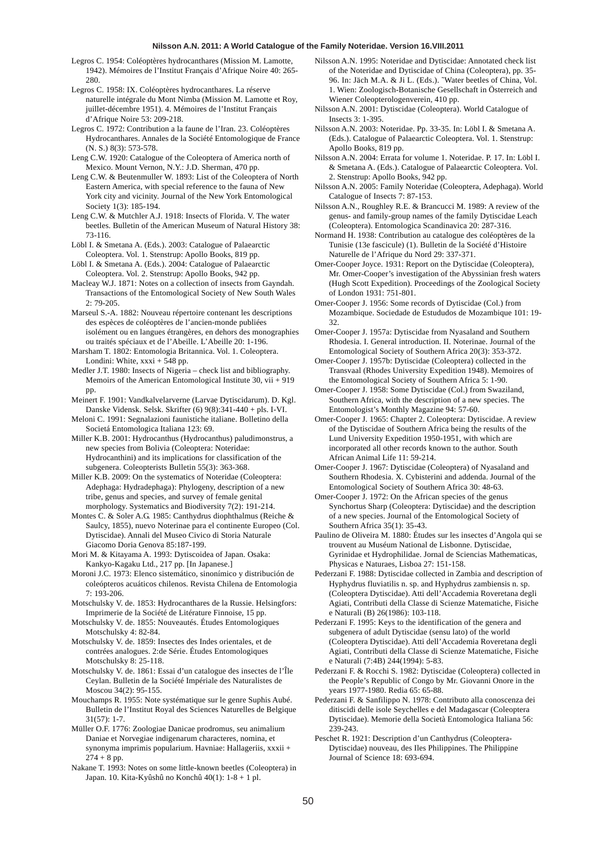- Legros C. 1954: Coléoptères hydrocanthares (Mission M. Lamotte, 1942). Mémoires de l'Institut Français d'Afrique Noire 40: 265- 280.
- Legros C. 1958: IX. Coléoptères hydrocanthares. La réserve naturelle intégrale du Mont Nimba (Mission M. Lamotte et Roy, juillet-décembre 1951). 4. Mémoires de l'Institut Français d'Afrique Noire 53: 209-218.
- Legros C. 1972: Contribution a la faune de l'Iran. 23. Coléoptères Hydrocanthares. Annales de la Société Entomologique de France (N. S.) 8(3): 573-578.
- Leng C.W. 1920: Catalogue of the Coleoptera of America north of Mexico. Mount Vernon, N.Y.: J.D. Sherman, 470 pp.
- Leng C.W. & Beutenmuller W. 1893: List of the Coleoptera of North Eastern America, with special reference to the fauna of New York city and vicinity. Journal of the New York Entomological Society 1(3): 185-194.
- Leng C.W. & Mutchler A.J. 1918: Insects of Florida. V. The water beetles. Bulletin of the American Museum of Natural History 38: 73-116.
- Löbl I. & Smetana A. (Eds.). 2003: Catalogue of Palaearctic Coleoptera. Vol. 1. Stenstrup: Apollo Books, 819 pp.
- Löbl I. & Smetana A. (Eds.). 2004: Catalogue of Palaearctic Coleoptera. Vol. 2. Stenstrup: Apollo Books, 942 pp.
- Macleay W.J. 1871: Notes on a collection of insects from Gayndah. Transactions of the Entomological Society of New South Wales  $2: 79 - 205$ .
- Marseul S.-A. 1882: Nouveau répertoire contenant les descriptions des espèces de coléoptères de l'ancien-monde publiées isolément ou en langues étrangères, en dehors des monographies ou traités spéciaux et de l'Abeille. L'Abeille 20: 1-196.
- Marsham T. 1802: Entomologia Britannica. Vol. 1. Coleoptera. Londini: White, xxxi + 548 pp.
- Medler J.T. 1980: Insects of Nigeria check list and bibliography. Memoirs of the American Entomological Institute 30, vii + 919 pp.
- Meinert F. 1901: Vandkalvelarverne (Larvae Dytiscidarum). D. Kgl. Danske Vidensk. Selsk. Skrifter (6) 9(8):341-440 + pls. I-VI.
- Meloni C. 1991: Segnalazioni faunistiche italiane. Bolletino della Societá Entomologica Italiana 123: 69.
- Miller K.B. 2001: Hydrocanthus (Hydrocanthus) paludimonstrus, a new species from Bolivia (Coleoptera: Noteridae: Hydrocanthini) and its implications for classification of the subgenera. Coleopterists Bulletin 55(3): 363-368.
- Miller K.B. 2009: On the systematics of Noteridae (Coleoptera: Adephaga: Hydradephaga): Phylogeny, description of a new tribe, genus and species, and survey of female genital morphology. Systematics and Biodiversity 7(2): 191-214.
- Montes C. & Soler A.G. 1985: Canthydrus diophthalmus (Reiche & Saulcy, 1855), nuevo Noterinae para el continente Europeo (Col. Dytiscidae). Annali del Museo Civico di Storia Naturale Giacomo Doria Genova 85:187-199.
- Mori M. & Kitayama A. 1993: Dytiscoidea of Japan. Osaka: Kankyo-Kagaku Ltd., 217 pp. [In Japanese.]
- Moroni J.C. 1973: Elenco sistemático, sinonímico y distribución de coleópteros acuáticos chilenos. Revista Chilena de Entomologia 7: 193-206.
- Motschulsky V. de. 1853: Hydrocanthares de la Russie. Helsingfors: Imprimerie de la Société de Litérature Finnoise, 15 pp.
- Motschulsky V. de. 1855: Nouveautés. Études Entomologiques Motschulsky 4: 82-84.
- Motschulsky V. de. 1859: Insectes des Indes orientales, et de contrées analogues. 2:de Série. Études Entomologiques Motschulsky 8: 25-118.
- Motschulsky V. de. 1861: Essai d'un catalogue des insectes de l'Île Ceylan. Bulletin de la Société Impériale des Naturalistes de Moscou 34(2): 95-155.
- Mouchamps R. 1955: Note systématique sur le genre Suphis Aubé. Bulletin de l'Institut Royal des Sciences Naturelles de Belgique 31(57): 1-7.
- Müller O.F. 1776: Zoologiae Danicae prodromus, seu animalium Daniae et Norvegiae indigenarum characteres, nomina, et synonyma imprimis popularium. Havniae: Hallageriis, xxxii +  $274 + 8$  pp.
- Nakane T. 1993: Notes on some little-known beetles (Coleoptera) in Japan. 10. Kita-Kyûshû no Konchû 40(1): 1-8 + 1 pl.
- Nilsson A.N. 1995: Noteridae and Dytiscidae: Annotated check list of the Noteridae and Dytiscidae of China (Coleoptera), pp. 35- 96. In: Jäch M.A. & Ji L. (Eds.). ˜Water beetles of China, Vol. 1. Wien: Zoologisch-Botanische Gesellschaft in Österreich and Wiener Coleopterologenverein, 410 pp.
- Nilsson A.N. 2001: Dytiscidae (Coleoptera). World Catalogue of Insects 3: 1-395.
- Nilsson A.N. 2003: Noteridae. Pp. 33-35. In: Löbl I. & Smetana A. (Eds.). Catalogue of Palaearctic Coleoptera. Vol. 1. Stenstrup: Apollo Books, 819 pp.
- Nilsson A.N. 2004: Errata for volume 1. Noteridae. P. 17. In: Löbl I. & Smetana A. (Eds.). Catalogue of Palaearctic Coleoptera. Vol. 2. Stenstrup: Apollo Books, 942 pp.
- Nilsson A.N. 2005: Family Noteridae (Coleoptera, Adephaga). World Catalogue of Insects 7: 87-153.
- Nilsson A.N., Roughley R.E. & Brancucci M. 1989: A review of the genus- and family-group names of the family Dytiscidae Leach (Coleoptera). Entomologica Scandinavica 20: 287-316.
- Normand H. 1938: Contribution au catalogue des coléoptères de la Tunisie (13e fascicule) (1). Bulletin de la Société d'Histoire Naturelle de l'Afrique du Nord 29: 337-371.
- Omer-Cooper Joyce. 1931: Report on the Dytiscidae (Coleoptera), Mr. Omer-Cooper's investigation of the Abyssinian fresh waters (Hugh Scott Expedition). Proceedings of the Zoological Society of London 1931: 751-801.
- Omer-Cooper J. 1956: Some records of Dytiscidae (Col.) from Mozambique. Sociedade de Estududos de Mozambique 101: 19- 32.
- Omer-Cooper J. 1957a: Dytiscidae from Nyasaland and Southern Rhodesia. I. General introduction. II. Noterinae. Journal of the Entomological Society of Southern Africa 20(3): 353-372.
- Omer-Cooper J. 1957b: Dytiscidae (Coleoptera) collected in the Transvaal (Rhodes University Expedition 1948). Memoires of the Entomological Society of Southern Africa 5: 1-90.
- Omer-Cooper J. 1958: Some Dytiscidae (Col.) from Swaziland, Southern Africa, with the description of a new species. The Entomologist's Monthly Magazine 94: 57-60.
- Omer-Cooper J. 1965: Chapter 2. Coleoptera: Dytiscidae. A review of the Dytiscidae of Southern Africa being the results of the Lund University Expedition 1950-1951, with which are incorporated all other records known to the author. South African Animal Life 11: 59-214.
- Omer-Cooper J. 1967: Dytiscidae (Coleoptera) of Nyasaland and Southern Rhodesia. X. Cybisterini and addenda. Journal of the Entomological Society of Southern Africa 30: 48-63.
- Omer-Cooper J. 1972: On the African species of the genus Synchortus Sharp (Coleoptera: Dytiscidae) and the description of a new species. Journal of the Entomological Society of Southern Africa 35(1): 35-43.
- Paulino de Oliveira M. 1880: Études sur les insectes d'Angola qui se trouvent au Muséum National de Lisbonne. Dytiscidae, Gyrinidae et Hydrophilidae. Jornal de Sciencias Mathematicas, Physicas e Naturaes, Lisboa 27: 151-158.
- Pederzani F. 1988: Dytiscidae collected in Zambia and description of Hyphydrus fluviatilis n. sp. and Hyphydrus zambiensis n. sp. (Coleoptera Dytiscidae). Atti dell'Accademia Roveretana degli Agiati, Contributi della Classe di Scienze Matematiche, Fisiche e Naturali (B) 26(1986): 103-118.
- Pederzani F. 1995: Keys to the identification of the genera and subgenera of adult Dytiscidae (sensu lato) of the world (Coleoptera Dytiscidae). Atti dell'Accademia Roveretana degli Agiati, Contributi della Classe di Scienze Matematiche, Fisiche e Naturali (7:4B) 244(1994): 5-83.
- Pederzani F. & Rocchi S. 1982: Dytiscidae (Coleoptera) collected in the People's Republic of Congo by Mr. Giovanni Onore in the years 1977-1980. Redia 65: 65-88.
- Pederzani F. & Sanfilippo N. 1978: Contributo alla conoscenza dei ditiscidi delle isole Seychelles e del Madagascar (Coleoptera Dytiscidae). Memorie della Società Entomologica Italiana 56: 239-243.
- Peschet R. 1921: Description d'un Canthydrus (Coleoptera-Dytiscidae) nouveau, des Iles Philippines. The Philippine Journal of Science 18: 693-694.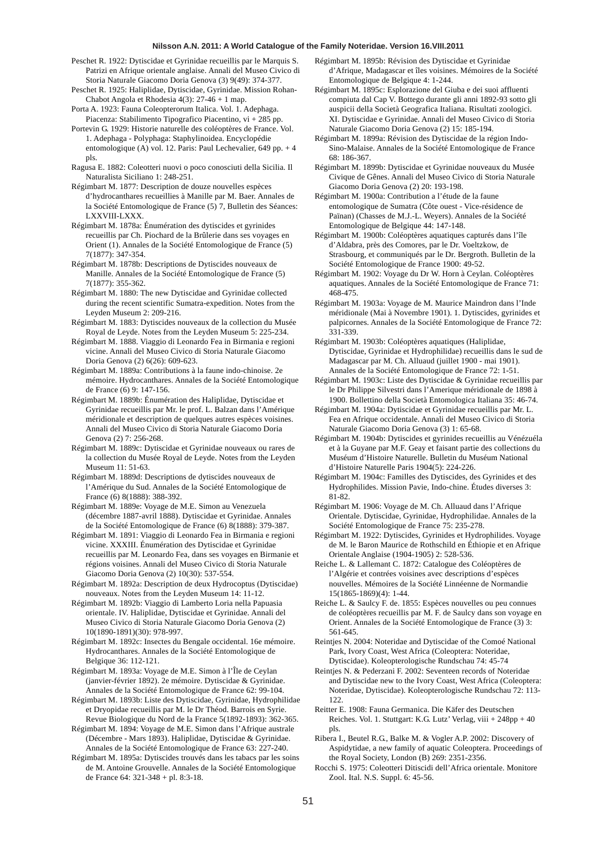- Peschet R. 1922: Dytiscidae et Gyrinidae recueillis par le Marquis S. Patrizi en Afrique orientale anglaise. Annali del Museo Civico di Storia Naturale Giacomo Doria Genova (3) 9(49): 374-377.
- Peschet R. 1925: Haliplidae, Dytiscidae, Gyrinidae. Mission Rohan-Chabot Angola et Rhodesia 4(3): 27-46 + 1 map.
- Porta A. 1923: Fauna Coleopterorum Italica. Vol. 1. Adephaga. Piacenza: Stabilimento Tipografico Piacentino, vi + 285 pp.
- Portevin G. 1929: Historie naturelle des coléoptères de France. Vol. 1. Adephaga - Polyphaga: Staphylinoidea. Encyclopédie entomologique (A) vol. 12. Paris: Paul Lechevalier, 649 pp. + 4 pls.
- Ragusa E. 1882: Coleotteri nuovi o poco conosciuti della Sicilia. Il Naturalista Siciliano 1: 248-251.
- Régimbart M. 1877: Description de douze nouvelles espèces d'hydrocanthares recueillies à Manille par M. Baer. Annales de la Société Entomologique de France (5) 7, Bulletin des Séances: LXXVIII-LXXX.
- Régimbart M. 1878a: Énumération des dytiscides et gyrinides recueillis par Ch. Piochard de la Brûlerie dans ses voyages en Orient (1). Annales de la Société Entomologique de France (5) 7(1877): 347-354.
- Régimbart M. 1878b: Descriptions de Dytiscides nouveaux de Manille. Annales de la Société Entomologique de France (5) 7(1877): 355-362.
- Régimbart M. 1880: The new Dytiscidae and Gyrinidae collected during the recent scientific Sumatra-expedition. Notes from the Leyden Museum 2: 209-216.
- Régimbart M. 1883: Dytiscides nouveaux de la collection du Musée Royal de Leyde. Notes from the Leyden Museum 5: 225-234.
- Régimbart M. 1888. Viaggio di Leonardo Fea in Birmania e regioni vicine. Annali del Museo Civico di Storia Naturale Giacomo Doria Genova (2) 6(26): 609-623.
- Régimbart M. 1889a: Contributions à la faune indo-chinoise. 2e mémoire. Hydrocanthares. Annales de la Société Entomologique de France (6) 9: 147-156.
- Régimbart M. 1889b: Énumération des Haliplidae, Dytiscidae et Gyrinidae recueillis par Mr. le prof. L. Balzan dans l'Amérique méridionale et description de quelques autres espèces voisines. Annali del Museo Civico di Storia Naturale Giacomo Doria Genova (2) 7: 256-268.
- Régimbart M. 1889c: Dytiscidae et Gyrinidae nouveaux ou rares de la collection du Musée Royal de Leyde. Notes from the Leyden Museum 11: 51-63.
- Régimbart M. 1889d: Descriptions de dytiscides nouveaux de l'Amérique du Sud. Annales de la Société Entomologique de France (6) 8(1888): 388-392.
- Régimbart M. 1889e: Voyage de M.E. Simon au Venezuela (décembre 1887-avril 1888). Dytiscidae et Gyrinidae. Annales de la Société Entomologique de France (6) 8(1888): 379-387.
- Régimbart M. 1891: Viaggio di Leonardo Fea in Birmania e regioni vicine. XXXIII. Énumération des Dytiscidae et Gyrinidae recueillis par M. Leonardo Fea, dans ses voyages en Birmanie et régions voisines. Annali del Museo Civico di Storia Naturale Giacomo Doria Genova (2) 10(30): 537-554.
- Régimbart M. 1892a: Description de deux Hydrocoptus (Dytiscidae) nouveaux. Notes from the Leyden Museum 14: 11-12.
- Régimbart M. 1892b: Viaggio di Lamberto Loria nella Papuasia orientale. IV. Haliplidae, Dytiscidae et Gyrinidae. Annali del Museo Civico di Storia Naturale Giacomo Doria Genova (2) 10(1890-1891)(30): 978-997.
- Régimbart M. 1892c: Insectes du Bengale occidental. 16e mémoire. Hydrocanthares. Annales de la Société Entomologique de Belgique 36: 112-121.
- Régimbart M. 1893a: Voyage de M.E. Simon à l'Île de Ceylan (janvier-février 1892). 2e mémoire. Dytiscidae & Gyrinidae. Annales de la Société Entomologique de France 62: 99-104.
- Régimbart M. 1893b: Liste des Dytiscidae, Gyrinidae, Hydrophilidae et Dryopidae recueillis par M. le Dr Théod. Barrois en Syrie. Revue Biologique du Nord de la France 5(1892-1893): 362-365.
- Régimbart M. 1894: Voyage de M.E. Simon dans l'Afrique australe (Décembre - Mars 1893). Haliplidae, Dytiscidae & Gyrinidae. Annales de la Société Entomologique de France 63: 227-240.
- Régimbart M. 1895a: Dytiscides trouvés dans les tabacs par les soins de M. Antoine Grouvelle. Annales de la Société Entomologique de France 64: 321-348 + pl. 8:3-18.
- Régimbart M. 1895b: Révision des Dytiscidae et Gyrinidae d'Afrique, Madagascar et îles voisines. Mémoires de la Société Entomologique de Belgique 4: 1-244.
- Régimbart M. 1895c: Esplorazione del Giuba e dei suoi affluenti compiuta dal Cap V. Bottego durante gli anni 1892-93 sotto gli auspicii della Società Geografica Italiana. Risultati zoologici. XI. Dytiscidae e Gyrinidae. Annali del Museo Civico di Storia Naturale Giacomo Doria Genova (2) 15: 185-194.
- Régimbart M. 1899a: Révision des Dytiscidae de la région Indo-Sino-Malaise. Annales de la Société Entomologique de France 68: 186-367.
- Régimbart M. 1899b: Dytiscidae et Gyrinidae nouveaux du Musée Civique de Gênes. Annali del Museo Civico di Storia Naturale Giacomo Doria Genova (2) 20: 193-198.
- Régimbart M. 1900a: Contribution a l'étude de la faune entomologique de Sumatra (Côte ouest - Vice-résidence de Païnan) (Chasses de M.J.-L. Weyers). Annales de la Société Entomologique de Belgique 44: 147-148.
- Régimbart M. 1900b: Coléoptères aquatiques capturés dans l'île d'Aldabra, près des Comores, par le Dr. Voeltzkow, de Strasbourg, et communiqués par le Dr. Bergroth. Bulletin de la Société Entomologique de France 1900: 49-52.
- Régimbart M. 1902: Voyage du Dr W. Horn à Ceylan. Coléoptères aquatiques. Annales de la Société Entomologique de France 71: 468-475.
- Régimbart M. 1903a: Voyage de M. Maurice Maindron dans l'Inde méridionale (Mai à Novembre 1901). 1. Dytiscides, gyrinides et palpicornes. Annales de la Société Entomologique de France 72: 331-339.
- Régimbart M. 1903b: Coléoptères aquatiques (Haliplidae, Dytiscidae, Gyrinidae et Hydrophilidae) recueillis dans le sud de Madagascar par M. Ch. Alluaud (juillet 1900 - mai 1901). Annales de la Société Entomologique de France 72: 1-51.
- Régimbart M. 1903c: Liste des Dytiscidae & Gyrinidae recueillis par le Dr Philippe Silvestri dans l'Amerique méridionale de 1898 à 1900. Bollettino della Società Entomologica Italiana 35: 46-74.
- Régimbart M. 1904a: Dytiscidae et Gyrinidae recueillis par Mr. L. Fea en Afrique occidentale. Annali del Museo Civico di Storia Naturale Giacomo Doria Genova (3) 1: 65-68.
- Régimbart M. 1904b: Dytiscides et gyrinides recueillis au Vénézuéla et à la Guyane par M.F. Geay et faisant partie des collections du Muséum d'Histoire Naturelle. Bulletin du Muséum National d'Histoire Naturelle Paris 1904(5): 224-226.
- Régimbart M. 1904c: Familles des Dytiscides, des Gyrinides et des Hydrophilides. Mission Pavie, Indo-chine. Études diverses 3: 81-82.
- Régimbart M. 1906: Voyage de M. Ch. Alluaud dans l'Afrique Orientale. Dytiscidae, Gyrinidae, Hydrophilidae. Annales de la Société Entomologique de France 75: 235-278.
- Régimbart M. 1922: Dytiscides, Gyrinides et Hydrophilides. Voyage de M. le Baron Maurice de Rothschild en Éthiopie et en Afrique Orientale Anglaise (1904-1905) 2: 528-536.
- Reiche L. & Lallemant C. 1872: Catalogue des Coléoptères de l'Algérie et contrées voisines avec descriptions d'espèces nouvelles. Mémoires de la Société Linnéenne de Normandie 15(1865-1869)(4): 1-44.
- Reiche L. & Saulcy F. de. 1855: Espèces nouvelles ou peu connues de coléoptères recueillis par M. F. de Saulcy dans son voyage en Orient. Annales de la Société Entomologique de France (3) 3: 561-645.
- Reintjes N. 2004: Noteridae and Dytiscidae of the Comoé National Park, Ivory Coast, West Africa (Coleoptera: Noteridae, Dytiscidae). Koleopterologische Rundschau 74: 45-74
- Reintjes N. & Pederzani F. 2002: Seventeen records of Noteridae and Dytiscidae new to the Ivory Coast, West Africa (Coleoptera: Noteridae, Dytiscidae). Koleopterologische Rundschau 72: 113- 122.
- Reitter E. 1908: Fauna Germanica. Die Käfer des Deutschen Reiches. Vol. 1. Stuttgart: K.G. Lutz' Verlag, viii + 248pp + 40 pls.
- Ribera I., Beutel R.G., Balke M. & Vogler A.P. 2002: Discovery of Aspidytidae, a new family of aquatic Coleoptera. Proceedings of the Royal Society, London (B) 269: 2351-2356.
- Rocchi S. 1975: Coleotteri Ditiscidi dell'Africa orientale. Monitore Zool. Ital. N.S. Suppl. 6: 45-56.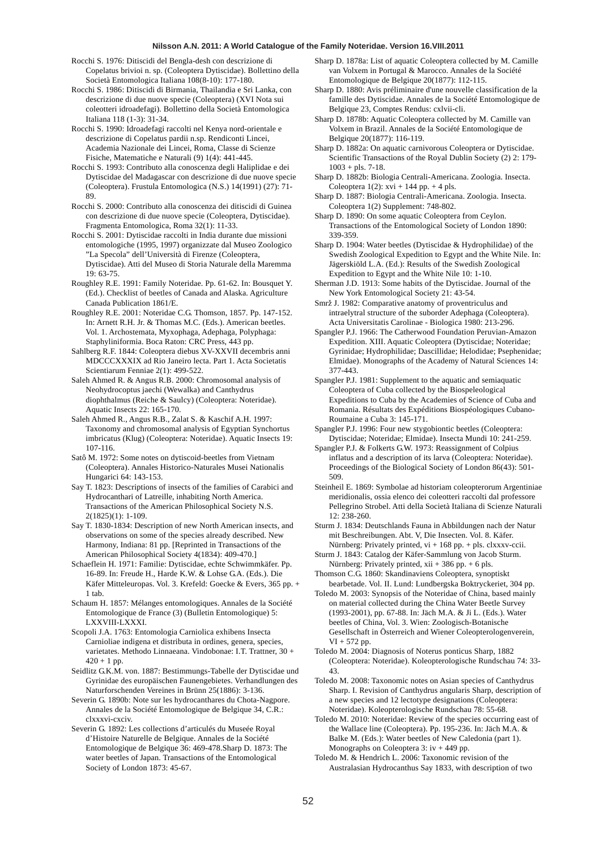Rocchi S. 1976: Ditiscidi del Bengla-desh con descrizione di Copelatus brivioi n. sp. (Coleoptera Dytiscidae). Bollettino della Società Entomologica Italiana 108(8-10): 177-180.

Rocchi S. 1986: Ditiscidi di Birmania, Thailandia e Sri Lanka, con descrizione di due nuove specie (Coleoptera) (XVI Nota sui coleotteri idroadefagi). Bollettino della Società Entomologica Italiana 118 (1-3): 31-34.

Rocchi S. 1990: Idroadefagi raccolti nel Kenya nord-orientale e descrizione di Copelatus pardii n.sp. Rendiconti Lincei, Academia Nazionale dei Lincei, Roma, Classe di Scienze Fisiche, Matematiche e Naturali (9) 1(4): 441-445.

Rocchi S. 1993: Contributo alla conoscenza degli Haliplidae e dei Dytiscidae del Madagascar con descrizione di due nuove specie (Coleoptera). Frustula Entomologica (N.S.) 14(1991) (27): 71- 89.

Rocchi S. 2000: Contributo alla conoscenza dei ditiscidi di Guinea con descrizione di due nuove specie (Coleoptera, Dytiscidae). Fragmenta Entomologica, Roma 32(1): 11-33.

Rocchi S. 2001: Dytiscidae raccolti in India durante due missioni entomologiche (1995, 1997) organizzate dal Museo Zoologico "La Specola" dell'Università di Firenze (Coleoptera, Dytiscidae). Atti del Museo di Storia Naturale della Maremma 19: 63-75.

Roughley R.E. 1991: Family Noteridae. Pp. 61-62. In: Bousquet Y. (Ed.). Checklist of beetles of Canada and Alaska. Agriculture Canada Publication 1861/E.

Roughley R.E. 2001: Noteridae C.G. Thomson, 1857. Pp. 147-152. In: Arnett R.H. Jr. & Thomas M.C. (Eds.). American beetles. Vol. 1. Archostemata, Myxophaga, Adephaga, Polyphaga: Staphyliniformia. Boca Raton: CRC Press, 443 pp.

Sahlberg R.F. 1844: Coleoptera diebus XV-XXVII decembris anni MDCCCXXXIX ad Rio Janeiro lecta. Part 1. Acta Societatis Scientiarum Fenniae 2(1): 499-522.

Saleh Ahmed R. & Angus R.B. 2000: Chromosomal analysis of Neohydrocoptus jaechi (Wewalka) and Canthydrus diophthalmus (Reiche & Saulcy) (Coleoptera: Noteridae). Aquatic Insects 22: 165-170.

Saleh Ahmed R., Angus R.B., Zalat S. & Kaschif A.H. 1997: Taxonomy and chromosomal analysis of Egyptian Synchortus imbricatus (Klug) (Coleoptera: Noteridae). Aquatic Insects 19: 107-116.

Satô M. 1972: Some notes on dytiscoid-beetles from Vietnam (Coleoptera). Annales Historico-Naturales Musei Nationalis Hungarici 64: 143-153.

Say T. 1823: Descriptions of insects of the families of Carabici and Hydrocanthari of Latreille, inhabiting North America. Transactions of the American Philosophical Society N.S.  $2(1825)(1)$ : 1-109.

Say T. 1830-1834: Description of new North American insects, and observations on some of the species already described. New Harmony, Indiana: 81 pp. [Reprinted in Transactions of the American Philosophical Society 4(1834): 409-470.]

Schaeflein H. 1971: Familie: Dytiscidae, echte Schwimmkäfer. Pp. 16-89. In: Freude H., Harde K.W. & Lohse G.A. (Eds.). Die Käfer Mitteleuropas. Vol. 3. Krefeld: Goecke & Evers, 365 pp. + 1 tab.

Schaum H. 1857: Mélanges entomologiques. Annales de la Société Entomologique de France (3) (Bulletin Entomologique) 5: LXXVIII-LXXXI.

Scopoli J.A. 1763: Entomologia Carniolica exhibens Insecta Carnioliae indigena et distributa in ordines, genera, species, varietates. Methodo Linnaeana. Vindobonae: I.T. Trattner, 30 +  $420 + 1$  pp.

Seidlitz G.K.M. von. 1887: Bestimmungs-Tabelle der Dytiscidae und Gyrinidae des europäischen Faunengebietes. Verhandlungen des Naturforschenden Vereines in Brünn 25(1886): 3-136.

Severin G. 1890b: Note sur les hydrocanthares du Chota-Nagpore. Annales de la Société Entomologique de Belgique 34, C.R.: clxxxvi-cxciv.

Severin G. 1892: Les collections d'articulés du Museée Royal d'Histoire Naturelle de Belgique. Annales de la Société Entomologique de Belgique 36: 469-478.Sharp D. 1873: The water beetles of Japan. Transactions of the Entomological Society of London 1873: 45-67.

Sharp D. 1878a: List of aquatic Coleoptera collected by M. Camille van Volxem in Portugal & Marocco. Annales de la Société Entomologique de Belgique 20(1877): 112-115.

Sharp D. 1880: Avis préliminaire d'une nouvelle classification de la famille des Dytiscidae. Annales de la Société Entomologique de Belgique 23, Comptes Rendus: cxlvii-cli.

Sharp D. 1878b: Aquatic Coleoptera collected by M. Camille van Volxem in Brazil. Annales de la Société Entomologique de Belgique 20(1877): 116-119.

Sharp D. 1882a: On aquatic carnivorous Coleoptera or Dytiscidae. Scientific Transactions of the Royal Dublin Society (2) 2: 179-  $1003 + \text{pls}$ , 7-18.

Sharp D. 1882b: Biologia Centrali-Americana. Zoologia. Insecta. Coleoptera  $1(2)$ : xvi + 144 pp. + 4 pls.

Sharp D. 1887: Biologia Centrali-Americana. Zoologia. Insecta. Coleoptera 1(2) Supplement: 748-802.

Sharp D. 1890: On some aquatic Coleoptera from Ceylon. Transactions of the Entomological Society of London 1890: 339-359.

Sharp D. 1904: Water beetles (Dytiscidae & Hydrophilidae) of the Swedish Zoological Expedition to Egypt and the White Nile. In: Jägerskiöld L.A. (Ed.): Results of the Swedish Zoological Expedition to Egypt and the White Nile 10: 1-10.

Sherman J.D. 1913: Some habits of the Dytiscidae. Journal of the New York Entomological Society 21: 43-54.

Smrž J. 1982: Comparative anatomy of proventriculus and intraelytral structure of the suborder Adephaga (Coleoptera). Acta Universitatis Carolinae - Biologica 1980: 213-296.

Spangler P.J. 1966: The Catherwood Foundation Peruvian-Amazon Expedition. XIII. Aquatic Coleoptera (Dytiscidae; Noteridae; Gyrinidae; Hydrophilidae; Dascillidae; Helodidae; Psephenidae; Elmidae). Monographs of the Academy of Natural Sciences 14: 377-443.

Spangler P.J. 1981: Supplement to the aquatic and semiaquatic Coleoptera of Cuba collected by the Biospeleological Expeditions to Cuba by the Academies of Science of Cuba and Romania. Résultats des Expéditions Biospéologiques Cubano-Roumaine a Cuba 3: 145-171.

Spangler P.J. 1996: Four new stygobiontic beetles (Coleoptera: Dytiscidae; Noteridae; Elmidae). Insecta Mundi 10: 241-259.

Spangler P.J. & Folkerts G.W. 1973: Reassignment of Colpius inflatus and a description of its larva (Coleoptera: Noteridae). Proceedings of the Biological Society of London 86(43): 501- 509.

Steinheil E. 1869: Symbolae ad historiam coleopterorum Argentiniae meridionalis, ossia elenco dei coleotteri raccolti dal professore Pellegrino Strobel. Atti della Società Italiana di Scienze Naturali  $12.238-260$ 

Sturm J. 1834: Deutschlands Fauna in Abbildungen nach der Natur mit Beschreibungen. Abt. V, Die Insecten. Vol. 8. Käfer. Nürnberg: Privately printed, vi + 168 pp. + pls. clxxxv-ccii.

Sturm J. 1843: Catalog der Käfer-Sammlung von Jacob Sturm. Nürnberg: Privately printed, xii + 386 pp. + 6 pls.

Thomson C.G. 1860: Skandinaviens Coleoptera, synoptiskt bearbetade. Vol. II. Lund: Lundbergska Boktryckeriet, 304 pp.

Toledo M. 2003: Synopsis of the Noteridae of China, based mainly on material collected during the China Water Beetle Survey (1993-2001), pp. 67-88. In: Jäch M.A. & Ji L. (Eds.). Water beetles of China, Vol. 3. Wien: Zoologisch-Botanische Gesellschaft in Österreich and Wiener Coleopterologenverein, VI + 572 pp.

Toledo M. 2004: Diagnosis of Noterus ponticus Sharp, 1882 (Coleoptera: Noteridae). Koleopterologische Rundschau 74: 33- 43.

Toledo M. 2008: Taxonomic notes on Asian species of Canthydrus Sharp. I. Revision of Canthydrus angularis Sharp, description of a new species and 12 lectotype designations (Coleoptera: Noteridae). Koleopterologische Rundschau 78: 55-68.

Toledo M. 2010: Noteridae: Review of the species occurring east of the Wallace line (Coleoptera). Pp. 195-236. In: Jäch M.A. & Balke M. (Eds.): Water beetles of New Caledonia (part 1). Monographs on Coleoptera 3: iv + 449 pp.

Toledo M. & Hendrich L. 2006: Taxonomic revision of the Australasian Hydrocanthus Say 1833, with description of two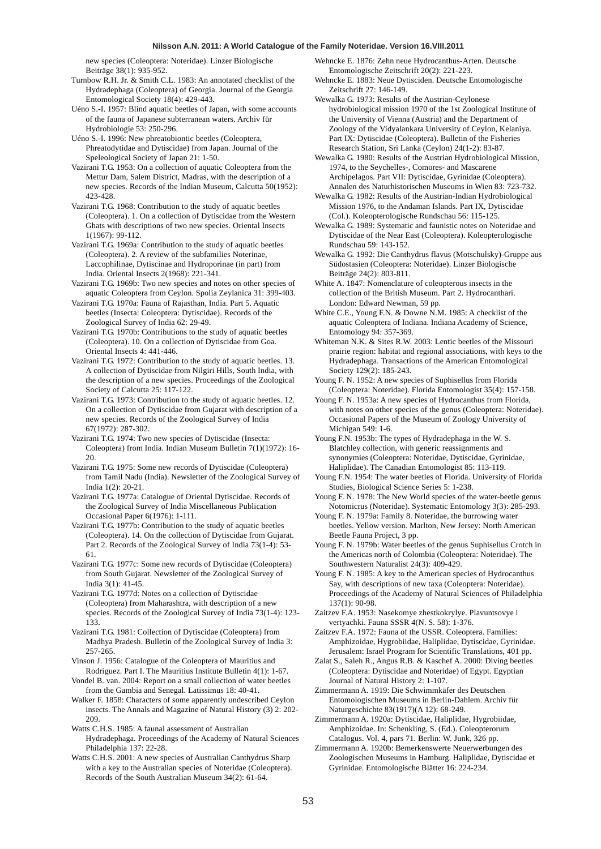new species (Coleoptera: Noteridae). Linzer Biologische Beiträge 38(1): 935-952.

Turnbow R.H. Jr. & Smith C.L. 1983: An annotated checklist of the Hydradephaga (Coleoptera) of Georgia. Journal of the Georgia Entomological Society 18(4): 429-443.

Uéno S.-I. 1957: Blind aquatic beetles of Japan, with some accounts of the fauna of Japanese subterranean waters. Archiv für Hydrobiologie 53: 250-296.

Uéno S.-I. 1996: New phreatobiontic beetles (Coleoptera, Phreatodytidae and Dytiscidae) from Japan. Journal of the Speleological Society of Japan 21: 1-50.

Vazirani T.G. 1953: On a collection of aquatic Coleoptera from the Mettur Dam, Salem District, Madras, with the description of a new species. Records of the Indian Museum, Calcutta 50(1952): 423-428.

Vazirani T.G. 1968: Contribution to the study of aquatic beetles (Coleoptera). 1. On a collection of Dytiscidae from the Western Ghats with descriptions of two new species. Oriental Insects 1(1967): 99-112.

Vazirani T.G. 1969a: Contribution to the study of aquatic beetles (Coleoptera). 2. A review of the subfamilies Noterinae, Laccophilinae, Dytiscinae and Hydroporinae (in part) from India. Oriental Insects 2(1968): 221-341.

Vazirani T.G. 1969b: Two new species and notes on other species of aquatic Coleoptera from Ceylon. Spolia Zeylanica 31: 399-403.

Vazirani T.G. 1970a: Fauna of Rajasthan, India. Part 5. Aquatic beetles (Insecta: Coleoptera: Dytiscidae). Records of the Zoological Survey of India 62: 29-49.

Vazirani T.G. 1970b: Contributions to the study of aquatic beetles (Coleoptera). 10. On a collection of Dytiscidae from Goa. Oriental Insects 4: 441-446.

Vazirani T.G. 1972: Contribution to the study of aquatic beetles. 13. A collection of Dytiscidae from Nilgiri Hills, South India, with the description of a new species. Proceedings of the Zoological Society of Calcutta 25: 117-122.

Vazirani T.G. 1973: Contribution to the study of aquatic beetles. 12. On a collection of Dytiscidae from Gujarat with description of a new species. Records of the Zoological Survey of India 67(1972): 287-302.

Vazirani T.G. 1974: Two new species of Dytiscidae (Insecta: Coleoptera) from India. Indian Museum Bulletin 7(1)(1972): 16- 20.

Vazirani T.G. 1975: Some new records of Dytiscidae (Coleoptera) from Tamil Nadu (India). Newsletter of the Zoological Survey of India 1(2): 20-21.

Vazirani T.G. 1977a: Catalogue of Oriental Dytiscidae. Records of the Zoological Survey of India Miscellaneous Publication Occasional Paper 6(1976): 1-111.

Vazirani T.G. 1977b: Contribution to the study of aquatic beetles (Coleoptera). 14. On the collection of Dytiscidae from Gujarat. Part 2. Records of the Zoological Survey of India 73(1-4): 53- 61.

Vazirani T.G. 1977c: Some new records of Dytiscidae (Coleoptera) from South Gujarat. Newsletter of the Zoological Survey of India 3(1): 41-45.

Vazirani T.G. 1977d: Notes on a collection of Dytiscidae (Coleoptera) from Maharashtra, with description of a new species. Records of the Zoological Survey of India 73(1-4): 123- 133.

Vazirani T.G. 1981: Collection of Dytiscidae (Coleoptera) from Madhya Pradesh. Bulletin of the Zoological Survey of India 3: 257-265.

Vinson J. 1956: Catalogue of the Coleoptera of Mauritius and Rodriguez. Part I. The Mauritius Institute Bulletin 4(1): 1-67.

Vondel B. van. 2004: Report on a small collection of water beetles from the Gambia and Senegal. Latissimus 18: 40-41.

Walker F. 1858: Characters of some apparently undescribed Ceylon insects. The Annals and Magazine of Natural History (3) 2: 202- 209.

Watts C.H.S. 1985: A faunal assessment of Australian Hydradephaga. Proceedings of the Academy of Natural Sciences Philadelphia 137: 22-28.

Watts C.H.S. 2001: A new species of Australian Canthydrus Sharp with a key to the Australian species of Noteridae (Coleoptera). Records of the South Australian Museum 34(2): 61-64.

Wehncke E. 1876: Zehn neue Hydrocanthus-Arten. Deutsche Entomologische Zeitschrift 20(2): 221-223.

Wehncke E. 1883: Neue Dytisciden. Deutsche Entomologische Zeitschrift 27: 146-149.

Wewalka G. 1973: Results of the Austrian-Ceylonese hydrobiological mission 1970 of the 1st Zoological Institute of the University of Vienna (Austria) and the Department of Zoology of the Vidyalankara University of Ceylon, Kelaniya. Part IX: Dytiscidae (Coleoptera). Bulletin of the Fisheries Research Station, Sri Lanka (Ceylon) 24(1-2): 83-87.

Wewalka G. 1980: Results of the Austrian Hydrobiological Mission, 1974, to the Seychelles-, Comores- and Mascarene Archipelagos. Part VII: Dytiscidae, Gyrinidae (Coleoptera). Annalen des Naturhistorischen Museums in Wien 83: 723-732.

Wewalka G. 1982: Results of the Austrian-Indian Hydrobiological Mission 1976, to the Andaman Islands. Part IX, Dytiscidae (Col.). Koleopterologische Rundschau 56: 115-125.

Wewalka G. 1989: Systematic and faunistic notes on Noteridae and Dytiscidae of the Near East (Coleoptera). Koleopterologische Rundschau 59: 143-152.

Wewalka G. 1992: Die Canthydrus flavus (Motschulsky)-Gruppe aus Südostasien (Coleoptera: Noteridae). Linzer Biologische Beiträge 24(2): 803-811.

White A. 1847: Nomenclature of coleopterous insects in the collection of the British Museum. Part 2. Hydrocanthari. London: Edward Newman, 59 pp.

White C.E., Young F.N. & Downe N.M. 1985: A checklist of the aquatic Coleoptera of Indiana. Indiana Academy of Science, Entomology 94: 357-369.

Whiteman N.K. & Sites R.W. 2003: Lentic beetles of the Missouri prairie region: habitat and regional associations, with keys to the Hydradephaga. Transactions of the American Entomological Society 129(2): 185-243.

Young F. N. 1952: A new species of Suphisellus from Florida (Coleoptera: Noteridae). Florida Entomologist 35(4): 157-158.

Young F. N. 1953a: A new species of Hydrocanthus from Florida, with notes on other species of the genus (Coleoptera: Noteridae). Occasional Papers of the Museum of Zoology University of Michigan 549: 1-6.

Young F.N. 1953b: The types of Hydradephaga in the W. S. Blatchley collection, with generic reassignments and synonymies (Coleoptera: Noteridae, Dytiscidae, Gyrinidae, Haliplidae). The Canadian Entomologist 85: 113-119.

Young F.N. 1954: The water beetles of Florida. University of Florida Studies, Biological Science Series 5: 1-238.

Young F. N. 1978: The New World species of the water-beetle genus Notomicrus (Noteridae). Systematic Entomology 3(3): 285-293.

Young F. N. 1979a: Family 8. Noteridae, the burrowing water beetles. Yellow version. Marlton, New Jersey: North American Beetle Fauna Project, 3 pp.

Young F. N. 1979b: Water beetles of the genus Suphisellus Crotch in the Americas north of Colombia (Coleoptera: Noteridae). The Southwestern Naturalist 24(3): 409-429.

Young F. N. 1985: A key to the American species of Hydrocanthus Say, with descriptions of new taxa (Coleoptera: Noteridae). Proceedings of the Academy of Natural Sciences of Philadelphia 137(1): 90-98.

Zaitzev F.A. 1953: Nasekomye zhestkokrylye. Plavuntsovye i vertyachki. Fauna SSSR 4(N. S. 58): 1-376.

Zaitzev F.A. 1972: Fauna of the USSR. Coleoptera. Families: Amphizoidae, Hygrobiidae, Haliplidae, Dytiscidae, Gyrinidae. Jerusalem: Israel Program for Scientific Translations, 401 pp.

Zalat S., Saleh R., Angus R.B. & Kaschef A. 2000: Diving beetles (Coleoptera: Dytiscidae and Noteridae) of Egypt. Egyptian Journal of Natural History 2: 1-107.

Zimmermann A. 1919: Die Schwimmkäfer des Deutschen Entomologischen Museums in Berlin-Dahlem. Archiv für Naturgeschichte 83(1917)(A 12): 68-249.

Zimmermann A. 1920a: Dytiscidae, Haliplidae, Hygrobiidae, Amphizoidae. In: Schenkling, S. (Ed.). Coleopterorum Catalogus. Vol. 4, pars 71. Berlin: W. Junk, 326 pp.

Zimmermann A. 1920b: Bemerkenswerte Neuerwerbungen des Zoologischen Museums in Hamburg. Haliplidae, Dytiscidae et Gyrinidae. Entomologische Blätter 16: 224-234.